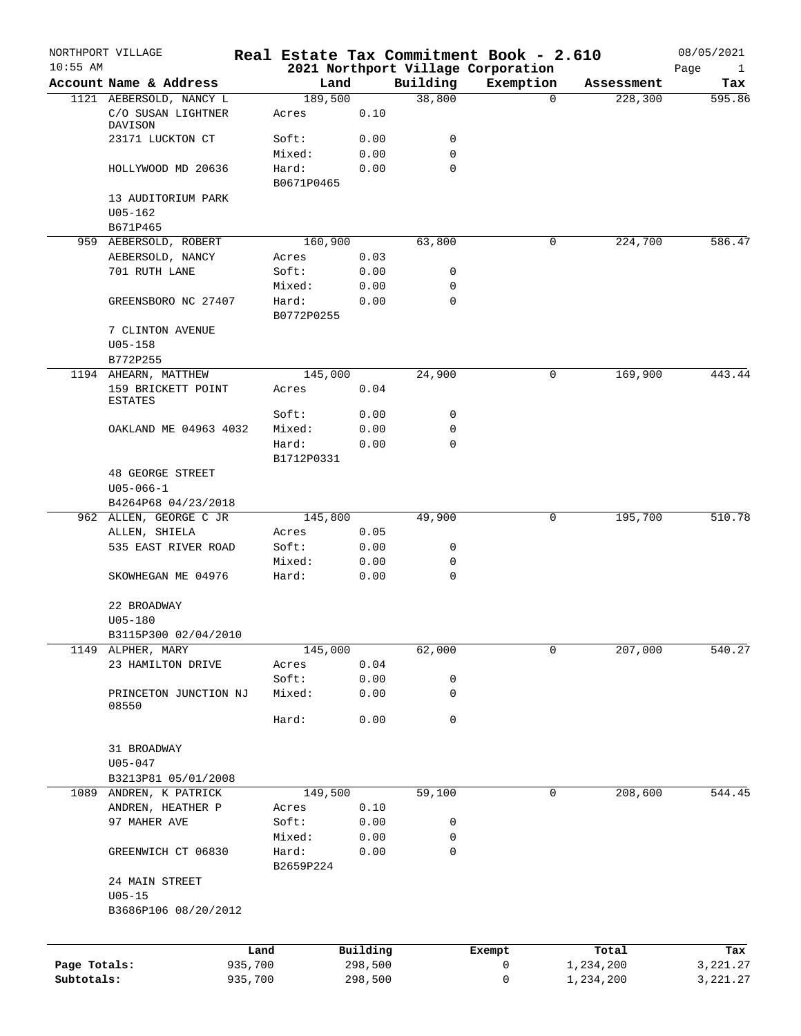| $10:55$ AM                 | NORTHPORT VILLAGE                 |                    |                     |                    |             | Real Estate Tax Commitment Book - 2.610 |                        | 08/05/2021           |
|----------------------------|-----------------------------------|--------------------|---------------------|--------------------|-------------|-----------------------------------------|------------------------|----------------------|
|                            | Account Name & Address            |                    |                     |                    | Building    | 2021 Northport Village Corporation      | Assessment             | Page<br>$\mathbf{1}$ |
|                            | 1121 AEBERSOLD, NANCY L           |                    | Land<br>189,500     |                    | 38,800      | Exemption<br>$\Omega$                   | 228,300                | Tax<br>595.86        |
|                            | C/O SUSAN LIGHTNER<br>DAVISON     |                    | Acres               | 0.10               |             |                                         |                        |                      |
|                            | 23171 LUCKTON CT                  |                    | Soft:               | 0.00               | 0           |                                         |                        |                      |
|                            |                                   |                    | Mixed:              | 0.00               | $\mathbf 0$ |                                         |                        |                      |
|                            | HOLLYWOOD MD 20636                |                    | Hard:<br>B0671P0465 | 0.00               | $\mathbf 0$ |                                         |                        |                      |
|                            | 13 AUDITORIUM PARK<br>$U05 - 162$ |                    |                     |                    |             |                                         |                        |                      |
|                            | B671P465                          |                    |                     |                    |             |                                         |                        |                      |
|                            | 959 AEBERSOLD, ROBERT             |                    | 160,900             |                    | 63,800      |                                         | 0<br>224,700           | 586.47               |
|                            | AEBERSOLD, NANCY                  |                    | Acres               | 0.03               |             |                                         |                        |                      |
|                            | 701 RUTH LANE                     |                    | Soft:               | 0.00               | 0           |                                         |                        |                      |
|                            |                                   |                    | Mixed:              | 0.00               | $\mathbf 0$ |                                         |                        |                      |
|                            | GREENSBORO NC 27407               |                    | Hard:<br>B0772P0255 | 0.00               | $\mathbf 0$ |                                         |                        |                      |
|                            | 7 CLINTON AVENUE<br>$U05 - 158$   |                    |                     |                    |             |                                         |                        |                      |
|                            | B772P255                          |                    |                     |                    |             |                                         |                        |                      |
|                            | 1194 AHEARN, MATTHEW              |                    | 145,000             |                    | 24,900      | 0                                       | 169,900                | 443.44               |
|                            | 159 BRICKETT POINT<br>ESTATES     |                    | Acres               | 0.04               |             |                                         |                        |                      |
|                            |                                   |                    | Soft:               | 0.00               | 0           |                                         |                        |                      |
|                            | OAKLAND ME 04963 4032             |                    | Mixed:              | 0.00               | 0           |                                         |                        |                      |
|                            |                                   |                    | Hard:<br>B1712P0331 | 0.00               | $\mathbf 0$ |                                         |                        |                      |
|                            | <b>48 GEORGE STREET</b>           |                    |                     |                    |             |                                         |                        |                      |
|                            | $U05 - 066 - 1$                   |                    |                     |                    |             |                                         |                        |                      |
|                            | B4264P68 04/23/2018               |                    |                     |                    |             |                                         |                        |                      |
|                            | 962 ALLEN, GEORGE C JR            |                    | 145,800             |                    | 49,900      |                                         | 195,700<br>0           | 510.78               |
|                            | ALLEN, SHIELA                     |                    | Acres               | 0.05               |             |                                         |                        |                      |
|                            | 535 EAST RIVER ROAD               |                    | Soft:               | 0.00               | 0           |                                         |                        |                      |
|                            |                                   |                    | Mixed:              | 0.00               | 0           |                                         |                        |                      |
|                            | SKOWHEGAN ME 04976                |                    | Hard:               | 0.00               | $\mathbf 0$ |                                         |                        |                      |
|                            | 22 BROADWAY<br>U05-180            |                    |                     |                    |             |                                         |                        |                      |
|                            | B3115P300 02/04/2010              |                    |                     |                    |             |                                         |                        |                      |
| 1149                       | ALPHER, MARY                      |                    | 145,000             |                    | 62,000      | 0                                       | 207,000                | 540.27               |
|                            | 23 HAMILTON DRIVE                 |                    | Acres               | 0.04               |             |                                         |                        |                      |
|                            |                                   |                    | Soft:               | 0.00               | $\mathsf 0$ |                                         |                        |                      |
|                            | PRINCETON JUNCTION NJ<br>08550    |                    | Mixed:              | 0.00               | 0           |                                         |                        |                      |
|                            |                                   |                    | Hard:               | 0.00               | $\mathbf 0$ |                                         |                        |                      |
|                            | 31 BROADWAY                       |                    |                     |                    |             |                                         |                        |                      |
|                            | $U05 - 047$                       |                    |                     |                    |             |                                         |                        |                      |
|                            | B3213P81 05/01/2008               |                    |                     |                    |             |                                         |                        |                      |
| 1089                       | ANDREN, K PATRICK                 |                    | 149,500             |                    | 59,100      |                                         | 208,600<br>0           | 544.45               |
|                            | ANDREN, HEATHER P                 |                    | Acres               | 0.10               |             |                                         |                        |                      |
|                            | 97 MAHER AVE                      |                    | Soft:               | 0.00               | 0           |                                         |                        |                      |
|                            |                                   |                    | Mixed:              | 0.00               | 0           |                                         |                        |                      |
|                            | GREENWICH CT 06830                |                    | Hard:<br>B2659P224  | 0.00               | $\mathbf 0$ |                                         |                        |                      |
|                            | 24 MAIN STREET<br>$U05 - 15$      |                    |                     |                    |             |                                         |                        |                      |
|                            | B3686P106 08/20/2012              |                    |                     |                    |             |                                         |                        |                      |
|                            |                                   |                    |                     |                    |             |                                         |                        |                      |
|                            |                                   | Land               |                     | Building           |             | Exempt                                  | Total                  | Tax                  |
| Page Totals:<br>Subtotals: |                                   | 935,700<br>935,700 |                     | 298,500<br>298,500 |             | 0<br>0                                  | 1,234,200<br>1,234,200 | 3,221.27<br>3,221.27 |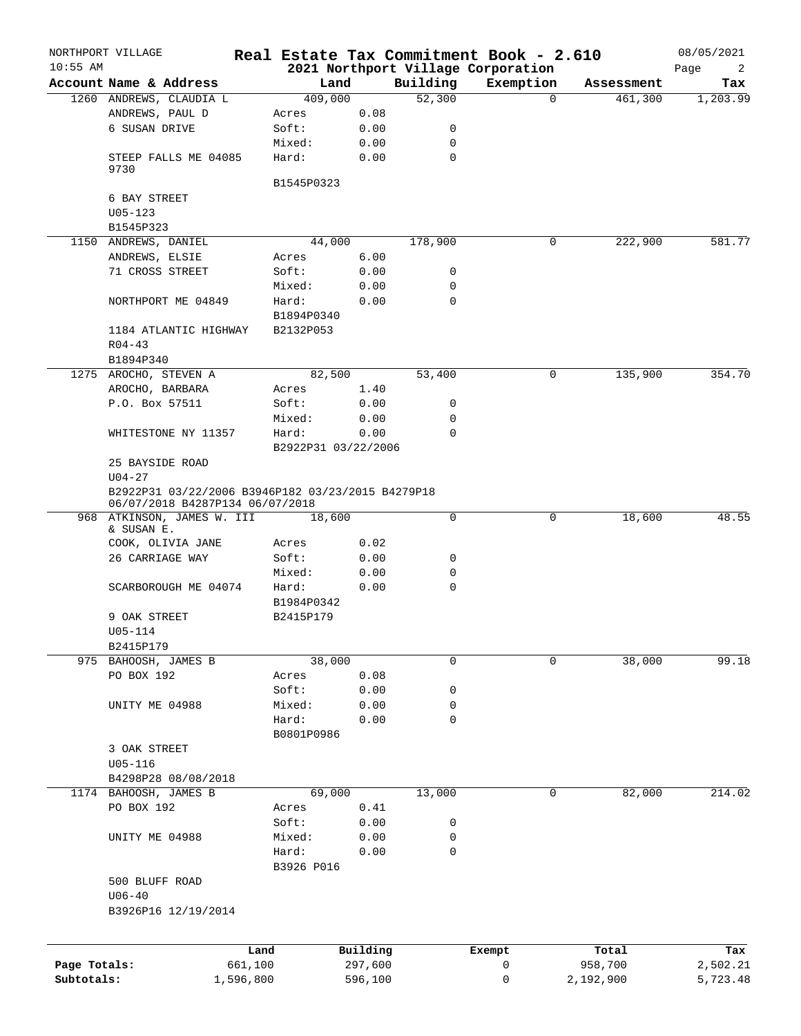|              | NORTHPORT VILLAGE                                                                    | Real Estate Tax Commitment Book - 2.610 |          |             |                                    |                     | 08/05/2021 |
|--------------|--------------------------------------------------------------------------------------|-----------------------------------------|----------|-------------|------------------------------------|---------------------|------------|
| $10:55$ AM   |                                                                                      |                                         |          |             | 2021 Northport Village Corporation |                     | Page<br>2  |
|              | Account Name & Address                                                               | Land                                    |          | Building    | Exemption                          | Assessment          | Tax        |
|              | 1260 ANDREWS, CLAUDIA L                                                              | 409,000                                 |          | 52,300      |                                    | $\Omega$<br>461,300 | 1,203.99   |
|              | ANDREWS, PAUL D                                                                      | Acres                                   | 0.08     |             |                                    |                     |            |
|              | 6 SUSAN DRIVE                                                                        | Soft:                                   | 0.00     | 0           |                                    |                     |            |
|              |                                                                                      | Mixed:                                  | 0.00     | $\mathbf 0$ |                                    |                     |            |
|              | STEEP FALLS ME 04085<br>9730                                                         | Hard:                                   | 0.00     | $\mathbf 0$ |                                    |                     |            |
|              | 6 BAY STREET                                                                         | B1545P0323                              |          |             |                                    |                     |            |
|              |                                                                                      |                                         |          |             |                                    |                     |            |
|              | $U05 - 123$                                                                          |                                         |          |             |                                    |                     |            |
|              | B1545P323                                                                            |                                         |          |             |                                    |                     |            |
|              | 1150 ANDREWS, DANIEL                                                                 | 44,000                                  |          | 178,900     |                                    | 0<br>222,900        | 581.77     |
|              | ANDREWS, ELSIE                                                                       | Acres                                   | 6.00     |             |                                    |                     |            |
|              | 71 CROSS STREET                                                                      | Soft:                                   | 0.00     | 0           |                                    |                     |            |
|              |                                                                                      | Mixed:                                  | 0.00     | 0           |                                    |                     |            |
|              | NORTHPORT ME 04849                                                                   | Hard:                                   | 0.00     | $\mathbf 0$ |                                    |                     |            |
|              |                                                                                      | B1894P0340                              |          |             |                                    |                     |            |
|              | 1184 ATLANTIC HIGHWAY                                                                | B2132P053                               |          |             |                                    |                     |            |
|              | $R04 - 43$                                                                           |                                         |          |             |                                    |                     |            |
|              | B1894P340                                                                            |                                         |          |             |                                    |                     |            |
|              | 1275 AROCHO, STEVEN A                                                                | 82,500                                  |          | 53,400      |                                    | 135,900<br>0        | 354.70     |
|              | AROCHO, BARBARA                                                                      | Acres                                   | 1.40     |             |                                    |                     |            |
|              | P.O. Box 57511                                                                       | Soft:                                   | 0.00     | 0           |                                    |                     |            |
|              |                                                                                      | Mixed:                                  | 0.00     | $\mathbf 0$ |                                    |                     |            |
|              | WHITESTONE NY 11357                                                                  | Hard:                                   | 0.00     | $\Omega$    |                                    |                     |            |
|              |                                                                                      | B2922P31 03/22/2006                     |          |             |                                    |                     |            |
|              | 25 BAYSIDE ROAD                                                                      |                                         |          |             |                                    |                     |            |
|              | $U04 - 27$                                                                           |                                         |          |             |                                    |                     |            |
|              | B2922P31 03/22/2006 B3946P182 03/23/2015 B4279P18<br>06/07/2018 B4287P134 06/07/2018 |                                         |          |             |                                    |                     |            |
|              | 968 ATKINSON, JAMES W. III                                                           | 18,600                                  |          | $\mathbf 0$ |                                    | 18,600<br>0         | 48.55      |
|              | & SUSAN E.                                                                           |                                         |          |             |                                    |                     |            |
|              | COOK, OLIVIA JANE                                                                    | Acres                                   | 0.02     |             |                                    |                     |            |
|              | 26 CARRIAGE WAY                                                                      | Soft:                                   | 0.00     | 0           |                                    |                     |            |
|              |                                                                                      | Mixed:                                  | 0.00     | 0           |                                    |                     |            |
|              | SCARBOROUGH ME 04074                                                                 | Hard:                                   | 0.00     | $\mathbf 0$ |                                    |                     |            |
|              |                                                                                      | B1984P0342                              |          |             |                                    |                     |            |
|              | 9 OAK STREET                                                                         | B2415P179                               |          |             |                                    |                     |            |
|              | U05-114                                                                              |                                         |          |             |                                    |                     |            |
|              | B2415P179                                                                            |                                         |          |             |                                    |                     |            |
|              | 975 BAHOOSH, JAMES B                                                                 | 38,000                                  |          | $\mathbf 0$ |                                    | 38,000<br>0         | 99.18      |
|              | PO BOX 192                                                                           | Acres                                   | 0.08     |             |                                    |                     |            |
|              |                                                                                      | Soft:                                   | 0.00     | 0           |                                    |                     |            |
|              | UNITY ME 04988                                                                       | Mixed:                                  | 0.00     | 0           |                                    |                     |            |
|              |                                                                                      | Hard:                                   | 0.00     | $\mathbf 0$ |                                    |                     |            |
|              |                                                                                      | B0801P0986                              |          |             |                                    |                     |            |
|              | 3 OAK STREET                                                                         |                                         |          |             |                                    |                     |            |
|              | $U05 - 116$                                                                          |                                         |          |             |                                    |                     |            |
|              | B4298P28 08/08/2018                                                                  |                                         |          |             |                                    |                     |            |
|              | 1174 BAHOOSH, JAMES B                                                                | 69,000                                  |          | 13,000      |                                    | 82,000<br>0         | 214.02     |
|              | PO BOX 192                                                                           | Acres                                   | 0.41     |             |                                    |                     |            |
|              |                                                                                      | Soft:                                   | 0.00     | 0           |                                    |                     |            |
|              | UNITY ME 04988                                                                       | Mixed:                                  | 0.00     | 0           |                                    |                     |            |
|              |                                                                                      | Hard:                                   | 0.00     | 0           |                                    |                     |            |
|              |                                                                                      | B3926 P016                              |          |             |                                    |                     |            |
|              | 500 BLUFF ROAD                                                                       |                                         |          |             |                                    |                     |            |
|              | $U06 - 40$                                                                           |                                         |          |             |                                    |                     |            |
|              | B3926P16 12/19/2014                                                                  |                                         |          |             |                                    |                     |            |
|              |                                                                                      |                                         |          |             |                                    |                     |            |
|              |                                                                                      | Land                                    | Building |             | Exempt                             | Total               | Tax        |
| Page Totals: | 661,100                                                                              |                                         | 297,600  |             | 0                                  | 958,700             | 2,502.21   |
| Subtotals:   | 1,596,800                                                                            |                                         | 596,100  |             | 0                                  | 2,192,900           | 5,723.48   |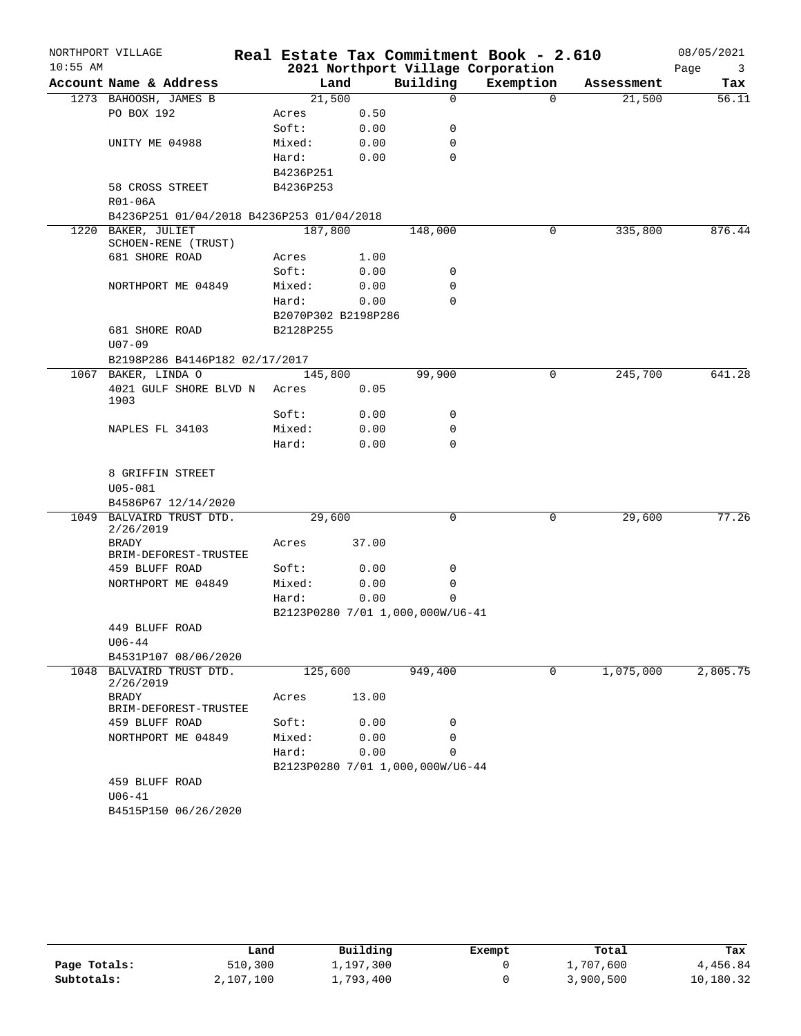|            | NORTHPORT VILLAGE                         |                    |                     |                                  | Real Estate Tax Commitment Book - 2.610 |            | 08/05/2021 |
|------------|-------------------------------------------|--------------------|---------------------|----------------------------------|-----------------------------------------|------------|------------|
| $10:55$ AM |                                           |                    |                     |                                  | 2021 Northport Village Corporation      |            | Page<br>3  |
|            | Account Name & Address                    |                    | Land                | Building                         | Exemption                               | Assessment | Tax        |
|            | 1273 BAHOOSH, JAMES B                     |                    | 21,500              | $\Omega$                         | $\Omega$                                | 21,500     | 56.11      |
|            | PO BOX 192                                | Acres              | 0.50                |                                  |                                         |            |            |
|            |                                           | Soft:              | 0.00                | 0                                |                                         |            |            |
|            | UNITY ME 04988                            | Mixed:             | 0.00                | 0                                |                                         |            |            |
|            |                                           | Hard:<br>B4236P251 | 0.00                | 0                                |                                         |            |            |
|            | 58 CROSS STREET                           | B4236P253          |                     |                                  |                                         |            |            |
|            | R01-06A                                   |                    |                     |                                  |                                         |            |            |
|            | B4236P251 01/04/2018 B4236P253 01/04/2018 |                    |                     |                                  |                                         |            |            |
|            | 1220 BAKER, JULIET                        | 187,800            |                     | 148,000                          | 0                                       | 335,800    | 876.44     |
|            | SCHOEN-RENE (TRUST)                       |                    |                     |                                  |                                         |            |            |
|            | 681 SHORE ROAD                            | Acres              | 1.00                |                                  |                                         |            |            |
|            |                                           | Soft:              | 0.00                | 0                                |                                         |            |            |
|            | NORTHPORT ME 04849                        | Mixed:             | 0.00                | 0                                |                                         |            |            |
|            |                                           | Hard:              | 0.00                | $\Omega$                         |                                         |            |            |
|            |                                           |                    | B2070P302 B2198P286 |                                  |                                         |            |            |
|            | 681 SHORE ROAD                            | B2128P255          |                     |                                  |                                         |            |            |
|            | $U07 - 09$                                |                    |                     |                                  |                                         |            |            |
|            | B2198P286 B4146P182 02/17/2017            |                    |                     |                                  |                                         |            |            |
|            | 1067 BAKER, LINDA O                       |                    | 145,800             | 99,900                           | 0                                       | 245,700    | 641.28     |
|            | 4021 GULF SHORE BLVD N                    | Acres              | 0.05                |                                  |                                         |            |            |
|            | 1903                                      | Soft:              | 0.00                | 0                                |                                         |            |            |
|            | NAPLES FL 34103                           | Mixed:             | 0.00                | 0                                |                                         |            |            |
|            |                                           | Hard:              | 0.00                | $\Omega$                         |                                         |            |            |
|            |                                           |                    |                     |                                  |                                         |            |            |
|            | 8 GRIFFIN STREET                          |                    |                     |                                  |                                         |            |            |
|            | $U05 - 081$                               |                    |                     |                                  |                                         |            |            |
|            | B4586P67 12/14/2020                       |                    |                     |                                  |                                         |            |            |
|            | 1049 BALVAIRD TRUST DTD.                  |                    | 29,600              | 0                                | 0                                       | 29,600     | 77.26      |
|            | 2/26/2019                                 |                    |                     |                                  |                                         |            |            |
|            | BRADY<br>BRIM-DEFOREST-TRUSTEE            | Acres              | 37.00               |                                  |                                         |            |            |
|            | 459 BLUFF ROAD                            | Soft:              | 0.00                | 0                                |                                         |            |            |
|            | NORTHPORT ME 04849                        | Mixed:             | 0.00                | 0                                |                                         |            |            |
|            |                                           | Hard:              | 0.00                | 0                                |                                         |            |            |
|            |                                           |                    |                     | B2123P0280 7/01 1,000,000W/U6-41 |                                         |            |            |
|            | 449 BLUFF ROAD                            |                    |                     |                                  |                                         |            |            |
|            | $U06 - 44$                                |                    |                     |                                  |                                         |            |            |
|            | B4531P107 08/06/2020                      |                    |                     |                                  |                                         |            |            |
|            | 1048 BALVAIRD TRUST DTD.                  |                    | 125,600             | 949,400                          | 0                                       | 1,075,000  | 2,805.75   |
|            | 2/26/2019                                 |                    |                     |                                  |                                         |            |            |
|            | BRADY<br>BRIM-DEFOREST-TRUSTEE            | Acres              | 13.00               |                                  |                                         |            |            |
|            | 459 BLUFF ROAD                            | Soft:              | 0.00                | 0                                |                                         |            |            |
|            | NORTHPORT ME 04849                        | Mixed:             | 0.00                | 0                                |                                         |            |            |
|            |                                           | Hard:              | 0.00                | 0                                |                                         |            |            |
|            |                                           |                    |                     | B2123P0280 7/01 1,000,000W/U6-44 |                                         |            |            |
|            | 459 BLUFF ROAD                            |                    |                     |                                  |                                         |            |            |
|            | $U06 - 41$                                |                    |                     |                                  |                                         |            |            |
|            | B4515P150 06/26/2020                      |                    |                     |                                  |                                         |            |            |
|            |                                           |                    |                     |                                  |                                         |            |            |

|              | Land      | Building  | Exempt | Total     | Tax       |
|--------------|-----------|-----------|--------|-----------|-----------|
| Page Totals: | 510,300   | 1,197,300 |        | 1,707,600 | 4,456.84  |
| Subtotals:   | 2,107,100 | 1,793,400 |        | 3,900,500 | 10,180.32 |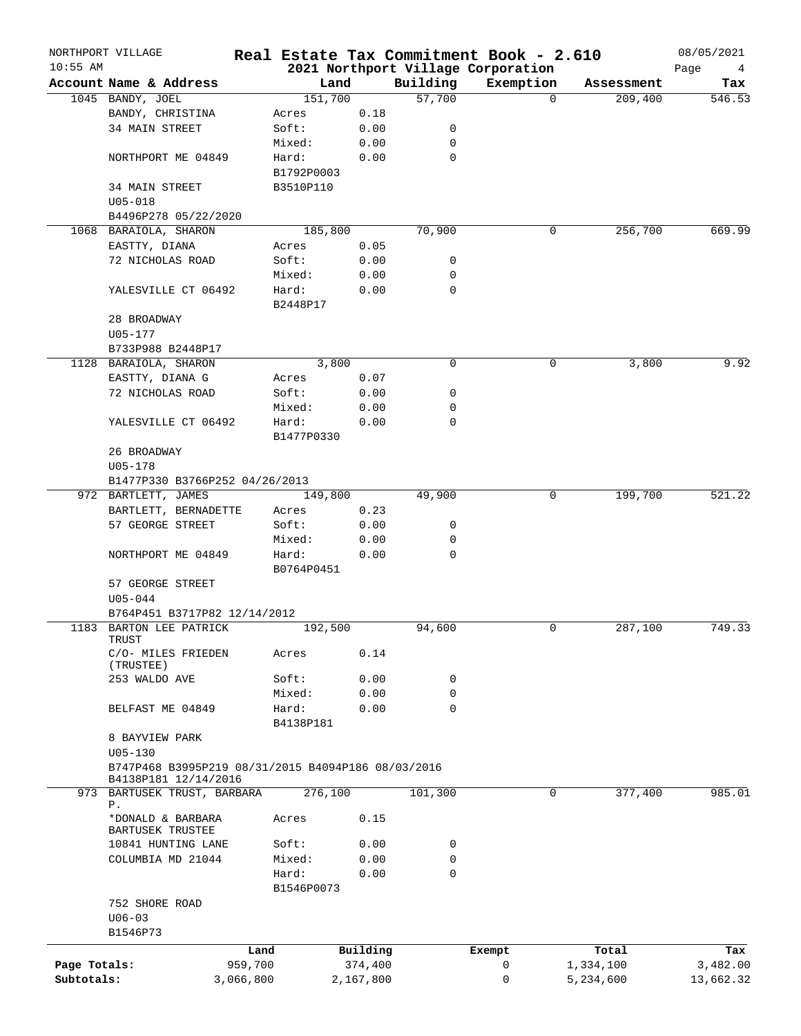| $10:55$ AM   | NORTHPORT VILLAGE                                  |            |           |             | Real Estate Tax Commitment Book - 2.610 |            | 08/05/2021 |
|--------------|----------------------------------------------------|------------|-----------|-------------|-----------------------------------------|------------|------------|
|              | Account Name & Address                             |            |           | Building    | 2021 Northport Village Corporation      |            | Page<br>4  |
|              |                                                    | Land       |           |             | Exemption                               | Assessment | Tax        |
|              | 1045 BANDY, JOEL                                   | 151,700    |           | 57,700      | $\Omega$                                | 209,400    | 546.53     |
|              | BANDY, CHRISTINA                                   | Acres      | 0.18      |             |                                         |            |            |
|              | 34 MAIN STREET                                     | Soft:      | 0.00      | 0           |                                         |            |            |
|              |                                                    | Mixed:     | 0.00      | 0           |                                         |            |            |
|              | NORTHPORT ME 04849                                 | Hard:      | 0.00      | 0           |                                         |            |            |
|              |                                                    | B1792P0003 |           |             |                                         |            |            |
|              | <b>34 MAIN STREET</b>                              | B3510P110  |           |             |                                         |            |            |
|              | $U05 - 018$                                        |            |           |             |                                         |            |            |
|              | B4496P278 05/22/2020                               |            |           |             |                                         |            |            |
| 1068         | BARAIOLA, SHARON                                   | 185,800    |           | 70,900      | 0                                       | 256,700    | 669.99     |
|              | EASTTY, DIANA                                      | Acres      | 0.05      |             |                                         |            |            |
|              | 72 NICHOLAS ROAD                                   | Soft:      | 0.00      | 0           |                                         |            |            |
|              |                                                    | Mixed:     | 0.00      | 0           |                                         |            |            |
|              | YALESVILLE CT 06492                                | Hard:      | 0.00      | 0           |                                         |            |            |
|              |                                                    | B2448P17   |           |             |                                         |            |            |
|              | 28 BROADWAY                                        |            |           |             |                                         |            |            |
|              | U05-177                                            |            |           |             |                                         |            |            |
|              | B733P988 B2448P17                                  |            |           |             |                                         |            |            |
|              | 1128 BARAIOLA, SHARON                              | 3,800      |           | 0           | 0                                       | 3,800      | 9.92       |
|              | EASTTY, DIANA G                                    | Acres      | 0.07      |             |                                         |            |            |
|              | 72 NICHOLAS ROAD                                   |            |           |             |                                         |            |            |
|              |                                                    | Soft:      | 0.00      | 0           |                                         |            |            |
|              |                                                    | Mixed:     | 0.00      | 0           |                                         |            |            |
|              | YALESVILLE CT 06492                                | Hard:      | 0.00      | 0           |                                         |            |            |
|              |                                                    | B1477P0330 |           |             |                                         |            |            |
|              | 26 BROADWAY                                        |            |           |             |                                         |            |            |
|              | $U05 - 178$                                        |            |           |             |                                         |            |            |
|              | B1477P330 B3766P252 04/26/2013                     |            |           |             |                                         |            |            |
|              | 972 BARTLETT, JAMES                                | 149,800    |           | 49,900      | 0                                       | 199,700    | 521.22     |
|              | BARTLETT, BERNADETTE                               | Acres      | 0.23      |             |                                         |            |            |
|              | 57 GEORGE STREET                                   | Soft:      | 0.00      | 0           |                                         |            |            |
|              |                                                    | Mixed:     | 0.00      | 0           |                                         |            |            |
|              | NORTHPORT ME 04849                                 | Hard:      | 0.00      | $\Omega$    |                                         |            |            |
|              |                                                    | B0764P0451 |           |             |                                         |            |            |
|              | 57 GEORGE STREET                                   |            |           |             |                                         |            |            |
|              | $U05 - 044$                                        |            |           |             |                                         |            |            |
|              | B764P451 B3717P82 12/14/2012                       |            |           |             |                                         |            |            |
|              | 1183 BARTON LEE PATRICK                            | 192,500    |           | 94,600      | 0                                       | 287,100    | 749.33     |
|              | TRUST                                              |            |           |             |                                         |            |            |
|              | C/O- MILES FRIEDEN                                 | Acres      | 0.14      |             |                                         |            |            |
|              | (TRUSTEE)                                          |            |           |             |                                         |            |            |
|              | 253 WALDO AVE                                      | Soft:      | 0.00      | 0           |                                         |            |            |
|              |                                                    | Mixed:     | 0.00      | 0           |                                         |            |            |
|              | BELFAST ME 04849                                   | Hard:      | 0.00      | $\Omega$    |                                         |            |            |
|              |                                                    | B4138P181  |           |             |                                         |            |            |
|              | 8 BAYVIEW PARK                                     |            |           |             |                                         |            |            |
|              | $U05 - 130$                                        |            |           |             |                                         |            |            |
|              | B747P468 B3995P219 08/31/2015 B4094P186 08/03/2016 |            |           |             |                                         |            |            |
|              | B4138P181 12/14/2016                               |            |           |             |                                         |            |            |
|              | 973 BARTUSEK TRUST, BARBARA                        | 276,100    |           | 101,300     | 0                                       | 377,400    | 985.01     |
|              | P.                                                 |            |           |             |                                         |            |            |
|              | *DONALD & BARBARA                                  | Acres      | 0.15      |             |                                         |            |            |
|              | BARTUSEK TRUSTEE                                   |            |           |             |                                         |            |            |
|              | 10841 HUNTING LANE                                 | Soft:      | 0.00      | 0           |                                         |            |            |
|              | COLUMBIA MD 21044                                  | Mixed:     | 0.00      | $\mathbf 0$ |                                         |            |            |
|              |                                                    | Hard:      | 0.00      | $\mathbf 0$ |                                         |            |            |
|              |                                                    | B1546P0073 |           |             |                                         |            |            |
|              | 752 SHORE ROAD                                     |            |           |             |                                         |            |            |
|              | $U06 - 03$                                         |            |           |             |                                         |            |            |
|              | B1546P73                                           |            |           |             |                                         |            |            |
|              |                                                    |            |           |             |                                         |            |            |
|              |                                                    | Land       | Building  |             | Exempt                                  | Total      | Tax        |
| Page Totals: | 959,700                                            |            | 374,400   |             | 0                                       | 1,334,100  | 3,482.00   |
| Subtotals:   | 3,066,800                                          |            | 2,167,800 |             | $\mathbf 0$                             | 5,234,600  | 13,662.32  |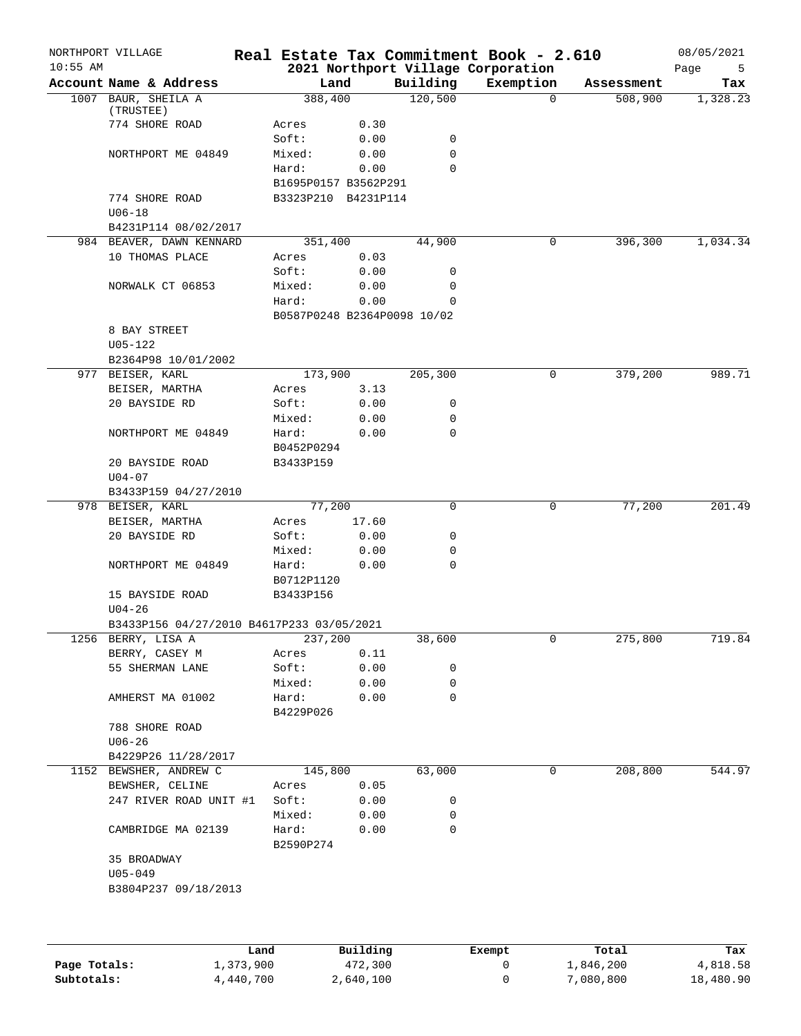| $10:55$ AM | NORTHPORT VILLAGE                         |                             |       |             | Real Estate Tax Commitment Book - 2.610<br>2021 Northport Village Corporation |            | 08/05/2021<br>Page<br>5 |
|------------|-------------------------------------------|-----------------------------|-------|-------------|-------------------------------------------------------------------------------|------------|-------------------------|
|            | Account Name & Address                    | Land                        |       | Building    | Exemption                                                                     | Assessment | Tax                     |
|            | 1007 BAUR, SHEILA A<br>(TRUSTEE)          | 388,400                     |       | 120,500     | $\Omega$                                                                      | 508,900    | 1,328.23                |
|            | 774 SHORE ROAD                            | Acres                       | 0.30  |             |                                                                               |            |                         |
|            |                                           | Soft:                       | 0.00  | 0           |                                                                               |            |                         |
|            | NORTHPORT ME 04849                        | Mixed:                      | 0.00  | 0           |                                                                               |            |                         |
|            |                                           | Hard:                       | 0.00  | $\mathbf 0$ |                                                                               |            |                         |
|            |                                           | B1695P0157 B3562P291        |       |             |                                                                               |            |                         |
|            | 774 SHORE ROAD<br>$U06 - 18$              | B3323P210 B4231P114         |       |             |                                                                               |            |                         |
|            | B4231P114 08/02/2017                      |                             |       |             |                                                                               |            |                         |
|            | 984 BEAVER, DAWN KENNARD                  | 351,400                     |       | 44,900      | 0                                                                             | 396,300    | 1,034.34                |
|            | 10 THOMAS PLACE                           | Acres                       | 0.03  |             |                                                                               |            |                         |
|            |                                           | Soft:                       | 0.00  | 0           |                                                                               |            |                         |
|            | NORWALK CT 06853                          | Mixed:                      | 0.00  | 0           |                                                                               |            |                         |
|            |                                           | Hard:                       | 0.00  | 0           |                                                                               |            |                         |
|            |                                           | B0587P0248 B2364P0098 10/02 |       |             |                                                                               |            |                         |
|            |                                           |                             |       |             |                                                                               |            |                         |
|            | 8 BAY STREET                              |                             |       |             |                                                                               |            |                         |
|            | $U05 - 122$                               |                             |       |             |                                                                               |            |                         |
|            | B2364P98 10/01/2002                       |                             |       |             |                                                                               |            |                         |
|            | 977 BEISER, KARL                          | 173,900                     |       | 205,300     | 0                                                                             | 379,200    | 989.71                  |
|            | BEISER, MARTHA                            | Acres                       | 3.13  |             |                                                                               |            |                         |
|            | 20 BAYSIDE RD                             | Soft:                       | 0.00  | 0           |                                                                               |            |                         |
|            |                                           | Mixed:                      | 0.00  | 0           |                                                                               |            |                         |
|            | NORTHPORT ME 04849                        | Hard:<br>B0452P0294         | 0.00  | 0           |                                                                               |            |                         |
|            | 20 BAYSIDE ROAD<br>$U04 - 07$             | B3433P159                   |       |             |                                                                               |            |                         |
|            | B3433P159 04/27/2010                      |                             |       |             |                                                                               |            |                         |
|            | 978 BEISER, KARL                          | 77,200                      |       | 0           | 0                                                                             | 77,200     | 201.49                  |
|            | BEISER, MARTHA                            | Acres                       | 17.60 |             |                                                                               |            |                         |
|            | 20 BAYSIDE RD                             | Soft:                       | 0.00  | 0           |                                                                               |            |                         |
|            |                                           | Mixed:                      | 0.00  | 0           |                                                                               |            |                         |
|            | NORTHPORT ME 04849                        | Hard:<br>B0712P1120         | 0.00  | 0           |                                                                               |            |                         |
|            | 15 BAYSIDE ROAD                           | B3433P156                   |       |             |                                                                               |            |                         |
|            | $U04 - 26$                                |                             |       |             |                                                                               |            |                         |
|            | B3433P156 04/27/2010 B4617P233 03/05/2021 |                             |       |             |                                                                               |            |                         |
|            |                                           | 237,200                     |       |             | 0                                                                             | 275,800    | 719.84                  |
|            | 1256 BERRY, LISA A                        |                             |       | 38,600      |                                                                               |            |                         |
|            | BERRY, CASEY M                            | Acres                       | 0.11  |             |                                                                               |            |                         |
|            | 55 SHERMAN LANE                           | Soft:                       | 0.00  | 0           |                                                                               |            |                         |
|            |                                           | Mixed:                      | 0.00  | 0           |                                                                               |            |                         |
|            | AMHERST MA 01002                          | Hard:<br>B4229P026          | 0.00  | 0           |                                                                               |            |                         |
|            | 788 SHORE ROAD                            |                             |       |             |                                                                               |            |                         |
|            | $U06 - 26$                                |                             |       |             |                                                                               |            |                         |
|            | B4229P26 11/28/2017                       |                             |       |             |                                                                               |            |                         |
|            | 1152 BEWSHER, ANDREW C                    | 145,800                     |       | 63,000      | 0                                                                             | 208,800    | 544.97                  |
|            | BEWSHER, CELINE                           | Acres                       | 0.05  |             |                                                                               |            |                         |
|            | 247 RIVER ROAD UNIT #1                    | Soft:                       | 0.00  | 0           |                                                                               |            |                         |
|            |                                           | Mixed:                      | 0.00  | 0           |                                                                               |            |                         |
|            | CAMBRIDGE MA 02139                        | Hard:<br>B2590P274          | 0.00  | 0           |                                                                               |            |                         |
|            | 35 BROADWAY                               |                             |       |             |                                                                               |            |                         |
|            | $U05 - 049$                               |                             |       |             |                                                                               |            |                         |
|            | B3804P237 09/18/2013                      |                             |       |             |                                                                               |            |                         |
|            |                                           |                             |       |             |                                                                               |            |                         |
|            |                                           |                             |       |             |                                                                               |            |                         |
|            |                                           |                             |       |             |                                                                               |            |                         |

|              | Land      | Building  | Exempt | Total     | Tax       |
|--------------|-----------|-----------|--------|-----------|-----------|
| Page Totals: | 1,373,900 | 472,300   |        | 1,846,200 | 4,818.58  |
| Subtotals:   | 4,440,700 | 2,640,100 |        | 7,080,800 | 18,480.90 |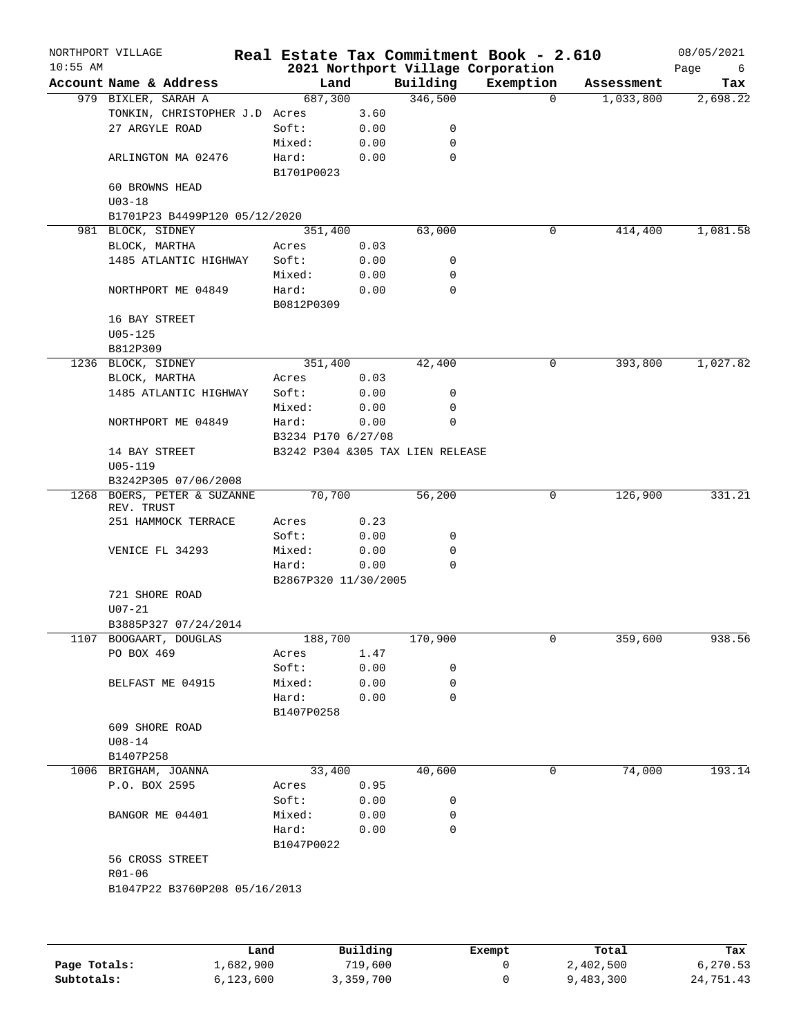| $10:55$ AM<br>2021 Northport Village Corporation<br>Page<br>Account Name & Address<br>Land<br>Building<br>Exemption<br>Assessment<br>346,500<br>687,300<br>979 BIXLER, SARAH A<br>$\Omega$<br>1,033,800<br>TONKIN, CHRISTOPHER J.D Acres<br>3.60<br>27 ARGYLE ROAD<br>Soft:<br>0.00<br>0<br>Mixed:<br>0.00<br>0<br>$\mathbf 0$<br>ARLINGTON MA 02476<br>Hard:<br>0.00<br>B1701P0023<br>60 BROWNS HEAD<br>$U03 - 18$<br>B1701P23 B4499P120 05/12/2020<br>981 BLOCK, SIDNEY<br>351,400<br>63,000<br>0<br>414,400<br>BLOCK, MARTHA<br>0.03<br>Acres<br>1485 ATLANTIC HIGHWAY<br>Soft:<br>0.00<br>0<br>Mixed:<br>0.00<br>0<br>$\mathbf 0$<br>Hard:<br>0.00<br>NORTHPORT ME 04849<br>B0812P0309<br>16 BAY STREET<br>$U05 - 125$<br>B812P309<br>1236 BLOCK, SIDNEY<br>351,400<br>42,400<br>0<br>393,800<br>0.03<br>BLOCK, MARTHA<br>Acres<br>1485 ATLANTIC HIGHWAY<br>Soft:<br>0.00<br>0<br>0<br>Mixed:<br>0.00<br>0<br>NORTHPORT ME 04849<br>Hard:<br>0.00<br>B3234 P170 6/27/08<br>14 BAY STREET<br>B3242 P304 &305 TAX LIEN RELEASE<br>$U05 - 119$<br>B3242P305 07/06/2008<br>70,700<br>56,200<br>126,900<br>1268 BOERS, PETER & SUZANNE<br>0<br>REV. TRUST<br>251 HAMMOCK TERRACE<br>0.23<br>Acres<br>Soft:<br>0.00<br>0<br>VENICE FL 34293<br>Mixed:<br>0.00<br>0<br>$\mathbf 0$<br>Hard:<br>0.00<br>B2867P320 11/30/2005<br>721 SHORE ROAD<br>$U07 - 21$<br>B3885P327 07/24/2014<br>1107 BOOGAART, DOUGLAS<br>188,700<br>170,900<br>0<br>359,600<br>PO BOX 469<br>Acres<br>1.47<br>Soft:<br>0.00<br>0<br>BELFAST ME 04915<br>Mixed:<br>0.00<br>0<br>$\mathbf 0$<br>Hard:<br>0.00<br>B1407P0258<br>609 SHORE ROAD<br>$U08 - 14$<br>B1407P258<br>74,000<br>1006 BRIGHAM, JOANNA<br>33,400<br>40,600<br>0<br>P.O. BOX 2595<br>0.95<br>Acres<br>Soft:<br>0.00<br>0<br>BANGOR ME 04401<br>Mixed:<br>0.00<br>0<br>$\mathbf 0$<br>Hard:<br>0.00<br>B1047P0022<br>56 CROSS STREET<br>$R01 - 06$<br>B1047P22 B3760P208 05/16/2013<br>Building<br>Land<br>Total<br>Exempt<br>Page Totals: | NORTHPORT VILLAGE |         | Real Estate Tax Commitment Book - 2.610 |           | 08/05/2021 |
|---------------------------------------------------------------------------------------------------------------------------------------------------------------------------------------------------------------------------------------------------------------------------------------------------------------------------------------------------------------------------------------------------------------------------------------------------------------------------------------------------------------------------------------------------------------------------------------------------------------------------------------------------------------------------------------------------------------------------------------------------------------------------------------------------------------------------------------------------------------------------------------------------------------------------------------------------------------------------------------------------------------------------------------------------------------------------------------------------------------------------------------------------------------------------------------------------------------------------------------------------------------------------------------------------------------------------------------------------------------------------------------------------------------------------------------------------------------------------------------------------------------------------------------------------------------------------------------------------------------------------------------------------------------------------------------------------------------------------------------------------------------------------------------------------------------------------------------------------------------------------------------------------------------------------------------------------------------------------------|-------------------|---------|-----------------------------------------|-----------|------------|
|                                                                                                                                                                                                                                                                                                                                                                                                                                                                                                                                                                                                                                                                                                                                                                                                                                                                                                                                                                                                                                                                                                                                                                                                                                                                                                                                                                                                                                                                                                                                                                                                                                                                                                                                                                                                                                                                                                                                                                                 |                   |         |                                         |           | 6          |
|                                                                                                                                                                                                                                                                                                                                                                                                                                                                                                                                                                                                                                                                                                                                                                                                                                                                                                                                                                                                                                                                                                                                                                                                                                                                                                                                                                                                                                                                                                                                                                                                                                                                                                                                                                                                                                                                                                                                                                                 |                   |         |                                         |           | Tax        |
|                                                                                                                                                                                                                                                                                                                                                                                                                                                                                                                                                                                                                                                                                                                                                                                                                                                                                                                                                                                                                                                                                                                                                                                                                                                                                                                                                                                                                                                                                                                                                                                                                                                                                                                                                                                                                                                                                                                                                                                 |                   |         |                                         |           | 2,698.22   |
|                                                                                                                                                                                                                                                                                                                                                                                                                                                                                                                                                                                                                                                                                                                                                                                                                                                                                                                                                                                                                                                                                                                                                                                                                                                                                                                                                                                                                                                                                                                                                                                                                                                                                                                                                                                                                                                                                                                                                                                 |                   |         |                                         |           |            |
|                                                                                                                                                                                                                                                                                                                                                                                                                                                                                                                                                                                                                                                                                                                                                                                                                                                                                                                                                                                                                                                                                                                                                                                                                                                                                                                                                                                                                                                                                                                                                                                                                                                                                                                                                                                                                                                                                                                                                                                 |                   |         |                                         |           |            |
|                                                                                                                                                                                                                                                                                                                                                                                                                                                                                                                                                                                                                                                                                                                                                                                                                                                                                                                                                                                                                                                                                                                                                                                                                                                                                                                                                                                                                                                                                                                                                                                                                                                                                                                                                                                                                                                                                                                                                                                 |                   |         |                                         |           |            |
|                                                                                                                                                                                                                                                                                                                                                                                                                                                                                                                                                                                                                                                                                                                                                                                                                                                                                                                                                                                                                                                                                                                                                                                                                                                                                                                                                                                                                                                                                                                                                                                                                                                                                                                                                                                                                                                                                                                                                                                 |                   |         |                                         |           |            |
|                                                                                                                                                                                                                                                                                                                                                                                                                                                                                                                                                                                                                                                                                                                                                                                                                                                                                                                                                                                                                                                                                                                                                                                                                                                                                                                                                                                                                                                                                                                                                                                                                                                                                                                                                                                                                                                                                                                                                                                 |                   |         |                                         |           |            |
|                                                                                                                                                                                                                                                                                                                                                                                                                                                                                                                                                                                                                                                                                                                                                                                                                                                                                                                                                                                                                                                                                                                                                                                                                                                                                                                                                                                                                                                                                                                                                                                                                                                                                                                                                                                                                                                                                                                                                                                 |                   |         |                                         |           |            |
|                                                                                                                                                                                                                                                                                                                                                                                                                                                                                                                                                                                                                                                                                                                                                                                                                                                                                                                                                                                                                                                                                                                                                                                                                                                                                                                                                                                                                                                                                                                                                                                                                                                                                                                                                                                                                                                                                                                                                                                 |                   |         |                                         |           |            |
|                                                                                                                                                                                                                                                                                                                                                                                                                                                                                                                                                                                                                                                                                                                                                                                                                                                                                                                                                                                                                                                                                                                                                                                                                                                                                                                                                                                                                                                                                                                                                                                                                                                                                                                                                                                                                                                                                                                                                                                 |                   |         |                                         |           | 1,081.58   |
|                                                                                                                                                                                                                                                                                                                                                                                                                                                                                                                                                                                                                                                                                                                                                                                                                                                                                                                                                                                                                                                                                                                                                                                                                                                                                                                                                                                                                                                                                                                                                                                                                                                                                                                                                                                                                                                                                                                                                                                 |                   |         |                                         |           |            |
|                                                                                                                                                                                                                                                                                                                                                                                                                                                                                                                                                                                                                                                                                                                                                                                                                                                                                                                                                                                                                                                                                                                                                                                                                                                                                                                                                                                                                                                                                                                                                                                                                                                                                                                                                                                                                                                                                                                                                                                 |                   |         |                                         |           |            |
|                                                                                                                                                                                                                                                                                                                                                                                                                                                                                                                                                                                                                                                                                                                                                                                                                                                                                                                                                                                                                                                                                                                                                                                                                                                                                                                                                                                                                                                                                                                                                                                                                                                                                                                                                                                                                                                                                                                                                                                 |                   |         |                                         |           |            |
|                                                                                                                                                                                                                                                                                                                                                                                                                                                                                                                                                                                                                                                                                                                                                                                                                                                                                                                                                                                                                                                                                                                                                                                                                                                                                                                                                                                                                                                                                                                                                                                                                                                                                                                                                                                                                                                                                                                                                                                 |                   |         |                                         |           |            |
|                                                                                                                                                                                                                                                                                                                                                                                                                                                                                                                                                                                                                                                                                                                                                                                                                                                                                                                                                                                                                                                                                                                                                                                                                                                                                                                                                                                                                                                                                                                                                                                                                                                                                                                                                                                                                                                                                                                                                                                 |                   |         |                                         |           |            |
|                                                                                                                                                                                                                                                                                                                                                                                                                                                                                                                                                                                                                                                                                                                                                                                                                                                                                                                                                                                                                                                                                                                                                                                                                                                                                                                                                                                                                                                                                                                                                                                                                                                                                                                                                                                                                                                                                                                                                                                 |                   |         |                                         |           |            |
|                                                                                                                                                                                                                                                                                                                                                                                                                                                                                                                                                                                                                                                                                                                                                                                                                                                                                                                                                                                                                                                                                                                                                                                                                                                                                                                                                                                                                                                                                                                                                                                                                                                                                                                                                                                                                                                                                                                                                                                 |                   |         |                                         |           |            |
|                                                                                                                                                                                                                                                                                                                                                                                                                                                                                                                                                                                                                                                                                                                                                                                                                                                                                                                                                                                                                                                                                                                                                                                                                                                                                                                                                                                                                                                                                                                                                                                                                                                                                                                                                                                                                                                                                                                                                                                 |                   |         |                                         |           |            |
|                                                                                                                                                                                                                                                                                                                                                                                                                                                                                                                                                                                                                                                                                                                                                                                                                                                                                                                                                                                                                                                                                                                                                                                                                                                                                                                                                                                                                                                                                                                                                                                                                                                                                                                                                                                                                                                                                                                                                                                 |                   |         |                                         |           | 1,027.82   |
|                                                                                                                                                                                                                                                                                                                                                                                                                                                                                                                                                                                                                                                                                                                                                                                                                                                                                                                                                                                                                                                                                                                                                                                                                                                                                                                                                                                                                                                                                                                                                                                                                                                                                                                                                                                                                                                                                                                                                                                 |                   |         |                                         |           |            |
|                                                                                                                                                                                                                                                                                                                                                                                                                                                                                                                                                                                                                                                                                                                                                                                                                                                                                                                                                                                                                                                                                                                                                                                                                                                                                                                                                                                                                                                                                                                                                                                                                                                                                                                                                                                                                                                                                                                                                                                 |                   |         |                                         |           |            |
|                                                                                                                                                                                                                                                                                                                                                                                                                                                                                                                                                                                                                                                                                                                                                                                                                                                                                                                                                                                                                                                                                                                                                                                                                                                                                                                                                                                                                                                                                                                                                                                                                                                                                                                                                                                                                                                                                                                                                                                 |                   |         |                                         |           |            |
|                                                                                                                                                                                                                                                                                                                                                                                                                                                                                                                                                                                                                                                                                                                                                                                                                                                                                                                                                                                                                                                                                                                                                                                                                                                                                                                                                                                                                                                                                                                                                                                                                                                                                                                                                                                                                                                                                                                                                                                 |                   |         |                                         |           |            |
|                                                                                                                                                                                                                                                                                                                                                                                                                                                                                                                                                                                                                                                                                                                                                                                                                                                                                                                                                                                                                                                                                                                                                                                                                                                                                                                                                                                                                                                                                                                                                                                                                                                                                                                                                                                                                                                                                                                                                                                 |                   |         |                                         |           |            |
|                                                                                                                                                                                                                                                                                                                                                                                                                                                                                                                                                                                                                                                                                                                                                                                                                                                                                                                                                                                                                                                                                                                                                                                                                                                                                                                                                                                                                                                                                                                                                                                                                                                                                                                                                                                                                                                                                                                                                                                 |                   |         |                                         |           |            |
|                                                                                                                                                                                                                                                                                                                                                                                                                                                                                                                                                                                                                                                                                                                                                                                                                                                                                                                                                                                                                                                                                                                                                                                                                                                                                                                                                                                                                                                                                                                                                                                                                                                                                                                                                                                                                                                                                                                                                                                 |                   |         |                                         |           |            |
|                                                                                                                                                                                                                                                                                                                                                                                                                                                                                                                                                                                                                                                                                                                                                                                                                                                                                                                                                                                                                                                                                                                                                                                                                                                                                                                                                                                                                                                                                                                                                                                                                                                                                                                                                                                                                                                                                                                                                                                 |                   |         |                                         |           |            |
|                                                                                                                                                                                                                                                                                                                                                                                                                                                                                                                                                                                                                                                                                                                                                                                                                                                                                                                                                                                                                                                                                                                                                                                                                                                                                                                                                                                                                                                                                                                                                                                                                                                                                                                                                                                                                                                                                                                                                                                 |                   |         |                                         |           |            |
|                                                                                                                                                                                                                                                                                                                                                                                                                                                                                                                                                                                                                                                                                                                                                                                                                                                                                                                                                                                                                                                                                                                                                                                                                                                                                                                                                                                                                                                                                                                                                                                                                                                                                                                                                                                                                                                                                                                                                                                 |                   |         |                                         |           | 331.21     |
|                                                                                                                                                                                                                                                                                                                                                                                                                                                                                                                                                                                                                                                                                                                                                                                                                                                                                                                                                                                                                                                                                                                                                                                                                                                                                                                                                                                                                                                                                                                                                                                                                                                                                                                                                                                                                                                                                                                                                                                 |                   |         |                                         |           |            |
|                                                                                                                                                                                                                                                                                                                                                                                                                                                                                                                                                                                                                                                                                                                                                                                                                                                                                                                                                                                                                                                                                                                                                                                                                                                                                                                                                                                                                                                                                                                                                                                                                                                                                                                                                                                                                                                                                                                                                                                 |                   |         |                                         |           |            |
|                                                                                                                                                                                                                                                                                                                                                                                                                                                                                                                                                                                                                                                                                                                                                                                                                                                                                                                                                                                                                                                                                                                                                                                                                                                                                                                                                                                                                                                                                                                                                                                                                                                                                                                                                                                                                                                                                                                                                                                 |                   |         |                                         |           |            |
|                                                                                                                                                                                                                                                                                                                                                                                                                                                                                                                                                                                                                                                                                                                                                                                                                                                                                                                                                                                                                                                                                                                                                                                                                                                                                                                                                                                                                                                                                                                                                                                                                                                                                                                                                                                                                                                                                                                                                                                 |                   |         |                                         |           |            |
|                                                                                                                                                                                                                                                                                                                                                                                                                                                                                                                                                                                                                                                                                                                                                                                                                                                                                                                                                                                                                                                                                                                                                                                                                                                                                                                                                                                                                                                                                                                                                                                                                                                                                                                                                                                                                                                                                                                                                                                 |                   |         |                                         |           |            |
|                                                                                                                                                                                                                                                                                                                                                                                                                                                                                                                                                                                                                                                                                                                                                                                                                                                                                                                                                                                                                                                                                                                                                                                                                                                                                                                                                                                                                                                                                                                                                                                                                                                                                                                                                                                                                                                                                                                                                                                 |                   |         |                                         |           |            |
|                                                                                                                                                                                                                                                                                                                                                                                                                                                                                                                                                                                                                                                                                                                                                                                                                                                                                                                                                                                                                                                                                                                                                                                                                                                                                                                                                                                                                                                                                                                                                                                                                                                                                                                                                                                                                                                                                                                                                                                 |                   |         |                                         |           |            |
|                                                                                                                                                                                                                                                                                                                                                                                                                                                                                                                                                                                                                                                                                                                                                                                                                                                                                                                                                                                                                                                                                                                                                                                                                                                                                                                                                                                                                                                                                                                                                                                                                                                                                                                                                                                                                                                                                                                                                                                 |                   |         |                                         |           |            |
|                                                                                                                                                                                                                                                                                                                                                                                                                                                                                                                                                                                                                                                                                                                                                                                                                                                                                                                                                                                                                                                                                                                                                                                                                                                                                                                                                                                                                                                                                                                                                                                                                                                                                                                                                                                                                                                                                                                                                                                 |                   |         |                                         |           |            |
|                                                                                                                                                                                                                                                                                                                                                                                                                                                                                                                                                                                                                                                                                                                                                                                                                                                                                                                                                                                                                                                                                                                                                                                                                                                                                                                                                                                                                                                                                                                                                                                                                                                                                                                                                                                                                                                                                                                                                                                 |                   |         |                                         |           | 938.56     |
|                                                                                                                                                                                                                                                                                                                                                                                                                                                                                                                                                                                                                                                                                                                                                                                                                                                                                                                                                                                                                                                                                                                                                                                                                                                                                                                                                                                                                                                                                                                                                                                                                                                                                                                                                                                                                                                                                                                                                                                 |                   |         |                                         |           |            |
|                                                                                                                                                                                                                                                                                                                                                                                                                                                                                                                                                                                                                                                                                                                                                                                                                                                                                                                                                                                                                                                                                                                                                                                                                                                                                                                                                                                                                                                                                                                                                                                                                                                                                                                                                                                                                                                                                                                                                                                 |                   |         |                                         |           |            |
|                                                                                                                                                                                                                                                                                                                                                                                                                                                                                                                                                                                                                                                                                                                                                                                                                                                                                                                                                                                                                                                                                                                                                                                                                                                                                                                                                                                                                                                                                                                                                                                                                                                                                                                                                                                                                                                                                                                                                                                 |                   |         |                                         |           |            |
|                                                                                                                                                                                                                                                                                                                                                                                                                                                                                                                                                                                                                                                                                                                                                                                                                                                                                                                                                                                                                                                                                                                                                                                                                                                                                                                                                                                                                                                                                                                                                                                                                                                                                                                                                                                                                                                                                                                                                                                 |                   |         |                                         |           |            |
|                                                                                                                                                                                                                                                                                                                                                                                                                                                                                                                                                                                                                                                                                                                                                                                                                                                                                                                                                                                                                                                                                                                                                                                                                                                                                                                                                                                                                                                                                                                                                                                                                                                                                                                                                                                                                                                                                                                                                                                 |                   |         |                                         |           |            |
|                                                                                                                                                                                                                                                                                                                                                                                                                                                                                                                                                                                                                                                                                                                                                                                                                                                                                                                                                                                                                                                                                                                                                                                                                                                                                                                                                                                                                                                                                                                                                                                                                                                                                                                                                                                                                                                                                                                                                                                 |                   |         |                                         |           |            |
|                                                                                                                                                                                                                                                                                                                                                                                                                                                                                                                                                                                                                                                                                                                                                                                                                                                                                                                                                                                                                                                                                                                                                                                                                                                                                                                                                                                                                                                                                                                                                                                                                                                                                                                                                                                                                                                                                                                                                                                 |                   |         |                                         |           |            |
|                                                                                                                                                                                                                                                                                                                                                                                                                                                                                                                                                                                                                                                                                                                                                                                                                                                                                                                                                                                                                                                                                                                                                                                                                                                                                                                                                                                                                                                                                                                                                                                                                                                                                                                                                                                                                                                                                                                                                                                 |                   |         |                                         |           |            |
|                                                                                                                                                                                                                                                                                                                                                                                                                                                                                                                                                                                                                                                                                                                                                                                                                                                                                                                                                                                                                                                                                                                                                                                                                                                                                                                                                                                                                                                                                                                                                                                                                                                                                                                                                                                                                                                                                                                                                                                 |                   |         |                                         |           | 193.14     |
|                                                                                                                                                                                                                                                                                                                                                                                                                                                                                                                                                                                                                                                                                                                                                                                                                                                                                                                                                                                                                                                                                                                                                                                                                                                                                                                                                                                                                                                                                                                                                                                                                                                                                                                                                                                                                                                                                                                                                                                 |                   |         |                                         |           |            |
|                                                                                                                                                                                                                                                                                                                                                                                                                                                                                                                                                                                                                                                                                                                                                                                                                                                                                                                                                                                                                                                                                                                                                                                                                                                                                                                                                                                                                                                                                                                                                                                                                                                                                                                                                                                                                                                                                                                                                                                 |                   |         |                                         |           |            |
|                                                                                                                                                                                                                                                                                                                                                                                                                                                                                                                                                                                                                                                                                                                                                                                                                                                                                                                                                                                                                                                                                                                                                                                                                                                                                                                                                                                                                                                                                                                                                                                                                                                                                                                                                                                                                                                                                                                                                                                 |                   |         |                                         |           |            |
|                                                                                                                                                                                                                                                                                                                                                                                                                                                                                                                                                                                                                                                                                                                                                                                                                                                                                                                                                                                                                                                                                                                                                                                                                                                                                                                                                                                                                                                                                                                                                                                                                                                                                                                                                                                                                                                                                                                                                                                 |                   |         |                                         |           |            |
|                                                                                                                                                                                                                                                                                                                                                                                                                                                                                                                                                                                                                                                                                                                                                                                                                                                                                                                                                                                                                                                                                                                                                                                                                                                                                                                                                                                                                                                                                                                                                                                                                                                                                                                                                                                                                                                                                                                                                                                 |                   |         |                                         |           |            |
|                                                                                                                                                                                                                                                                                                                                                                                                                                                                                                                                                                                                                                                                                                                                                                                                                                                                                                                                                                                                                                                                                                                                                                                                                                                                                                                                                                                                                                                                                                                                                                                                                                                                                                                                                                                                                                                                                                                                                                                 |                   |         |                                         |           |            |
|                                                                                                                                                                                                                                                                                                                                                                                                                                                                                                                                                                                                                                                                                                                                                                                                                                                                                                                                                                                                                                                                                                                                                                                                                                                                                                                                                                                                                                                                                                                                                                                                                                                                                                                                                                                                                                                                                                                                                                                 |                   |         |                                         |           |            |
|                                                                                                                                                                                                                                                                                                                                                                                                                                                                                                                                                                                                                                                                                                                                                                                                                                                                                                                                                                                                                                                                                                                                                                                                                                                                                                                                                                                                                                                                                                                                                                                                                                                                                                                                                                                                                                                                                                                                                                                 |                   |         |                                         |           |            |
|                                                                                                                                                                                                                                                                                                                                                                                                                                                                                                                                                                                                                                                                                                                                                                                                                                                                                                                                                                                                                                                                                                                                                                                                                                                                                                                                                                                                                                                                                                                                                                                                                                                                                                                                                                                                                                                                                                                                                                                 |                   |         |                                         |           |            |
|                                                                                                                                                                                                                                                                                                                                                                                                                                                                                                                                                                                                                                                                                                                                                                                                                                                                                                                                                                                                                                                                                                                                                                                                                                                                                                                                                                                                                                                                                                                                                                                                                                                                                                                                                                                                                                                                                                                                                                                 |                   |         |                                         |           |            |
|                                                                                                                                                                                                                                                                                                                                                                                                                                                                                                                                                                                                                                                                                                                                                                                                                                                                                                                                                                                                                                                                                                                                                                                                                                                                                                                                                                                                                                                                                                                                                                                                                                                                                                                                                                                                                                                                                                                                                                                 |                   |         |                                         |           |            |
|                                                                                                                                                                                                                                                                                                                                                                                                                                                                                                                                                                                                                                                                                                                                                                                                                                                                                                                                                                                                                                                                                                                                                                                                                                                                                                                                                                                                                                                                                                                                                                                                                                                                                                                                                                                                                                                                                                                                                                                 |                   |         |                                         |           | Tax        |
|                                                                                                                                                                                                                                                                                                                                                                                                                                                                                                                                                                                                                                                                                                                                                                                                                                                                                                                                                                                                                                                                                                                                                                                                                                                                                                                                                                                                                                                                                                                                                                                                                                                                                                                                                                                                                                                                                                                                                                                 | 1,682,900         | 719,600 | 0                                       | 2,402,500 | 6,270.53   |

**Subtotals:** 6,123,600 3,359,700 0 9,483,300 24,751.43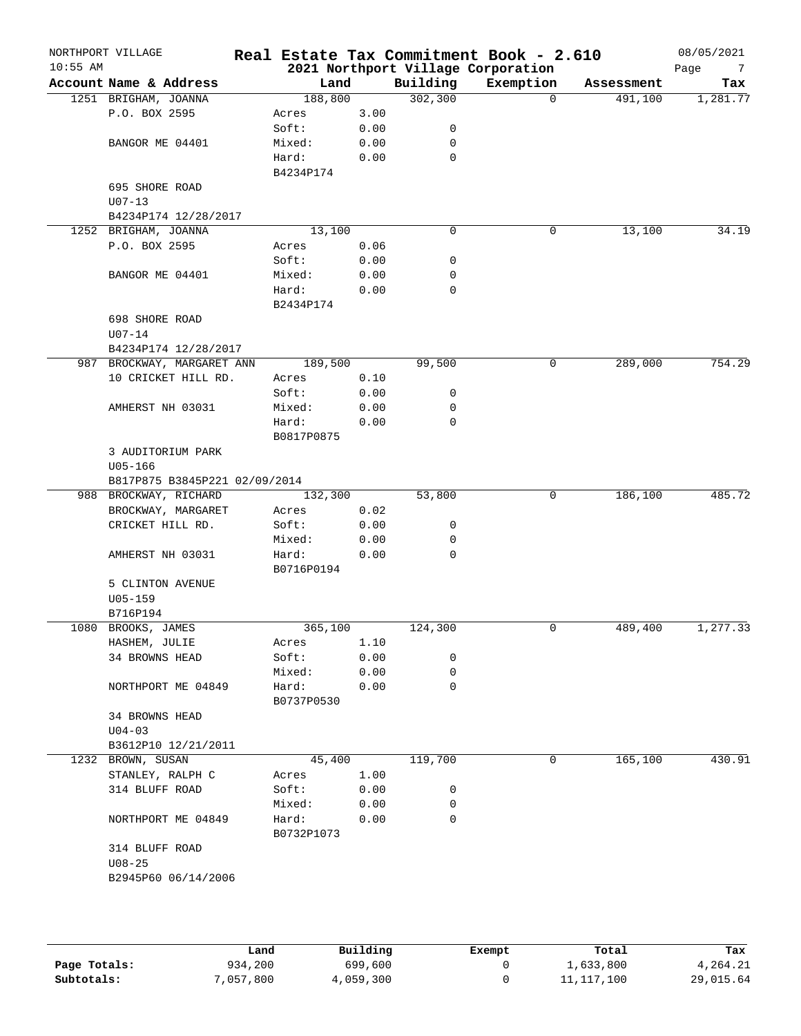| $10:55$ AM | NORTHPORT VILLAGE             |            |      |             | Real Estate Tax Commitment Book - 2.610<br>2021 Northport Village Corporation |            | 08/05/2021<br>Page<br>$\overline{7}$ |
|------------|-------------------------------|------------|------|-------------|-------------------------------------------------------------------------------|------------|--------------------------------------|
|            | Account Name & Address        | Land       |      | Building    | Exemption                                                                     | Assessment | Tax                                  |
|            | 1251 BRIGHAM, JOANNA          | 188,800    |      | 302, 300    | $\Omega$                                                                      | 491,100    | 1,281.77                             |
|            | P.O. BOX 2595                 | Acres      | 3.00 |             |                                                                               |            |                                      |
|            |                               | Soft:      | 0.00 | 0           |                                                                               |            |                                      |
|            | BANGOR ME 04401               | Mixed:     | 0.00 | 0           |                                                                               |            |                                      |
|            |                               | Hard:      | 0.00 | $\mathbf 0$ |                                                                               |            |                                      |
|            |                               | B4234P174  |      |             |                                                                               |            |                                      |
|            | 695 SHORE ROAD                |            |      |             |                                                                               |            |                                      |
|            | $U07 - 13$                    |            |      |             |                                                                               |            |                                      |
|            | B4234P174 12/28/2017          |            |      |             |                                                                               |            |                                      |
|            | 1252 BRIGHAM, JOANNA          | 13,100     |      | $\mathbf 0$ | 0                                                                             | 13,100     | 34.19                                |
|            | P.O. BOX 2595                 | Acres      | 0.06 |             |                                                                               |            |                                      |
|            |                               | Soft:      | 0.00 | 0           |                                                                               |            |                                      |
|            |                               |            | 0.00 | 0           |                                                                               |            |                                      |
|            | BANGOR ME 04401               | Mixed:     |      |             |                                                                               |            |                                      |
|            |                               | Hard:      | 0.00 | 0           |                                                                               |            |                                      |
|            |                               | B2434P174  |      |             |                                                                               |            |                                      |
|            | 698 SHORE ROAD                |            |      |             |                                                                               |            |                                      |
|            | $U07 - 14$                    |            |      |             |                                                                               |            |                                      |
|            | B4234P174 12/28/2017          |            |      |             |                                                                               |            |                                      |
|            | 987 BROCKWAY, MARGARET ANN    | 189,500    |      | 99,500      | 0                                                                             | 289,000    | 754.29                               |
|            | 10 CRICKET HILL RD.           | Acres      | 0.10 |             |                                                                               |            |                                      |
|            |                               | Soft:      | 0.00 | 0           |                                                                               |            |                                      |
|            | AMHERST NH 03031              | Mixed:     | 0.00 | 0           |                                                                               |            |                                      |
|            |                               | Hard:      | 0.00 | $\mathbf 0$ |                                                                               |            |                                      |
|            |                               | B0817P0875 |      |             |                                                                               |            |                                      |
|            | 3 AUDITORIUM PARK             |            |      |             |                                                                               |            |                                      |
|            | $U05 - 166$                   |            |      |             |                                                                               |            |                                      |
|            | B817P875 B3845P221 02/09/2014 |            |      |             |                                                                               |            |                                      |
|            | 988 BROCKWAY, RICHARD         | 132,300    |      | 53,800      | 0                                                                             | 186,100    | 485.72                               |
|            | BROCKWAY, MARGARET            | Acres      | 0.02 |             |                                                                               |            |                                      |
|            | CRICKET HILL RD.              | Soft:      | 0.00 | 0           |                                                                               |            |                                      |
|            |                               | Mixed:     | 0.00 | 0           |                                                                               |            |                                      |
|            | AMHERST NH 03031              | Hard:      | 0.00 | 0           |                                                                               |            |                                      |
|            |                               | B0716P0194 |      |             |                                                                               |            |                                      |
|            | 5 CLINTON AVENUE              |            |      |             |                                                                               |            |                                      |
|            | $U05 - 159$                   |            |      |             |                                                                               |            |                                      |
|            | B716P194                      |            |      |             |                                                                               |            |                                      |
| 1080       | BROOKS, JAMES                 | 365,100    |      | 124,300     | 0                                                                             | 489,400    | 1,277.33                             |
|            |                               |            | 1.10 |             |                                                                               |            |                                      |
|            | HASHEM, JULIE                 | Acres      |      |             |                                                                               |            |                                      |
|            | 34 BROWNS HEAD                | Soft:      | 0.00 | 0           |                                                                               |            |                                      |
|            |                               | Mixed:     | 0.00 | 0           |                                                                               |            |                                      |
|            | NORTHPORT ME 04849            | Hard:      | 0.00 | 0           |                                                                               |            |                                      |
|            |                               | B0737P0530 |      |             |                                                                               |            |                                      |
|            | 34 BROWNS HEAD                |            |      |             |                                                                               |            |                                      |
|            | $U04-03$                      |            |      |             |                                                                               |            |                                      |
|            | B3612P10 12/21/2011           |            |      |             |                                                                               |            |                                      |
|            | 1232 BROWN, SUSAN             | 45,400     |      | 119,700     | 0                                                                             | 165,100    | 430.91                               |
|            | STANLEY, RALPH C              | Acres      | 1.00 |             |                                                                               |            |                                      |
|            | 314 BLUFF ROAD                | Soft:      | 0.00 | 0           |                                                                               |            |                                      |
|            |                               | Mixed:     | 0.00 | 0           |                                                                               |            |                                      |
|            | NORTHPORT ME 04849            | Hard:      | 0.00 | $\mathbf 0$ |                                                                               |            |                                      |
|            |                               | B0732P1073 |      |             |                                                                               |            |                                      |
|            | 314 BLUFF ROAD                |            |      |             |                                                                               |            |                                      |
|            | $U08 - 25$                    |            |      |             |                                                                               |            |                                      |
|            | B2945P60 06/14/2006           |            |      |             |                                                                               |            |                                      |
|            |                               |            |      |             |                                                                               |            |                                      |
|            |                               |            |      |             |                                                                               |            |                                      |
|            |                               |            |      |             |                                                                               |            |                                      |

|              | Land      | Building  | Exempt | Total      | Tax       |
|--------------|-----------|-----------|--------|------------|-----------|
| Page Totals: | 934,200   | 699,600   |        | 1,633,800  | 4,264.21  |
| Subtotals:   | 7,057,800 | 4,059,300 |        | 11,117,100 | 29,015.64 |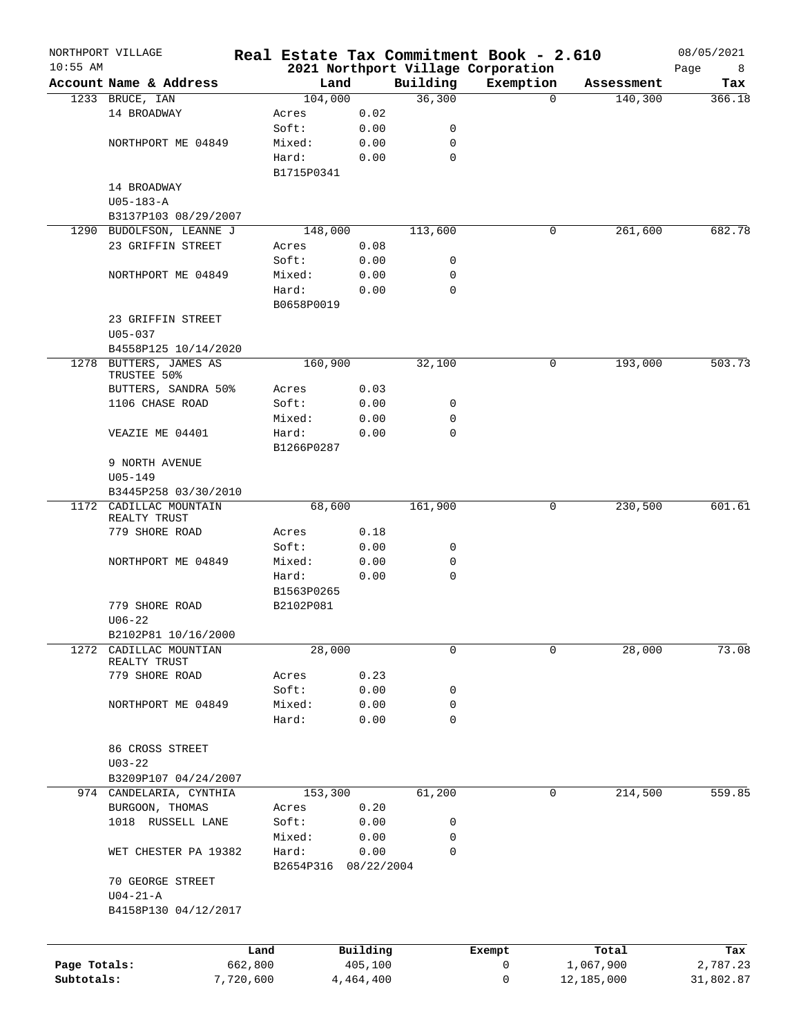|              | NORTHPORT VILLAGE                        |                 |            |                  | Real Estate Tax Commitment Book - 2.610 |            | 08/05/2021 |
|--------------|------------------------------------------|-----------------|------------|------------------|-----------------------------------------|------------|------------|
| $10:55$ AM   |                                          |                 |            |                  | 2021 Northport Village Corporation      |            | Page<br>8  |
|              | Account Name & Address                   | Land            |            | Building         | Exemption                               | Assessment | Tax        |
|              | 1233 BRUCE, IAN                          | 104,000         |            | 36,300           | $\Omega$                                | 140,300    | 366.18     |
|              | 14 BROADWAY                              | Acres           | 0.02       |                  |                                         |            |            |
|              |                                          | Soft:           | 0.00       | 0                |                                         |            |            |
|              | NORTHPORT ME 04849                       | Mixed:          | 0.00       | 0                |                                         |            |            |
|              |                                          | Hard:           | 0.00       | $\mathbf 0$      |                                         |            |            |
|              |                                          | B1715P0341      |            |                  |                                         |            |            |
|              | 14 BROADWAY                              |                 |            |                  |                                         |            |            |
|              | $U05 - 183 - A$                          |                 |            |                  |                                         |            |            |
|              | B3137P103 08/29/2007                     |                 |            |                  |                                         |            |            |
|              | 1290 BUDOLFSON, LEANNE J                 | 148,000         |            | 113,600          | 0                                       | 261,600    | 682.78     |
|              | 23 GRIFFIN STREET                        | Acres           | 0.08       |                  |                                         |            |            |
|              |                                          | Soft:           | 0.00       | 0                |                                         |            |            |
|              | NORTHPORT ME 04849                       | Mixed:          | 0.00       | 0                |                                         |            |            |
|              |                                          | Hard:           | 0.00       | 0                |                                         |            |            |
|              |                                          | B0658P0019      |            |                  |                                         |            |            |
|              | 23 GRIFFIN STREET                        |                 |            |                  |                                         |            |            |
|              | $U05 - 037$                              |                 |            |                  |                                         |            |            |
|              | B4558P125 10/14/2020                     |                 |            |                  |                                         |            |            |
|              | 1278 BUTTERS, JAMES AS                   | 160,900         |            | 32,100           | 0                                       | 193,000    | 503.73     |
|              | TRUSTEE 50%                              |                 |            |                  |                                         |            |            |
|              | BUTTERS, SANDRA 50%                      | Acres           | 0.03       |                  |                                         |            |            |
|              | 1106 CHASE ROAD                          | Soft:           | 0.00       | 0                |                                         |            |            |
|              |                                          | Mixed:          | 0.00       | 0                |                                         |            |            |
|              | VEAZIE ME 04401                          | Hard:           | 0.00       | $\Omega$         |                                         |            |            |
|              |                                          | B1266P0287      |            |                  |                                         |            |            |
|              | 9 NORTH AVENUE                           |                 |            |                  |                                         |            |            |
|              | $U05 - 149$                              |                 |            |                  |                                         |            |            |
|              | B3445P258 03/30/2010                     |                 |            |                  |                                         |            |            |
| 1172         | CADILLAC MOUNTAIN                        | 68,600          |            | 161,900          | 0                                       | 230,500    | 601.61     |
|              | REALTY TRUST<br>779 SHORE ROAD           |                 |            |                  |                                         |            |            |
|              |                                          | Acres           | 0.18       |                  |                                         |            |            |
|              |                                          | Soft:           | 0.00       | 0                |                                         |            |            |
|              | NORTHPORT ME 04849                       | Mixed:<br>Hard: | 0.00       | 0<br>$\mathbf 0$ |                                         |            |            |
|              |                                          |                 | 0.00       |                  |                                         |            |            |
|              |                                          | B1563P0265      |            |                  |                                         |            |            |
|              | 779 SHORE ROAD                           | B2102P081       |            |                  |                                         |            |            |
|              | $U06 - 22$                               |                 |            |                  |                                         |            |            |
|              | B2102P81 10/16/2000<br>CADILLAC MOUNTIAN |                 |            | 0                | 0                                       |            | 73.08      |
| 1272         | REALTY TRUST                             | 28,000          |            |                  |                                         | 28,000     |            |
|              | 779 SHORE ROAD                           | Acres           | 0.23       |                  |                                         |            |            |
|              |                                          | Soft:           | 0.00       | 0                |                                         |            |            |
|              | NORTHPORT ME 04849                       | Mixed:          | 0.00       | 0                |                                         |            |            |
|              |                                          | Hard:           | 0.00       | $\mathbf 0$      |                                         |            |            |
|              |                                          |                 |            |                  |                                         |            |            |
|              | 86 CROSS STREET                          |                 |            |                  |                                         |            |            |
|              | $U03 - 22$                               |                 |            |                  |                                         |            |            |
|              | B3209P107 04/24/2007                     |                 |            |                  |                                         |            |            |
|              | 974 CANDELARIA, CYNTHIA                  | 153,300         |            | 61,200           | 0                                       | 214,500    | 559.85     |
|              | BURGOON, THOMAS                          | Acres           | 0.20       |                  |                                         |            |            |
|              | 1018 RUSSELL LANE                        | Soft:           | 0.00       | 0                |                                         |            |            |
|              |                                          | Mixed:          | 0.00       | 0                |                                         |            |            |
|              | WET CHESTER PA 19382                     | Hard:           | 0.00       | $\mathbf 0$      |                                         |            |            |
|              |                                          | B2654P316       | 08/22/2004 |                  |                                         |            |            |
|              | 70 GEORGE STREET                         |                 |            |                  |                                         |            |            |
|              | $U04-21-A$                               |                 |            |                  |                                         |            |            |
|              | B4158P130 04/12/2017                     |                 |            |                  |                                         |            |            |
|              |                                          |                 |            |                  |                                         |            |            |
|              |                                          |                 |            |                  |                                         |            |            |
|              |                                          | Land            | Building   |                  | Exempt                                  | Total      | Tax        |
| Page Totals: |                                          | 662,800         | 405,100    |                  | 0                                       | 1,067,900  | 2,787.23   |
| Subtotals:   | 7,720,600                                |                 | 4,464,400  |                  | 0                                       | 12,185,000 | 31,802.87  |
|              |                                          |                 |            |                  |                                         |            |            |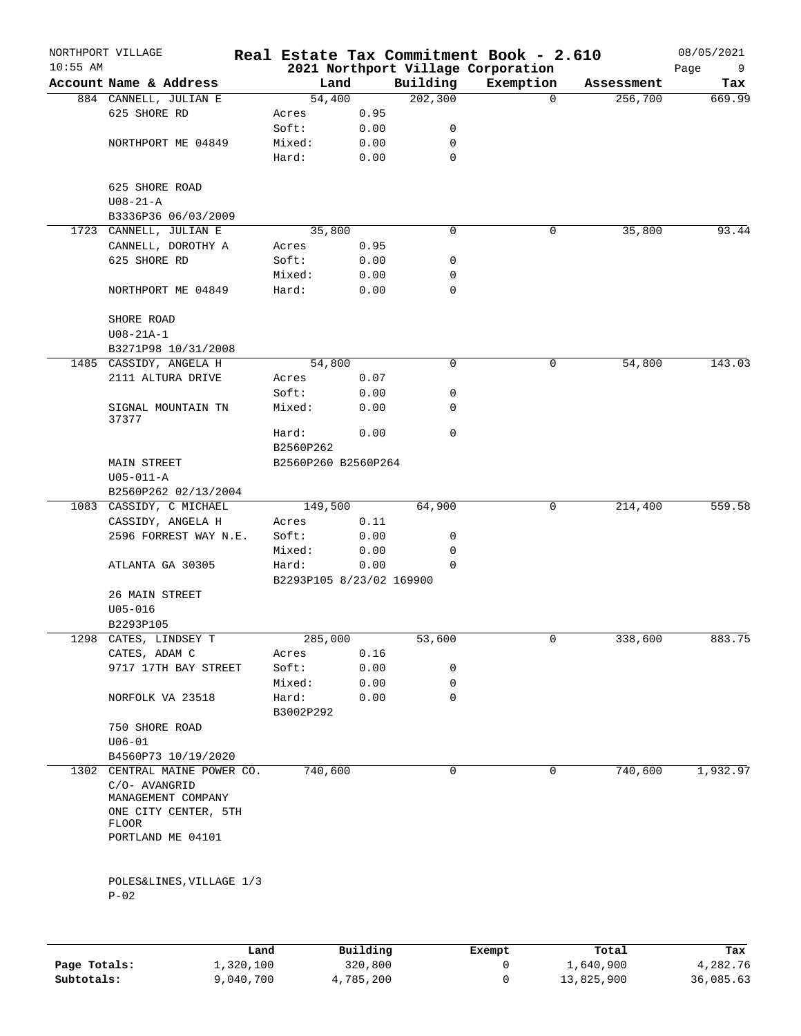| $10:55$ AM | NORTHPORT VILLAGE                             |                          |      |             | Real Estate Tax Commitment Book - 2.610<br>2021 Northport Village Corporation |            | 08/05/2021<br>9 |
|------------|-----------------------------------------------|--------------------------|------|-------------|-------------------------------------------------------------------------------|------------|-----------------|
|            | Account Name & Address                        | Land                     |      | Building    | Exemption                                                                     | Assessment | Page<br>Tax     |
|            |                                               | 54,400                   |      | 202, 300    | $\mathbf 0$                                                                   | 256,700    | 669.99          |
|            | 884 CANNELL, JULIAN E                         |                          |      |             |                                                                               |            |                 |
|            | 625 SHORE RD                                  | Acres                    | 0.95 |             |                                                                               |            |                 |
|            |                                               | Soft:                    | 0.00 | 0           |                                                                               |            |                 |
|            | NORTHPORT ME 04849                            | Mixed:                   | 0.00 | 0           |                                                                               |            |                 |
|            |                                               | Hard:                    | 0.00 | $\mathbf 0$ |                                                                               |            |                 |
|            | 625 SHORE ROAD                                |                          |      |             |                                                                               |            |                 |
|            |                                               |                          |      |             |                                                                               |            |                 |
|            | $U08 - 21 - A$                                |                          |      |             |                                                                               |            |                 |
|            | B3336P36 06/03/2009<br>1723 CANNELL, JULIAN E | 35,800                   |      | $\mathbf 0$ |                                                                               |            | 93.44           |
|            |                                               |                          |      |             | 0                                                                             | 35,800     |                 |
|            | CANNELL, DOROTHY A                            | Acres                    | 0.95 |             |                                                                               |            |                 |
|            | 625 SHORE RD                                  | Soft:                    | 0.00 | 0           |                                                                               |            |                 |
|            |                                               | Mixed:                   | 0.00 | 0           |                                                                               |            |                 |
|            | NORTHPORT ME 04849                            | Hard:                    | 0.00 | $\mathbf 0$ |                                                                               |            |                 |
|            |                                               |                          |      |             |                                                                               |            |                 |
|            | SHORE ROAD                                    |                          |      |             |                                                                               |            |                 |
|            | $U08 - 21A - 1$                               |                          |      |             |                                                                               |            |                 |
|            | B3271P98 10/31/2008                           |                          |      |             |                                                                               |            |                 |
|            | 1485 CASSIDY, ANGELA H                        | 54,800                   |      | 0           | 0                                                                             | 54,800     | 143.03          |
|            | 2111 ALTURA DRIVE                             | Acres                    | 0.07 |             |                                                                               |            |                 |
|            |                                               | Soft:                    | 0.00 | 0           |                                                                               |            |                 |
|            | SIGNAL MOUNTAIN TN                            | Mixed:                   | 0.00 | 0           |                                                                               |            |                 |
|            | 37377                                         | Hard:                    | 0.00 | 0           |                                                                               |            |                 |
|            |                                               | B2560P262                |      |             |                                                                               |            |                 |
|            |                                               |                          |      |             |                                                                               |            |                 |
|            | MAIN STREET                                   | B2560P260 B2560P264      |      |             |                                                                               |            |                 |
|            | $U05 - 011 - A$                               |                          |      |             |                                                                               |            |                 |
|            | B2560P262 02/13/2004                          |                          |      |             |                                                                               |            |                 |
|            | 1083 CASSIDY, C MICHAEL                       | 149,500                  |      | 64,900      | 0                                                                             | 214,400    | 559.58          |
|            | CASSIDY, ANGELA H                             | Acres                    | 0.11 |             |                                                                               |            |                 |
|            | 2596 FORREST WAY N.E.                         | Soft:                    | 0.00 | 0           |                                                                               |            |                 |
|            |                                               | Mixed:                   | 0.00 | 0           |                                                                               |            |                 |
|            | ATLANTA GA 30305                              | Hard:                    | 0.00 | 0           |                                                                               |            |                 |
|            |                                               | B2293P105 8/23/02 169900 |      |             |                                                                               |            |                 |
|            | 26 MAIN STREET                                |                          |      |             |                                                                               |            |                 |
|            | $U05 - 016$                                   |                          |      |             |                                                                               |            |                 |
|            | B2293P105                                     |                          |      |             |                                                                               |            |                 |
| 1298       | CATES, LINDSEY T                              | 285,000                  |      | 53,600      | 0                                                                             | 338,600    | 883.75          |
|            | CATES, ADAM C                                 | Acres                    | 0.16 |             |                                                                               |            |                 |
|            | 9717 17TH BAY STREET                          | Soft:                    | 0.00 | 0           |                                                                               |            |                 |
|            |                                               | Mixed:                   | 0.00 | 0           |                                                                               |            |                 |
|            | NORFOLK VA 23518                              | Hard:                    | 0.00 | $\Omega$    |                                                                               |            |                 |
|            |                                               | B3002P292                |      |             |                                                                               |            |                 |
|            | 750 SHORE ROAD                                |                          |      |             |                                                                               |            |                 |
|            | $U06 - 01$                                    |                          |      |             |                                                                               |            |                 |
|            | B4560P73 10/19/2020                           |                          |      |             |                                                                               |            |                 |
|            | 1302 CENTRAL MAINE POWER CO.                  | 740,600                  |      | 0           | 0                                                                             | 740,600    | 1,932.97        |
|            | C/O- AVANGRID                                 |                          |      |             |                                                                               |            |                 |
|            | MANAGEMENT COMPANY                            |                          |      |             |                                                                               |            |                 |
|            | ONE CITY CENTER, 5TH                          |                          |      |             |                                                                               |            |                 |
|            | FLOOR                                         |                          |      |             |                                                                               |            |                 |
|            | PORTLAND ME 04101                             |                          |      |             |                                                                               |            |                 |
|            |                                               |                          |      |             |                                                                               |            |                 |
|            | POLES&LINES, VILLAGE 1/3                      |                          |      |             |                                                                               |            |                 |
|            | $P-02$                                        |                          |      |             |                                                                               |            |                 |
|            |                                               |                          |      |             |                                                                               |            |                 |
|            |                                               |                          |      |             |                                                                               |            |                 |
|            |                                               |                          |      |             |                                                                               |            |                 |

|              | Land      | Building  | Exempt | Total      | Tax       |
|--------------|-----------|-----------|--------|------------|-----------|
| Page Totals: | 1,320,100 | 320,800   |        | 1,640,900  | 4,282.76  |
| Subtotals:   | 9,040,700 | 4,785,200 |        | 13,825,900 | 36,085.63 |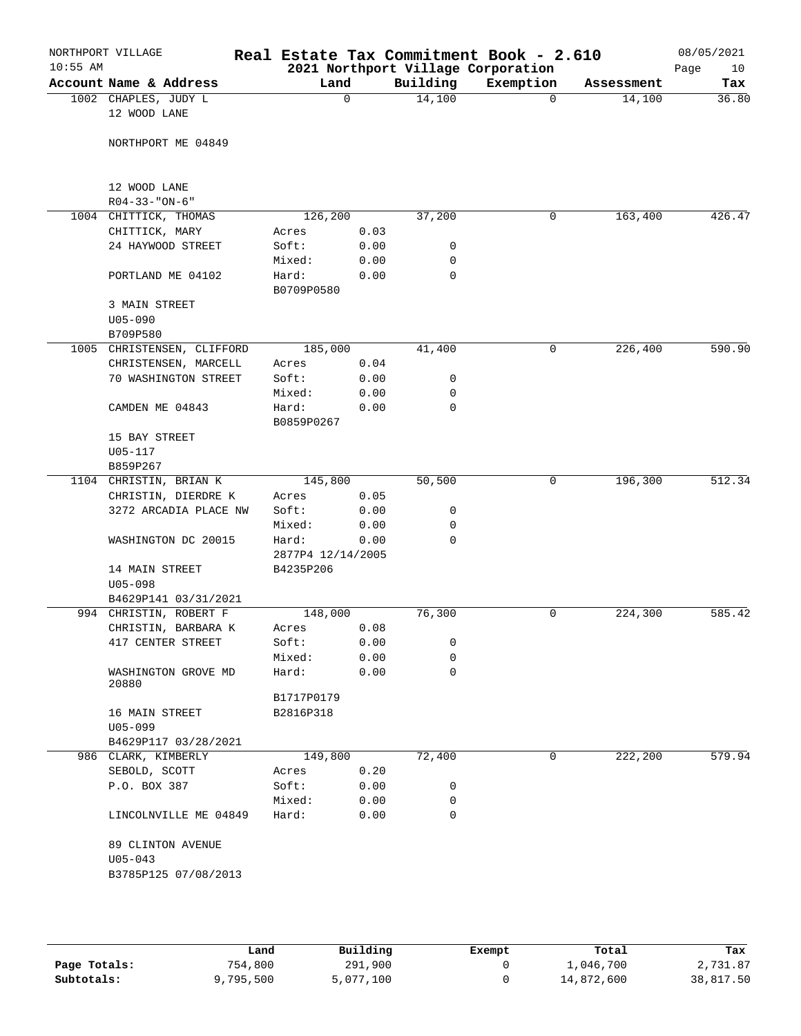| $10:55$ AM | NORTHPORT VILLAGE                   |                   |              |             | Real Estate Tax Commitment Book - 2.610<br>2021 Northport Village Corporation |            | 08/05/2021<br>Page<br>10 |
|------------|-------------------------------------|-------------------|--------------|-------------|-------------------------------------------------------------------------------|------------|--------------------------|
|            | Account Name & Address              | Land              |              | Building    | Exemption                                                                     | Assessment | Tax                      |
|            | 1002 CHAPLES, JUDY L                | 0                 |              | 14,100      | $\Omega$                                                                      | 14,100     | 36.80                    |
|            | 12 WOOD LANE                        |                   |              |             |                                                                               |            |                          |
|            |                                     |                   |              |             |                                                                               |            |                          |
|            | NORTHPORT ME 04849                  |                   |              |             |                                                                               |            |                          |
|            |                                     |                   |              |             |                                                                               |            |                          |
|            |                                     |                   |              |             |                                                                               |            |                          |
|            | 12 WOOD LANE                        |                   |              |             |                                                                               |            |                          |
|            | $R04 - 33 - "ON-6"$                 |                   |              |             |                                                                               |            |                          |
|            | 1004 CHITTICK, THOMAS               | 126,200           |              | 37,200      | 0                                                                             | 163,400    | 426.47                   |
|            | CHITTICK, MARY<br>24 HAYWOOD STREET | Acres<br>Soft:    | 0.03<br>0.00 | 0           |                                                                               |            |                          |
|            |                                     | Mixed:            | 0.00         | 0           |                                                                               |            |                          |
|            | PORTLAND ME 04102                   | Hard:             | 0.00         | 0           |                                                                               |            |                          |
|            |                                     | B0709P0580        |              |             |                                                                               |            |                          |
|            | 3 MAIN STREET                       |                   |              |             |                                                                               |            |                          |
|            | $U05 - 090$                         |                   |              |             |                                                                               |            |                          |
|            | B709P580                            |                   |              |             |                                                                               |            |                          |
| 1005       | CHRISTENSEN, CLIFFORD               | 185,000           |              | 41,400      | 0                                                                             | 226,400    | 590.90                   |
|            | CHRISTENSEN, MARCELL                | Acres             | 0.04         |             |                                                                               |            |                          |
|            | 70 WASHINGTON STREET                | Soft:             | 0.00         | 0           |                                                                               |            |                          |
|            |                                     | Mixed:            | 0.00         | 0           |                                                                               |            |                          |
|            | CAMDEN ME 04843                     | Hard:             | 0.00         | $\mathbf 0$ |                                                                               |            |                          |
|            |                                     | B0859P0267        |              |             |                                                                               |            |                          |
|            | 15 BAY STREET                       |                   |              |             |                                                                               |            |                          |
|            | $U05 - 117$                         |                   |              |             |                                                                               |            |                          |
|            | B859P267                            |                   |              |             |                                                                               |            |                          |
|            | 1104 CHRISTIN, BRIAN K              | 145,800           |              | 50,500      | 0                                                                             | 196,300    | 512.34                   |
|            | CHRISTIN, DIERDRE K                 | Acres             | 0.05         |             |                                                                               |            |                          |
|            | 3272 ARCADIA PLACE NW               | Soft:             | 0.00         | 0           |                                                                               |            |                          |
|            |                                     | Mixed:            | 0.00         | 0           |                                                                               |            |                          |
|            | WASHINGTON DC 20015                 | Hard:             | 0.00         | 0           |                                                                               |            |                          |
|            |                                     | 2877P4 12/14/2005 |              |             |                                                                               |            |                          |
|            | 14 MAIN STREET<br>$U05 - 098$       | B4235P206         |              |             |                                                                               |            |                          |
|            | B4629P141 03/31/2021                |                   |              |             |                                                                               |            |                          |
|            | 994 CHRISTIN, ROBERT F              | 148,000           |              | 76,300      | 0                                                                             | 224,300    | 585.42                   |
|            | CHRISTIN, BARBARA K                 | Acres             | 0.08         |             |                                                                               |            |                          |
|            | 417 CENTER STREET                   | Soft:             | 0.00         | 0           |                                                                               |            |                          |
|            |                                     | Mixed:            | 0.00         | 0           |                                                                               |            |                          |
|            | WASHINGTON GROVE MD                 | Hard:             | 0.00         | $\mathbf 0$ |                                                                               |            |                          |
|            | 20880                               |                   |              |             |                                                                               |            |                          |
|            |                                     | B1717P0179        |              |             |                                                                               |            |                          |
|            | 16 MAIN STREET                      | B2816P318         |              |             |                                                                               |            |                          |
|            | $U05 - 099$                         |                   |              |             |                                                                               |            |                          |
|            | B4629P117 03/28/2021                |                   |              |             |                                                                               |            |                          |
|            | 986 CLARK, KIMBERLY                 | 149,800           |              | 72,400      | 0                                                                             | 222,200    | 579.94                   |
|            | SEBOLD, SCOTT                       | Acres             | 0.20         |             |                                                                               |            |                          |
|            | P.O. BOX 387                        | Soft:             | 0.00         | 0           |                                                                               |            |                          |
|            |                                     | Mixed:            | 0.00         | 0           |                                                                               |            |                          |
|            | LINCOLNVILLE ME 04849               | Hard:             | 0.00         | $\mathbf 0$ |                                                                               |            |                          |
|            |                                     |                   |              |             |                                                                               |            |                          |
|            | 89 CLINTON AVENUE                   |                   |              |             |                                                                               |            |                          |
|            | $U05 - 043$                         |                   |              |             |                                                                               |            |                          |
|            | B3785P125 07/08/2013                |                   |              |             |                                                                               |            |                          |
|            |                                     |                   |              |             |                                                                               |            |                          |
|            |                                     |                   |              |             |                                                                               |            |                          |

|              | Land      | Building  | Exempt | Total      | Tax       |
|--------------|-----------|-----------|--------|------------|-----------|
| Page Totals: | 754,800   | 291,900   |        | 1,046,700  | 2,731.87  |
| Subtotals:   | 9,795,500 | 5,077,100 |        | 14,872,600 | 38,817.50 |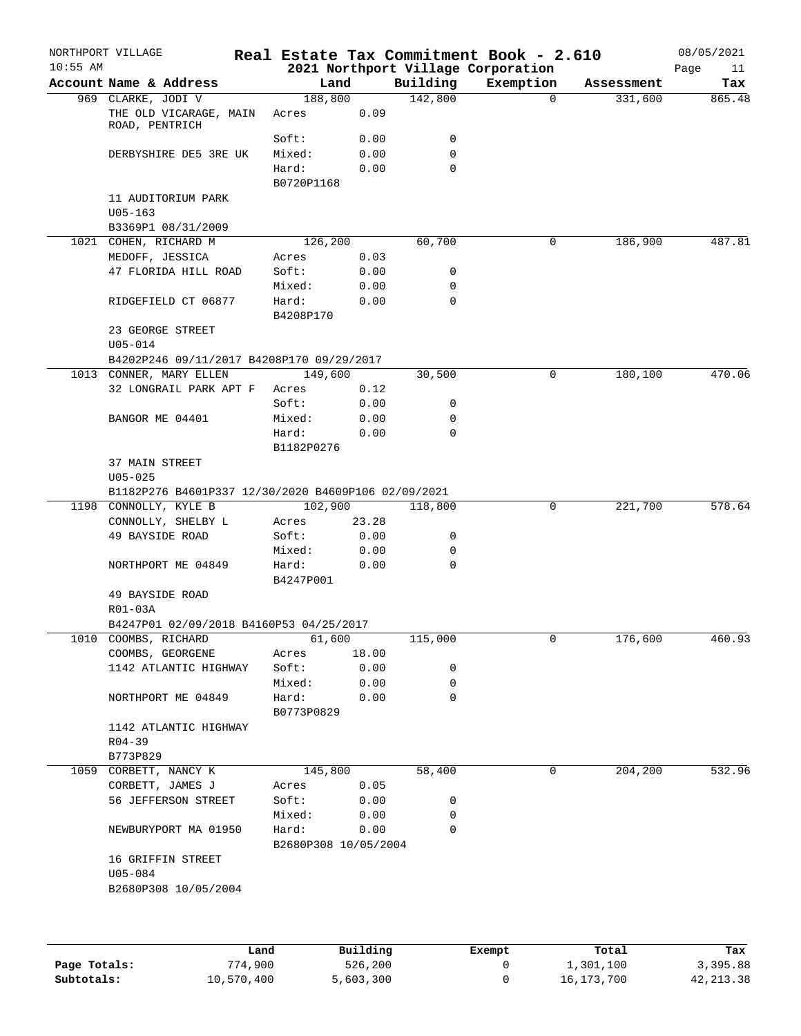| $10:55$ AM | Account Name & Address |                                                     |                      |              |             | 2021 Northport Village Corporation |            |                   |
|------------|------------------------|-----------------------------------------------------|----------------------|--------------|-------------|------------------------------------|------------|-------------------|
|            |                        |                                                     |                      | Land         | Building    | Exemption                          | Assessment | Page<br>11<br>Tax |
|            | 969 CLARKE, JODI V     |                                                     | 188,800              |              | 142,800     | $\Omega$                           | 331,600    | 865.48            |
|            | ROAD, PENTRICH         | THE OLD VICARAGE, MAIN                              | Acres                | 0.09         |             |                                    |            |                   |
|            |                        |                                                     | Soft:                | 0.00         | 0           |                                    |            |                   |
|            |                        | DERBYSHIRE DE5 3RE UK                               | Mixed:               | 0.00         | 0           |                                    |            |                   |
|            |                        |                                                     | Hard:                | 0.00         | $\mathbf 0$ |                                    |            |                   |
|            |                        |                                                     | B0720P1168           |              |             |                                    |            |                   |
|            |                        | 11 AUDITORIUM PARK                                  |                      |              |             |                                    |            |                   |
|            | $U05 - 163$            |                                                     |                      |              |             |                                    |            |                   |
|            |                        | B3369P1 08/31/2009                                  |                      |              |             |                                    |            |                   |
|            | 1021 COHEN, RICHARD M  |                                                     | 126,200              |              | 60,700      | 0                                  | 186,900    | 487.81            |
|            | MEDOFF, JESSICA        | 47 FLORIDA HILL ROAD                                | Acres<br>Soft:       | 0.03<br>0.00 | 0           |                                    |            |                   |
|            |                        |                                                     | Mixed:               | 0.00         | 0           |                                    |            |                   |
|            |                        | RIDGEFIELD CT 06877                                 | Hard:                | 0.00         | 0           |                                    |            |                   |
|            |                        |                                                     | B4208P170            |              |             |                                    |            |                   |
|            | 23 GEORGE STREET       |                                                     |                      |              |             |                                    |            |                   |
|            | $U05 - 014$            |                                                     |                      |              |             |                                    |            |                   |
|            |                        | B4202P246 09/11/2017 B4208P170 09/29/2017           |                      |              |             |                                    |            |                   |
|            |                        | 1013 CONNER, MARY ELLEN                             | 149,600              |              | 30,500      | 0                                  | 180,100    | 470.06            |
|            |                        | 32 LONGRAIL PARK APT F                              | Acres                | 0.12         |             |                                    |            |                   |
|            |                        |                                                     | Soft:                | 0.00         | 0           |                                    |            |                   |
|            | BANGOR ME 04401        |                                                     | Mixed:               | 0.00         | 0           |                                    |            |                   |
|            |                        |                                                     | Hard:                | 0.00         | 0           |                                    |            |                   |
|            |                        |                                                     | B1182P0276           |              |             |                                    |            |                   |
|            | 37 MAIN STREET         |                                                     |                      |              |             |                                    |            |                   |
|            | $U05 - 025$            |                                                     |                      |              |             |                                    |            |                   |
|            |                        | B1182P276 B4601P337 12/30/2020 B4609P106 02/09/2021 |                      |              |             |                                    |            |                   |
|            | 1198 CONNOLLY, KYLE B  |                                                     | 102,900              |              | 118,800     | 0                                  | 221,700    | 578.64            |
|            |                        | CONNOLLY, SHELBY L                                  | Acres                | 23.28        |             |                                    |            |                   |
|            | 49 BAYSIDE ROAD        |                                                     | Soft:                | 0.00         | 0           |                                    |            |                   |
|            |                        |                                                     | Mixed:               | 0.00         | 0           |                                    |            |                   |
|            |                        | NORTHPORT ME 04849                                  | Hard:                | 0.00         | 0           |                                    |            |                   |
|            | 49 BAYSIDE ROAD        |                                                     | B4247P001            |              |             |                                    |            |                   |
|            | R01-03A                |                                                     |                      |              |             |                                    |            |                   |
|            |                        | B4247P01 02/09/2018 B4160P53 04/25/2017             |                      |              |             |                                    |            |                   |
|            | 1010 COOMBS, RICHARD   |                                                     | 61,600               |              | 115,000     | 0                                  | 176,600    | 460.93            |
|            | COOMBS, GEORGENE       |                                                     | Acres                | 18.00        |             |                                    |            |                   |
|            |                        | 1142 ATLANTIC HIGHWAY                               | Soft:                | 0.00         | 0           |                                    |            |                   |
|            |                        |                                                     | Mixed:               | 0.00         | 0           |                                    |            |                   |
|            |                        | NORTHPORT ME 04849                                  | Hard:                | 0.00         | 0           |                                    |            |                   |
|            |                        |                                                     | B0773P0829           |              |             |                                    |            |                   |
|            |                        | 1142 ATLANTIC HIGHWAY                               |                      |              |             |                                    |            |                   |
|            | $R04 - 39$             |                                                     |                      |              |             |                                    |            |                   |
|            | B773P829               |                                                     |                      |              |             |                                    |            |                   |
| 1059       | CORBETT, NANCY K       |                                                     | 145,800              |              | 58,400      | 0                                  | 204,200    | 532.96            |
|            | CORBETT, JAMES J       |                                                     | Acres                | 0.05         |             |                                    |            |                   |
|            |                        | 56 JEFFERSON STREET                                 | Soft:                | 0.00         | 0           |                                    |            |                   |
|            |                        |                                                     | Mixed:               | 0.00         | 0           |                                    |            |                   |
|            |                        | NEWBURYPORT MA 01950                                | Hard:                | 0.00         | $\mathbf 0$ |                                    |            |                   |
|            |                        |                                                     | B2680P308 10/05/2004 |              |             |                                    |            |                   |
|            |                        | 16 GRIFFIN STREET                                   |                      |              |             |                                    |            |                   |
|            | $U05 - 084$            | B2680P308 10/05/2004                                |                      |              |             |                                    |            |                   |
|            |                        |                                                     |                      |              |             |                                    |            |                   |
|            |                        |                                                     |                      |              |             |                                    |            |                   |
|            |                        |                                                     |                      |              |             |                                    |            |                   |
|            |                        | Land                                                |                      | Building     |             | Exempt                             | Total      | Tax               |

|              | Land       | Building  | Exempt | Total      | Tax       |
|--------------|------------|-----------|--------|------------|-----------|
| Page Totals: | 774,900    | 526,200   |        | 1,301,100  | 3,395.88  |
| Subtotals:   | 10,570,400 | 5,603,300 |        | 16,173,700 | 42,213.38 |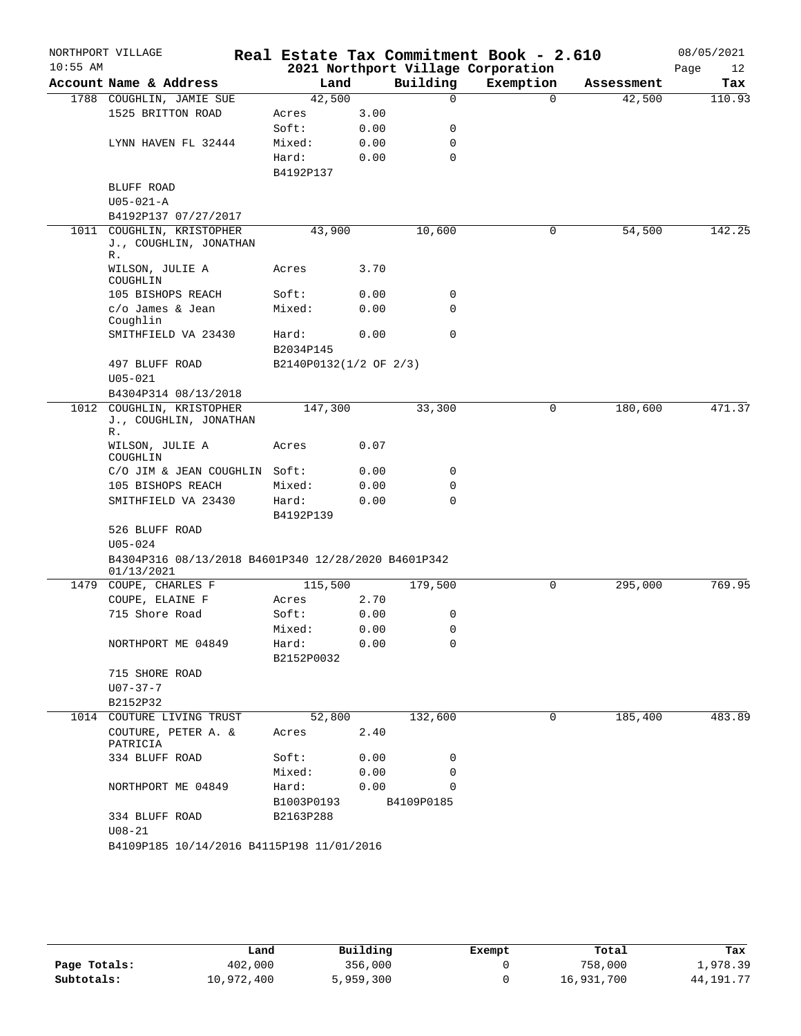|            | NORTHPORT VILLAGE                                                 |                        |              |               | Real Estate Tax Commitment Book - 2.610 |            | 08/05/2021 |
|------------|-------------------------------------------------------------------|------------------------|--------------|---------------|-----------------------------------------|------------|------------|
| $10:55$ AM |                                                                   |                        |              |               | 2021 Northport Village Corporation      |            | Page<br>12 |
|            | Account Name & Address                                            | Land                   |              | Building      | Exemption                               | Assessment | Tax        |
|            | 1788 COUGHLIN, JAMIE SUE                                          | 42,500                 |              | $\Omega$      | $\Omega$                                | 42,500     | 110.93     |
|            | 1525 BRITTON ROAD                                                 | Acres                  | 3.00         |               |                                         |            |            |
|            |                                                                   | Soft:                  | 0.00         | 0             |                                         |            |            |
|            | LYNN HAVEN FL 32444                                               | Mixed:<br>Hard:        | 0.00<br>0.00 | 0<br>0        |                                         |            |            |
|            |                                                                   | B4192P137              |              |               |                                         |            |            |
|            | BLUFF ROAD                                                        |                        |              |               |                                         |            |            |
|            | $U05 - 021 - A$                                                   |                        |              |               |                                         |            |            |
|            | B4192P137 07/27/2017                                              |                        |              |               |                                         |            |            |
|            | 1011 COUGHLIN, KRISTOPHER<br>J., COUGHLIN, JONATHAN<br>R.         | 43,900                 |              | 10,600        | 0                                       | 54,500     | 142.25     |
|            | WILSON, JULIE A<br>COUGHLIN                                       | Acres                  | 3.70         |               |                                         |            |            |
|            | 105 BISHOPS REACH                                                 | Soft:                  | 0.00         | 0             |                                         |            |            |
|            | c/o James & Jean<br>Coughlin                                      | Mixed:                 | 0.00         | 0             |                                         |            |            |
|            | SMITHFIELD VA 23430                                               | Hard:<br>B2034P145     | 0.00         | $\mathbf 0$   |                                         |            |            |
|            | 497 BLUFF ROAD                                                    | B2140P0132(1/2 OF 2/3) |              |               |                                         |            |            |
|            | $U05 - 021$                                                       |                        |              |               |                                         |            |            |
|            | B4304P314 08/13/2018                                              |                        |              |               |                                         |            |            |
|            | 1012 COUGHLIN, KRISTOPHER<br>J., COUGHLIN, JONATHAN<br>R.         | 147,300                |              | 33,300        | 0                                       | 180,600    | 471.37     |
|            | WILSON, JULIE A<br>COUGHLIN                                       | Acres                  | 0.07         |               |                                         |            |            |
|            | C/O JIM & JEAN COUGHLIN Soft:                                     |                        | 0.00         | 0             |                                         |            |            |
|            | 105 BISHOPS REACH                                                 | Mixed:                 | 0.00         | 0             |                                         |            |            |
|            | SMITHFIELD VA 23430                                               | Hard:<br>B4192P139     | 0.00         | 0             |                                         |            |            |
|            | 526 BLUFF ROAD                                                    |                        |              |               |                                         |            |            |
|            | $U05 - 024$                                                       |                        |              |               |                                         |            |            |
|            | B4304P316 08/13/2018 B4601P340 12/28/2020 B4601P342<br>01/13/2021 |                        |              |               |                                         |            |            |
|            | 1479 COUPE, CHARLES F                                             | 115,500                |              | 179,500       | 0                                       | 295,000    | 769.95     |
|            | COUPE, ELAINE F                                                   | Acres                  | 2.70         |               |                                         |            |            |
|            | 715 Shore Road                                                    | Soft:                  | 0.00         | 0             |                                         |            |            |
|            |                                                                   | Mixed:                 | 0.00         | 0             |                                         |            |            |
|            | NORTHPORT ME 04849                                                | Hard:<br>B2152P0032    | 0.00         | $\mathbf 0$   |                                         |            |            |
|            | 715 SHORE ROAD                                                    |                        |              |               |                                         |            |            |
|            | $U07 - 37 - 7$                                                    |                        |              |               |                                         |            |            |
|            | B2152P32                                                          |                        |              |               |                                         |            |            |
|            | 1014 COUTURE LIVING TRUST                                         | 52,800                 |              | 132,600       | $\Omega$                                | 185,400    | 483.89     |
|            | COUTURE, PETER A. &<br>PATRICIA                                   | Acres                  | 2.40         |               |                                         |            |            |
|            | 334 BLUFF ROAD                                                    | Soft:<br>Mixed:        | 0.00<br>0.00 | 0<br>$\Omega$ |                                         |            |            |
|            | NORTHPORT ME 04849                                                | Hard:                  | 0.00         | $\Omega$      |                                         |            |            |
|            |                                                                   | B1003P0193             |              | B4109P0185    |                                         |            |            |
|            | 334 BLUFF ROAD<br>$U08 - 21$                                      | B2163P288              |              |               |                                         |            |            |
|            | B4109P185 10/14/2016 B4115P198 11/01/2016                         |                        |              |               |                                         |            |            |
|            |                                                                   |                        |              |               |                                         |            |            |

|              | Land       | Building  | Exempt | Total      | Tax         |
|--------------|------------|-----------|--------|------------|-------------|
| Page Totals: | 402,000    | 356,000   |        | 758,000    | 1,978.39    |
| Subtotals:   | 10,972,400 | 5,959,300 |        | 16,931,700 | 44, 191. 77 |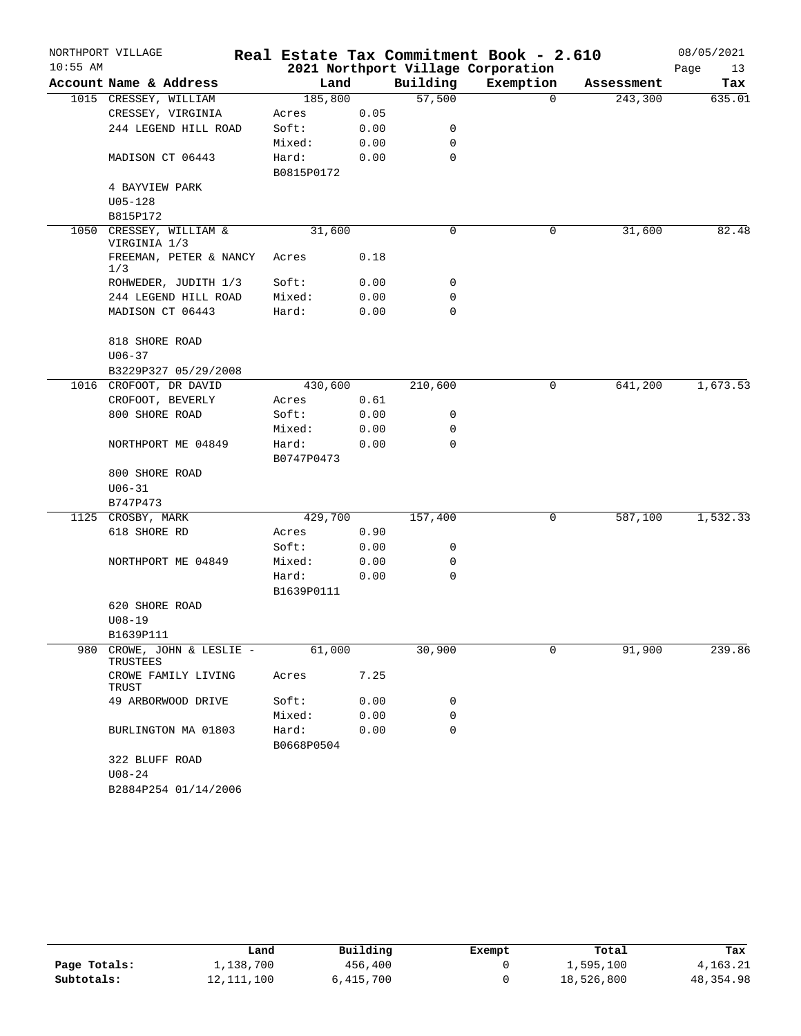|            | NORTHPORT VILLAGE                  |                     |      |          | Real Estate Tax Commitment Book - 2.610 |            | 08/05/2021 |
|------------|------------------------------------|---------------------|------|----------|-----------------------------------------|------------|------------|
| $10:55$ AM |                                    |                     |      |          | 2021 Northport Village Corporation      |            | Page<br>13 |
|            | Account Name & Address             | Land                |      | Building | Exemption                               | Assessment | Tax        |
|            | 1015 CRESSEY, WILLIAM              | 185,800             |      | 57,500   | $\Omega$                                | 243,300    | 635.01     |
|            | CRESSEY, VIRGINIA                  | Acres               | 0.05 |          |                                         |            |            |
|            | 244 LEGEND HILL ROAD               | Soft:               | 0.00 | 0        |                                         |            |            |
|            |                                    | Mixed:              | 0.00 | 0        |                                         |            |            |
|            | MADISON CT 06443                   | Hard:<br>B0815P0172 | 0.00 | 0        |                                         |            |            |
|            | 4 BAYVIEW PARK                     |                     |      |          |                                         |            |            |
|            | $U05 - 128$                        |                     |      |          |                                         |            |            |
|            | B815P172                           |                     |      |          |                                         |            |            |
| 1050       | CRESSEY, WILLIAM &<br>VIRGINIA 1/3 | 31,600              |      | 0        | 0                                       | 31,600     | 82.48      |
|            | FREEMAN, PETER & NANCY<br>1/3      | Acres               | 0.18 |          |                                         |            |            |
|            | ROHWEDER, JUDITH 1/3               | Soft:               | 0.00 | 0        |                                         |            |            |
|            | 244 LEGEND HILL ROAD               | Mixed:              | 0.00 | 0        |                                         |            |            |
|            | MADISON CT 06443                   | Hard:               | 0.00 | 0        |                                         |            |            |
|            | 818 SHORE ROAD                     |                     |      |          |                                         |            |            |
|            | $U06 - 37$                         |                     |      |          |                                         |            |            |
|            | B3229P327 05/29/2008               |                     |      |          |                                         |            |            |
|            | 1016 CROFOOT, DR DAVID             | 430,600             |      | 210,600  | 0                                       | 641,200    | 1,673.53   |
|            | CROFOOT, BEVERLY                   | Acres               | 0.61 |          |                                         |            |            |
|            | 800 SHORE ROAD                     | Soft:               | 0.00 | 0        |                                         |            |            |
|            |                                    | Mixed:              | 0.00 | 0        |                                         |            |            |
|            | NORTHPORT ME 04849                 | Hard:<br>B0747P0473 | 0.00 | $\Omega$ |                                         |            |            |
|            | 800 SHORE ROAD                     |                     |      |          |                                         |            |            |
|            | $U06 - 31$                         |                     |      |          |                                         |            |            |
|            | B747P473                           |                     |      |          |                                         |            |            |
|            | 1125 CROSBY, MARK                  | 429,700             |      | 157,400  | 0                                       | 587,100    | 1,532.33   |
|            | 618 SHORE RD                       | Acres               | 0.90 |          |                                         |            |            |
|            |                                    | Soft:               | 0.00 | 0        |                                         |            |            |
|            | NORTHPORT ME 04849                 | Mixed:              | 0.00 | 0        |                                         |            |            |
|            |                                    | Hard:               | 0.00 | 0        |                                         |            |            |
|            |                                    | B1639P0111          |      |          |                                         |            |            |
|            | 620 SHORE ROAD                     |                     |      |          |                                         |            |            |
|            | $U08-19$                           |                     |      |          |                                         |            |            |
|            | B1639P111                          |                     |      |          |                                         |            |            |
| 980        | CROWE, JOHN & LESLIE -<br>TRUSTEES | 61,000              |      | 30,900   | 0                                       | 91,900     | 239.86     |
|            | CROWE FAMILY LIVING<br>TRUST       | Acres               | 7.25 |          |                                         |            |            |
|            | 49 ARBORWOOD DRIVE                 | Soft:               | 0.00 | 0        |                                         |            |            |
|            |                                    | Mixed:              | 0.00 | 0        |                                         |            |            |
|            | BURLINGTON MA 01803                | Hard:               | 0.00 | 0        |                                         |            |            |
|            |                                    | B0668P0504          |      |          |                                         |            |            |
|            | 322 BLUFF ROAD                     |                     |      |          |                                         |            |            |
|            | $U08 - 24$                         |                     |      |          |                                         |            |            |
|            | B2884P254 01/14/2006               |                     |      |          |                                         |            |            |

|              | Land         | Building  | Exempt | Total      | Tax       |
|--------------|--------------|-----------|--------|------------|-----------|
| Page Totals: | 1,138,700    | 456,400   |        | 1,595,100  | 4,163.21  |
| Subtotals:   | 12, 111, 100 | 6,415,700 |        | 18,526,800 | 48,354.98 |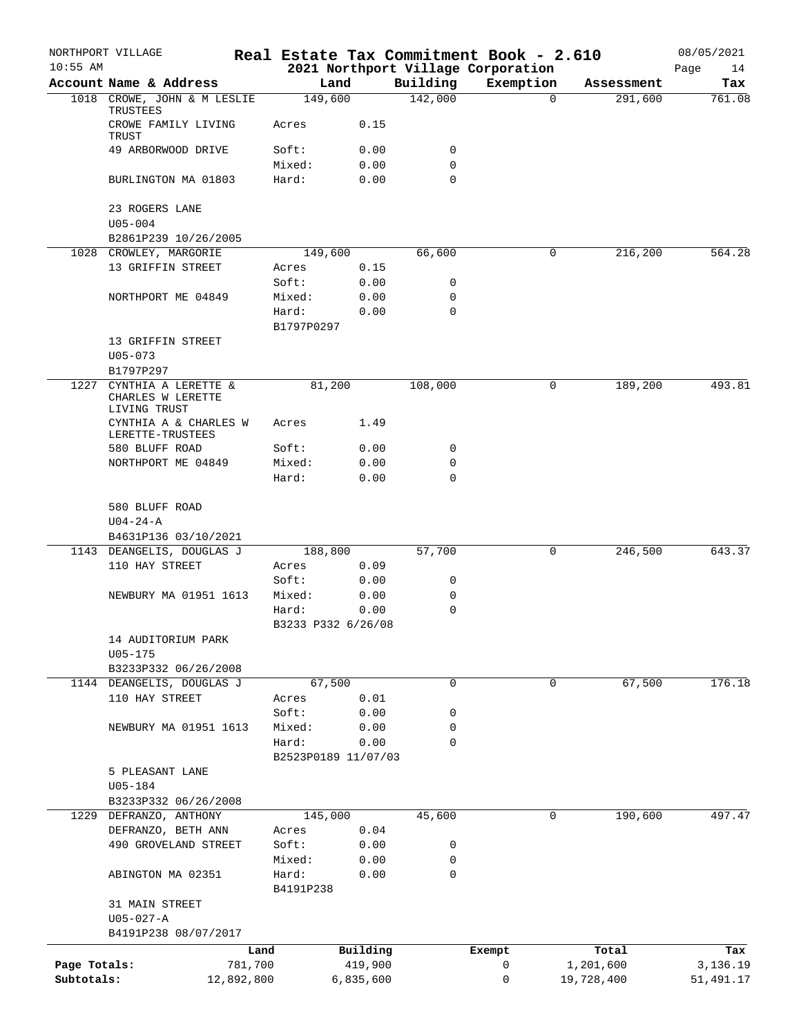|              | NORTHPORT VILLAGE                                        |                             |                             |             | Real Estate Tax Commitment Book - 2.610 |                       | 08/05/2021    |
|--------------|----------------------------------------------------------|-----------------------------|-----------------------------|-------------|-----------------------------------------|-----------------------|---------------|
| $10:55$ AM   | Account Name & Address                                   |                             |                             | Building    | 2021 Northport Village Corporation      |                       | 14<br>Page    |
|              | 1018 CROWE, JOHN & M LESLIE                              | 149,600                     | Land                        | 142,000     | Exemption<br>$\Omega$                   | Assessment<br>291,600 | Tax<br>761.08 |
|              | TRUSTEES<br>CROWE FAMILY LIVING                          | Acres                       | 0.15                        |             |                                         |                       |               |
|              | TRUST                                                    |                             |                             |             |                                         |                       |               |
|              | 49 ARBORWOOD DRIVE                                       | Soft:                       | 0.00                        | 0           |                                         |                       |               |
|              | BURLINGTON MA 01803                                      | Mixed:<br>Hard:             | 0.00<br>0.00                | 0<br>0      |                                         |                       |               |
|              | 23 ROGERS LANE                                           |                             |                             |             |                                         |                       |               |
|              | $U05 - 004$                                              |                             |                             |             |                                         |                       |               |
|              | B2861P239 10/26/2005                                     |                             |                             |             |                                         |                       |               |
|              | 1028 CROWLEY, MARGORIE                                   | 149,600                     |                             | 66,600      | 0                                       | 216,200               | 564.28        |
|              | 13 GRIFFIN STREET                                        | Acres                       | 0.15                        |             |                                         |                       |               |
|              |                                                          | Soft:                       | 0.00                        | 0           |                                         |                       |               |
|              | NORTHPORT ME 04849                                       | Mixed:                      | 0.00                        | 0           |                                         |                       |               |
|              |                                                          | Hard:<br>B1797P0297         | 0.00                        | $\mathbf 0$ |                                         |                       |               |
|              | 13 GRIFFIN STREET                                        |                             |                             |             |                                         |                       |               |
|              | $U05 - 073$                                              |                             |                             |             |                                         |                       |               |
|              | B1797P297                                                |                             |                             |             |                                         |                       |               |
| 1227         | CYNTHIA A LERETTE &<br>CHARLES W LERETTE<br>LIVING TRUST | 81,200                      |                             | 108,000     | 0                                       | 189,200               | 493.81        |
|              | CYNTHIA A & CHARLES W<br>LERETTE-TRUSTEES                | Acres                       | 1.49                        |             |                                         |                       |               |
|              | 580 BLUFF ROAD                                           | Soft:                       | 0.00                        | 0           |                                         |                       |               |
|              | NORTHPORT ME 04849                                       | Mixed:                      | 0.00                        | 0           |                                         |                       |               |
|              |                                                          | Hard:                       | 0.00                        | $\mathbf 0$ |                                         |                       |               |
|              | 580 BLUFF ROAD                                           |                             |                             |             |                                         |                       |               |
|              | $U04 - 24 - A$                                           |                             |                             |             |                                         |                       |               |
|              | B4631P136 03/10/2021                                     |                             |                             |             |                                         |                       |               |
|              | 1143 DEANGELIS, DOUGLAS J                                | 188,800                     |                             | 57,700      | 0                                       | 246,500               | 643.37        |
|              | 110 HAY STREET                                           | Acres                       | 0.09                        |             |                                         |                       |               |
|              |                                                          | Soft:                       | 0.00                        | 0           |                                         |                       |               |
|              | NEWBURY MA 01951 1613                                    | Mixed:                      | 0.00                        | 0           |                                         |                       |               |
|              |                                                          | Hard:<br>B3233 P332 6/26/08 | 0.00                        | 0           |                                         |                       |               |
|              | 14 AUDITORIUM PARK                                       |                             |                             |             |                                         |                       |               |
|              | U05-175                                                  |                             |                             |             |                                         |                       |               |
|              | B3233P332 06/26/2008                                     |                             |                             |             |                                         |                       |               |
|              | 1144 DEANGELIS, DOUGLAS J                                | 67,500                      |                             | 0           | 0                                       | 67,500                | 176.18        |
|              | 110 HAY STREET                                           | Acres                       | 0.01                        |             |                                         |                       |               |
|              |                                                          | Soft:                       | 0.00                        | 0           |                                         |                       |               |
|              | NEWBURY MA 01951 1613                                    | Mixed:                      | 0.00                        | 0           |                                         |                       |               |
|              |                                                          | Hard:                       | 0.00<br>B2523P0189 11/07/03 | 0           |                                         |                       |               |
|              | 5 PLEASANT LANE                                          |                             |                             |             |                                         |                       |               |
|              | $U05 - 184$                                              |                             |                             |             |                                         |                       |               |
|              | B3233P332 06/26/2008                                     |                             |                             |             |                                         |                       |               |
|              | 1229 DEFRANZO, ANTHONY                                   | 145,000                     |                             | 45,600      | 0                                       | 190,600               | 497.47        |
|              | DEFRANZO, BETH ANN                                       | Acres                       | 0.04                        |             |                                         |                       |               |
|              | 490 GROVELAND STREET                                     | Soft:                       | 0.00                        | 0           |                                         |                       |               |
|              |                                                          | Mixed:                      | 0.00                        | 0           |                                         |                       |               |
|              | ABINGTON MA 02351                                        | Hard:<br>B4191P238          | 0.00                        | $\mathbf 0$ |                                         |                       |               |
|              | 31 MAIN STREET                                           |                             |                             |             |                                         |                       |               |
|              | $U05 - 027 - A$                                          |                             |                             |             |                                         |                       |               |
|              | B4191P238 08/07/2017                                     |                             |                             |             |                                         |                       |               |
|              |                                                          | Land                        | Building                    |             | Exempt                                  | Total                 | Tax           |
| Page Totals: | 781,700                                                  |                             | 419,900                     |             | 0                                       | 1,201,600             | 3,136.19      |
| Subtotals:   | 12,892,800                                               |                             | 6,835,600                   |             | 0                                       | 19,728,400            | 51,491.17     |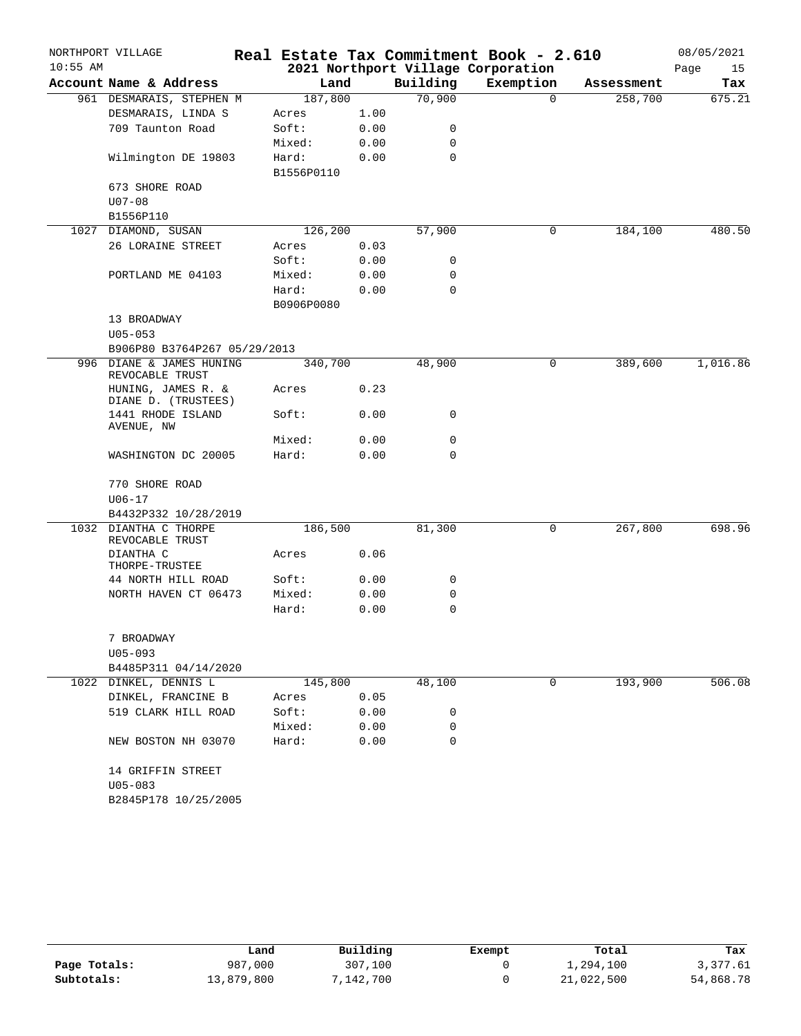|            | NORTHPORT VILLAGE                         |                     |      |          | Real Estate Tax Commitment Book - 2.610 |            | 08/05/2021 |
|------------|-------------------------------------------|---------------------|------|----------|-----------------------------------------|------------|------------|
| $10:55$ AM |                                           |                     |      |          | 2021 Northport Village Corporation      |            | Page<br>15 |
|            | Account Name & Address                    | Land                |      | Building | Exemption                               | Assessment | Tax        |
|            | 961 DESMARAIS, STEPHEN M                  | 187,800             |      | 70,900   | $\Omega$                                | 258,700    | 675.21     |
|            | DESMARAIS, LINDA S                        | Acres               | 1.00 |          |                                         |            |            |
|            | 709 Taunton Road                          | Soft:               | 0.00 | 0        |                                         |            |            |
|            |                                           | Mixed:              | 0.00 | 0        |                                         |            |            |
|            | Wilmington DE 19803                       | Hard:<br>B1556P0110 | 0.00 | 0        |                                         |            |            |
|            | 673 SHORE ROAD                            |                     |      |          |                                         |            |            |
|            | $U07 - 08$                                |                     |      |          |                                         |            |            |
|            | B1556P110                                 |                     |      |          |                                         |            |            |
|            | 1027 DIAMOND, SUSAN                       | 126,200             |      | 57,900   | 0                                       | 184,100    | 480.50     |
|            | 26 LORAINE STREET                         | Acres               | 0.03 |          |                                         |            |            |
|            |                                           | Soft:               | 0.00 | 0        |                                         |            |            |
|            | PORTLAND ME 04103                         | Mixed:              | 0.00 | 0        |                                         |            |            |
|            |                                           | Hard:               | 0.00 | $\Omega$ |                                         |            |            |
|            |                                           | B0906P0080          |      |          |                                         |            |            |
|            | 13 BROADWAY                               |                     |      |          |                                         |            |            |
|            | $U05 - 053$                               |                     |      |          |                                         |            |            |
|            | B906P80 B3764P267 05/29/2013              |                     |      |          |                                         |            |            |
| 996        | DIANE & JAMES HUNING<br>REVOCABLE TRUST   | 340,700             |      | 48,900   | 0                                       | 389,600    | 1,016.86   |
|            | HUNING, JAMES R. &<br>DIANE D. (TRUSTEES) | Acres               | 0.23 |          |                                         |            |            |
|            | 1441 RHODE ISLAND<br>AVENUE, NW           | Soft:               | 0.00 | 0        |                                         |            |            |
|            |                                           | Mixed:              | 0.00 | 0        |                                         |            |            |
|            | WASHINGTON DC 20005                       | Hard:               | 0.00 | $\Omega$ |                                         |            |            |
|            | 770 SHORE ROAD                            |                     |      |          |                                         |            |            |
|            | $U06 - 17$                                |                     |      |          |                                         |            |            |
|            | B4432P332 10/28/2019                      |                     |      |          |                                         |            |            |
| 1032       | DIANTHA C THORPE<br>REVOCABLE TRUST       | 186,500             |      | 81,300   | 0                                       | 267,800    | 698.96     |
|            | DIANTHA C<br>THORPE-TRUSTEE               | Acres               | 0.06 |          |                                         |            |            |
|            | 44 NORTH HILL ROAD                        | Soft:               | 0.00 | 0        |                                         |            |            |
|            | NORTH HAVEN CT 06473                      | Mixed:              | 0.00 | 0        |                                         |            |            |
|            |                                           | Hard:               | 0.00 | 0        |                                         |            |            |
|            | 7 BROADWAY                                |                     |      |          |                                         |            |            |
|            | $U05 - 093$                               |                     |      |          |                                         |            |            |
|            | B4485P311 04/14/2020                      |                     |      |          |                                         |            |            |
|            | 1022 DINKEL, DENNIS L                     | 145,800             |      | 48,100   | 0                                       | 193,900    | 506.08     |
|            | DINKEL, FRANCINE B                        | Acres               | 0.05 |          |                                         |            |            |
|            | 519 CLARK HILL ROAD                       | Soft:               | 0.00 | 0        |                                         |            |            |
|            |                                           | Mixed:              | 0.00 | 0        |                                         |            |            |
|            | NEW BOSTON NH 03070                       | Hard:               | 0.00 | 0        |                                         |            |            |
|            | 14 GRIFFIN STREET                         |                     |      |          |                                         |            |            |
|            | $U05 - 083$                               |                     |      |          |                                         |            |            |
|            | B2845P178 10/25/2005                      |                     |      |          |                                         |            |            |

|              | Land       | Building | Exempt | Total      | Tax       |
|--------------|------------|----------|--------|------------|-----------|
| Page Totals: | 987,000    | 307,100  |        | 1,294,100  | 3,377.61  |
| Subtotals:   | 13,879,800 | 142,700" |        | 21,022,500 | 54,868.78 |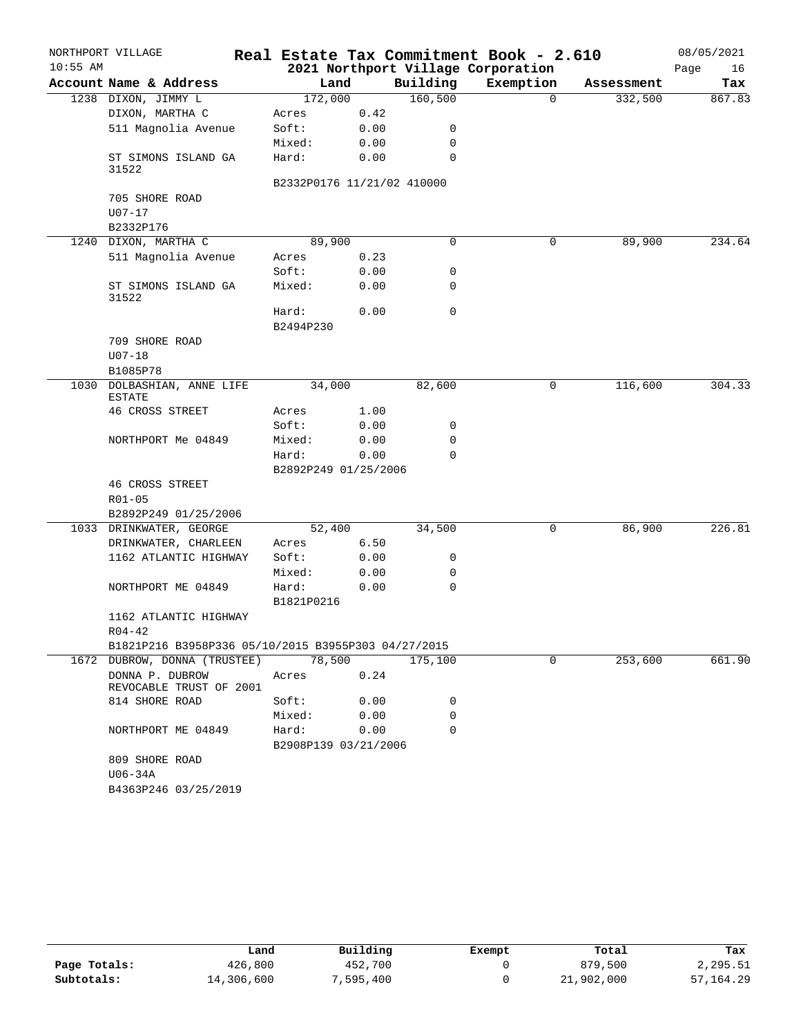|            | NORTHPORT VILLAGE                                   |                            |      |             | Real Estate Tax Commitment Book - 2.610 |            | 08/05/2021 |
|------------|-----------------------------------------------------|----------------------------|------|-------------|-----------------------------------------|------------|------------|
| $10:55$ AM |                                                     |                            |      |             | 2021 Northport Village Corporation      |            | Page<br>16 |
|            | Account Name & Address                              | Land                       |      | Building    | Exemption                               | Assessment | Tax        |
|            | 1238 DIXON, JIMMY L                                 | 172,000                    |      | 160, 500    | $\Omega$                                | 332,500    | 867.83     |
|            | DIXON, MARTHA C                                     | Acres                      | 0.42 |             |                                         |            |            |
|            | 511 Magnolia Avenue                                 | Soft:                      | 0.00 | 0           |                                         |            |            |
|            |                                                     | Mixed:                     | 0.00 | 0           |                                         |            |            |
|            | ST SIMONS ISLAND GA<br>31522                        | Hard:                      | 0.00 | 0           |                                         |            |            |
|            |                                                     | B2332P0176 11/21/02 410000 |      |             |                                         |            |            |
|            | 705 SHORE ROAD<br>$U07 - 17$                        |                            |      |             |                                         |            |            |
|            | B2332P176                                           |                            |      |             |                                         |            |            |
|            | 1240 DIXON, MARTHA C                                | 89,900                     |      | 0           | 0                                       | 89,900     | 234.64     |
|            | 511 Magnolia Avenue                                 | Acres                      | 0.23 |             |                                         |            |            |
|            |                                                     | Soft:                      | 0.00 | 0           |                                         |            |            |
|            | ST SIMONS ISLAND GA<br>31522                        | Mixed:                     | 0.00 | 0           |                                         |            |            |
|            |                                                     | Hard:<br>B2494P230         | 0.00 | 0           |                                         |            |            |
|            |                                                     |                            |      |             |                                         |            |            |
|            | 709 SHORE ROAD                                      |                            |      |             |                                         |            |            |
|            | $U07 - 18$                                          |                            |      |             |                                         |            |            |
|            | B1085P78                                            | 34,000                     |      | 82,600      |                                         | 116,600    | 304.33     |
|            | 1030 DOLBASHIAN, ANNE LIFE<br><b>ESTATE</b>         |                            |      |             | 0                                       |            |            |
|            | 46 CROSS STREET                                     | Acres                      | 1.00 |             |                                         |            |            |
|            |                                                     | Soft:                      | 0.00 | 0           |                                         |            |            |
|            | NORTHPORT Me 04849                                  | Mixed:                     | 0.00 | 0           |                                         |            |            |
|            |                                                     | Hard:                      | 0.00 | $\Omega$    |                                         |            |            |
|            |                                                     | B2892P249 01/25/2006       |      |             |                                         |            |            |
|            | 46 CROSS STREET                                     |                            |      |             |                                         |            |            |
|            | $R01 - 05$                                          |                            |      |             |                                         |            |            |
|            | B2892P249 01/25/2006                                |                            |      |             |                                         |            |            |
|            | 1033 DRINKWATER, GEORGE                             | 52,400                     |      | 34,500      | 0                                       | 86,900     | 226.81     |
|            | DRINKWATER, CHARLEEN                                | Acres                      | 6.50 |             |                                         |            |            |
|            | 1162 ATLANTIC HIGHWAY                               | Soft:                      | 0.00 | 0           |                                         |            |            |
|            |                                                     | Mixed:                     | 0.00 | 0           |                                         |            |            |
|            | NORTHPORT ME 04849                                  | Hard:<br>B1821P0216        | 0.00 | $\mathbf 0$ |                                         |            |            |
|            | 1162 ATLANTIC HIGHWAY                               |                            |      |             |                                         |            |            |
|            | $R04 - 42$                                          |                            |      |             |                                         |            |            |
|            | B1821P216 B3958P336 05/10/2015 B3955P303 04/27/2015 |                            |      |             |                                         |            |            |
|            | 1672 DUBROW, DONNA (TRUSTEE)                        | 78,500                     |      | 175,100     | 0                                       | 253,600    | 661.90     |
|            | DONNA P. DUBROW<br>REVOCABLE TRUST OF 2001          | Acres                      | 0.24 |             |                                         |            |            |
|            | 814 SHORE ROAD                                      | Soft:                      | 0.00 | 0           |                                         |            |            |
|            |                                                     | Mixed:                     | 0.00 | $\Omega$    |                                         |            |            |
|            | NORTHPORT ME 04849                                  | Hard:                      | 0.00 | $\Omega$    |                                         |            |            |
|            |                                                     | B2908P139 03/21/2006       |      |             |                                         |            |            |
|            | 809 SHORE ROAD<br>U06-34A                           |                            |      |             |                                         |            |            |
|            | B4363P246 03/25/2019                                |                            |      |             |                                         |            |            |
|            |                                                     |                            |      |             |                                         |            |            |

|              | Land       | Building | Exempt | Total      | Tax         |
|--------------|------------|----------|--------|------------|-------------|
| Page Totals: | 426,800    | 452,700  |        | 879,500    | 2,295.51    |
| Subtotals:   | 14,306,600 | ,595,400 |        | 21,902,000 | 57, 164, 29 |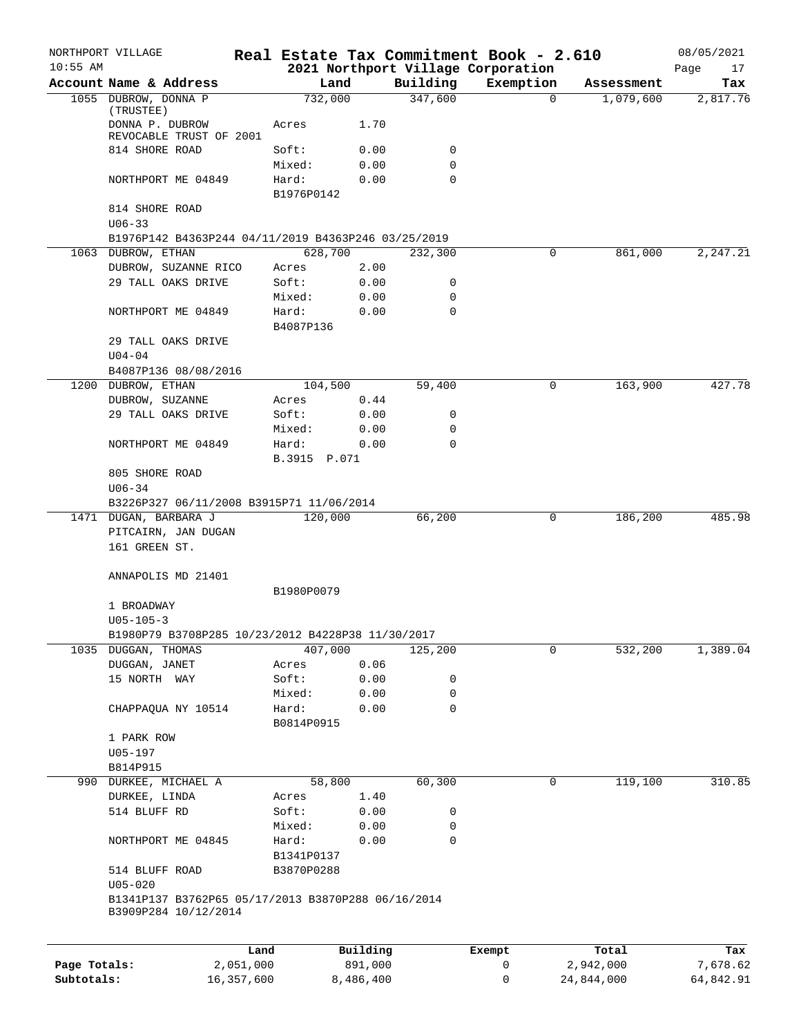|              | NORTHPORT VILLAGE                                                                         |            |                    |           |          | Real Estate Tax Commitment Book - 2.610 |            |            | 08/05/2021 |
|--------------|-------------------------------------------------------------------------------------------|------------|--------------------|-----------|----------|-----------------------------------------|------------|------------|------------|
| $10:55$ AM   |                                                                                           |            |                    |           |          | 2021 Northport Village Corporation      |            |            | Page<br>17 |
|              | Account Name & Address                                                                    |            | Land               |           | Building | Exemption                               |            | Assessment | Tax        |
|              | 1055 DUBROW, DONNA P<br>(TRUSTEE)                                                         |            | 732,000            |           | 347,600  |                                         | $\Omega$   | 1,079,600  | 2,817.76   |
|              | DONNA P. DUBROW<br>REVOCABLE TRUST OF 2001                                                |            | Acres              | 1.70      |          |                                         |            |            |            |
|              | 814 SHORE ROAD                                                                            |            | Soft:              | 0.00      | 0        |                                         |            |            |            |
|              |                                                                                           |            | Mixed:             | 0.00      | 0        |                                         |            |            |            |
|              | NORTHPORT ME 04849                                                                        |            | Hard:              | 0.00      | $\Omega$ |                                         |            |            |            |
|              |                                                                                           |            | B1976P0142         |           |          |                                         |            |            |            |
|              | 814 SHORE ROAD<br>$U06 - 33$                                                              |            |                    |           |          |                                         |            |            |            |
|              | B1976P142 B4363P244 04/11/2019 B4363P246 03/25/2019                                       |            |                    |           |          |                                         |            |            |            |
|              | 1063 DUBROW, ETHAN                                                                        |            | 628,700            |           | 232,300  |                                         | 0          | 861,000    | 2,247.21   |
|              | DUBROW, SUZANNE RICO                                                                      |            | Acres              | 2.00      |          |                                         |            |            |            |
|              | 29 TALL OAKS DRIVE                                                                        |            | Soft:              | 0.00      | 0        |                                         |            |            |            |
|              |                                                                                           |            | Mixed:             | 0.00      | 0        |                                         |            |            |            |
|              | NORTHPORT ME 04849                                                                        |            | Hard:<br>B4087P136 | 0.00      | 0        |                                         |            |            |            |
|              | 29 TALL OAKS DRIVE                                                                        |            |                    |           |          |                                         |            |            |            |
|              | $U04 - 04$                                                                                |            |                    |           |          |                                         |            |            |            |
|              | B4087P136 08/08/2016                                                                      |            |                    |           |          |                                         |            |            |            |
|              | 1200 DUBROW, ETHAN                                                                        |            | 104,500            |           | 59,400   |                                         | 0          | 163,900    | 427.78     |
|              | DUBROW, SUZANNE                                                                           |            | Acres              | 0.44      |          |                                         |            |            |            |
|              | 29 TALL OAKS DRIVE                                                                        |            | Soft:              | 0.00      | 0        |                                         |            |            |            |
|              |                                                                                           |            | Mixed:             | 0.00      | 0        |                                         |            |            |            |
|              | NORTHPORT ME 04849                                                                        |            | Hard:              | 0.00      | $\Omega$ |                                         |            |            |            |
|              |                                                                                           |            | B.3915 P.071       |           |          |                                         |            |            |            |
|              | 805 SHORE ROAD                                                                            |            |                    |           |          |                                         |            |            |            |
|              | $U06 - 34$                                                                                |            |                    |           |          |                                         |            |            |            |
|              | B3226P327 06/11/2008 B3915P71 11/06/2014                                                  |            |                    |           |          |                                         |            |            |            |
|              | 1471 DUGAN, BARBARA J                                                                     |            | 120,000            |           | 66,200   |                                         | 0          | 186,200    | 485.98     |
|              | PITCAIRN, JAN DUGAN                                                                       |            |                    |           |          |                                         |            |            |            |
|              | 161 GREEN ST.                                                                             |            |                    |           |          |                                         |            |            |            |
|              | ANNAPOLIS MD 21401                                                                        |            |                    |           |          |                                         |            |            |            |
|              |                                                                                           |            | B1980P0079         |           |          |                                         |            |            |            |
|              | 1 BROADWAY                                                                                |            |                    |           |          |                                         |            |            |            |
|              | $U05 - 105 - 3$                                                                           |            |                    |           |          |                                         |            |            |            |
|              | B1980P79 B3708P285 10/23/2012 B4228P38 11/30/2017                                         |            |                    |           |          |                                         |            |            |            |
|              | 1035 DUGGAN, THOMAS                                                                       |            | 407,000            |           | 125,200  |                                         | 0          | 532,200    | 1,389.04   |
|              | DUGGAN, JANET                                                                             |            | Acres              | 0.06      |          |                                         |            |            |            |
|              | 15 NORTH WAY                                                                              |            | Soft:              | 0.00      | 0        |                                         |            |            |            |
|              |                                                                                           |            | Mixed:             | 0.00      | 0        |                                         |            |            |            |
|              | CHAPPAQUA NY 10514                                                                        |            | Hard:              | 0.00      | 0        |                                         |            |            |            |
|              |                                                                                           |            | B0814P0915         |           |          |                                         |            |            |            |
|              | 1 PARK ROW                                                                                |            |                    |           |          |                                         |            |            |            |
|              | U05-197                                                                                   |            |                    |           |          |                                         |            |            |            |
|              | B814P915                                                                                  |            |                    |           |          |                                         |            |            |            |
|              | 990 DURKEE, MICHAEL A                                                                     |            | 58,800             |           | 60,300   |                                         | 0          | 119,100    | 310.85     |
|              | DURKEE, LINDA                                                                             |            | Acres              | 1.40      |          |                                         |            |            |            |
|              | 514 BLUFF RD                                                                              |            | Soft:              | 0.00      | 0        |                                         |            |            |            |
|              |                                                                                           |            | Mixed:             | 0.00      | 0        |                                         |            |            |            |
|              | NORTHPORT ME 04845                                                                        |            | Hard:              | 0.00      | 0        |                                         |            |            |            |
|              |                                                                                           |            | B1341P0137         |           |          |                                         |            |            |            |
|              | 514 BLUFF ROAD                                                                            |            | B3870P0288         |           |          |                                         |            |            |            |
|              | $U05 - 020$<br>B1341P137 B3762P65 05/17/2013 B3870P288 06/16/2014<br>B3909P284 10/12/2014 |            |                    |           |          |                                         |            |            |            |
|              |                                                                                           |            |                    |           |          |                                         |            |            |            |
|              |                                                                                           | Land       |                    | Building  |          | Exempt                                  | Total      |            | Tax        |
| Page Totals: |                                                                                           | 2,051,000  |                    | 891,000   |          | 0                                       | 2,942,000  |            | 7,678.62   |
| Subtotals:   |                                                                                           | 16,357,600 |                    | 8,486,400 |          | 0                                       | 24,844,000 |            | 64,842.91  |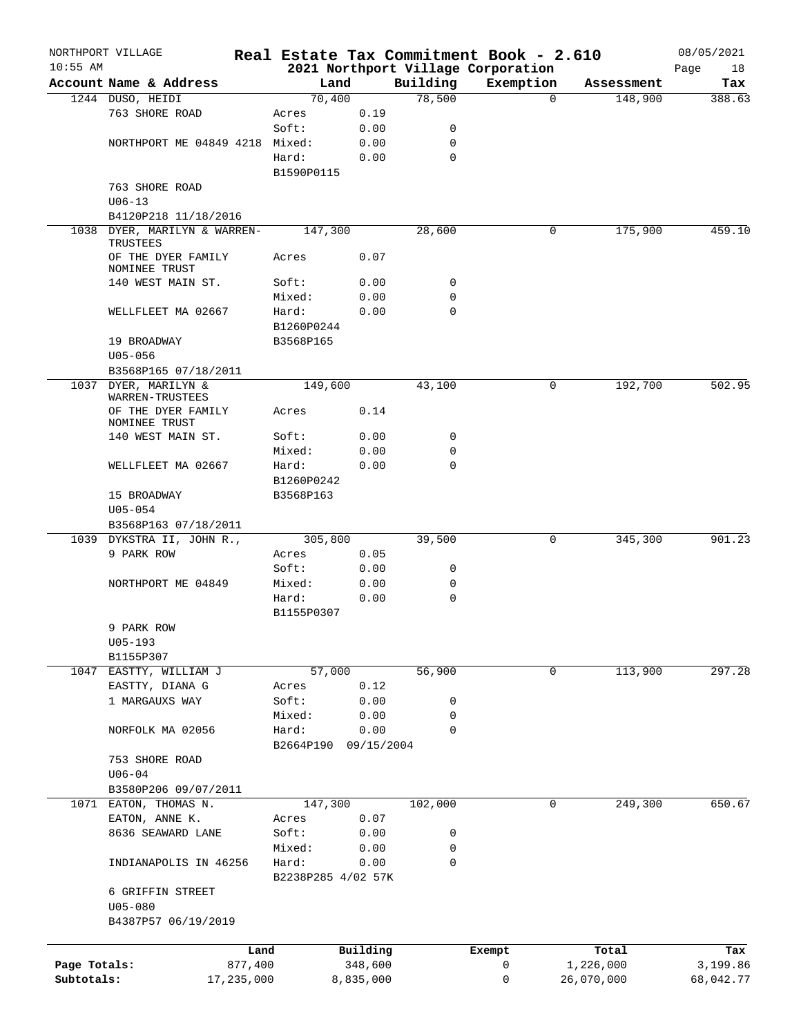|              | NORTHPORT VILLAGE                   |                    |                     |             | Real Estate Tax Commitment Book - 2.610 |                    | 08/05/2021      |
|--------------|-------------------------------------|--------------------|---------------------|-------------|-----------------------------------------|--------------------|-----------------|
| $10:55$ AM   | Account Name & Address              | Land               |                     | Building    | 2021 Northport Village Corporation      | Assessment         | 18<br>Page      |
|              | 1244 DUSO, HEIDI                    | 70,400             |                     | 78,500      | Exemption<br>$\Omega$                   | 148,900            | Tax<br>388.63   |
|              | 763 SHORE ROAD                      | Acres              | 0.19                |             |                                         |                    |                 |
|              |                                     | Soft:              | 0.00                | 0           |                                         |                    |                 |
|              | NORTHPORT ME 04849 4218             | Mixed:             | 0.00                | 0           |                                         |                    |                 |
|              |                                     | Hard:              | 0.00                | 0           |                                         |                    |                 |
|              |                                     | B1590P0115         |                     |             |                                         |                    |                 |
|              | 763 SHORE ROAD                      |                    |                     |             |                                         |                    |                 |
|              | $U06 - 13$                          |                    |                     |             |                                         |                    |                 |
|              | B4120P218 11/18/2016                |                    |                     |             |                                         |                    |                 |
| 1038         | DYER, MARILYN & WARREN-             | 147,300            |                     | 28,600      | 0                                       | 175,900            | 459.10          |
|              | TRUSTEES                            |                    |                     |             |                                         |                    |                 |
|              | OF THE DYER FAMILY<br>NOMINEE TRUST | Acres              | 0.07                |             |                                         |                    |                 |
|              | 140 WEST MAIN ST.                   | Soft:              | 0.00                | 0           |                                         |                    |                 |
|              |                                     | Mixed:             | 0.00                | 0           |                                         |                    |                 |
|              | WELLFLEET MA 02667                  | Hard:              | 0.00                | $\mathbf 0$ |                                         |                    |                 |
|              |                                     | B1260P0244         |                     |             |                                         |                    |                 |
|              | 19 BROADWAY                         | B3568P165          |                     |             |                                         |                    |                 |
|              | $U05 - 056$                         |                    |                     |             |                                         |                    |                 |
|              | B3568P165 07/18/2011                |                    |                     |             |                                         |                    |                 |
|              | 1037 DYER, MARILYN &                | 149,600            |                     | 43,100      | 0                                       | 192,700            | 502.95          |
|              | WARREN-TRUSTEES                     |                    |                     |             |                                         |                    |                 |
|              | OF THE DYER FAMILY                  | Acres              | 0.14                |             |                                         |                    |                 |
|              | NOMINEE TRUST<br>140 WEST MAIN ST.  | Soft:              | 0.00                | 0           |                                         |                    |                 |
|              |                                     | Mixed:             | 0.00                | 0           |                                         |                    |                 |
|              | WELLFLEET MA 02667                  | Hard:              | 0.00                | 0           |                                         |                    |                 |
|              |                                     | B1260P0242         |                     |             |                                         |                    |                 |
|              | 15 BROADWAY                         | B3568P163          |                     |             |                                         |                    |                 |
|              | $U05 - 054$                         |                    |                     |             |                                         |                    |                 |
|              | B3568P163 07/18/2011                |                    |                     |             |                                         |                    |                 |
|              | 1039 DYKSTRA II, JOHN R.,           | 305,800            |                     | 39,500      | 0                                       | 345,300            | 901.23          |
|              | 9 PARK ROW                          | Acres              | 0.05                |             |                                         |                    |                 |
|              |                                     | Soft:              | 0.00                | 0           |                                         |                    |                 |
|              | NORTHPORT ME 04849                  | Mixed:             | 0.00                | 0           |                                         |                    |                 |
|              |                                     | Hard:              | 0.00                | $\mathbf 0$ |                                         |                    |                 |
|              |                                     | B1155P0307         |                     |             |                                         |                    |                 |
|              | 9 PARK ROW                          |                    |                     |             |                                         |                    |                 |
|              | $U05 - 193$                         |                    |                     |             |                                         |                    |                 |
|              | B1155P307                           |                    |                     |             |                                         |                    |                 |
|              | 1047 EASTTY, WILLIAM J              | 57,000             |                     | 56,900      | $\mathbf 0$                             | 113,900            | 297.28          |
|              | EASTTY, DIANA G                     | Acres              | 0.12                |             |                                         |                    |                 |
|              | 1 MARGAUXS WAY                      | Soft:              | 0.00                | 0           |                                         |                    |                 |
|              |                                     | Mixed:             | 0.00                | 0           |                                         |                    |                 |
|              | NORFOLK MA 02056                    | Hard:              | 0.00                | 0           |                                         |                    |                 |
|              |                                     | B2664P190          | 09/15/2004          |             |                                         |                    |                 |
|              | 753 SHORE ROAD                      |                    |                     |             |                                         |                    |                 |
|              | $U06 - 04$                          |                    |                     |             |                                         |                    |                 |
|              | B3580P206 09/07/2011                |                    |                     |             |                                         |                    |                 |
| 1071         | EATON, THOMAS N.                    | 147,300            |                     | 102,000     | 0                                       | 249,300            | 650.67          |
|              | EATON, ANNE K.                      | Acres              | 0.07                |             |                                         |                    |                 |
|              | 8636 SEAWARD LANE                   | Soft:              | 0.00                | 0           |                                         |                    |                 |
|              |                                     | Mixed:             | 0.00                | 0           |                                         |                    |                 |
|              | INDIANAPOLIS IN 46256               | Hard:              | 0.00                | 0           |                                         |                    |                 |
|              |                                     | B2238P285 4/02 57K |                     |             |                                         |                    |                 |
|              | 6 GRIFFIN STREET                    |                    |                     |             |                                         |                    |                 |
|              | $U05 - 080$                         |                    |                     |             |                                         |                    |                 |
|              | B4387P57 06/19/2019                 |                    |                     |             |                                         |                    |                 |
|              |                                     |                    |                     |             |                                         |                    |                 |
| Page Totals: | Land<br>877,400                     |                    | Building<br>348,600 |             | Exempt<br>0                             | Total<br>1,226,000 | Tax<br>3,199.86 |
| Subtotals:   | 17,235,000                          |                    | 8,835,000           |             | 0                                       | 26,070,000         | 68,042.77       |
|              |                                     |                    |                     |             |                                         |                    |                 |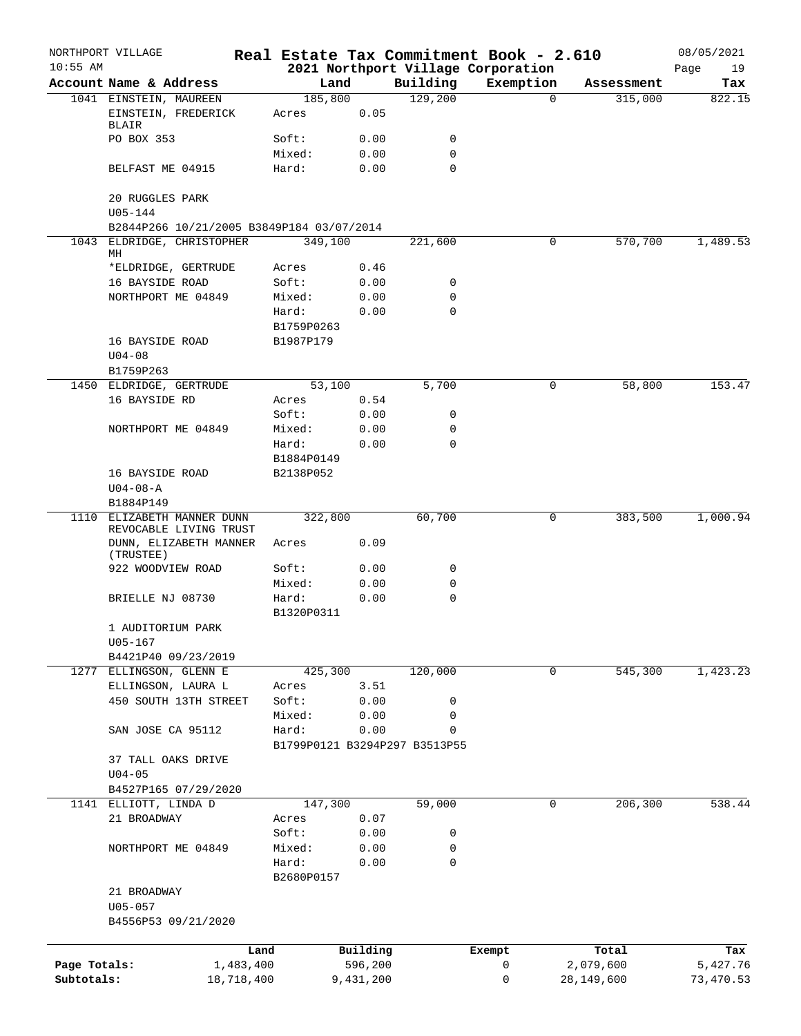| $10:55$ AM   | NORTHPORT VILLAGE                                |            |                     |           |                               | Real Estate Tax Commitment Book - 2.610<br>2021 Northport Village Corporation |                        | 08/05/2021<br>Page<br>19 |
|--------------|--------------------------------------------------|------------|---------------------|-----------|-------------------------------|-------------------------------------------------------------------------------|------------------------|--------------------------|
|              | Account Name & Address                           |            | Land                |           | Building                      | Exemption                                                                     | Assessment             | Tax                      |
|              | 1041 EINSTEIN, MAUREEN                           |            | 185,800             |           | 129,200                       |                                                                               | $\Omega$<br>315,000    | 822.15                   |
|              | EINSTEIN, FREDERICK<br>BLAIR                     |            | Acres               | 0.05      |                               |                                                                               |                        |                          |
|              | PO BOX 353                                       |            | Soft:               | 0.00      | 0                             |                                                                               |                        |                          |
|              |                                                  |            | Mixed:              | 0.00      | 0                             |                                                                               |                        |                          |
|              | BELFAST ME 04915                                 |            | Hard:               | 0.00      | $\mathbf 0$                   |                                                                               |                        |                          |
|              | 20 RUGGLES PARK<br>U05-144                       |            |                     |           |                               |                                                                               |                        |                          |
|              | B2844P266 10/21/2005 B3849P184 03/07/2014        |            |                     |           |                               |                                                                               |                        |                          |
| 1043         | ELDRIDGE, CHRISTOPHER<br>МH                      |            | 349,100             |           | 221,600                       |                                                                               | 0<br>570,700           | 1,489.53                 |
|              | *ELDRIDGE, GERTRUDE                              |            | Acres               | 0.46      |                               |                                                                               |                        |                          |
|              | 16 BAYSIDE ROAD                                  |            | Soft:               | 0.00      | 0                             |                                                                               |                        |                          |
|              | NORTHPORT ME 04849                               |            | Mixed:              | 0.00      | 0                             |                                                                               |                        |                          |
|              |                                                  |            | Hard:               | 0.00      | $\mathbf 0$                   |                                                                               |                        |                          |
|              |                                                  |            | B1759P0263          |           |                               |                                                                               |                        |                          |
|              | 16 BAYSIDE ROAD                                  |            | B1987P179           |           |                               |                                                                               |                        |                          |
|              | $U04 - 08$                                       |            |                     |           |                               |                                                                               |                        |                          |
|              | B1759P263                                        |            |                     |           |                               |                                                                               |                        |                          |
|              | 1450 ELDRIDGE, GERTRUDE                          |            | 53,100              |           | 5,700                         |                                                                               | 58,800<br>0            | 153.47                   |
|              | 16 BAYSIDE RD                                    |            | Acres               | 0.54      |                               |                                                                               |                        |                          |
|              |                                                  |            | Soft:               | 0.00      | 0                             |                                                                               |                        |                          |
|              | NORTHPORT ME 04849                               |            | Mixed:              | 0.00      | 0                             |                                                                               |                        |                          |
|              |                                                  |            | Hard:               | 0.00      | $\mathbf 0$                   |                                                                               |                        |                          |
|              |                                                  |            | B1884P0149          |           |                               |                                                                               |                        |                          |
|              | 16 BAYSIDE ROAD                                  |            | B2138P052           |           |                               |                                                                               |                        |                          |
|              |                                                  |            |                     |           |                               |                                                                               |                        |                          |
|              | $U04 - 08 - A$<br>B1884P149                      |            |                     |           |                               |                                                                               |                        |                          |
| 1110         | ELIZABETH MANNER DUNN                            |            | 322,800             |           | 60,700                        |                                                                               | 0<br>383,500           | 1,000.94                 |
|              | REVOCABLE LIVING TRUST<br>DUNN, ELIZABETH MANNER |            | Acres               | 0.09      |                               |                                                                               |                        |                          |
|              | (TRUSTEE)                                        |            |                     |           |                               |                                                                               |                        |                          |
|              | 922 WOODVIEW ROAD                                |            | Soft:               | 0.00      | 0                             |                                                                               |                        |                          |
|              |                                                  |            | Mixed:              | 0.00      | 0                             |                                                                               |                        |                          |
|              | BRIELLE NJ 08730                                 |            | Hard:<br>B1320P0311 | 0.00      | 0                             |                                                                               |                        |                          |
|              | 1 AUDITORIUM PARK                                |            |                     |           |                               |                                                                               |                        |                          |
|              | $U05 - 167$                                      |            |                     |           |                               |                                                                               |                        |                          |
|              | B4421P40 09/23/2019                              |            |                     |           |                               |                                                                               |                        |                          |
|              | 1277 ELLINGSON, GLENN E                          |            | 425,300             |           | 120,000                       |                                                                               | $\mathbf 0$<br>545,300 | 1,423.23                 |
|              | ELLINGSON, LAURA L                               |            | Acres               | 3.51      |                               |                                                                               |                        |                          |
|              | 450 SOUTH 13TH STREET                            |            | Soft:               | 0.00      | 0                             |                                                                               |                        |                          |
|              |                                                  |            | Mixed:              | 0.00      | 0                             |                                                                               |                        |                          |
|              | SAN JOSE CA 95112                                |            | Hard:               | 0.00      | 0                             |                                                                               |                        |                          |
|              |                                                  |            |                     |           | B1799P0121 B3294P297 B3513P55 |                                                                               |                        |                          |
|              | 37 TALL OAKS DRIVE                               |            |                     |           |                               |                                                                               |                        |                          |
|              | $U04 - 05$                                       |            |                     |           |                               |                                                                               |                        |                          |
|              | B4527P165 07/29/2020                             |            |                     |           |                               |                                                                               |                        |                          |
| 1141         | ELLIOTT, LINDA D                                 |            | 147,300             |           | 59,000                        |                                                                               | 206, 300<br>0          | 538.44                   |
|              | 21 BROADWAY                                      |            | Acres               | 0.07      |                               |                                                                               |                        |                          |
|              |                                                  |            | Soft:               | 0.00      | 0                             |                                                                               |                        |                          |
|              | NORTHPORT ME 04849                               |            | Mixed:              | 0.00      | 0                             |                                                                               |                        |                          |
|              |                                                  |            | Hard:               | 0.00      | $\mathbf 0$                   |                                                                               |                        |                          |
|              |                                                  |            | B2680P0157          |           |                               |                                                                               |                        |                          |
|              |                                                  |            |                     |           |                               |                                                                               |                        |                          |
|              | 21 BROADWAY                                      |            |                     |           |                               |                                                                               |                        |                          |
|              | $U05 - 057$                                      |            |                     |           |                               |                                                                               |                        |                          |
|              | B4556P53 09/21/2020                              |            |                     |           |                               |                                                                               |                        |                          |
|              |                                                  |            |                     |           |                               |                                                                               |                        |                          |
|              |                                                  | Land       |                     | Building  |                               | Exempt                                                                        | Total                  | Tax                      |
| Page Totals: |                                                  | 1,483,400  |                     | 596,200   |                               | 0                                                                             | 2,079,600              | 5,427.76                 |
| Subtotals:   |                                                  | 18,718,400 |                     | 9,431,200 |                               | 0                                                                             | 28,149,600             | 73,470.53                |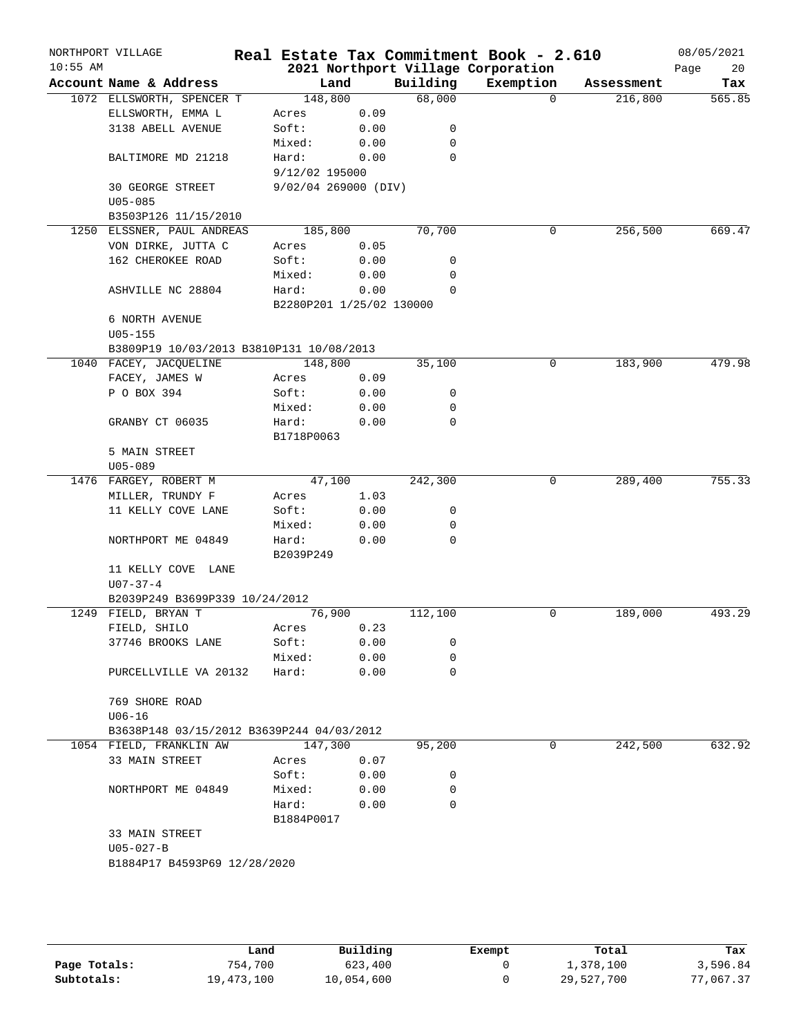|            | NORTHPORT VILLAGE                         |                          |      |             | Real Estate Tax Commitment Book - 2.610 |            | 08/05/2021 |
|------------|-------------------------------------------|--------------------------|------|-------------|-----------------------------------------|------------|------------|
| $10:55$ AM |                                           |                          |      |             | 2021 Northport Village Corporation      |            | Page<br>20 |
|            | Account Name & Address                    | Land                     |      | Building    | Exemption                               | Assessment | Tax        |
|            | 1072 ELLSWORTH, SPENCER T                 | 148,800                  |      | 68,000      | $\Omega$                                | 216,800    | 565.85     |
|            | ELLSWORTH, EMMA L                         | Acres                    | 0.09 |             |                                         |            |            |
|            | 3138 ABELL AVENUE                         | Soft:                    | 0.00 | 0           |                                         |            |            |
|            |                                           | Mixed:                   | 0.00 | 0           |                                         |            |            |
|            | BALTIMORE MD 21218                        | Hard:                    | 0.00 | $\Omega$    |                                         |            |            |
|            |                                           | 9/12/02 195000           |      |             |                                         |            |            |
|            | <b>30 GEORGE STREET</b>                   | 9/02/04 269000 (DIV)     |      |             |                                         |            |            |
|            | $U05 - 085$                               |                          |      |             |                                         |            |            |
|            | B3503P126 11/15/2010                      |                          |      |             |                                         |            |            |
|            | 1250 ELSSNER, PAUL ANDREAS                | 185,800                  |      | 70,700      | 0                                       | 256,500    | 669.47     |
|            | VON DIRKE, JUTTA C                        | Acres                    | 0.05 |             |                                         |            |            |
|            | 162 CHEROKEE ROAD                         | Soft:                    | 0.00 | 0           |                                         |            |            |
|            |                                           | Mixed:                   | 0.00 | 0           |                                         |            |            |
|            | ASHVILLE NC 28804                         | Hard:                    | 0.00 | $\Omega$    |                                         |            |            |
|            |                                           | B2280P201 1/25/02 130000 |      |             |                                         |            |            |
|            | 6 NORTH AVENUE                            |                          |      |             |                                         |            |            |
|            | $U05 - 155$                               |                          |      |             |                                         |            |            |
|            | B3809P19 10/03/2013 B3810P131 10/08/2013  |                          |      |             |                                         |            |            |
|            | 1040 FACEY, JACQUELINE                    | 148,800                  |      | 35,100      | 0                                       | 183,900    | 479.98     |
|            | FACEY, JAMES W                            | Acres                    | 0.09 |             |                                         |            |            |
|            | P O BOX 394                               | Soft:                    | 0.00 | 0           |                                         |            |            |
|            |                                           | Mixed:                   | 0.00 | 0           |                                         |            |            |
|            | GRANBY CT 06035                           | Hard:                    | 0.00 | $\mathbf 0$ |                                         |            |            |
|            |                                           | B1718P0063               |      |             |                                         |            |            |
|            | 5 MAIN STREET                             |                          |      |             |                                         |            |            |
|            | $U05 - 089$                               |                          |      |             |                                         |            |            |
|            | 1476 FARGEY, ROBERT M                     | 47,100                   |      | 242,300     | 0                                       | 289,400    | 755.33     |
|            | MILLER, TRUNDY F                          | Acres                    | 1.03 |             |                                         |            |            |
|            | 11 KELLY COVE LANE                        | Soft:                    | 0.00 | 0           |                                         |            |            |
|            |                                           | Mixed:                   | 0.00 | 0           |                                         |            |            |
|            | NORTHPORT ME 04849                        | Hard:                    | 0.00 | $\mathbf 0$ |                                         |            |            |
|            |                                           | B2039P249                |      |             |                                         |            |            |
|            | 11 KELLY COVE LANE                        |                          |      |             |                                         |            |            |
|            | $U07 - 37 - 4$                            |                          |      |             |                                         |            |            |
|            | B2039P249 B3699P339 10/24/2012            |                          |      |             |                                         |            |            |
|            | 1249 FIELD, BRYAN T                       | 76,900                   |      | 112,100     | 0                                       | 189,000    | 493.29     |
|            | FIELD, SHILO                              | Acres                    | 0.23 |             |                                         |            |            |
|            | 37746 BROOKS LANE                         | Soft:                    | 0.00 | 0           |                                         |            |            |
|            |                                           | Mixed:                   | 0.00 | 0           |                                         |            |            |
|            | PURCELLVILLE VA 20132                     | Hard:                    | 0.00 | $\Omega$    |                                         |            |            |
|            |                                           |                          |      |             |                                         |            |            |
|            | 769 SHORE ROAD                            |                          |      |             |                                         |            |            |
|            | $U06-16$                                  |                          |      |             |                                         |            |            |
|            | B3638P148 03/15/2012 B3639P244 04/03/2012 |                          |      |             |                                         |            |            |
|            | 1054 FIELD, FRANKLIN AW                   | 147,300                  |      | 95,200      | 0                                       | 242,500    | 632.92     |
|            | 33 MAIN STREET                            | Acres                    | 0.07 |             |                                         |            |            |
|            |                                           | Soft:                    | 0.00 | 0           |                                         |            |            |
|            | NORTHPORT ME 04849                        | Mixed:                   | 0.00 | 0           |                                         |            |            |
|            |                                           | Hard:                    | 0.00 | $\Omega$    |                                         |            |            |
|            |                                           | B1884P0017               |      |             |                                         |            |            |
|            | 33 MAIN STREET                            |                          |      |             |                                         |            |            |
|            | $U05 - 027 - B$                           |                          |      |             |                                         |            |            |
|            | B1884P17 B4593P69 12/28/2020              |                          |      |             |                                         |            |            |
|            |                                           |                          |      |             |                                         |            |            |
|            |                                           |                          |      |             |                                         |            |            |

|              | Land       | Building   | Exempt | Total      | Tax       |
|--------------|------------|------------|--------|------------|-----------|
| Page Totals: | 754,700    | 623,400    |        | 1,378,100  | 3,596.84  |
| Subtotals:   | 19,473,100 | 10,054,600 |        | 29,527,700 | 77,067.37 |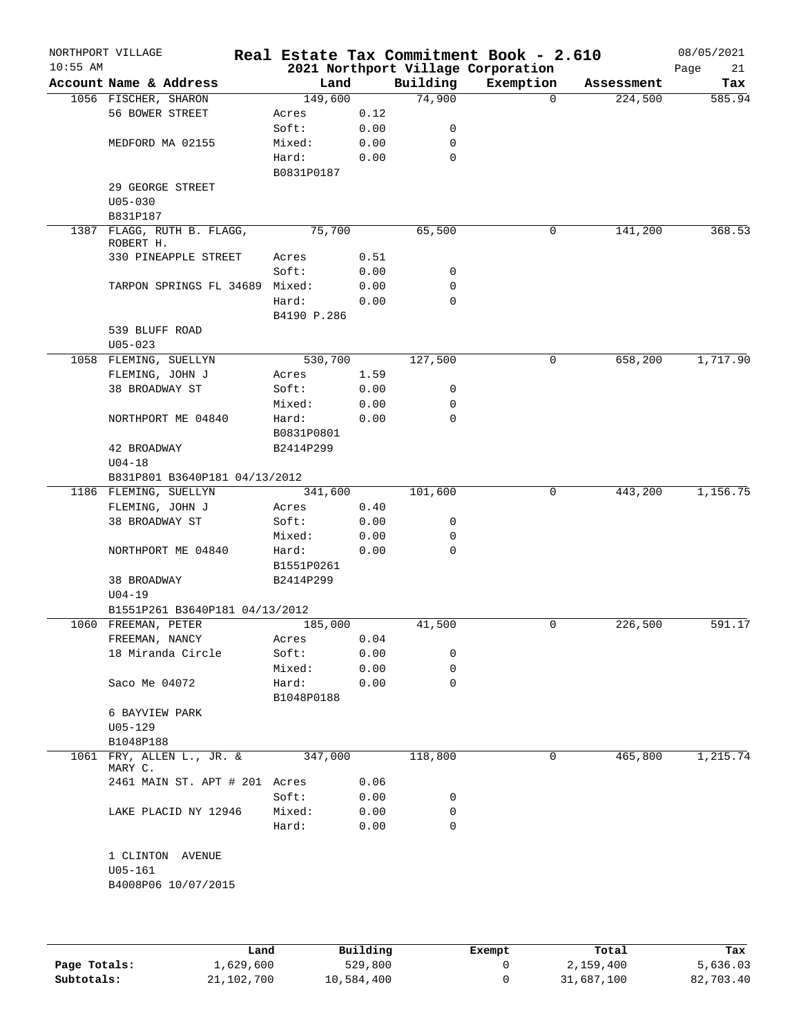| $10:55$ AM | NORTHPORT VILLAGE                        |                     |      |             | Real Estate Tax Commitment Book - 2.610<br>2021 Northport Village Corporation |            | 08/05/2021<br>Page<br>21 |
|------------|------------------------------------------|---------------------|------|-------------|-------------------------------------------------------------------------------|------------|--------------------------|
|            | Account Name & Address                   | Land                |      | Building    | Exemption                                                                     | Assessment | Tax                      |
|            | 1056 FISCHER, SHARON                     | 149,600             |      | 74,900      | $\Omega$                                                                      | 224,500    | 585.94                   |
|            | 56 BOWER STREET                          | Acres               | 0.12 |             |                                                                               |            |                          |
|            |                                          | Soft:               | 0.00 | 0           |                                                                               |            |                          |
|            | MEDFORD MA 02155                         | Mixed:              | 0.00 | 0           |                                                                               |            |                          |
|            |                                          | Hard:               | 0.00 | 0           |                                                                               |            |                          |
|            |                                          | B0831P0187          |      |             |                                                                               |            |                          |
|            | 29 GEORGE STREET                         |                     |      |             |                                                                               |            |                          |
|            | $U05 - 030$                              |                     |      |             |                                                                               |            |                          |
|            | B831P187                                 |                     |      |             |                                                                               |            |                          |
|            | 1387 FLAGG, RUTH B. FLAGG,               | 75,700              |      | 65,500      | 0                                                                             | 141,200    | 368.53                   |
|            | ROBERT H.<br>330 PINEAPPLE STREET        | Acres               | 0.51 |             |                                                                               |            |                          |
|            |                                          | Soft:               | 0.00 | 0           |                                                                               |            |                          |
|            | TARPON SPRINGS FL 34689 Mixed:           |                     | 0.00 | 0           |                                                                               |            |                          |
|            |                                          | Hard:               | 0.00 | $\mathbf 0$ |                                                                               |            |                          |
|            |                                          | B4190 P.286         |      |             |                                                                               |            |                          |
|            | 539 BLUFF ROAD                           |                     |      |             |                                                                               |            |                          |
|            | $U05 - 023$                              |                     |      |             |                                                                               |            |                          |
|            | 1058 FLEMING, SUELLYN                    | 530,700             |      | 127,500     | 0                                                                             | 658,200    | 1,717.90                 |
|            | FLEMING, JOHN J                          | Acres               | 1.59 |             |                                                                               |            |                          |
|            | 38 BROADWAY ST                           | Soft:               | 0.00 | 0           |                                                                               |            |                          |
|            |                                          |                     | 0.00 | 0           |                                                                               |            |                          |
|            |                                          | Mixed:              |      |             |                                                                               |            |                          |
|            | NORTHPORT ME 04840                       | Hard:               | 0.00 | 0           |                                                                               |            |                          |
|            |                                          | B0831P0801          |      |             |                                                                               |            |                          |
|            | 42 BROADWAY                              | B2414P299           |      |             |                                                                               |            |                          |
|            | $U04 - 18$                               |                     |      |             |                                                                               |            |                          |
|            | B831P801 B3640P181 04/13/2012            | 341,600             |      | 101,600     | $\mathbf 0$                                                                   | 443,200    | 1,156.75                 |
|            | 1186 FLEMING, SUELLYN<br>FLEMING, JOHN J |                     | 0.40 |             |                                                                               |            |                          |
|            |                                          | Acres               |      |             |                                                                               |            |                          |
|            | 38 BROADWAY ST                           | Soft:               | 0.00 | 0           |                                                                               |            |                          |
|            |                                          | Mixed:              | 0.00 | 0           |                                                                               |            |                          |
|            | NORTHPORT ME 04840                       | Hard:<br>B1551P0261 | 0.00 | 0           |                                                                               |            |                          |
|            |                                          |                     |      |             |                                                                               |            |                          |
|            | 38 BROADWAY<br>$U04 - 19$                | B2414P299           |      |             |                                                                               |            |                          |
|            | B1551P261 B3640P181 04/13/2012           |                     |      |             |                                                                               |            |                          |
|            | 1060 FREEMAN, PETER                      | 185,000             |      | 41,500      | 0                                                                             | 226,500    | 591.17                   |
|            | FREEMAN, NANCY                           | Acres               | 0.04 |             |                                                                               |            |                          |
|            | 18 Miranda Circle                        | Soft:               | 0.00 | 0           |                                                                               |            |                          |
|            |                                          | Mixed:              | 0.00 | 0           |                                                                               |            |                          |
|            | Saco Me 04072                            | Hard:               | 0.00 | 0           |                                                                               |            |                          |
|            |                                          | B1048P0188          |      |             |                                                                               |            |                          |
|            | 6 BAYVIEW PARK                           |                     |      |             |                                                                               |            |                          |
|            | $U05 - 129$                              |                     |      |             |                                                                               |            |                          |
|            | B1048P188                                |                     |      |             |                                                                               |            |                          |
|            | 1061 FRY, ALLEN L., JR. &<br>MARY C.     | 347,000             |      | 118,800     | 0                                                                             | 465,800    | 1,215.74                 |
|            | 2461 MAIN ST. APT # 201 Acres            |                     | 0.06 |             |                                                                               |            |                          |
|            |                                          | Soft:               | 0.00 | 0           |                                                                               |            |                          |
|            | LAKE PLACID NY 12946                     | Mixed:              | 0.00 | 0           |                                                                               |            |                          |
|            |                                          | Hard:               | 0.00 | 0           |                                                                               |            |                          |
|            | 1 CLINTON AVENUE                         |                     |      |             |                                                                               |            |                          |
|            | $U05 - 161$                              |                     |      |             |                                                                               |            |                          |
|            | B4008P06 10/07/2015                      |                     |      |             |                                                                               |            |                          |
|            |                                          |                     |      |             |                                                                               |            |                          |
|            |                                          |                     |      |             |                                                                               |            |                          |
|            |                                          |                     |      |             |                                                                               |            |                          |
|            |                                          |                     |      |             |                                                                               |            |                          |

|              | Land       | Building   | Exempt | Total      | Tax       |
|--------------|------------|------------|--------|------------|-----------|
| Page Totals: | 1,629,600  | 529,800    |        | 2,159,400  | 5,636.03  |
| Subtotals:   | 21,102,700 | 10,584,400 |        | 31,687,100 | 82,703.40 |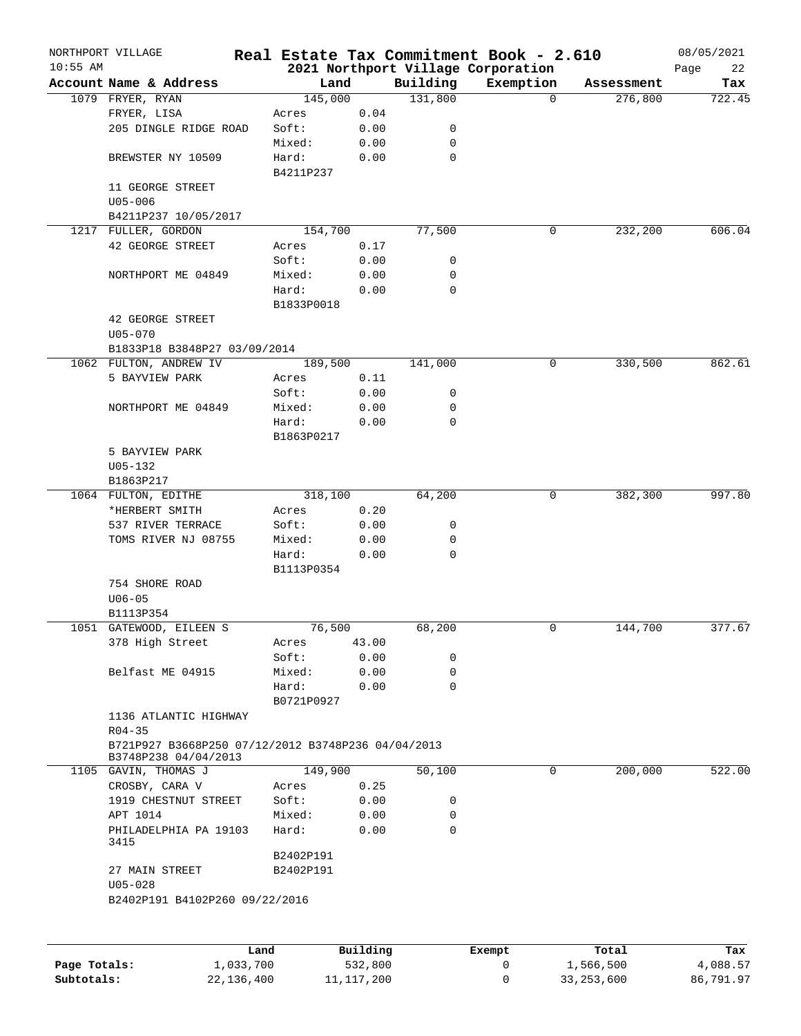|              | NORTHPORT VILLAGE                                                          |              |                    |              |          | Real Estate Tax Commitment Book - 2.610 |              | 08/05/2021 |
|--------------|----------------------------------------------------------------------------|--------------|--------------------|--------------|----------|-----------------------------------------|--------------|------------|
| $10:55$ AM   |                                                                            |              |                    |              |          | 2021 Northport Village Corporation      |              | Page<br>22 |
|              | Account Name & Address                                                     |              | Land               |              | Building | Exemption                               | Assessment   | Tax        |
|              | 1079 FRYER, RYAN                                                           |              | 145,000            |              | 131,800  | $\mathbf 0$                             | 276,800      | 722.45     |
|              | FRYER, LISA                                                                |              | Acres              | 0.04         |          |                                         |              |            |
|              | 205 DINGLE RIDGE ROAD                                                      |              | Soft:              | 0.00         | 0        |                                         |              |            |
|              |                                                                            |              | Mixed:             | 0.00         | 0        |                                         |              |            |
|              | BREWSTER NY 10509                                                          |              | Hard:<br>B4211P237 | 0.00         | 0        |                                         |              |            |
|              | 11 GEORGE STREET<br>$U05 - 006$                                            |              |                    |              |          |                                         |              |            |
|              | B4211P237 10/05/2017                                                       |              |                    |              |          |                                         |              |            |
|              | 1217 FULLER, GORDON                                                        |              | 154,700            |              | 77,500   | 0                                       | 232,200      | 606.04     |
|              | 42 GEORGE STREET                                                           |              | Acres              | 0.17         |          |                                         |              |            |
|              |                                                                            |              | Soft:              | 0.00         | 0        |                                         |              |            |
|              | NORTHPORT ME 04849                                                         |              | Mixed:             | 0.00         | 0        |                                         |              |            |
|              |                                                                            |              | Hard:              | 0.00         | 0        |                                         |              |            |
|              |                                                                            |              | B1833P0018         |              |          |                                         |              |            |
|              | 42 GEORGE STREET<br>$U05 - 070$                                            |              |                    |              |          |                                         |              |            |
|              | B1833P18 B3848P27 03/09/2014                                               |              |                    |              |          |                                         |              |            |
|              | 1062 FULTON, ANDREW IV                                                     |              | 189,500            |              | 141,000  | 0                                       | 330,500      | 862.61     |
|              | 5 BAYVIEW PARK                                                             |              | Acres              | 0.11         |          |                                         |              |            |
|              |                                                                            |              | Soft:              | 0.00         | 0        |                                         |              |            |
|              | NORTHPORT ME 04849                                                         |              | Mixed:             | 0.00         | 0        |                                         |              |            |
|              |                                                                            |              | Hard:              | 0.00         | 0        |                                         |              |            |
|              |                                                                            |              | B1863P0217         |              |          |                                         |              |            |
|              | 5 BAYVIEW PARK                                                             |              |                    |              |          |                                         |              |            |
|              | $U05 - 132$                                                                |              |                    |              |          |                                         |              |            |
|              | B1863P217                                                                  |              |                    |              |          |                                         |              |            |
|              | 1064 FULTON, EDITHE                                                        |              | 318,100            |              | 64,200   | 0                                       | 382,300      | 997.80     |
|              | *HERBERT SMITH                                                             |              | Acres              | 0.20         |          |                                         |              |            |
|              | 537 RIVER TERRACE                                                          |              | Soft:              | 0.00         | 0        |                                         |              |            |
|              | TOMS RIVER NJ 08755                                                        |              | Mixed:             | 0.00         | 0        |                                         |              |            |
|              |                                                                            |              | Hard:              | 0.00         | 0        |                                         |              |            |
|              |                                                                            |              | B1113P0354         |              |          |                                         |              |            |
|              | 754 SHORE ROAD                                                             |              |                    |              |          |                                         |              |            |
|              | $U06 - 05$                                                                 |              |                    |              |          |                                         |              |            |
|              | B1113P354                                                                  |              |                    |              |          |                                         |              |            |
|              | 1051 GATEWOOD, EILEEN S                                                    |              | 76,500             |              | 68,200   | 0                                       | 144,700      | 377.67     |
|              | 378 High Street                                                            |              | Acres              | 43.00        |          |                                         |              |            |
|              |                                                                            |              | Soft:              | 0.00         | 0        |                                         |              |            |
|              | Belfast ME 04915                                                           |              | Mixed:             | 0.00         | 0        |                                         |              |            |
|              |                                                                            |              | Hard:              | 0.00         | 0        |                                         |              |            |
|              |                                                                            |              | B0721P0927         |              |          |                                         |              |            |
|              | 1136 ATLANTIC HIGHWAY                                                      |              |                    |              |          |                                         |              |            |
|              | $R04 - 35$                                                                 |              |                    |              |          |                                         |              |            |
|              | B721P927 B3668P250 07/12/2012 B3748P236 04/04/2013<br>B3748P238 04/04/2013 |              |                    |              |          |                                         |              |            |
|              | 1105 GAVIN, THOMAS J                                                       |              | 149,900            |              | 50,100   | 0                                       | 200,000      | 522.00     |
|              | CROSBY, CARA V                                                             |              | Acres              | 0.25         |          |                                         |              |            |
|              | 1919 CHESTNUT STREET                                                       |              | Soft:              | 0.00         | 0        |                                         |              |            |
|              | APT 1014                                                                   |              | Mixed:             | 0.00         | 0        |                                         |              |            |
|              | PHILADELPHIA PA 19103<br>3415                                              |              | Hard:              | 0.00         | 0        |                                         |              |            |
|              |                                                                            |              | B2402P191          |              |          |                                         |              |            |
|              | 27 MAIN STREET                                                             |              | B2402P191          |              |          |                                         |              |            |
|              | $U05 - 028$                                                                |              |                    |              |          |                                         |              |            |
|              | B2402P191 B4102P260 09/22/2016                                             |              |                    |              |          |                                         |              |            |
|              |                                                                            |              |                    |              |          |                                         |              |            |
|              |                                                                            | Land         |                    | Building     |          | Exempt                                  | Total        | Tax        |
| Page Totals: |                                                                            | 1,033,700    |                    | 532,800      |          | 0                                       | 1,566,500    | 4,088.57   |
| Subtotals:   |                                                                            | 22, 136, 400 |                    | 11, 117, 200 |          | 0                                       | 33, 253, 600 | 86,791.97  |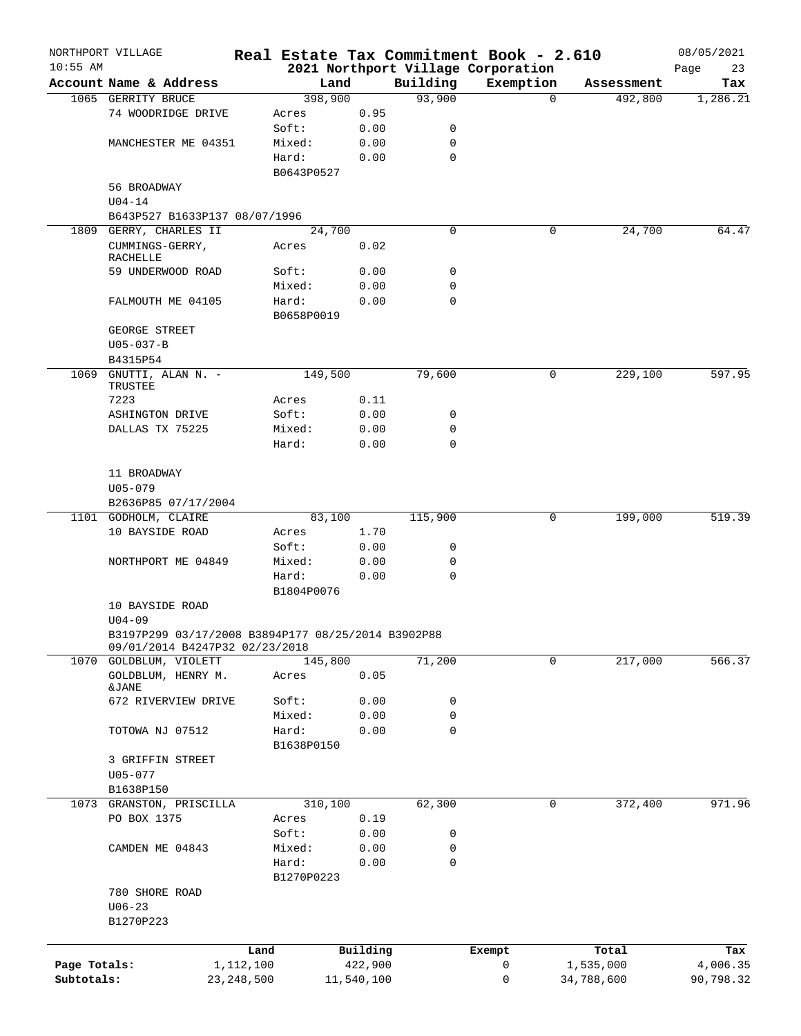|              | NORTHPORT VILLAGE                                  |              |            |            |             | Real Estate Tax Commitment Book - 2.610 |                     | 08/05/2021 |
|--------------|----------------------------------------------------|--------------|------------|------------|-------------|-----------------------------------------|---------------------|------------|
| $10:55$ AM   |                                                    |              |            |            |             | 2021 Northport Village Corporation      |                     | 23<br>Page |
|              | Account Name & Address                             |              | Land       |            | Building    | Exemption                               | Assessment          | Tax        |
|              | 1065 GERRITY BRUCE                                 |              | 398,900    |            | 93,900      |                                         | 492,800<br>$\Omega$ | 1,286.21   |
|              | 74 WOODRIDGE DRIVE                                 |              | Acres      | 0.95       |             |                                         |                     |            |
|              |                                                    |              | Soft:      | 0.00       | 0           |                                         |                     |            |
|              | MANCHESTER ME 04351                                |              | Mixed:     | 0.00       | 0           |                                         |                     |            |
|              |                                                    |              | Hard:      | 0.00       | $\mathbf 0$ |                                         |                     |            |
|              |                                                    |              | B0643P0527 |            |             |                                         |                     |            |
|              | 56 BROADWAY                                        |              |            |            |             |                                         |                     |            |
|              | $U04 - 14$                                         |              |            |            |             |                                         |                     |            |
|              | B643P527 B1633P137 08/07/1996                      |              |            |            |             |                                         |                     |            |
| 1809         | GERRY, CHARLES II                                  |              | 24,700     |            | 0           |                                         | 24,700<br>0         | 64.47      |
|              | CUMMINGS-GERRY,<br>RACHELLE                        |              | Acres      | 0.02       |             |                                         |                     |            |
|              | 59 UNDERWOOD ROAD                                  |              | Soft:      | 0.00       | 0           |                                         |                     |            |
|              |                                                    |              | Mixed:     | 0.00       | 0           |                                         |                     |            |
|              | FALMOUTH ME 04105                                  |              | Hard:      | 0.00       | 0           |                                         |                     |            |
|              |                                                    |              | B0658P0019 |            |             |                                         |                     |            |
|              | GEORGE STREET                                      |              |            |            |             |                                         |                     |            |
|              | $U05 - 037 - B$                                    |              |            |            |             |                                         |                     |            |
|              | B4315P54                                           |              |            |            |             |                                         |                     |            |
| 1069         | GNUTTI, ALAN N. -                                  |              | 149,500    |            | 79,600      |                                         | 229,100<br>0        | 597.95     |
|              | TRUSTEE                                            |              |            |            |             |                                         |                     |            |
|              | 7223                                               |              | Acres      | 0.11       |             |                                         |                     |            |
|              | ASHINGTON DRIVE                                    |              | Soft:      | 0.00       | 0           |                                         |                     |            |
|              | DALLAS TX 75225                                    |              | Mixed:     | 0.00       | 0           |                                         |                     |            |
|              |                                                    |              | Hard:      | 0.00       | $\Omega$    |                                         |                     |            |
|              |                                                    |              |            |            |             |                                         |                     |            |
|              | 11 BROADWAY                                        |              |            |            |             |                                         |                     |            |
|              | $U05 - 079$                                        |              |            |            |             |                                         |                     |            |
|              |                                                    |              |            |            |             |                                         |                     |            |
|              | B2636P85 07/17/2004                                |              |            |            |             |                                         |                     |            |
|              | 1101 GODHOLM, CLAIRE                               |              | 83,100     |            | 115,900     |                                         | 0<br>199,000        | 519.39     |
|              | 10 BAYSIDE ROAD                                    |              | Acres      | 1.70       |             |                                         |                     |            |
|              |                                                    |              | Soft:      | 0.00       | 0           |                                         |                     |            |
|              | NORTHPORT ME 04849                                 |              | Mixed:     | 0.00       | 0           |                                         |                     |            |
|              |                                                    |              | Hard:      | 0.00       | 0           |                                         |                     |            |
|              |                                                    |              | B1804P0076 |            |             |                                         |                     |            |
|              | 10 BAYSIDE ROAD                                    |              |            |            |             |                                         |                     |            |
|              | $U04 - 09$                                         |              |            |            |             |                                         |                     |            |
|              | B3197P299 03/17/2008 B3894P177 08/25/2014 B3902P88 |              |            |            |             |                                         |                     |            |
|              | 09/01/2014 B4247P32 02/23/2018                     |              |            |            |             |                                         |                     |            |
|              | 1070 GOLDBLUM, VIOLETT                             |              | 145,800    |            | 71,200      |                                         | 217,000<br>0        | 566.37     |
|              | GOLDBLUM, HENRY M.<br>&JANE                        |              | Acres      | 0.05       |             |                                         |                     |            |
|              | 672 RIVERVIEW DRIVE                                |              | Soft:      | 0.00       | 0           |                                         |                     |            |
|              |                                                    |              | Mixed:     |            | 0           |                                         |                     |            |
|              |                                                    |              |            | 0.00       | $\mathbf 0$ |                                         |                     |            |
|              | TOTOWA NJ 07512                                    |              | Hard:      | 0.00       |             |                                         |                     |            |
|              |                                                    |              | B1638P0150 |            |             |                                         |                     |            |
|              | 3 GRIFFIN STREET                                   |              |            |            |             |                                         |                     |            |
|              | $U05 - 077$                                        |              |            |            |             |                                         |                     |            |
|              | B1638P150                                          |              |            |            |             |                                         |                     |            |
|              | 1073 GRANSTON, PRISCILLA                           |              | 310,100    |            | 62,300      |                                         | 372,400<br>0        | 971.96     |
|              | PO BOX 1375                                        |              | Acres      | 0.19       |             |                                         |                     |            |
|              |                                                    |              | Soft:      | 0.00       | 0           |                                         |                     |            |
|              | CAMDEN ME 04843                                    |              | Mixed:     | 0.00       | 0           |                                         |                     |            |
|              |                                                    |              | Hard:      | 0.00       | 0           |                                         |                     |            |
|              |                                                    |              | B1270P0223 |            |             |                                         |                     |            |
|              | 780 SHORE ROAD                                     |              |            |            |             |                                         |                     |            |
|              | $U06 - 23$                                         |              |            |            |             |                                         |                     |            |
|              | B1270P223                                          |              |            |            |             |                                         |                     |            |
|              |                                                    |              |            |            |             |                                         |                     |            |
|              |                                                    | Land         |            | Building   |             | Exempt                                  | Total               | Tax        |
| Page Totals: |                                                    | 1,112,100    |            | 422,900    |             | 0                                       | 1,535,000           | 4,006.35   |
| Subtotals:   |                                                    | 23, 248, 500 |            | 11,540,100 |             | 0                                       | 34,788,600          | 90,798.32  |
|              |                                                    |              |            |            |             |                                         |                     |            |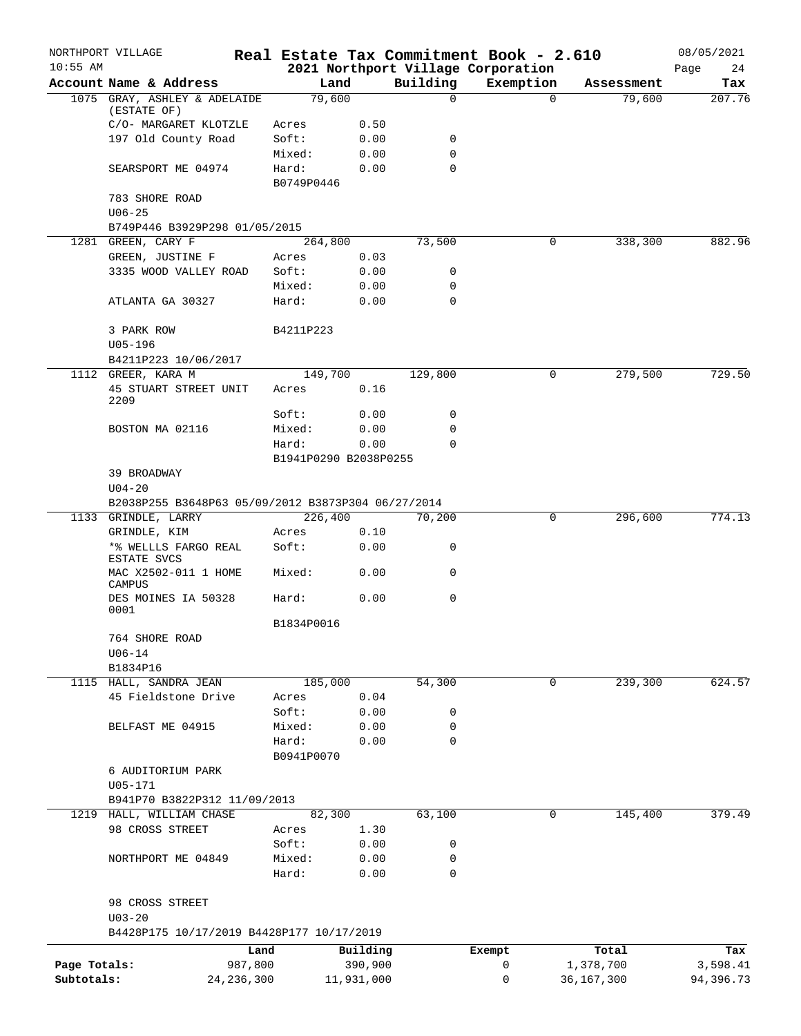|              | NORTHPORT VILLAGE                                                |                |                       |             | Real Estate Tax Commitment Book - 2.610 |                      | 08/05/2021    |
|--------------|------------------------------------------------------------------|----------------|-----------------------|-------------|-----------------------------------------|----------------------|---------------|
| $10:55$ AM   | Account Name & Address                                           |                | Land                  | Building    | 2021 Northport Village Corporation      |                      | 24<br>Page    |
|              | 1075 GRAY, ASHLEY & ADELAIDE                                     |                | 79,600                | $\mathbf 0$ | Exemption<br>$\Omega$                   | Assessment<br>79,600 | Tax<br>207.76 |
|              | (ESTATE OF)                                                      |                |                       |             |                                         |                      |               |
|              | C/O- MARGARET KLOTZLE                                            | Acres          | 0.50                  |             |                                         |                      |               |
|              | 197 Old County Road                                              | Soft:          | 0.00                  | 0           |                                         |                      |               |
|              |                                                                  | Mixed:         | 0.00                  | $\mathbf 0$ |                                         |                      |               |
|              | SEARSPORT ME 04974                                               | Hard:          | 0.00                  | 0           |                                         |                      |               |
|              | 783 SHORE ROAD                                                   | B0749P0446     |                       |             |                                         |                      |               |
|              | $U06 - 25$                                                       |                |                       |             |                                         |                      |               |
|              | B749P446 B3929P298 01/05/2015                                    |                |                       |             |                                         |                      |               |
|              | 1281 GREEN, CARY F                                               |                | 264,800               | 73,500      | 0                                       | 338,300              | 882.96        |
|              | GREEN, JUSTINE F                                                 | Acres          | 0.03                  |             |                                         |                      |               |
|              | 3335 WOOD VALLEY ROAD                                            | Soft:          | 0.00                  | 0           |                                         |                      |               |
|              |                                                                  | Mixed:         | 0.00                  | 0           |                                         |                      |               |
|              | ATLANTA GA 30327                                                 | Hard:          | 0.00                  | $\mathbf 0$ |                                         |                      |               |
|              |                                                                  |                |                       |             |                                         |                      |               |
|              | 3 PARK ROW                                                       | B4211P223      |                       |             |                                         |                      |               |
|              | $U05 - 196$<br>B4211P223 10/06/2017                              |                |                       |             |                                         |                      |               |
|              | 1112 GREER, KARA M                                               |                | 149,700               | 129,800     | 0                                       | 279,500              | 729.50        |
|              | 45 STUART STREET UNIT                                            | Acres          | 0.16                  |             |                                         |                      |               |
|              | 2209                                                             |                |                       |             |                                         |                      |               |
|              |                                                                  | Soft:          | 0.00                  | 0           |                                         |                      |               |
|              | BOSTON MA 02116                                                  | Mixed:         | 0.00                  | 0           |                                         |                      |               |
|              |                                                                  | Hard:          | 0.00                  | $\Omega$    |                                         |                      |               |
|              |                                                                  |                | B1941P0290 B2038P0255 |             |                                         |                      |               |
|              | 39 BROADWAY                                                      |                |                       |             |                                         |                      |               |
|              | $U04 - 20$<br>B2038P255 B3648P63 05/09/2012 B3873P304 06/27/2014 |                |                       |             |                                         |                      |               |
|              | 1133 GRINDLE, LARRY                                              |                | 226,400               | 70,200      | 0                                       | 296,600              | 774.13        |
|              | GRINDLE, KIM                                                     | Acres          | 0.10                  |             |                                         |                      |               |
|              | *% WELLLS FARGO REAL                                             | Soft:          | 0.00                  | 0           |                                         |                      |               |
|              | ESTATE SVCS                                                      |                |                       |             |                                         |                      |               |
|              | MAC X2502-011 1 HOME                                             | Mixed:         | 0.00                  | 0           |                                         |                      |               |
|              | CAMPUS<br>DES MOINES IA 50328                                    | Hard:          | 0.00                  | 0           |                                         |                      |               |
|              | 0001                                                             |                |                       |             |                                         |                      |               |
|              |                                                                  | B1834P0016     |                       |             |                                         |                      |               |
|              | 764 SHORE ROAD                                                   |                |                       |             |                                         |                      |               |
|              | $U06 - 14$                                                       |                |                       |             |                                         |                      |               |
|              | B1834P16                                                         |                |                       |             |                                         |                      |               |
|              | 1115 HALL, SANDRA JEAN                                           |                | 185,000               | 54,300      | 0                                       | 239,300              | 624.57        |
|              | 45 Fieldstone Drive                                              | Acres<br>Soft: | 0.04<br>0.00          | 0           |                                         |                      |               |
|              | BELFAST ME 04915                                                 | Mixed:         | 0.00                  | 0           |                                         |                      |               |
|              |                                                                  | Hard:          | 0.00                  | 0           |                                         |                      |               |
|              |                                                                  | B0941P0070     |                       |             |                                         |                      |               |
|              | 6 AUDITORIUM PARK                                                |                |                       |             |                                         |                      |               |
|              | $U05 - 171$                                                      |                |                       |             |                                         |                      |               |
|              | B941P70 B3822P312 11/09/2013                                     |                |                       |             |                                         |                      |               |
|              | 1219 HALL, WILLIAM CHASE                                         |                | 82,300                | 63,100      | 0                                       | 145,400              | 379.49        |
|              | 98 CROSS STREET                                                  | Acres          | 1.30                  |             |                                         |                      |               |
|              |                                                                  | Soft:          | 0.00                  | 0           |                                         |                      |               |
|              | NORTHPORT ME 04849                                               | Mixed:         | 0.00                  | 0           |                                         |                      |               |
|              |                                                                  | Hard:          | 0.00                  | 0           |                                         |                      |               |
|              | 98 CROSS STREET                                                  |                |                       |             |                                         |                      |               |
|              | $U03 - 20$                                                       |                |                       |             |                                         |                      |               |
|              | B4428P175 10/17/2019 B4428P177 10/17/2019                        |                |                       |             |                                         |                      |               |
|              |                                                                  | Land           | Building              |             | Exempt                                  | Total                | Tax           |
| Page Totals: |                                                                  | 987,800        | 390,900               |             | 0                                       | 1,378,700            | 3,598.41      |
| Subtotals:   | 24, 236, 300                                                     |                | 11,931,000            |             | 0                                       | 36,167,300           | 94,396.73     |
|              |                                                                  |                |                       |             |                                         |                      |               |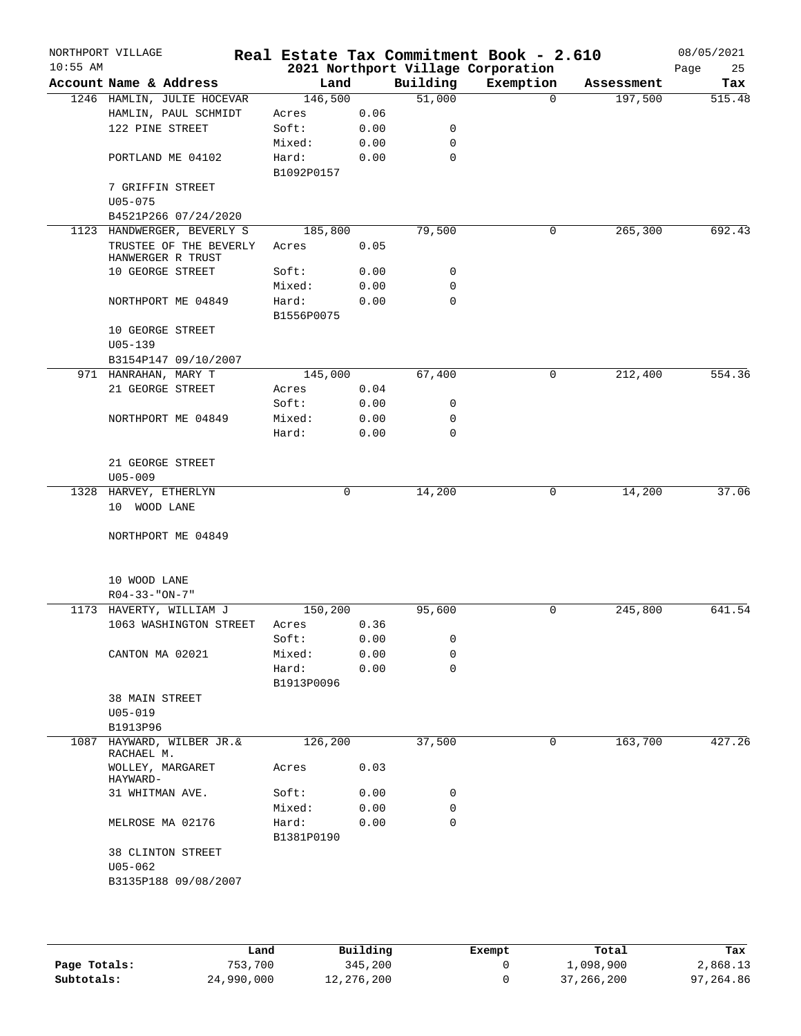| $10:55$ AM | NORTHPORT VILLAGE                           |                     |      |             | Real Estate Tax Commitment Book - 2.610<br>2021 Northport Village Corporation |            | 08/05/2021<br>Page<br>25 |
|------------|---------------------------------------------|---------------------|------|-------------|-------------------------------------------------------------------------------|------------|--------------------------|
|            | Account Name & Address                      | Land                |      | Building    | Exemption                                                                     | Assessment | Tax                      |
|            | 1246 HAMLIN, JULIE HOCEVAR                  | 146,500             |      | 51,000      | $\Omega$                                                                      | 197,500    | 515.48                   |
|            | HAMLIN, PAUL SCHMIDT                        | Acres               | 0.06 |             |                                                                               |            |                          |
|            | 122 PINE STREET                             | Soft:               | 0.00 | 0           |                                                                               |            |                          |
|            |                                             | Mixed:              | 0.00 | $\mathbf 0$ |                                                                               |            |                          |
|            | PORTLAND ME 04102                           | Hard:<br>B1092P0157 | 0.00 | $\mathbf 0$ |                                                                               |            |                          |
|            | 7 GRIFFIN STREET                            |                     |      |             |                                                                               |            |                          |
|            | $U05 - 075$<br>B4521P266 07/24/2020         |                     |      |             |                                                                               |            |                          |
|            | 1123 HANDWERGER, BEVERLY S                  | 185,800             |      | 79,500      | 0                                                                             | 265,300    | 692.43                   |
|            | TRUSTEE OF THE BEVERLY<br>HANWERGER R TRUST | Acres               | 0.05 |             |                                                                               |            |                          |
|            | 10 GEORGE STREET                            | Soft:               | 0.00 | 0           |                                                                               |            |                          |
|            |                                             | Mixed:              | 0.00 | 0           |                                                                               |            |                          |
|            | NORTHPORT ME 04849                          | Hard:<br>B1556P0075 | 0.00 | $\mathbf 0$ |                                                                               |            |                          |
|            | 10 GEORGE STREET<br>$U05 - 139$             |                     |      |             |                                                                               |            |                          |
|            | B3154P147 09/10/2007                        |                     |      |             |                                                                               |            |                          |
|            | 971 HANRAHAN, MARY T                        | 145,000             |      | 67,400      | 0                                                                             | 212,400    | 554.36                   |
|            | 21 GEORGE STREET                            | Acres               | 0.04 |             |                                                                               |            |                          |
|            |                                             | Soft:               | 0.00 | 0           |                                                                               |            |                          |
|            | NORTHPORT ME 04849                          | Mixed:              | 0.00 | 0           |                                                                               |            |                          |
|            |                                             | Hard:               | 0.00 | $\mathbf 0$ |                                                                               |            |                          |
|            | 21 GEORGE STREET                            |                     |      |             |                                                                               |            |                          |
|            | $U05 - 009$                                 |                     |      |             |                                                                               |            |                          |
|            | 1328 HARVEY, ETHERLYN<br>10 WOOD LANE       | 0                   |      | 14,200      | 0                                                                             | 14,200     | 37.06                    |
|            | NORTHPORT ME 04849                          |                     |      |             |                                                                               |            |                          |
|            | 10 WOOD LANE<br>$R04 - 33 - "ON - 7"$       |                     |      |             |                                                                               |            |                          |
|            | 1173 HAVERTY, WILLIAM J                     | 150,200             |      | 95,600      | 0                                                                             | 245,800    | 641.54                   |
|            | 1063 WASHINGTON STREET                      | Acres               | 0.36 |             |                                                                               |            |                          |
|            |                                             | Soft:               | 0.00 | 0           |                                                                               |            |                          |
|            | CANTON MA 02021                             | Mixed:              | 0.00 | 0           |                                                                               |            |                          |
|            |                                             | Hard:<br>B1913P0096 | 0.00 | 0           |                                                                               |            |                          |
|            | <b>38 MAIN STREET</b><br>$U05 - 019$        |                     |      |             |                                                                               |            |                          |
|            | B1913P96                                    |                     |      |             |                                                                               |            |                          |
|            | 1087 HAYWARD, WILBER JR. &<br>RACHAEL M.    | 126,200             |      | 37,500      | 0                                                                             | 163,700    | 427.26                   |
|            | WOLLEY, MARGARET<br>HAYWARD-                | Acres               | 0.03 |             |                                                                               |            |                          |
|            | 31 WHITMAN AVE.                             | Soft:               | 0.00 | 0           |                                                                               |            |                          |
|            |                                             | Mixed:              | 0.00 | 0           |                                                                               |            |                          |
|            | MELROSE MA 02176                            | Hard:<br>B1381P0190 | 0.00 | $\mathbf 0$ |                                                                               |            |                          |
|            | <b>38 CLINTON STREET</b><br>$U05 - 062$     |                     |      |             |                                                                               |            |                          |

|              | Land       | Building   | Exempt | Total        | Tax       |
|--------------|------------|------------|--------|--------------|-----------|
| Page Totals: | 753,700    | 345,200    |        | 1,098,900    | 2,868.13  |
| Subtotals:   | 24,990,000 | 12,276,200 |        | 37, 266, 200 | 97,264.86 |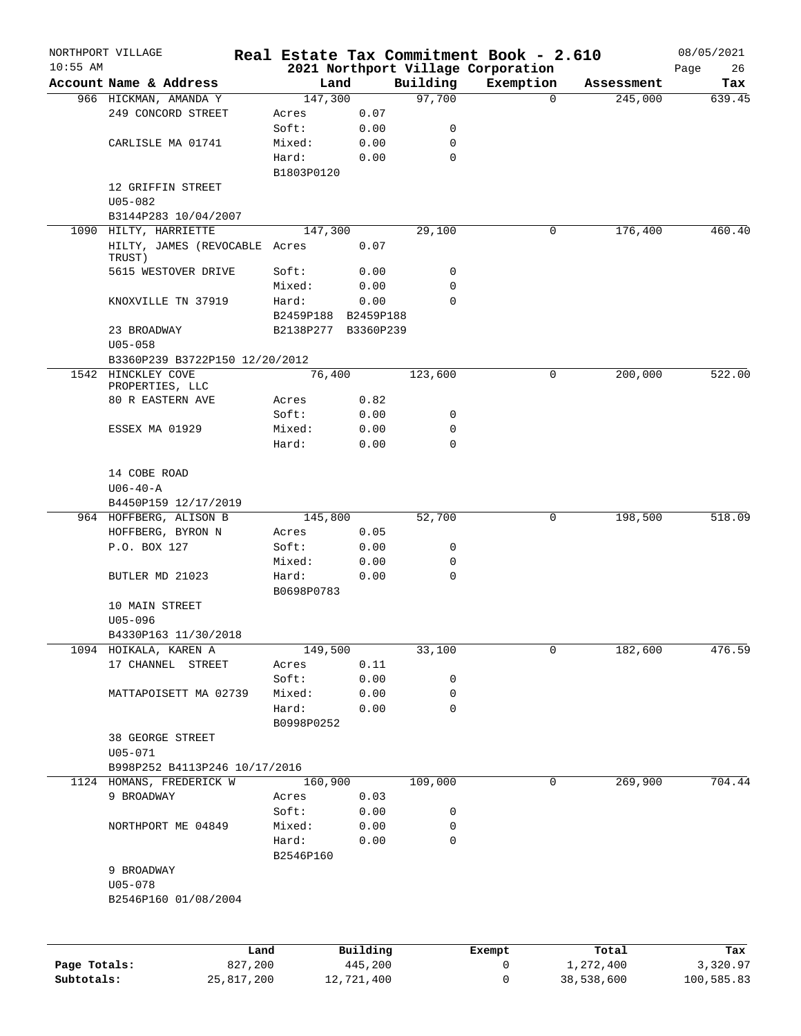|              | NORTHPORT VILLAGE                       |                     |            |             | Real Estate Tax Commitment Book - 2.610 |            | 08/05/2021 |
|--------------|-----------------------------------------|---------------------|------------|-------------|-----------------------------------------|------------|------------|
| $10:55$ AM   |                                         |                     |            |             | 2021 Northport Village Corporation      |            | 26<br>Page |
|              | Account Name & Address                  | Land                |            | Building    | Exemption                               | Assessment | Tax        |
|              | 966 HICKMAN, AMANDA Y                   | 147,300             |            | 97,700      | $\Omega$                                | 245,000    | 639.45     |
|              | 249 CONCORD STREET                      | Acres               | 0.07       |             |                                         |            |            |
|              |                                         | Soft:               | 0.00       | 0           |                                         |            |            |
|              | CARLISLE MA 01741                       | Mixed:              | 0.00       | 0<br>0      |                                         |            |            |
|              |                                         | Hard:               | 0.00       |             |                                         |            |            |
|              | 12 GRIFFIN STREET                       | B1803P0120          |            |             |                                         |            |            |
|              | $U05 - 082$                             |                     |            |             |                                         |            |            |
|              | B3144P283 10/04/2007                    |                     |            |             |                                         |            |            |
|              | 1090 HILTY, HARRIETTE                   | 147,300             |            | 29,100      | 0                                       | 176,400    | 460.40     |
|              | HILTY, JAMES (REVOCABLE Acres<br>TRUST) |                     | 0.07       |             |                                         |            |            |
|              | 5615 WESTOVER DRIVE                     | Soft:               | 0.00       | 0           |                                         |            |            |
|              |                                         | Mixed:              | 0.00       | 0           |                                         |            |            |
|              | KNOXVILLE TN 37919                      | Hard:               | 0.00       | 0           |                                         |            |            |
|              |                                         | B2459P188 B2459P188 |            |             |                                         |            |            |
|              | 23 BROADWAY                             | B2138P277 B3360P239 |            |             |                                         |            |            |
|              | $U05 - 058$                             |                     |            |             |                                         |            |            |
|              | B3360P239 B3722P150 12/20/2012          |                     |            |             |                                         |            |            |
|              | 1542 HINCKLEY COVE                      | 76,400              |            | 123,600     | 0                                       | 200,000    | 522.00     |
|              | PROPERTIES, LLC                         |                     |            |             |                                         |            |            |
|              | 80 R EASTERN AVE                        | Acres               | 0.82       |             |                                         |            |            |
|              |                                         | Soft:               | 0.00       | 0           |                                         |            |            |
|              | ESSEX MA 01929                          | Mixed:              | 0.00       | $\mathbf 0$ |                                         |            |            |
|              |                                         | Hard:               | 0.00       | 0           |                                         |            |            |
|              |                                         |                     |            |             |                                         |            |            |
|              | 14 COBE ROAD                            |                     |            |             |                                         |            |            |
|              | $U06 - 40 - A$                          |                     |            |             |                                         |            |            |
|              | B4450P159 12/17/2019                    |                     |            |             |                                         |            |            |
|              | 964 HOFFBERG, ALISON B                  | 145,800             |            | 52,700      | 0                                       | 198,500    | 518.09     |
|              | HOFFBERG, BYRON N                       | Acres               | 0.05       |             |                                         |            |            |
|              | P.O. BOX 127                            | Soft:               | 0.00       | 0           |                                         |            |            |
|              |                                         | Mixed:              | 0.00       | 0           |                                         |            |            |
|              | BUTLER MD 21023                         | Hard:               | 0.00       | 0           |                                         |            |            |
|              |                                         | B0698P0783          |            |             |                                         |            |            |
|              | 10 MAIN STREET                          |                     |            |             |                                         |            |            |
|              | $U05 - 096$                             |                     |            |             |                                         |            |            |
|              | B4330P163 11/30/2018                    |                     |            |             |                                         |            |            |
|              | 1094 HOIKALA, KAREN A                   | 149,500             |            | 33,100      | 0                                       | 182,600    | 476.59     |
|              | 17 CHANNEL STREET                       | Acres               | 0.11       |             |                                         |            |            |
|              |                                         | Soft:               | 0.00       | 0           |                                         |            |            |
|              | MATTAPOISETT MA 02739                   | Mixed:              | 0.00       | 0           |                                         |            |            |
|              |                                         | Hard:               | 0.00       | 0           |                                         |            |            |
|              |                                         | B0998P0252          |            |             |                                         |            |            |
|              | 38 GEORGE STREET                        |                     |            |             |                                         |            |            |
|              | $U05 - 071$                             |                     |            |             |                                         |            |            |
|              | B998P252 B4113P246 10/17/2016           |                     |            |             |                                         |            |            |
|              | 1124 HOMANS, FREDERICK W                | 160,900             |            | 109,000     | $\mathbf 0$                             | 269,900    | 704.44     |
|              | 9 BROADWAY                              | Acres               | 0.03       |             |                                         |            |            |
|              |                                         | Soft:               | 0.00       | 0           |                                         |            |            |
|              | NORTHPORT ME 04849                      | Mixed:              | 0.00       | 0           |                                         |            |            |
|              |                                         | Hard:               | 0.00       | 0           |                                         |            |            |
|              |                                         | B2546P160           |            |             |                                         |            |            |
|              | 9 BROADWAY                              |                     |            |             |                                         |            |            |
|              | $U05 - 078$                             |                     |            |             |                                         |            |            |
|              | B2546P160 01/08/2004                    |                     |            |             |                                         |            |            |
|              |                                         |                     |            |             |                                         |            |            |
|              | Land                                    |                     | Building   |             | Exempt                                  | Total      | Tax        |
| Page Totals: | 827,200                                 |                     | 445,200    |             | 0                                       | 1,272,400  | 3,320.97   |
| Subtotals:   | 25,817,200                              |                     | 12,721,400 |             | 0                                       | 38,538,600 | 100,585.83 |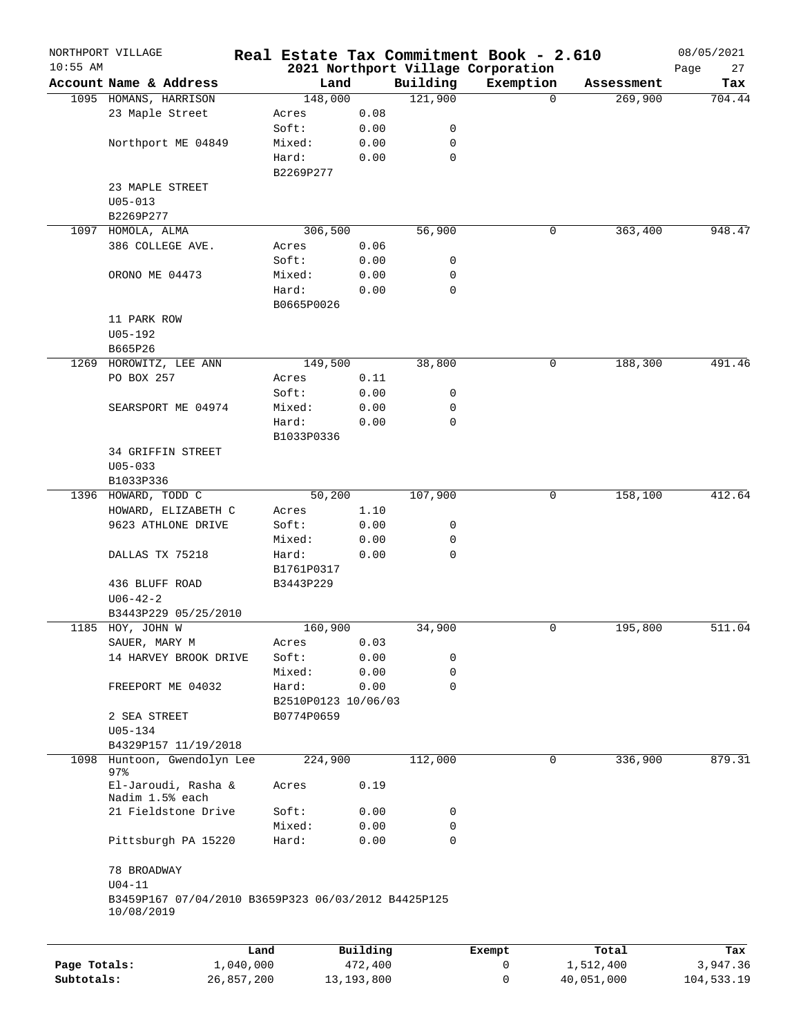| $10:55$ AM   | NORTHPORT VILLAGE                                   |            |                     |              |          | Real Estate Tax Commitment Book - 2.610<br>2021 Northport Village Corporation |            | 08/05/2021<br>Page<br>27 |
|--------------|-----------------------------------------------------|------------|---------------------|--------------|----------|-------------------------------------------------------------------------------|------------|--------------------------|
|              | Account Name & Address                              |            | Land                |              | Building | Exemption                                                                     | Assessment | Tax                      |
|              | 1095 HOMANS, HARRISON                               |            | 148,000             |              | 121,900  | $\Omega$                                                                      | 269,900    | 704.44                   |
|              | 23 Maple Street                                     |            | Acres               | 0.08         |          |                                                                               |            |                          |
|              |                                                     |            | Soft:               | 0.00         | 0        |                                                                               |            |                          |
|              | Northport ME 04849                                  |            | Mixed:              | 0.00         | 0        |                                                                               |            |                          |
|              |                                                     |            | Hard:               | 0.00         | 0        |                                                                               |            |                          |
|              |                                                     |            | B2269P277           |              |          |                                                                               |            |                          |
|              | 23 MAPLE STREET                                     |            |                     |              |          |                                                                               |            |                          |
|              |                                                     |            |                     |              |          |                                                                               |            |                          |
|              | $U05 - 013$                                         |            |                     |              |          |                                                                               |            |                          |
|              | B2269P277                                           |            |                     |              |          |                                                                               |            |                          |
|              | 1097 HOMOLA, ALMA                                   |            | 306,500             |              | 56,900   | 0                                                                             | 363,400    | 948.47                   |
|              | 386 COLLEGE AVE.                                    |            | Acres               | 0.06         |          |                                                                               |            |                          |
|              |                                                     |            | Soft:               | 0.00         | 0        |                                                                               |            |                          |
|              | ORONO ME 04473                                      |            | Mixed:              | 0.00         | 0        |                                                                               |            |                          |
|              |                                                     |            | Hard:               | 0.00         | 0        |                                                                               |            |                          |
|              |                                                     |            | B0665P0026          |              |          |                                                                               |            |                          |
|              | 11 PARK ROW                                         |            |                     |              |          |                                                                               |            |                          |
|              | U05-192                                             |            |                     |              |          |                                                                               |            |                          |
|              | B665P26                                             |            |                     |              |          |                                                                               |            |                          |
|              | 1269 HOROWITZ, LEE ANN                              |            | 149,500             |              | 38,800   | 0                                                                             | 188,300    | 491.46                   |
|              | PO BOX 257                                          |            | Acres               | 0.11         |          |                                                                               |            |                          |
|              |                                                     |            | Soft:               | 0.00         | 0        |                                                                               |            |                          |
|              | SEARSPORT ME 04974                                  |            | Mixed:              | 0.00         | 0        |                                                                               |            |                          |
|              |                                                     |            | Hard:               | 0.00         | 0        |                                                                               |            |                          |
|              |                                                     |            | B1033P0336          |              |          |                                                                               |            |                          |
|              | 34 GRIFFIN STREET                                   |            |                     |              |          |                                                                               |            |                          |
|              | $U05 - 033$                                         |            |                     |              |          |                                                                               |            |                          |
|              |                                                     |            |                     |              |          |                                                                               |            |                          |
|              | B1033P336                                           |            |                     |              |          |                                                                               |            |                          |
|              | 1396 HOWARD, TODD C                                 |            | 50,200              |              | 107,900  | 0                                                                             | 158,100    | 412.64                   |
|              | HOWARD, ELIZABETH C                                 |            | Acres               | 1.10         |          |                                                                               |            |                          |
|              | 9623 ATHLONE DRIVE                                  |            | Soft:               | 0.00         | 0        |                                                                               |            |                          |
|              |                                                     |            | Mixed:              | 0.00         | 0        |                                                                               |            |                          |
|              | DALLAS TX 75218                                     |            | Hard:               | 0.00         | 0        |                                                                               |            |                          |
|              |                                                     |            | B1761P0317          |              |          |                                                                               |            |                          |
|              | 436 BLUFF ROAD                                      |            | B3443P229           |              |          |                                                                               |            |                          |
|              | $U06 - 42 - 2$                                      |            |                     |              |          |                                                                               |            |                          |
|              | B3443P229 05/25/2010                                |            |                     |              |          |                                                                               |            |                          |
|              | 1185 HOY, JOHN W                                    |            | 160,900             |              | 34,900   | 0                                                                             | 195,800    | 511.04                   |
|              | SAUER, MARY M                                       |            | Acres               | 0.03         |          |                                                                               |            |                          |
|              | 14 HARVEY BROOK DRIVE                               |            | Soft:               | 0.00         | 0        |                                                                               |            |                          |
|              |                                                     |            | Mixed:              | 0.00         | 0        |                                                                               |            |                          |
|              | FREEPORT ME 04032                                   |            | Hard:               | 0.00         | 0        |                                                                               |            |                          |
|              |                                                     |            | B2510P0123 10/06/03 |              |          |                                                                               |            |                          |
|              | 2 SEA STREET                                        |            | B0774P0659          |              |          |                                                                               |            |                          |
|              | $U05 - 134$                                         |            |                     |              |          |                                                                               |            |                          |
|              |                                                     |            |                     |              |          |                                                                               |            |                          |
|              | B4329P157 11/19/2018                                |            |                     |              |          |                                                                               |            |                          |
| 1098         | Huntoon, Gwendolyn Lee<br>97.8                      |            | 224,900             |              | 112,000  | 0                                                                             | 336,900    | 879.31                   |
|              | El-Jaroudi, Rasha &                                 |            | Acres               | 0.19         |          |                                                                               |            |                          |
|              | Nadim 1.5% each                                     |            |                     |              |          |                                                                               |            |                          |
|              | 21 Fieldstone Drive                                 |            | Soft:               | 0.00         | 0        |                                                                               |            |                          |
|              |                                                     |            | Mixed:              | 0.00         | 0        |                                                                               |            |                          |
|              | Pittsburgh PA 15220                                 |            | Hard:               | 0.00         | 0        |                                                                               |            |                          |
|              |                                                     |            |                     |              |          |                                                                               |            |                          |
|              |                                                     |            |                     |              |          |                                                                               |            |                          |
|              | 78 BROADWAY                                         |            |                     |              |          |                                                                               |            |                          |
|              | $U04-11$                                            |            |                     |              |          |                                                                               |            |                          |
|              | B3459P167 07/04/2010 B3659P323 06/03/2012 B4425P125 |            |                     |              |          |                                                                               |            |                          |
|              | 10/08/2019                                          |            |                     |              |          |                                                                               |            |                          |
|              |                                                     |            |                     |              |          |                                                                               |            |                          |
|              |                                                     | Land       |                     | Building     |          | Exempt                                                                        | Total      | Tax                      |
| Page Totals: |                                                     | 1,040,000  |                     | 472,400      |          | 0                                                                             | 1,512,400  | 3,947.36                 |
| Subtotals:   |                                                     | 26,857,200 |                     | 13, 193, 800 |          | 0                                                                             | 40,051,000 | 104,533.19               |
|              |                                                     |            |                     |              |          |                                                                               |            |                          |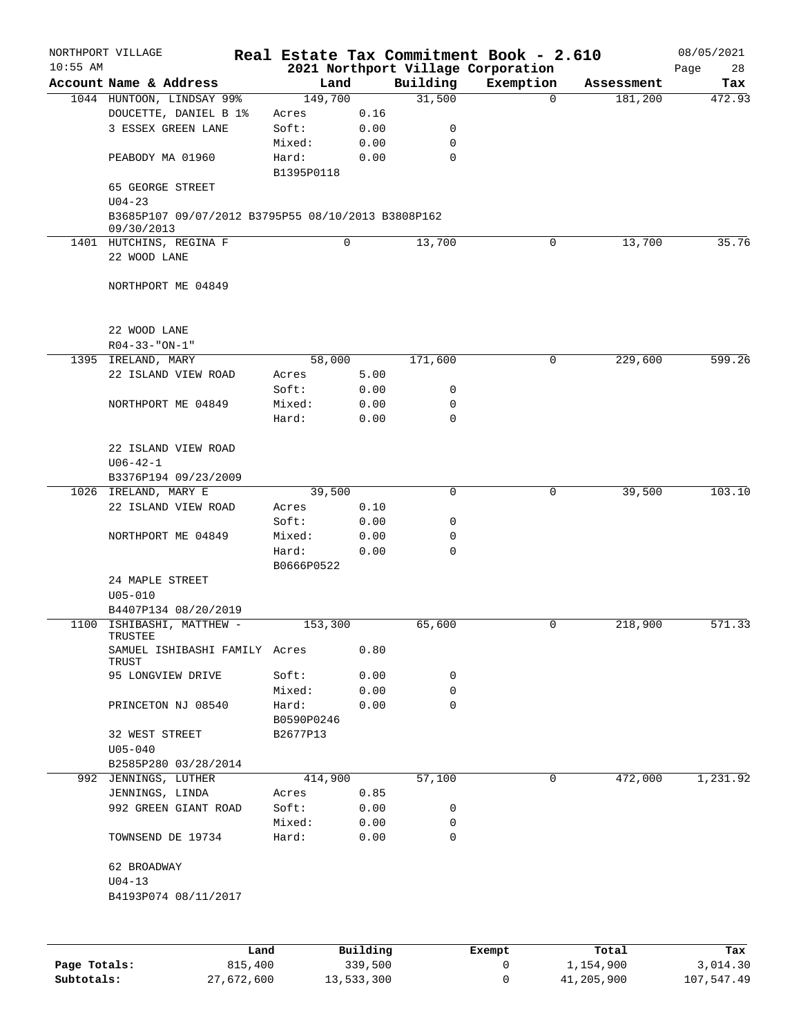|            | NORTHPORT VILLAGE                                  |      |                  |              |             | Real Estate Tax Commitment Book - 2.610 |            | 08/05/2021 |
|------------|----------------------------------------------------|------|------------------|--------------|-------------|-----------------------------------------|------------|------------|
| $10:55$ AM |                                                    |      |                  |              |             | 2021 Northport Village Corporation      |            | 28<br>Page |
|            | Account Name & Address                             |      | Land             |              | Building    | Exemption                               | Assessment | Tax        |
|            | 1044 HUNTOON, LINDSAY 99%<br>DOUCETTE, DANIEL B 1% |      | 149,700<br>Acres | 0.16         | 31,500      | $\Omega$                                | 181,200    | 472.93     |
|            | 3 ESSEX GREEN LANE                                 |      | Soft:            | 0.00         | 0           |                                         |            |            |
|            |                                                    |      | Mixed:           | 0.00         | $\mathbf 0$ |                                         |            |            |
|            | PEABODY MA 01960                                   |      | Hard:            | 0.00         | $\mathbf 0$ |                                         |            |            |
|            |                                                    |      | B1395P0118       |              |             |                                         |            |            |
|            | 65 GEORGE STREET                                   |      |                  |              |             |                                         |            |            |
|            | $U04 - 23$                                         |      |                  |              |             |                                         |            |            |
|            | B3685P107 09/07/2012 B3795P55 08/10/2013 B3808P162 |      |                  |              |             |                                         |            |            |
|            | 09/30/2013<br>1401 HUTCHINS, REGINA F              |      |                  | 0            | 13,700      | 0                                       | 13,700     | 35.76      |
|            | 22 WOOD LANE                                       |      |                  |              |             |                                         |            |            |
|            |                                                    |      |                  |              |             |                                         |            |            |
|            | NORTHPORT ME 04849                                 |      |                  |              |             |                                         |            |            |
|            |                                                    |      |                  |              |             |                                         |            |            |
|            |                                                    |      |                  |              |             |                                         |            |            |
|            | 22 WOOD LANE                                       |      |                  |              |             |                                         |            |            |
|            | $R04 - 33 - "ON-1"$                                |      |                  |              |             |                                         |            |            |
|            | 1395 IRELAND, MARY<br>22 ISLAND VIEW ROAD          |      | 58,000<br>Acres  | 5.00         | 171,600     | 0                                       | 229,600    | 599.26     |
|            |                                                    |      | Soft:            | 0.00         | 0           |                                         |            |            |
|            | NORTHPORT ME 04849                                 |      | Mixed:           | 0.00         | 0           |                                         |            |            |
|            |                                                    |      | Hard:            | 0.00         | 0           |                                         |            |            |
|            |                                                    |      |                  |              |             |                                         |            |            |
|            | 22 ISLAND VIEW ROAD                                |      |                  |              |             |                                         |            |            |
|            | $U06 - 42 - 1$                                     |      |                  |              |             |                                         |            |            |
|            | B3376P194 09/23/2009                               |      |                  |              |             |                                         |            |            |
|            | 1026 IRELAND, MARY E                               |      | 39,500           |              | $\Omega$    | 0                                       | 39,500     | 103.10     |
|            | 22 ISLAND VIEW ROAD                                |      | Acres            | 0.10         |             |                                         |            |            |
|            |                                                    |      | Soft:            | 0.00         | 0           |                                         |            |            |
|            | NORTHPORT ME 04849                                 |      | Mixed:<br>Hard:  | 0.00<br>0.00 | 0<br>0      |                                         |            |            |
|            |                                                    |      | B0666P0522       |              |             |                                         |            |            |
|            | 24 MAPLE STREET                                    |      |                  |              |             |                                         |            |            |
|            | $U05 - 010$                                        |      |                  |              |             |                                         |            |            |
|            | B4407P134 08/20/2019                               |      |                  |              |             |                                         |            |            |
|            | 1100 ISHIBASHI, MATTHEW -                          |      | 153,300          |              | 65,600      | 0                                       | 218,900    | 571.33     |
|            | TRUSTEE<br>SAMUEL ISHIBASHI FAMILY Acres           |      |                  |              |             |                                         |            |            |
|            | TRUST                                              |      |                  | 0.80         |             |                                         |            |            |
|            | 95 LONGVIEW DRIVE                                  |      | Soft:            | 0.00         | 0           |                                         |            |            |
|            |                                                    |      | Mixed:           | 0.00         | 0           |                                         |            |            |
|            | PRINCETON NJ 08540                                 |      | Hard:            | 0.00         | 0           |                                         |            |            |
|            |                                                    |      | B0590P0246       |              |             |                                         |            |            |
|            | 32 WEST STREET                                     |      | B2677P13         |              |             |                                         |            |            |
|            | $U05 - 040$                                        |      |                  |              |             |                                         |            |            |
|            | B2585P280 03/28/2014<br>992 JENNINGS, LUTHER       |      | 414,900          |              | 57,100      | 0                                       | 472,000    | 1,231.92   |
|            | JENNINGS, LINDA                                    |      | Acres            | 0.85         |             |                                         |            |            |
|            | 992 GREEN GIANT ROAD                               |      | Soft:            | 0.00         | 0           |                                         |            |            |
|            |                                                    |      | Mixed:           | 0.00         | 0           |                                         |            |            |
|            | TOWNSEND DE 19734                                  |      | Hard:            | 0.00         | $\mathbf 0$ |                                         |            |            |
|            |                                                    |      |                  |              |             |                                         |            |            |
|            | 62 BROADWAY                                        |      |                  |              |             |                                         |            |            |
|            | $U04 - 13$                                         |      |                  |              |             |                                         |            |            |
|            | B4193P074 08/11/2017                               |      |                  |              |             |                                         |            |            |
|            |                                                    |      |                  |              |             |                                         |            |            |
|            |                                                    |      |                  |              |             |                                         |            |            |
|            |                                                    | Land |                  | Building     |             | <b>Exempt</b>                           | Total      | Tax        |

|              | Land       | Building   | Exempt | Total      | Tax        |
|--------------|------------|------------|--------|------------|------------|
| Page Totals: | 815,400    | 339,500    |        | 1,154,900  | 3,014.30   |
| Subtotals:   | 27,672,600 | 13,533,300 |        | 41,205,900 | 107,547.49 |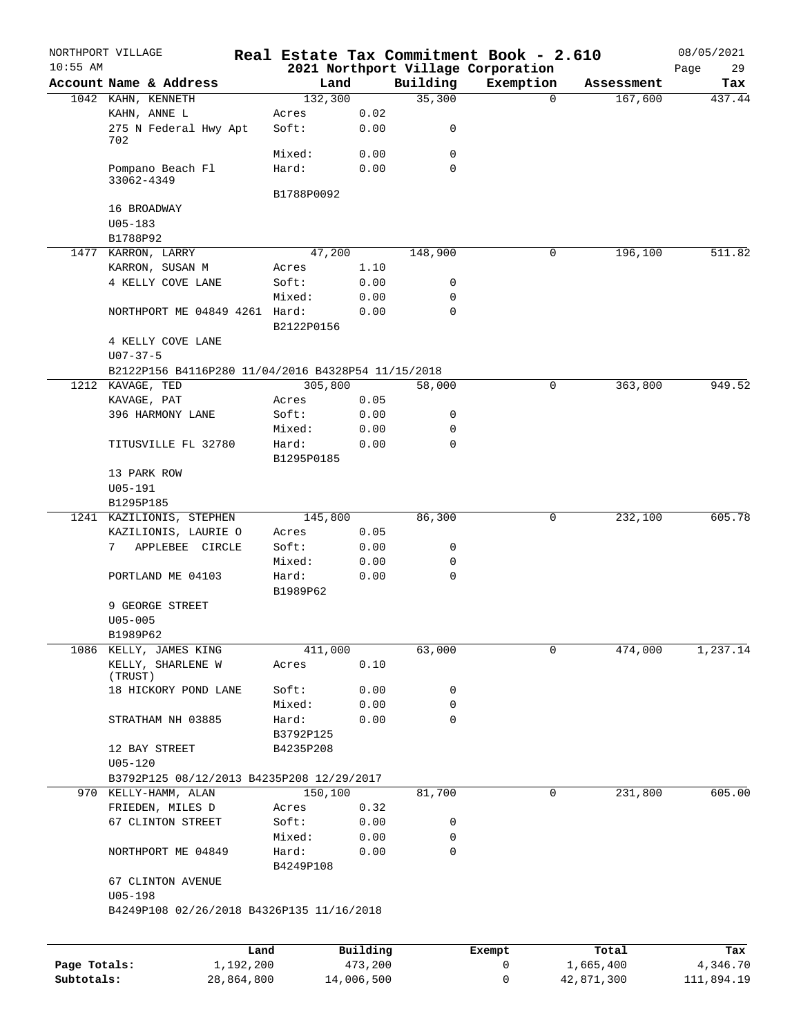| $10:55$ AM   | NORTHPORT VILLAGE                                  |                   |            |             | Real Estate Tax Commitment Book - 2.610         |                     | 08/05/2021        |
|--------------|----------------------------------------------------|-------------------|------------|-------------|-------------------------------------------------|---------------------|-------------------|
|              | Account Name & Address                             |                   | Land       | Building    | 2021 Northport Village Corporation<br>Exemption | Assessment          | 29<br>Page<br>Tax |
|              | 1042 KAHN, KENNETH                                 | 132,300           |            | 35,300      |                                                 | $\Omega$<br>167,600 | 437.44            |
|              | KAHN, ANNE L                                       | Acres             | 0.02       |             |                                                 |                     |                   |
|              | 275 N Federal Hwy Apt<br>702                       | Soft:             | 0.00       | 0           |                                                 |                     |                   |
|              |                                                    | Mixed:            | 0.00       | 0           |                                                 |                     |                   |
|              | Pompano Beach Fl<br>33062-4349                     | Hard:             | 0.00       | $\mathbf 0$ |                                                 |                     |                   |
|              |                                                    | B1788P0092        |            |             |                                                 |                     |                   |
|              | 16 BROADWAY                                        |                   |            |             |                                                 |                     |                   |
|              | $U05 - 183$                                        |                   |            |             |                                                 |                     |                   |
|              | B1788P92                                           |                   |            |             |                                                 |                     |                   |
|              | 1477 KARRON, LARRY                                 | 47,200            |            | 148,900     |                                                 | 0<br>196,100        | 511.82            |
|              | KARRON, SUSAN M                                    | Acres             | 1.10       |             |                                                 |                     |                   |
|              | 4 KELLY COVE LANE                                  | Soft:             | 0.00       | 0           |                                                 |                     |                   |
|              |                                                    | Mixed:            | 0.00       | $\mathbf 0$ |                                                 |                     |                   |
|              | NORTHPORT ME 04849 4261 Hard:                      | B2122P0156        | 0.00       | $\mathbf 0$ |                                                 |                     |                   |
|              | 4 KELLY COVE LANE                                  |                   |            |             |                                                 |                     |                   |
|              | $U07 - 37 - 5$                                     |                   |            |             |                                                 |                     |                   |
|              | B2122P156 B4116P280 11/04/2016 B4328P54 11/15/2018 |                   |            |             |                                                 |                     |                   |
|              | 1212 KAVAGE, TED                                   | 305,800           |            | 58,000      |                                                 | 0<br>363,800        | 949.52            |
|              | KAVAGE, PAT                                        | Acres             | 0.05       |             |                                                 |                     |                   |
|              | 396 HARMONY LANE                                   | Soft:             | 0.00       | 0           |                                                 |                     |                   |
|              |                                                    | Mixed:            | 0.00       | 0           |                                                 |                     |                   |
|              | TITUSVILLE FL 32780                                | Hard:             | 0.00       | $\mathbf 0$ |                                                 |                     |                   |
|              |                                                    | B1295P0185        |            |             |                                                 |                     |                   |
|              | 13 PARK ROW                                        |                   |            |             |                                                 |                     |                   |
|              | $U05 - 191$                                        |                   |            |             |                                                 |                     |                   |
|              | B1295P185                                          |                   |            |             |                                                 |                     |                   |
|              | 1241 KAZILIONIS, STEPHEN                           | 145,800           |            | 86,300      |                                                 | 0<br>232,100        | 605.78            |
|              | KAZILIONIS, LAURIE O                               | Acres             | 0.05       |             |                                                 |                     |                   |
|              | 7<br>APPLEBEE CIRCLE                               | Soft:             | 0.00       | 0           |                                                 |                     |                   |
|              |                                                    | Mixed:            | 0.00       | 0           |                                                 |                     |                   |
|              | PORTLAND ME 04103                                  | Hard:<br>B1989P62 | 0.00       | $\mathbf 0$ |                                                 |                     |                   |
|              | 9 GEORGE STREET                                    |                   |            |             |                                                 |                     |                   |
|              | $U05 - 005$                                        |                   |            |             |                                                 |                     |                   |
|              | B1989P62                                           |                   |            |             |                                                 |                     |                   |
|              | 1086 KELLY, JAMES KING                             | 411,000           |            | 63,000      |                                                 | 474,000<br>0        | 1,237.14          |
|              | KELLY, SHARLENE W<br>(TRUST)                       | Acres             | 0.10       |             |                                                 |                     |                   |
|              | 18 HICKORY POND LANE                               | Soft:             | 0.00       | 0           |                                                 |                     |                   |
|              |                                                    | Mixed:            | 0.00       | 0           |                                                 |                     |                   |
|              | STRATHAM NH 03885                                  | Hard:             | 0.00       | $\mathbf 0$ |                                                 |                     |                   |
|              |                                                    | B3792P125         |            |             |                                                 |                     |                   |
|              | 12 BAY STREET                                      | B4235P208         |            |             |                                                 |                     |                   |
|              | $U05 - 120$                                        |                   |            |             |                                                 |                     |                   |
|              | B3792P125 08/12/2013 B4235P208 12/29/2017          |                   |            |             |                                                 |                     |                   |
|              | 970 KELLY-HAMM, ALAN                               | 150,100           |            | 81,700      |                                                 | 231,800<br>0        | 605.00            |
|              | FRIEDEN, MILES D                                   | Acres             | 0.32       |             |                                                 |                     |                   |
|              | 67 CLINTON STREET                                  | Soft:             | 0.00       | 0           |                                                 |                     |                   |
|              |                                                    | Mixed:            | 0.00       | 0           |                                                 |                     |                   |
|              | NORTHPORT ME 04849                                 | Hard:             | 0.00       | $\mathbf 0$ |                                                 |                     |                   |
|              | 67 CLINTON AVENUE                                  | B4249P108         |            |             |                                                 |                     |                   |
|              | $U05 - 198$                                        |                   |            |             |                                                 |                     |                   |
|              | B4249P108 02/26/2018 B4326P135 11/16/2018          |                   |            |             |                                                 |                     |                   |
|              |                                                    |                   |            |             |                                                 |                     |                   |
|              |                                                    | Land              | Building   |             | Exempt                                          | Total               | Tax               |
| Page Totals: | 1,192,200                                          |                   | 473,200    |             | 0                                               | 1,665,400           | 4,346.70          |
| Subtotals:   | 28,864,800                                         |                   | 14,006,500 |             | 0                                               | 42,871,300          | 111,894.19        |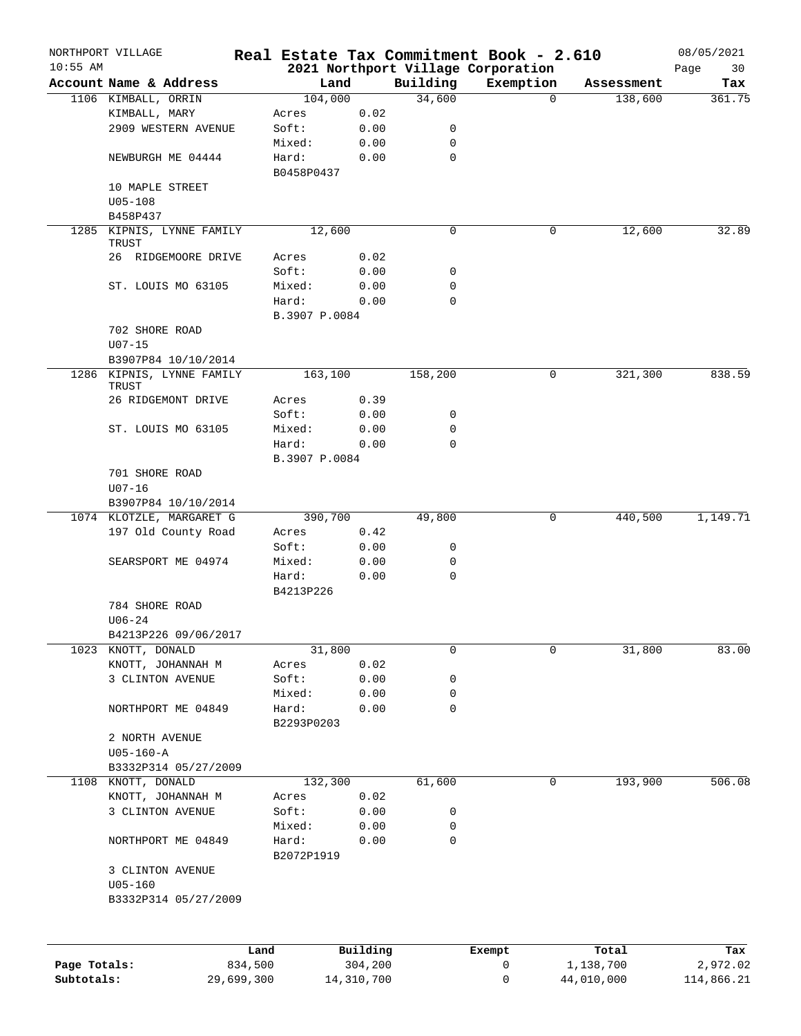|              | NORTHPORT VILLAGE                    |               |            |                  | Real Estate Tax Commitment Book - 2.610 |            | 08/05/2021 |
|--------------|--------------------------------------|---------------|------------|------------------|-----------------------------------------|------------|------------|
| $10:55$ AM   |                                      |               |            |                  | 2021 Northport Village Corporation      |            | Page<br>30 |
|              | Account Name & Address               | Land          |            | Building         | Exemption                               | Assessment | Tax        |
|              | 1106 KIMBALL, ORRIN                  | 104,000       |            | 34,600           | $\mathbf 0$                             | 138,600    | 361.75     |
|              | KIMBALL, MARY<br>2909 WESTERN AVENUE | Acres         | 0.02       |                  |                                         |            |            |
|              |                                      | Soft:         | 0.00       | 0                |                                         |            |            |
|              |                                      | Mixed:        | 0.00       | 0<br>$\mathbf 0$ |                                         |            |            |
|              | NEWBURGH ME 04444                    | Hard:         | 0.00       |                  |                                         |            |            |
|              | 10 MAPLE STREET                      | B0458P0437    |            |                  |                                         |            |            |
|              | $U05 - 108$                          |               |            |                  |                                         |            |            |
|              | B458P437                             |               |            |                  |                                         |            |            |
|              | 1285 KIPNIS, LYNNE FAMILY            | 12,600        |            | $\mathbf 0$      | 0                                       | 12,600     | 32.89      |
|              | TRUST                                |               |            |                  |                                         |            |            |
|              | 26 RIDGEMOORE DRIVE                  | Acres         | 0.02       |                  |                                         |            |            |
|              |                                      | Soft:         | 0.00       | 0                |                                         |            |            |
|              | ST. LOUIS MO 63105                   | Mixed:        | 0.00       | 0                |                                         |            |            |
|              |                                      | Hard:         | 0.00       | 0                |                                         |            |            |
|              |                                      | B.3907 P.0084 |            |                  |                                         |            |            |
|              | 702 SHORE ROAD                       |               |            |                  |                                         |            |            |
|              | $U07 - 15$                           |               |            |                  |                                         |            |            |
|              | B3907P84 10/10/2014                  |               |            |                  |                                         |            |            |
|              | 1286 KIPNIS, LYNNE FAMILY            | 163,100       |            | 158,200          | 0                                       | 321,300    | 838.59     |
|              | TRUST                                |               |            |                  |                                         |            |            |
|              | 26 RIDGEMONT DRIVE                   | Acres         | 0.39       |                  |                                         |            |            |
|              |                                      | Soft:         | 0.00       | 0                |                                         |            |            |
|              | ST. LOUIS MO 63105                   | Mixed:        | 0.00       | 0                |                                         |            |            |
|              |                                      | Hard:         | 0.00       | $\mathbf 0$      |                                         |            |            |
|              |                                      | B.3907 P.0084 |            |                  |                                         |            |            |
|              | 701 SHORE ROAD                       |               |            |                  |                                         |            |            |
|              | $U07 - 16$                           |               |            |                  |                                         |            |            |
|              | B3907P84 10/10/2014                  |               |            |                  |                                         |            |            |
|              | 1074 KLOTZLE, MARGARET G             | 390,700       |            | 49,800           | 0                                       | 440,500    | 1,149.71   |
|              | 197 Old County Road                  | Acres         | 0.42       |                  |                                         |            |            |
|              |                                      | Soft:         | 0.00       | 0                |                                         |            |            |
|              | SEARSPORT ME 04974                   | Mixed:        | 0.00       | 0                |                                         |            |            |
|              |                                      | Hard:         | 0.00       | $\mathbf 0$      |                                         |            |            |
|              |                                      | B4213P226     |            |                  |                                         |            |            |
|              | 784 SHORE ROAD                       |               |            |                  |                                         |            |            |
|              | $U06 - 24$                           |               |            |                  |                                         |            |            |
|              | B4213P226 09/06/2017                 |               |            |                  |                                         |            |            |
|              | 1023 KNOTT, DONALD                   | 31,800        |            | 0                | 0                                       | 31,800     | 83.00      |
|              | KNOTT, JOHANNAH M                    | Acres         | 0.02       |                  |                                         |            |            |
|              | 3 CLINTON AVENUE                     | Soft:         | 0.00       | 0                |                                         |            |            |
|              |                                      | Mixed:        | 0.00       | 0                |                                         |            |            |
|              | NORTHPORT ME 04849                   | Hard:         | 0.00       | 0                |                                         |            |            |
|              |                                      | B2293P0203    |            |                  |                                         |            |            |
|              | 2 NORTH AVENUE                       |               |            |                  |                                         |            |            |
|              | $U05 - 160 - A$                      |               |            |                  |                                         |            |            |
|              | B3332P314 05/27/2009                 |               |            |                  |                                         |            |            |
|              | 1108 KNOTT, DONALD                   | 132,300       |            | 61,600           | 0                                       | 193,900    | 506.08     |
|              | KNOTT, JOHANNAH M                    | Acres         | 0.02       |                  |                                         |            |            |
|              | 3 CLINTON AVENUE                     | Soft:         | 0.00       | 0                |                                         |            |            |
|              |                                      | Mixed:        | 0.00       | 0                |                                         |            |            |
|              | NORTHPORT ME 04849                   | Hard:         | 0.00       | 0                |                                         |            |            |
|              |                                      | B2072P1919    |            |                  |                                         |            |            |
|              | 3 CLINTON AVENUE                     |               |            |                  |                                         |            |            |
|              | $U05 - 160$                          |               |            |                  |                                         |            |            |
|              | B3332P314 05/27/2009                 |               |            |                  |                                         |            |            |
|              |                                      |               |            |                  |                                         |            |            |
|              |                                      | Land          | Building   |                  | Exempt                                  | Total      | Tax        |
| Page Totals: | 834,500                              |               | 304,200    |                  | 0                                       | 1,138,700  | 2,972.02   |
| Subtotals:   | 29,699,300                           |               | 14,310,700 |                  | 0                                       | 44,010,000 | 114,866.21 |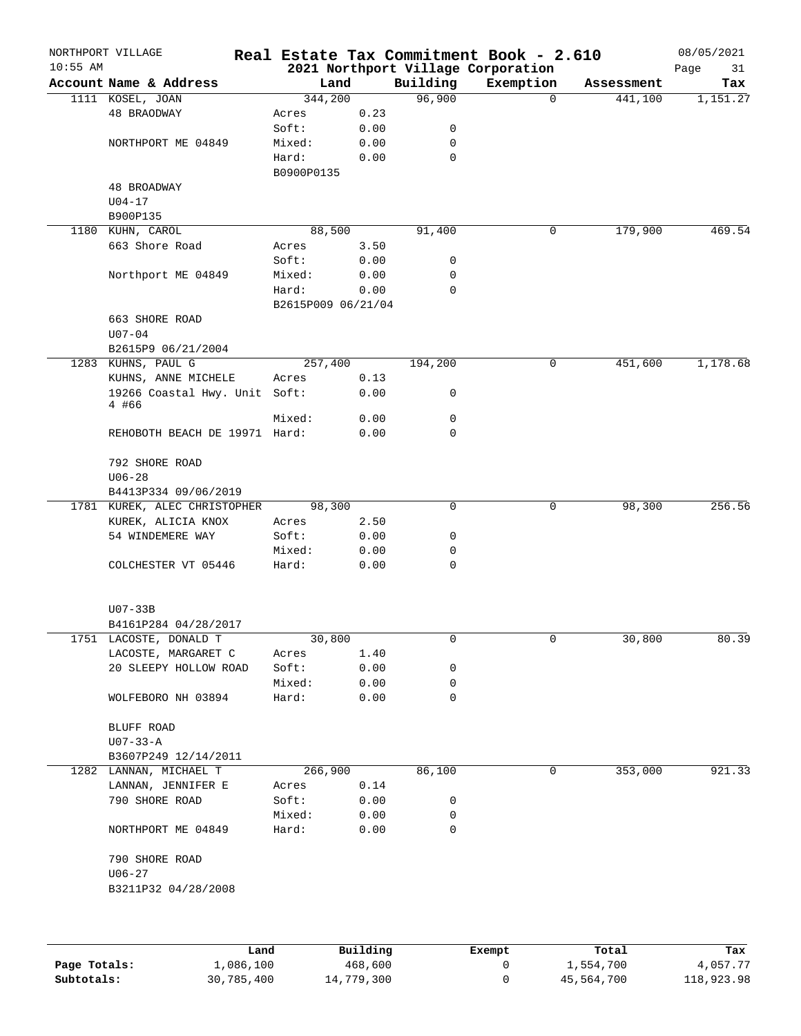| $10:55$ AM | NORTHPORT VILLAGE             |                    |          |             | Real Estate Tax Commitment Book - 2.610<br>2021 Northport Village Corporation |            | 08/05/2021<br>Page<br>31 |
|------------|-------------------------------|--------------------|----------|-------------|-------------------------------------------------------------------------------|------------|--------------------------|
|            | Account Name & Address        | Land               |          | Building    | Exemption                                                                     | Assessment | Tax                      |
|            | 1111 KOSEL, JOAN              | 344,200            |          | 96,900      | $\Omega$                                                                      | 441,100    | 1,151.27                 |
|            | 48 BRAODWAY                   | Acres              | 0.23     |             |                                                                               |            |                          |
|            |                               | Soft:              | 0.00     | 0           |                                                                               |            |                          |
|            | NORTHPORT ME 04849            | Mixed:             | 0.00     | 0           |                                                                               |            |                          |
|            |                               | Hard:              | 0.00     | $\mathbf 0$ |                                                                               |            |                          |
|            |                               | B0900P0135         |          |             |                                                                               |            |                          |
|            | 48 BROADWAY                   |                    |          |             |                                                                               |            |                          |
|            | $U04 - 17$                    |                    |          |             |                                                                               |            |                          |
|            | B900P135                      |                    |          |             |                                                                               |            |                          |
|            | 1180 KUHN, CAROL              | 88,500             |          | 91,400      | 0                                                                             | 179,900    | 469.54                   |
|            | 663 Shore Road                | Acres              | 3.50     |             |                                                                               |            |                          |
|            |                               | Soft:              | 0.00     | 0           |                                                                               |            |                          |
|            | Northport ME 04849            | Mixed:             | 0.00     | 0           |                                                                               |            |                          |
|            |                               | Hard:              | 0.00     | $\mathbf 0$ |                                                                               |            |                          |
|            |                               |                    |          |             |                                                                               |            |                          |
|            |                               | B2615P009 06/21/04 |          |             |                                                                               |            |                          |
|            | 663 SHORE ROAD                |                    |          |             |                                                                               |            |                          |
|            | $U07 - 04$                    |                    |          |             |                                                                               |            |                          |
|            | B2615P9 06/21/2004            |                    |          |             |                                                                               |            |                          |
|            | 1283 KUHNS, PAUL G            | 257,400            |          | 194,200     | 0                                                                             | 451,600    | 1,178.68                 |
|            | KUHNS, ANNE MICHELE           | Acres              | 0.13     |             |                                                                               |            |                          |
|            | 19266 Coastal Hwy. Unit Soft: |                    | 0.00     | 0           |                                                                               |            |                          |
|            | 4 #66                         | Mixed:             |          | 0           |                                                                               |            |                          |
|            |                               |                    | 0.00     | 0           |                                                                               |            |                          |
|            | REHOBOTH BEACH DE 19971 Hard: |                    | 0.00     |             |                                                                               |            |                          |
|            |                               |                    |          |             |                                                                               |            |                          |
|            | 792 SHORE ROAD                |                    |          |             |                                                                               |            |                          |
|            | $U06 - 28$                    |                    |          |             |                                                                               |            |                          |
|            | B4413P334 09/06/2019          |                    |          |             |                                                                               |            |                          |
|            | 1781 KUREK, ALEC CHRISTOPHER  | 98,300             |          | 0           | 0                                                                             | 98,300     | 256.56                   |
|            | KUREK, ALICIA KNOX            | Acres              | 2.50     |             |                                                                               |            |                          |
|            | 54 WINDEMERE WAY              | Soft:              | 0.00     | 0           |                                                                               |            |                          |
|            |                               | Mixed:             | 0.00     | 0           |                                                                               |            |                          |
|            | COLCHESTER VT 05446           | Hard:              | 0.00     | 0           |                                                                               |            |                          |
|            |                               |                    |          |             |                                                                               |            |                          |
|            |                               |                    |          |             |                                                                               |            |                          |
|            | $U07-33B$                     |                    |          |             |                                                                               |            |                          |
|            | B4161P284 04/28/2017          |                    |          |             |                                                                               |            |                          |
|            | 1751 LACOSTE, DONALD T        | 30,800             |          | 0           | 0                                                                             | 30,800     | 80.39                    |
|            | LACOSTE, MARGARET C           | Acres              | 1.40     |             |                                                                               |            |                          |
|            | 20 SLEEPY HOLLOW ROAD         | Soft:              | 0.00     | 0           |                                                                               |            |                          |
|            |                               | Mixed:             | 0.00     | 0           |                                                                               |            |                          |
|            | WOLFEBORO NH 03894            | Hard:              | 0.00     | 0           |                                                                               |            |                          |
|            |                               |                    |          |             |                                                                               |            |                          |
|            | BLUFF ROAD                    |                    |          |             |                                                                               |            |                          |
|            | $U07 - 33 - A$                |                    |          |             |                                                                               |            |                          |
|            | B3607P249 12/14/2011          |                    |          |             |                                                                               |            |                          |
|            | 1282 LANNAN, MICHAEL T        | 266,900            |          | 86,100      | 0                                                                             | 353,000    | 921.33                   |
|            | LANNAN, JENNIFER E            | Acres              | 0.14     |             |                                                                               |            |                          |
|            | 790 SHORE ROAD                | Soft:              | 0.00     | 0           |                                                                               |            |                          |
|            |                               | Mixed:             | 0.00     | 0           |                                                                               |            |                          |
|            | NORTHPORT ME 04849            | Hard:              | 0.00     | 0           |                                                                               |            |                          |
|            |                               |                    |          |             |                                                                               |            |                          |
|            | 790 SHORE ROAD                |                    |          |             |                                                                               |            |                          |
|            | $U06 - 27$                    |                    |          |             |                                                                               |            |                          |
|            | B3211P32 04/28/2008           |                    |          |             |                                                                               |            |                          |
|            |                               |                    |          |             |                                                                               |            |                          |
|            |                               |                    |          |             |                                                                               |            |                          |
|            |                               |                    |          |             |                                                                               |            |                          |
|            |                               | $\mathsf{Land}$    | Building |             | <b>Exempt</b>                                                                 | Total      | Tax                      |

|              | Land       | Building   | Exempt | Total      | Tax        |
|--------------|------------|------------|--------|------------|------------|
| Page Totals: | 1,086,100  | 468,600    |        | 1,554,700  | 4,057.77   |
| Subtotals:   | 30,785,400 | 14,779,300 |        | 45,564,700 | 118,923.98 |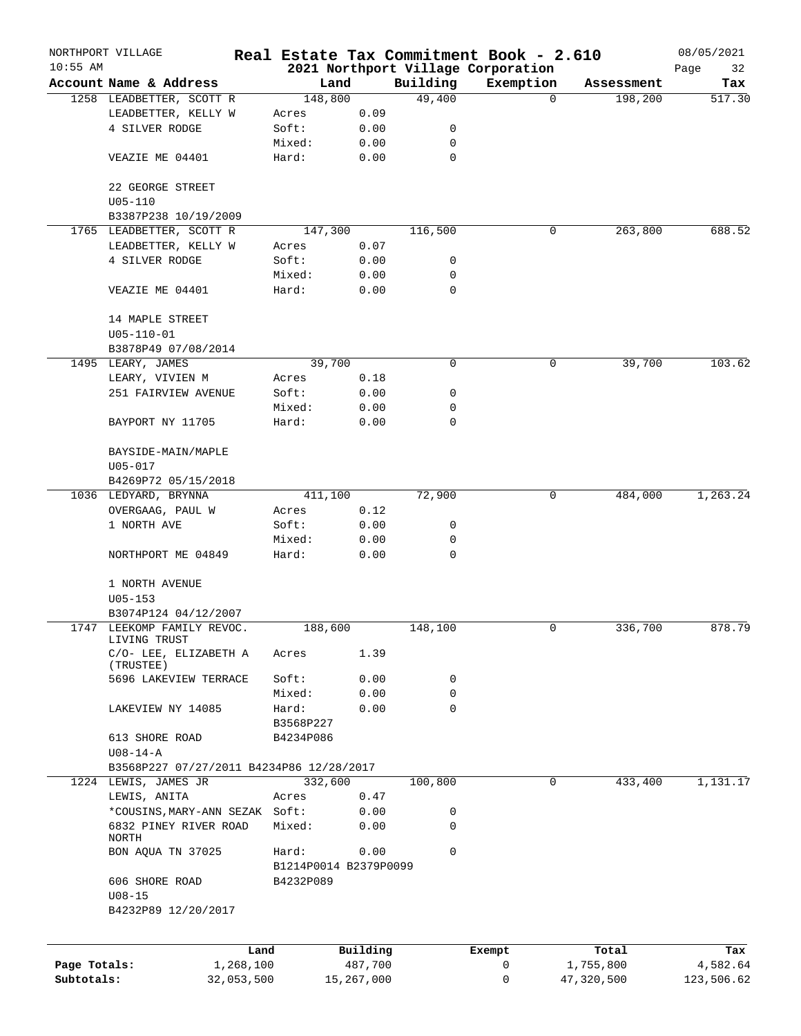|              | NORTHPORT VILLAGE                                   |                        |            |          | Real Estate Tax Commitment Book - 2.610 |            | 08/05/2021 |
|--------------|-----------------------------------------------------|------------------------|------------|----------|-----------------------------------------|------------|------------|
| $10:55$ AM   |                                                     |                        |            |          | 2021 Northport Village Corporation      |            | Page<br>32 |
|              | Account Name & Address                              | Land                   |            | Building | Exemption                               | Assessment | Tax        |
|              | 1258 LEADBETTER, SCOTT R                            | 148,800                |            | 49,400   | $\Omega$                                | 198,200    | 517.30     |
|              | LEADBETTER, KELLY W                                 | Acres                  | 0.09       |          |                                         |            |            |
|              | 4 SILVER RODGE                                      | Soft:                  | 0.00       | 0        |                                         |            |            |
|              |                                                     | Mixed:                 | 0.00       | 0        |                                         |            |            |
|              | VEAZIE ME 04401                                     | Hard:                  | 0.00       | 0        |                                         |            |            |
|              | 22 GEORGE STREET<br>$U05 - 110$                     |                        |            |          |                                         |            |            |
|              | B3387P238 10/19/2009                                |                        |            |          |                                         |            |            |
|              | 1765 LEADBETTER, SCOTT R                            | 147,300                |            | 116,500  | 0                                       | 263,800    | 688.52     |
|              | LEADBETTER, KELLY W                                 | Acres                  | 0.07       |          |                                         |            |            |
|              | 4 SILVER RODGE                                      | Soft:                  | 0.00       | 0        |                                         |            |            |
|              |                                                     | Mixed:                 | 0.00       | 0        |                                         |            |            |
|              | VEAZIE ME 04401                                     | Hard:                  | 0.00       | 0        |                                         |            |            |
|              | 14 MAPLE STREET                                     |                        |            |          |                                         |            |            |
|              | $U05 - 110 - 01$                                    |                        |            |          |                                         |            |            |
|              | B3878P49 07/08/2014                                 |                        |            |          |                                         |            |            |
|              | 1495 LEARY, JAMES                                   | 39,700                 |            | 0        | 0                                       | 39,700     | 103.62     |
|              | LEARY, VIVIEN M                                     | Acres                  | 0.18       |          |                                         |            |            |
|              | 251 FAIRVIEW AVENUE                                 | Soft:                  | 0.00       | 0        |                                         |            |            |
|              |                                                     | Mixed:                 | 0.00       | 0        |                                         |            |            |
|              | BAYPORT NY 11705                                    | Hard:                  | 0.00       | 0        |                                         |            |            |
|              | BAYSIDE-MAIN/MAPLE<br>$U05 - 017$                   |                        |            |          |                                         |            |            |
|              | B4269P72 05/15/2018                                 |                        |            |          |                                         |            |            |
|              | 1036 LEDYARD, BRYNNA                                | 411,100                |            | 72,900   | 0                                       | 484,000    | 1,263.24   |
|              | OVERGAAG, PAUL W                                    | Acres                  | 0.12       |          |                                         |            |            |
|              | 1 NORTH AVE                                         | Soft:                  | 0.00       | 0        |                                         |            |            |
|              |                                                     | Mixed:                 | 0.00       | 0        |                                         |            |            |
|              | NORTHPORT ME 04849                                  | Hard:                  | 0.00       | $\Omega$ |                                         |            |            |
|              | 1 NORTH AVENUE                                      |                        |            |          |                                         |            |            |
|              | $U05 - 153$                                         |                        |            |          |                                         |            |            |
|              | B3074P124 04/12/2007                                |                        |            |          |                                         |            |            |
|              | 1747 LEEKOMP FAMILY REVOC.                          | 188,600                |            | 148,100  | 0                                       | 336,700    | 878.79     |
|              | LIVING TRUST<br>C/O- LEE, ELIZABETH A               | Acres                  | 1.39       |          |                                         |            |            |
|              | (TRUSTEE)                                           |                        |            |          |                                         |            |            |
|              | 5696 LAKEVIEW TERRACE                               | Soft:                  | 0.00       | 0        |                                         |            |            |
|              |                                                     | Mixed:                 | 0.00       | 0        |                                         |            |            |
|              | LAKEVIEW NY 14085                                   | Hard:                  | 0.00       | 0        |                                         |            |            |
|              | 613 SHORE ROAD                                      | B3568P227<br>B4234P086 |            |          |                                         |            |            |
|              | $U08 - 14 - A$                                      |                        |            |          |                                         |            |            |
|              | B3568P227 07/27/2011 B4234P86 12/28/2017            |                        |            |          |                                         |            |            |
|              | 1224 LEWIS, JAMES JR                                | 332,600                |            | 100,800  | $\mathbf 0$                             | 433,400    | 1,131.17   |
|              | LEWIS, ANITA                                        | Acres                  | 0.47       |          |                                         |            |            |
|              | *COUSINS, MARY-ANN SEZAK Soft:                      |                        | 0.00       | 0        |                                         |            |            |
|              | 6832 PINEY RIVER ROAD                               |                        |            | 0        |                                         |            |            |
|              | NORTH                                               | Mixed:                 | 0.00       |          |                                         |            |            |
|              | BON AQUA TN 37025                                   | Hard:                  | 0.00       | 0        |                                         |            |            |
|              |                                                     | B1214P0014 B2379P0099  |            |          |                                         |            |            |
|              | 606 SHORE ROAD<br>$U08 - 15$<br>B4232P89 12/20/2017 | B4232P089              |            |          |                                         |            |            |
|              |                                                     |                        |            |          |                                         |            |            |
|              | Land                                                |                        | Building   |          | Exempt                                  | Total      | Tax        |
| Page Totals: | 1,268,100                                           |                        | 487,700    |          | 0                                       | 1,755,800  | 4,582.64   |
| Subtotals:   | 32,053,500                                          |                        | 15,267,000 |          | 0                                       | 47,320,500 | 123,506.62 |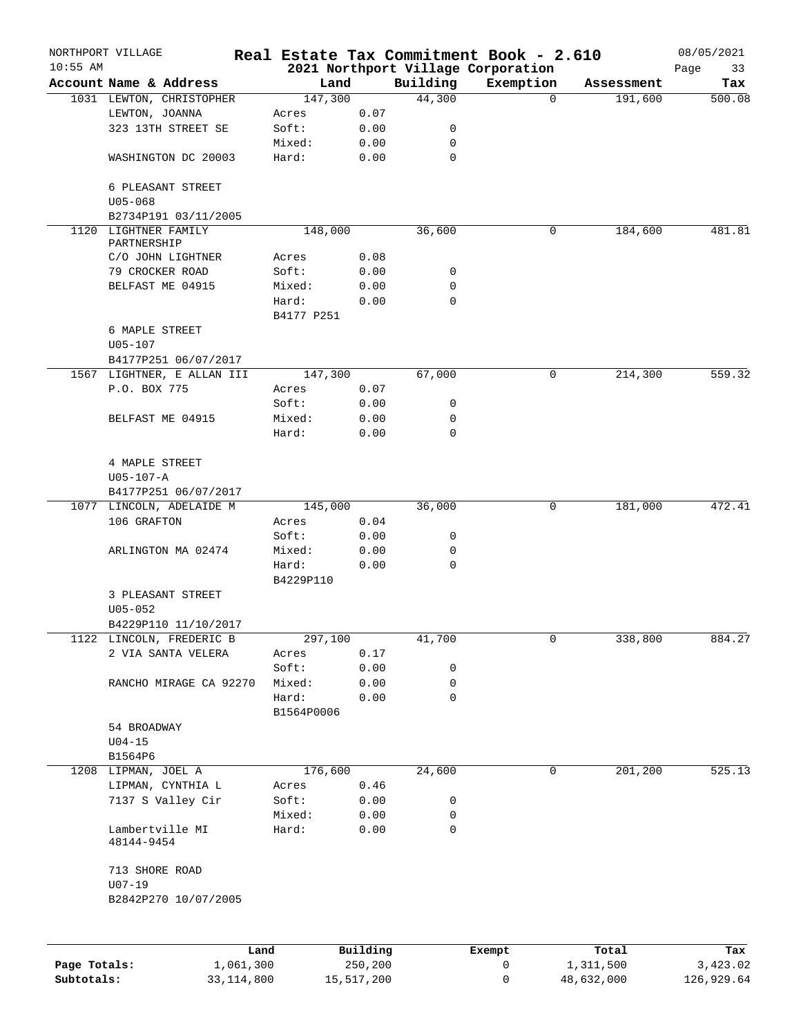|              | NORTHPORT VILLAGE                                |            |          |                    | Real Estate Tax Commitment Book - 2.610 |            | 08/05/2021    |
|--------------|--------------------------------------------------|------------|----------|--------------------|-----------------------------------------|------------|---------------|
| $10:55$ AM   | Account Name & Address                           | Land       |          |                    | 2021 Northport Village Corporation      |            | Page<br>33    |
|              |                                                  | 147,300    |          | Building<br>44,300 | Exemption<br>$\mathbf 0$                | Assessment | Tax<br>500.08 |
|              | 1031 LEWTON, CHRISTOPHER<br>LEWTON, JOANNA       | Acres      | 0.07     |                    |                                         | 191,600    |               |
|              | 323 13TH STREET SE                               | Soft:      | 0.00     | 0                  |                                         |            |               |
|              |                                                  | Mixed:     | 0.00     | 0                  |                                         |            |               |
|              | WASHINGTON DC 20003                              | Hard:      | 0.00     | $\mathbf 0$        |                                         |            |               |
|              |                                                  |            |          |                    |                                         |            |               |
|              | 6 PLEASANT STREET                                |            |          |                    |                                         |            |               |
|              | $U05 - 068$                                      |            |          |                    |                                         |            |               |
|              | B2734P191 03/11/2005                             |            |          |                    |                                         |            |               |
|              | 1120 LIGHTNER FAMILY                             | 148,000    |          | 36,600             | 0                                       | 184,600    | 481.81        |
|              | PARTNERSHIP                                      |            |          |                    |                                         |            |               |
|              | C/O JOHN LIGHTNER                                | Acres      | 0.08     |                    |                                         |            |               |
|              | 79 CROCKER ROAD                                  | Soft:      | 0.00     | 0                  |                                         |            |               |
|              | BELFAST ME 04915                                 | Mixed:     | 0.00     | $\mathbf 0$        |                                         |            |               |
|              |                                                  | Hard:      | 0.00     | 0                  |                                         |            |               |
|              |                                                  | B4177 P251 |          |                    |                                         |            |               |
|              | 6 MAPLE STREET                                   |            |          |                    |                                         |            |               |
|              | $U05 - 107$                                      |            |          |                    |                                         |            |               |
|              | B4177P251 06/07/2017                             |            |          |                    |                                         |            |               |
|              | 1567 LIGHTNER, E ALLAN III                       | 147,300    |          | 67,000             | 0                                       | 214,300    | 559.32        |
|              | P.O. BOX 775                                     | Acres      | 0.07     |                    |                                         |            |               |
|              |                                                  | Soft:      | 0.00     | 0                  |                                         |            |               |
|              | BELFAST ME 04915                                 | Mixed:     | 0.00     | 0                  |                                         |            |               |
|              |                                                  | Hard:      | 0.00     | 0                  |                                         |            |               |
|              |                                                  |            |          |                    |                                         |            |               |
|              | 4 MAPLE STREET                                   |            |          |                    |                                         |            |               |
|              | $U05 - 107 - A$                                  |            |          |                    |                                         |            |               |
|              | B4177P251 06/07/2017<br>1077 LINCOLN, ADELAIDE M | 145,000    |          | 36,000             | 0                                       | 181,000    | 472.41        |
|              | 106 GRAFTON                                      | Acres      | 0.04     |                    |                                         |            |               |
|              |                                                  | Soft:      | 0.00     | 0                  |                                         |            |               |
|              | ARLINGTON MA 02474                               | Mixed:     | 0.00     | 0                  |                                         |            |               |
|              |                                                  | Hard:      | 0.00     | $\mathbf 0$        |                                         |            |               |
|              |                                                  | B4229P110  |          |                    |                                         |            |               |
|              | 3 PLEASANT STREET                                |            |          |                    |                                         |            |               |
|              | $U05 - 052$                                      |            |          |                    |                                         |            |               |
|              | B4229P110 11/10/2017                             |            |          |                    |                                         |            |               |
|              | 1122 LINCOLN, FREDERIC B                         | 297,100    |          | 41,700             | 0                                       | 338,800    | 884.27        |
|              | 2 VIA SANTA VELERA                               | Acres      | 0.17     |                    |                                         |            |               |
|              |                                                  | Soft:      | 0.00     | 0                  |                                         |            |               |
|              | RANCHO MIRAGE CA 92270                           | Mixed:     | 0.00     | 0                  |                                         |            |               |
|              |                                                  | Hard:      | 0.00     | $\mathbf 0$        |                                         |            |               |
|              |                                                  | B1564P0006 |          |                    |                                         |            |               |
|              | 54 BROADWAY                                      |            |          |                    |                                         |            |               |
|              | $U04-15$                                         |            |          |                    |                                         |            |               |
|              | B1564P6                                          |            |          |                    |                                         |            |               |
|              | 1208 LIPMAN, JOEL A                              | 176,600    |          | 24,600             | 0                                       | 201,200    | 525.13        |
|              | LIPMAN, CYNTHIA L                                | Acres      | 0.46     |                    |                                         |            |               |
|              | 7137 S Valley Cir                                | Soft:      | 0.00     | 0                  |                                         |            |               |
|              |                                                  | Mixed:     | 0.00     | 0                  |                                         |            |               |
|              | Lambertville MI                                  | Hard:      | 0.00     | $\mathbf 0$        |                                         |            |               |
|              | 48144-9454                                       |            |          |                    |                                         |            |               |
|              | 713 SHORE ROAD                                   |            |          |                    |                                         |            |               |
|              | $U07 - 19$                                       |            |          |                    |                                         |            |               |
|              | B2842P270 10/07/2005                             |            |          |                    |                                         |            |               |
|              |                                                  |            |          |                    |                                         |            |               |
|              |                                                  |            |          |                    |                                         |            |               |
|              | Land                                             |            | Building |                    | Exempt                                  | Total      | Tax           |
| Page Totals: | 1,061,300                                        |            | 250,200  |                    | 0                                       | 1,311,500  | 3,423.02      |

**Subtotals:** 33,114,800 15,517,200 0 48,632,000 126,929.64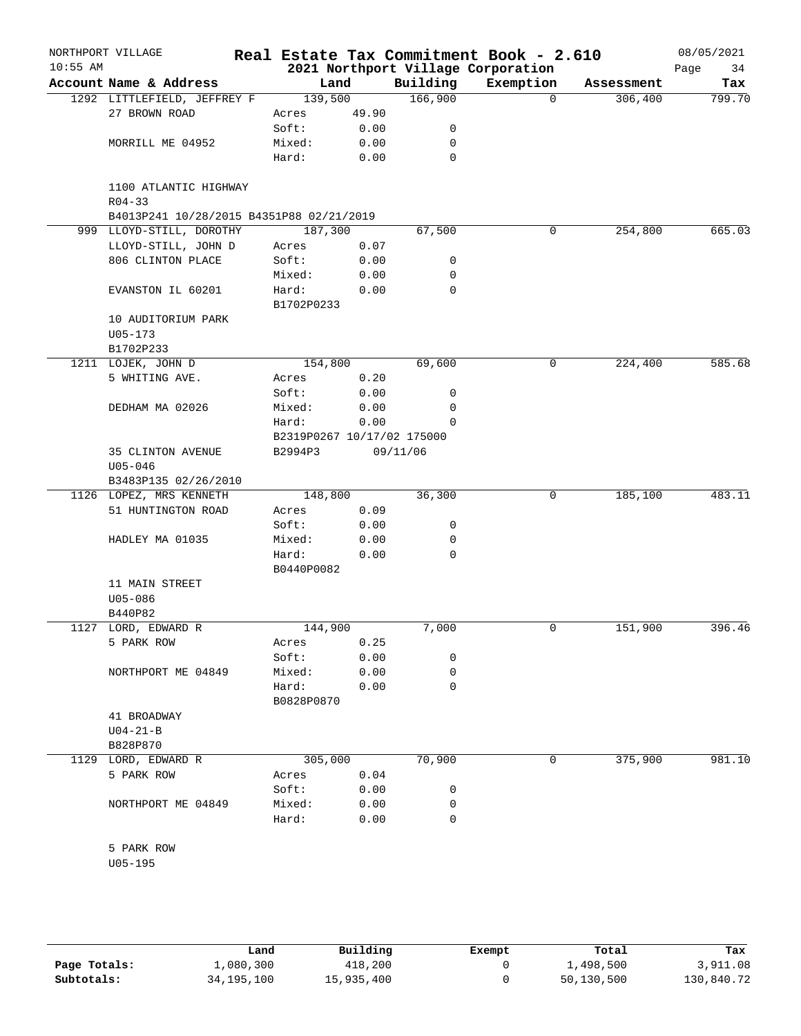| $10:55$ AM | NORTHPORT VILLAGE                                                               |                            |       |             | Real Estate Tax Commitment Book - 2.610<br>2021 Northport Village Corporation |            | 08/05/2021<br>34<br>Page |
|------------|---------------------------------------------------------------------------------|----------------------------|-------|-------------|-------------------------------------------------------------------------------|------------|--------------------------|
|            | Account Name & Address                                                          |                            | Land  | Building    | Exemption                                                                     | Assessment | Tax                      |
|            | 1292 LITTLEFIELD, JEFFREY F                                                     | 139,500                    |       | 166,900     | $\Omega$                                                                      | 306,400    | 799.70                   |
|            | 27 BROWN ROAD                                                                   | Acres                      | 49.90 |             |                                                                               |            |                          |
|            |                                                                                 | Soft:                      | 0.00  | 0           |                                                                               |            |                          |
|            | MORRILL ME 04952                                                                | Mixed:                     | 0.00  | 0           |                                                                               |            |                          |
|            |                                                                                 | Hard:                      | 0.00  | $\mathbf 0$ |                                                                               |            |                          |
|            | 1100 ATLANTIC HIGHWAY<br>$R04 - 33$<br>B4013P241 10/28/2015 B4351P88 02/21/2019 |                            |       |             |                                                                               |            |                          |
|            | 999 LLOYD-STILL, DOROTHY                                                        | 187,300                    |       | 67,500      | 0                                                                             | 254,800    | 665.03                   |
|            | LLOYD-STILL, JOHN D                                                             | Acres                      | 0.07  |             |                                                                               |            |                          |
|            | 806 CLINTON PLACE                                                               | Soft:                      | 0.00  | 0           |                                                                               |            |                          |
|            |                                                                                 | Mixed:                     | 0.00  | 0           |                                                                               |            |                          |
|            |                                                                                 |                            |       | $\mathbf 0$ |                                                                               |            |                          |
|            | EVANSTON IL 60201                                                               | Hard:<br>B1702P0233        | 0.00  |             |                                                                               |            |                          |
|            | 10 AUDITORIUM PARK                                                              |                            |       |             |                                                                               |            |                          |
|            | $U05 - 173$                                                                     |                            |       |             |                                                                               |            |                          |
|            | B1702P233                                                                       |                            |       |             |                                                                               |            |                          |
|            | 1211 LOJEK, JOHN D                                                              | 154,800                    |       | 69,600      | 0                                                                             | 224,400    | 585.68                   |
|            | 5 WHITING AVE.                                                                  | Acres                      | 0.20  |             |                                                                               |            |                          |
|            |                                                                                 | Soft:                      | 0.00  | 0           |                                                                               |            |                          |
|            | DEDHAM MA 02026                                                                 | Mixed:                     | 0.00  | 0           |                                                                               |            |                          |
|            |                                                                                 | Hard:                      | 0.00  | 0           |                                                                               |            |                          |
|            |                                                                                 | B2319P0267 10/17/02 175000 |       |             |                                                                               |            |                          |
|            | 35 CLINTON AVENUE                                                               | B2994P3                    |       | 09/11/06    |                                                                               |            |                          |
|            | $U05 - 046$                                                                     |                            |       |             |                                                                               |            |                          |
|            | B3483P135 02/26/2010                                                            |                            |       |             |                                                                               |            |                          |
|            | 1126 LOPEZ, MRS KENNETH                                                         | 148,800                    |       | 36,300      | 0                                                                             | 185,100    | 483.11                   |
|            | 51 HUNTINGTON ROAD                                                              | Acres                      | 0.09  |             |                                                                               |            |                          |
|            |                                                                                 | Soft:                      | 0.00  | 0           |                                                                               |            |                          |
|            | HADLEY MA 01035                                                                 | Mixed:                     | 0.00  | 0           |                                                                               |            |                          |
|            |                                                                                 | Hard:                      | 0.00  | $\Omega$    |                                                                               |            |                          |
|            |                                                                                 | B0440P0082                 |       |             |                                                                               |            |                          |
|            | 11 MAIN STREET                                                                  |                            |       |             |                                                                               |            |                          |
|            | $U05 - 086$                                                                     |                            |       |             |                                                                               |            |                          |
|            | B440P82                                                                         |                            |       |             |                                                                               |            |                          |
|            | 1127 LORD, EDWARD R                                                             | 144,900                    |       | 7,000       | 0                                                                             | 151,900    | 396.46                   |
|            | 5 PARK ROW                                                                      | Acres                      | 0.25  |             |                                                                               |            |                          |
|            |                                                                                 | Soft:                      | 0.00  | 0           |                                                                               |            |                          |
|            | NORTHPORT ME 04849                                                              | Mixed:                     | 0.00  | 0           |                                                                               |            |                          |
|            |                                                                                 | Hard:                      | 0.00  | 0           |                                                                               |            |                          |
|            |                                                                                 | B0828P0870                 |       |             |                                                                               |            |                          |
|            | 41 BROADWAY                                                                     |                            |       |             |                                                                               |            |                          |
|            | $U04 - 21 - B$                                                                  |                            |       |             |                                                                               |            |                          |
|            | B828P870                                                                        |                            |       |             |                                                                               |            |                          |
|            | 1129 LORD, EDWARD R                                                             | 305,000                    |       | 70,900      | 0                                                                             | 375,900    | 981.10                   |
|            | 5 PARK ROW                                                                      | Acres                      | 0.04  |             |                                                                               |            |                          |
|            |                                                                                 | Soft:                      | 0.00  | 0           |                                                                               |            |                          |
|            | NORTHPORT ME 04849                                                              | Mixed:                     | 0.00  | 0           |                                                                               |            |                          |
|            |                                                                                 | Hard:                      | 0.00  | 0           |                                                                               |            |                          |
|            |                                                                                 |                            |       |             |                                                                               |            |                          |
|            |                                                                                 |                            |       |             |                                                                               |            |                          |
|            | 5 PARK ROW                                                                      |                            |       |             |                                                                               |            |                          |

|              | Land         | Building   | Exempt | Total      | Tax        |
|--------------|--------------|------------|--------|------------|------------|
| Page Totals: | 1,080,300    | 418,200    |        | 1,498,500  | 3,911.08   |
| Subtotals:   | 34, 195, 100 | 15,935,400 |        | 50,130,500 | 130,840.72 |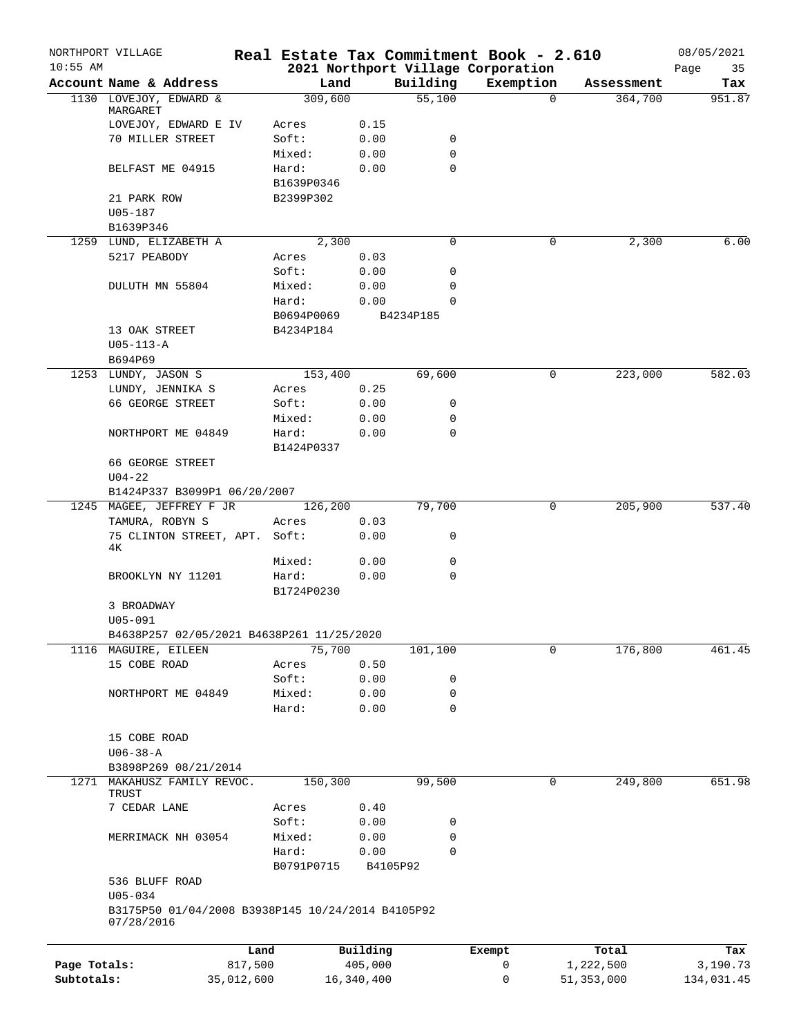|              | NORTHPORT VILLAGE                                 | Real Estate Tax Commitment Book - 2.610 |            |             |                                    |                       | 08/05/2021    |
|--------------|---------------------------------------------------|-----------------------------------------|------------|-------------|------------------------------------|-----------------------|---------------|
| $10:55$ AM   | Account Name & Address                            |                                         |            | Building    | 2021 Northport Village Corporation |                       | 35<br>Page    |
|              | 1130 LOVEJOY, EDWARD &                            | Land<br>309,600                         |            | 55,100      | Exemption<br>$\Omega$              | Assessment<br>364,700 | Tax<br>951.87 |
|              | MARGARET                                          |                                         |            |             |                                    |                       |               |
|              | LOVEJOY, EDWARD E IV                              | Acres                                   | 0.15       |             |                                    |                       |               |
|              | 70 MILLER STREET                                  | Soft:                                   | 0.00       | 0           |                                    |                       |               |
|              |                                                   | Mixed:                                  | 0.00       | 0           |                                    |                       |               |
|              | BELFAST ME 04915                                  | Hard:                                   | 0.00       | 0           |                                    |                       |               |
|              |                                                   | B1639P0346                              |            |             |                                    |                       |               |
|              | 21 PARK ROW                                       | B2399P302                               |            |             |                                    |                       |               |
|              | $U05 - 187$                                       |                                         |            |             |                                    |                       |               |
|              | B1639P346<br>1259 LUND, ELIZABETH A               | 2,300                                   |            | 0           | 0                                  | 2,300                 | 6.00          |
|              | 5217 PEABODY                                      | Acres                                   | 0.03       |             |                                    |                       |               |
|              |                                                   | Soft:                                   | 0.00       | 0           |                                    |                       |               |
|              | DULUTH MN 55804                                   | Mixed:                                  | 0.00       | 0           |                                    |                       |               |
|              |                                                   | Hard:                                   | 0.00       | $\Omega$    |                                    |                       |               |
|              |                                                   | B0694P0069                              |            | B4234P185   |                                    |                       |               |
|              | 13 OAK STREET                                     | B4234P184                               |            |             |                                    |                       |               |
|              | $U05 - 113 - A$                                   |                                         |            |             |                                    |                       |               |
|              | B694P69                                           |                                         |            |             |                                    |                       |               |
|              | 1253 LUNDY, JASON S                               | 153,400                                 |            | 69,600      | 0                                  | 223,000               | 582.03        |
|              | LUNDY, JENNIKA S                                  | Acres                                   | 0.25       |             |                                    |                       |               |
|              | 66 GEORGE STREET                                  | Soft:                                   | 0.00       | 0           |                                    |                       |               |
|              |                                                   | Mixed:                                  | 0.00       | 0           |                                    |                       |               |
|              | NORTHPORT ME 04849                                | Hard:                                   | 0.00       | 0           |                                    |                       |               |
|              |                                                   | B1424P0337                              |            |             |                                    |                       |               |
|              | 66 GEORGE STREET                                  |                                         |            |             |                                    |                       |               |
|              | $U04 - 22$                                        |                                         |            |             |                                    |                       |               |
|              | B1424P337 B3099P1 06/20/2007                      |                                         |            |             |                                    |                       |               |
|              | 1245 MAGEE, JEFFREY F JR                          | 126,200                                 |            | 79,700      | 0                                  | 205,900               | 537.40        |
|              | TAMURA, ROBYN S                                   | Acres                                   | 0.03       |             |                                    |                       |               |
|              | 75 CLINTON STREET, APT. Soft:<br>4Κ               |                                         | 0.00       | 0           |                                    |                       |               |
|              |                                                   | Mixed:                                  | 0.00       | 0           |                                    |                       |               |
|              | BROOKLYN NY 11201                                 | Hard:                                   | 0.00       | $\mathbf 0$ |                                    |                       |               |
|              |                                                   | B1724P0230                              |            |             |                                    |                       |               |
|              | 3 BROADWAY<br>$U05 - 091$                         |                                         |            |             |                                    |                       |               |
|              | B4638P257 02/05/2021 B4638P261 11/25/2020         |                                         |            |             |                                    |                       |               |
|              | 1116 MAGUIRE, EILEEN                              | 75,700                                  |            | 101,100     | 0                                  | 176,800               | 461.45        |
|              | 15 COBE ROAD                                      | Acres                                   | 0.50       |             |                                    |                       |               |
|              |                                                   | Soft:                                   | 0.00       | 0           |                                    |                       |               |
|              | NORTHPORT ME 04849                                | Mixed:                                  | 0.00       | 0           |                                    |                       |               |
|              |                                                   | Hard:                                   | 0.00       | 0           |                                    |                       |               |
|              |                                                   |                                         |            |             |                                    |                       |               |
|              | 15 COBE ROAD                                      |                                         |            |             |                                    |                       |               |
|              | $U06 - 38 - A$                                    |                                         |            |             |                                    |                       |               |
|              | B3898P269 08/21/2014                              |                                         |            |             |                                    |                       |               |
| 1271         | MAKAHUSZ FAMILY REVOC.                            | 150,300                                 |            | 99,500      | 0                                  | 249,800               | 651.98        |
|              | TRUST                                             |                                         |            |             |                                    |                       |               |
|              | 7 CEDAR LANE                                      | Acres                                   | 0.40       |             |                                    |                       |               |
|              |                                                   | Soft:                                   | 0.00       | 0           |                                    |                       |               |
|              | MERRIMACK NH 03054                                | Mixed:                                  | 0.00       | 0           |                                    |                       |               |
|              |                                                   | Hard:                                   | 0.00       | $\mathbf 0$ |                                    |                       |               |
|              |                                                   | B0791P0715                              |            | B4105P92    |                                    |                       |               |
|              | 536 BLUFF ROAD<br>$U05 - 034$                     |                                         |            |             |                                    |                       |               |
|              | B3175P50 01/04/2008 B3938P145 10/24/2014 B4105P92 |                                         |            |             |                                    |                       |               |
|              | 07/28/2016                                        |                                         |            |             |                                    |                       |               |
|              |                                                   | Land                                    | Building   |             | Exempt                             | Total                 | Tax           |
| Page Totals: |                                                   | 817,500                                 | 405,000    |             | 0                                  | 1,222,500             | 3,190.73      |
| Subtotals:   |                                                   | 35,012,600                              | 16,340,400 |             | 0                                  | 51,353,000            | 134,031.45    |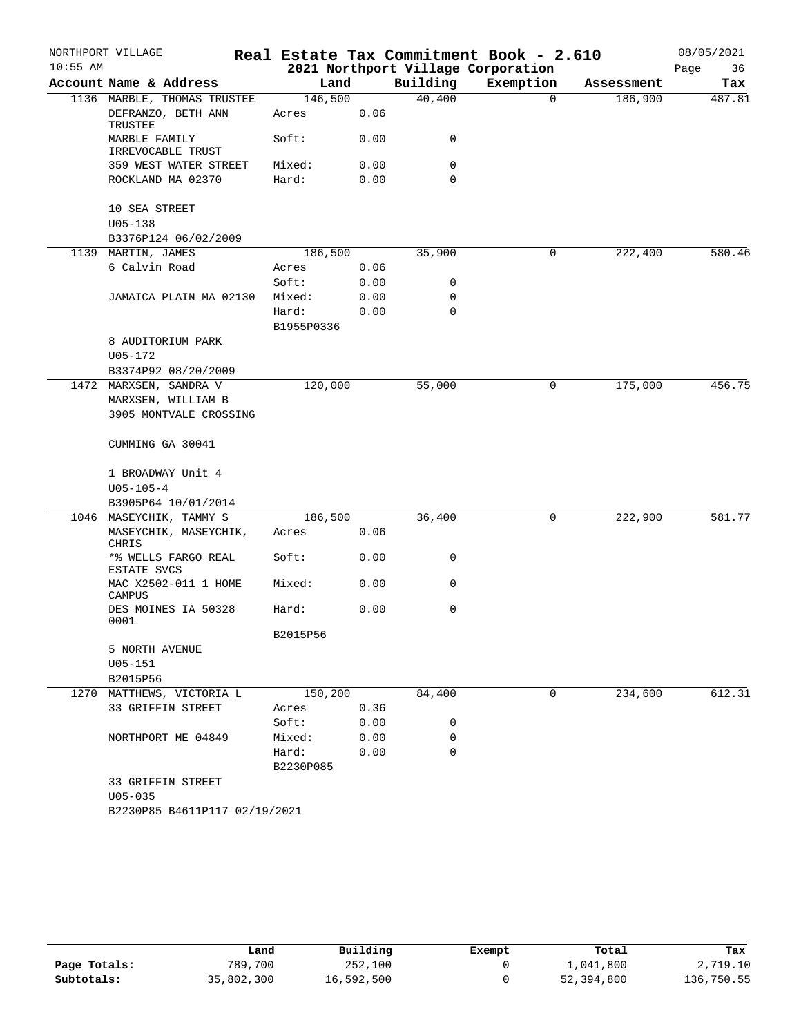|            | NORTHPORT VILLAGE                  |                     |      |             | Real Estate Tax Commitment Book - 2.610 |            | 08/05/2021 |
|------------|------------------------------------|---------------------|------|-------------|-----------------------------------------|------------|------------|
| $10:55$ AM |                                    |                     |      |             | 2021 Northport Village Corporation      |            | 36<br>Page |
|            | Account Name & Address             | Land                |      | Building    | Exemption                               | Assessment | Tax        |
|            | 1136 MARBLE, THOMAS TRUSTEE        | 146,500             |      | 40,400      | $\Omega$                                | 186,900    | 487.81     |
|            | DEFRANZO, BETH ANN<br>TRUSTEE      | Acres               | 0.06 |             |                                         |            |            |
|            | MARBLE FAMILY<br>IRREVOCABLE TRUST | Soft:               | 0.00 | 0           |                                         |            |            |
|            | 359 WEST WATER STREET              | Mixed:              | 0.00 | 0           |                                         |            |            |
|            | ROCKLAND MA 02370                  | Hard:               | 0.00 | 0           |                                         |            |            |
|            | 10 SEA STREET                      |                     |      |             |                                         |            |            |
|            | $U05 - 138$                        |                     |      |             |                                         |            |            |
|            | B3376P124 06/02/2009               |                     |      |             |                                         |            |            |
|            | 1139 MARTIN, JAMES                 | 186,500             |      | 35,900      | 0                                       | 222,400    | 580.46     |
|            | 6 Calvin Road                      | Acres               | 0.06 |             |                                         |            |            |
|            |                                    | Soft:               | 0.00 | 0           |                                         |            |            |
|            | JAMAICA PLAIN MA 02130             | Mixed:              | 0.00 | 0           |                                         |            |            |
|            |                                    | Hard:<br>B1955P0336 | 0.00 | $\mathbf 0$ |                                         |            |            |
|            | 8 AUDITORIUM PARK                  |                     |      |             |                                         |            |            |
|            | $U05 - 172$                        |                     |      |             |                                         |            |            |
|            | B3374P92 08/20/2009                |                     |      |             |                                         |            |            |
|            | 1472 MARXSEN, SANDRA V             | 120,000             |      | 55,000      | 0                                       | 175,000    | 456.75     |
|            | MARXSEN, WILLIAM B                 |                     |      |             |                                         |            |            |
|            | 3905 MONTVALE CROSSING             |                     |      |             |                                         |            |            |
|            |                                    |                     |      |             |                                         |            |            |
|            | CUMMING GA 30041                   |                     |      |             |                                         |            |            |
|            | 1 BROADWAY Unit 4                  |                     |      |             |                                         |            |            |
|            | $U05 - 105 - 4$                    |                     |      |             |                                         |            |            |
|            | B3905P64 10/01/2014                |                     |      |             |                                         |            |            |
|            | 1046 MASEYCHIK, TAMMY S            | 186,500             |      | 36,400      | 0                                       | 222,900    | 581.77     |
|            | MASEYCHIK, MASEYCHIK,<br>CHRIS     | Acres               | 0.06 |             |                                         |            |            |
|            | *% WELLS FARGO REAL<br>ESTATE SVCS | Soft:               | 0.00 | 0           |                                         |            |            |
|            | MAC X2502-011 1 HOME<br>CAMPUS     | Mixed:              | 0.00 | 0           |                                         |            |            |
|            | DES MOINES IA 50328<br>0001        | Hard:               | 0.00 | 0           |                                         |            |            |
|            |                                    | B2015P56            |      |             |                                         |            |            |
|            | 5 NORTH AVENUE                     |                     |      |             |                                         |            |            |
|            | $U05 - 151$                        |                     |      |             |                                         |            |            |
|            | B2015P56                           |                     |      |             |                                         |            |            |
|            | 1270 MATTHEWS, VICTORIA L          | 150,200             |      | 84,400      | $\mathbf 0$                             | 234,600    | 612.31     |
|            | 33 GRIFFIN STREET                  | Acres               | 0.36 |             |                                         |            |            |
|            |                                    | Soft:               | 0.00 | 0           |                                         |            |            |
|            | NORTHPORT ME 04849                 | Mixed:              | 0.00 | 0           |                                         |            |            |
|            |                                    | Hard:               | 0.00 | $\mathbf 0$ |                                         |            |            |
|            |                                    | B2230P085           |      |             |                                         |            |            |
|            | 33 GRIFFIN STREET                  |                     |      |             |                                         |            |            |
|            | $U05 - 035$                        |                     |      |             |                                         |            |            |
|            | B2230P85 B4611P117 02/19/2021      |                     |      |             |                                         |            |            |

|              | Land       | Building   | Exempt | Total      | Tax        |
|--------------|------------|------------|--------|------------|------------|
| Page Totals: | 789,700    | 252,100    |        | 1,041,800  | 2,719.10   |
| Subtotals:   | 35,802,300 | 16,592,500 |        | 52,394,800 | 136,750.55 |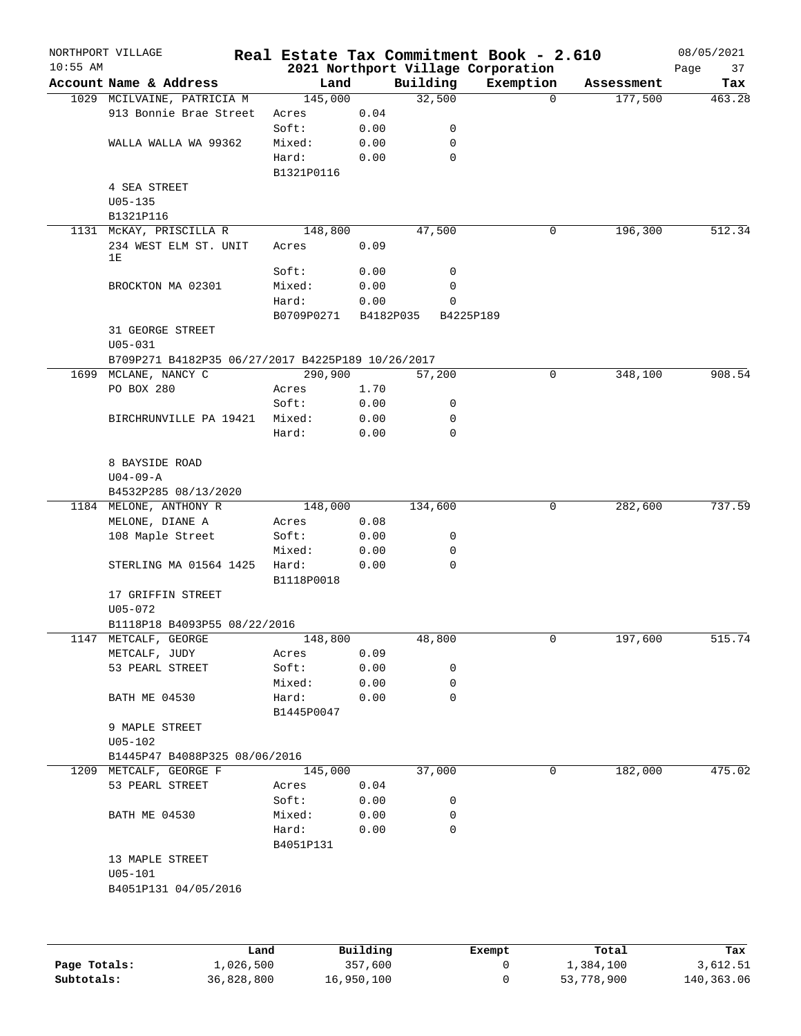| $10:55$ AM | NORTHPORT VILLAGE                                 |             |                        |             | Real Estate Tax Commitment Book - 2.610<br>2021 Northport Village Corporation |            | 08/05/2021<br>Page<br>37 |
|------------|---------------------------------------------------|-------------|------------------------|-------------|-------------------------------------------------------------------------------|------------|--------------------------|
|            | Account Name & Address                            | Land        |                        | Building    | Exemption                                                                     | Assessment | Tax                      |
|            | 1029 MCILVAINE, PATRICIA M                        | 145,000     |                        | 32,500      | $\Omega$                                                                      | 177,500    | 463.28                   |
|            | 913 Bonnie Brae Street                            | Acres       | 0.04                   |             |                                                                               |            |                          |
|            |                                                   | Soft:       | 0.00                   | 0           |                                                                               |            |                          |
|            | WALLA WALLA WA 99362                              | Mixed:      | 0.00                   | 0           |                                                                               |            |                          |
|            |                                                   | Hard:       | 0.00                   | 0           |                                                                               |            |                          |
|            |                                                   | B1321P0116  |                        |             |                                                                               |            |                          |
|            | 4 SEA STREET                                      |             |                        |             |                                                                               |            |                          |
|            | $U05 - 135$                                       |             |                        |             |                                                                               |            |                          |
|            | B1321P116                                         |             |                        |             |                                                                               |            |                          |
|            | 1131 MCKAY, PRISCILLA R                           | 148,800     |                        | 47,500      | 0                                                                             | 196,300    | 512.34                   |
|            | 234 WEST ELM ST. UNIT                             | Acres       | 0.09                   |             |                                                                               |            |                          |
|            | 1E                                                |             |                        |             |                                                                               |            |                          |
|            |                                                   | Soft:       | 0.00                   | 0           |                                                                               |            |                          |
|            | BROCKTON MA 02301                                 | Mixed:      | 0.00                   | 0           |                                                                               |            |                          |
|            |                                                   | Hard:       | 0.00                   | 0           |                                                                               |            |                          |
|            |                                                   | B0709P0271  | B4182P035              |             | B4225P189                                                                     |            |                          |
|            | 31 GEORGE STREET                                  |             |                        |             |                                                                               |            |                          |
|            | $U05 - 031$                                       |             |                        |             |                                                                               |            |                          |
|            | B709P271 B4182P35 06/27/2017 B4225P189 10/26/2017 |             |                        |             |                                                                               |            |                          |
|            | 1699 MCLANE, NANCY C                              | 290,900     |                        | 57,200      | 0                                                                             | 348,100    | 908.54                   |
|            | PO BOX 280                                        | Acres       | 1.70                   |             |                                                                               |            |                          |
|            |                                                   | Soft:       | 0.00                   | 0           |                                                                               |            |                          |
|            | BIRCHRUNVILLE PA 19421                            | Mixed:      | 0.00                   | 0           |                                                                               |            |                          |
|            |                                                   | Hard:       | 0.00                   | $\mathbf 0$ |                                                                               |            |                          |
|            |                                                   |             |                        |             |                                                                               |            |                          |
|            | 8 BAYSIDE ROAD                                    |             |                        |             |                                                                               |            |                          |
|            | $U04 - 09 - A$                                    |             |                        |             |                                                                               |            |                          |
|            | B4532P285 08/13/2020                              |             |                        |             |                                                                               |            |                          |
|            | 1184 MELONE, ANTHONY R                            | 148,000     |                        | 134,600     | 0                                                                             | 282,600    | 737.59                   |
|            | MELONE, DIANE A                                   |             | 0.08                   |             |                                                                               |            |                          |
|            |                                                   | Acres       |                        |             |                                                                               |            |                          |
|            | 108 Maple Street                                  | Soft:       | 0.00                   | 0           |                                                                               |            |                          |
|            |                                                   | Mixed:      | 0.00                   | 0           |                                                                               |            |                          |
|            | STERLING MA 01564 1425                            | Hard:       | 0.00                   | 0           |                                                                               |            |                          |
|            |                                                   | B1118P0018  |                        |             |                                                                               |            |                          |
|            | 17 GRIFFIN STREET                                 |             |                        |             |                                                                               |            |                          |
|            | U05-072                                           |             |                        |             |                                                                               |            |                          |
|            | B1118P18 B4093P55 08/22/2016                      |             |                        |             |                                                                               |            |                          |
|            | 1147 METCALF, GEORGE                              | 148,800     |                        | 48,800      | 0                                                                             | 197,600    | 515.74                   |
|            | METCALF, JUDY                                     | Acres       | 0.09                   |             |                                                                               |            |                          |
|            | 53 PEARL STREET                                   | Soft:       | 0.00                   | 0           |                                                                               |            |                          |
|            |                                                   | Mixed:      | 0.00                   | 0           |                                                                               |            |                          |
|            | BATH ME 04530                                     | Hard:       | 0.00                   | 0           |                                                                               |            |                          |
|            |                                                   | B1445P0047  |                        |             |                                                                               |            |                          |
|            | 9 MAPLE STREET                                    |             |                        |             |                                                                               |            |                          |
|            | $U05 - 102$                                       |             |                        |             |                                                                               |            |                          |
|            | B1445P47 B4088P325 08/06/2016                     |             |                        |             |                                                                               |            |                          |
|            | 1209 METCALF, GEORGE F                            | 145,000     |                        | 37,000      | 0                                                                             | 182,000    | 475.02                   |
|            | 53 PEARL STREET                                   | Acres       | 0.04                   |             |                                                                               |            |                          |
|            |                                                   | Soft:       | 0.00                   | 0           |                                                                               |            |                          |
|            | BATH ME 04530                                     | Mixed:      | 0.00                   | 0           |                                                                               |            |                          |
|            |                                                   | Hard:       | 0.00                   | $\mathbf 0$ |                                                                               |            |                          |
|            |                                                   | B4051P131   |                        |             |                                                                               |            |                          |
|            | 13 MAPLE STREET                                   |             |                        |             |                                                                               |            |                          |
|            | $U05 - 101$                                       |             |                        |             |                                                                               |            |                          |
|            | B4051P131 04/05/2016                              |             |                        |             |                                                                               |            |                          |
|            |                                                   |             |                        |             |                                                                               |            |                          |
|            |                                                   |             |                        |             |                                                                               |            |                          |
|            |                                                   |             |                        |             |                                                                               |            |                          |
|            |                                                   | <b>Tond</b> | $D_{11}$ in $A$ in $A$ |             | P1222                                                                         | $T - 1$    | ш.                       |

|              | Land       | Building   | Exempt | Total      | Tax        |
|--------------|------------|------------|--------|------------|------------|
| Page Totals: | 1,026,500  | 357,600    |        | 1,384,100  | 3,612.51   |
| Subtotals:   | 36,828,800 | 16,950,100 |        | 53,778,900 | 140,363.06 |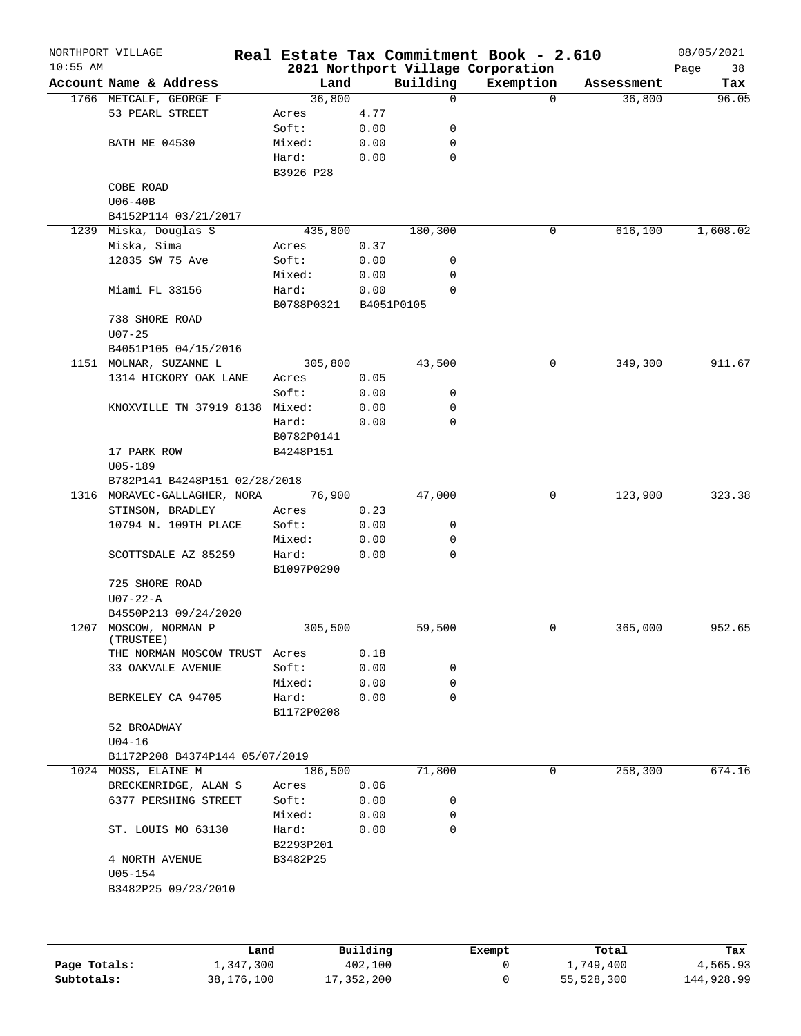|              | NORTHPORT VILLAGE              | Real Estate Tax Commitment Book - 2.610 |          |             |                                    |            | 08/05/2021 |
|--------------|--------------------------------|-----------------------------------------|----------|-------------|------------------------------------|------------|------------|
| $10:55$ AM   |                                |                                         |          |             | 2021 Northport Village Corporation |            | 38<br>Page |
|              | Account Name & Address         | Land                                    |          | Building    | Exemption                          | Assessment | Tax        |
|              | 1766 METCALF, GEORGE F         | 36,800                                  |          | 0           | $\Omega$                           | 36,800     | 96.05      |
|              | 53 PEARL STREET                | Acres                                   | 4.77     |             |                                    |            |            |
|              |                                | Soft:                                   | 0.00     | 0           |                                    |            |            |
|              | <b>BATH ME 04530</b>           | Mixed:                                  | 0.00     | 0           |                                    |            |            |
|              |                                | Hard:                                   | 0.00     | $\mathbf 0$ |                                    |            |            |
|              |                                | B3926 P28                               |          |             |                                    |            |            |
|              | COBE ROAD                      |                                         |          |             |                                    |            |            |
|              | $U06-40B$                      |                                         |          |             |                                    |            |            |
|              | B4152P114 03/21/2017           |                                         |          |             |                                    | 616, 100   |            |
| 1239         | Miska, Douglas S               | 435,800                                 |          | 180,300     | 0                                  |            | 1,608.02   |
|              | Miska, Sima                    | Acres                                   | 0.37     |             |                                    |            |            |
|              | 12835 SW 75 Ave                | Soft:                                   | 0.00     | 0           |                                    |            |            |
|              |                                | Mixed:                                  | 0.00     | 0           |                                    |            |            |
|              | Miami FL 33156                 | Hard:                                   | 0.00     | $\mathbf 0$ |                                    |            |            |
|              |                                | B0788P0321                              |          | B4051P0105  |                                    |            |            |
|              | 738 SHORE ROAD                 |                                         |          |             |                                    |            |            |
|              | $U07 - 25$                     |                                         |          |             |                                    |            |            |
|              | B4051P105 04/15/2016           |                                         |          |             |                                    |            |            |
|              | 1151 MOLNAR, SUZANNE L         | 305,800                                 |          | 43,500      | 0                                  | 349,300    | 911.67     |
|              | 1314 HICKORY OAK LANE          | Acres                                   | 0.05     |             |                                    |            |            |
|              |                                | Soft:                                   | 0.00     | 0           |                                    |            |            |
|              | KNOXVILLE TN 37919 8138 Mixed: |                                         | 0.00     | 0           |                                    |            |            |
|              |                                | Hard:                                   | 0.00     | $\mathbf 0$ |                                    |            |            |
|              |                                | B0782P0141                              |          |             |                                    |            |            |
|              | 17 PARK ROW                    | B4248P151                               |          |             |                                    |            |            |
|              | $U05 - 189$                    |                                         |          |             |                                    |            |            |
|              | B782P141 B4248P151 02/28/2018  |                                         |          |             |                                    |            |            |
|              | 1316 MORAVEC-GALLAGHER, NORA   | 76,900                                  |          | 47,000      | 0                                  | 123,900    | 323.38     |
|              | STINSON, BRADLEY               | Acres                                   | 0.23     |             |                                    |            |            |
|              | 10794 N. 109TH PLACE           | Soft:                                   | 0.00     | 0           |                                    |            |            |
|              |                                | Mixed:                                  | 0.00     | 0           |                                    |            |            |
|              | SCOTTSDALE AZ 85259            | Hard:                                   | 0.00     | $\mathbf 0$ |                                    |            |            |
|              |                                | B1097P0290                              |          |             |                                    |            |            |
|              | 725 SHORE ROAD                 |                                         |          |             |                                    |            |            |
|              | $U07 - 22 - A$                 |                                         |          |             |                                    |            |            |
|              | B4550P213 09/24/2020           |                                         |          |             |                                    |            |            |
|              | 1207 MOSCOW, NORMAN P          | 305,500                                 |          | 59,500      | 0                                  | 365,000    | 952.65     |
|              | (TRUSTEE)                      |                                         |          |             |                                    |            |            |
|              | THE NORMAN MOSCOW TRUST Acres  |                                         | 0.18     |             |                                    |            |            |
|              | 33 OAKVALE AVENUE              | Soft:                                   | 0.00     | 0           |                                    |            |            |
|              |                                | Mixed:                                  | 0.00     | $\mathbf 0$ |                                    |            |            |
|              | BERKELEY CA 94705              | Hard:                                   | 0.00     | $\mathbf 0$ |                                    |            |            |
|              |                                | B1172P0208                              |          |             |                                    |            |            |
|              | 52 BROADWAY                    |                                         |          |             |                                    |            |            |
|              | $U04-16$                       |                                         |          |             |                                    |            |            |
|              | B1172P208 B4374P144 05/07/2019 |                                         |          |             |                                    |            |            |
| 1024         | MOSS, ELAINE M                 | 186,500                                 |          | 71,800      | 0                                  | 258,300    | 674.16     |
|              | BRECKENRIDGE, ALAN S           | Acres                                   | 0.06     |             |                                    |            |            |
|              | 6377 PERSHING STREET           | Soft:                                   | 0.00     | 0           |                                    |            |            |
|              |                                | Mixed:                                  | 0.00     | 0           |                                    |            |            |
|              | ST. LOUIS MO 63130             | Hard:                                   | 0.00     | $\mathbf 0$ |                                    |            |            |
|              |                                | B2293P201                               |          |             |                                    |            |            |
|              | 4 NORTH AVENUE                 | B3482P25                                |          |             |                                    |            |            |
|              | $U05 - 154$                    |                                         |          |             |                                    |            |            |
|              | B3482P25 09/23/2010            |                                         |          |             |                                    |            |            |
|              |                                |                                         |          |             |                                    |            |            |
|              |                                |                                         |          |             |                                    |            |            |
|              |                                |                                         |          |             |                                    |            |            |
|              |                                | Land                                    | Building |             | Exempt                             | Total      | Tax        |
| Page Totals: | 1,347,300                      |                                         | 402,100  |             | 0                                  | 1,749,400  | 4,565.93   |

**Subtotals:** 38,176,100 17,352,200 0 55,528,300 144,928.99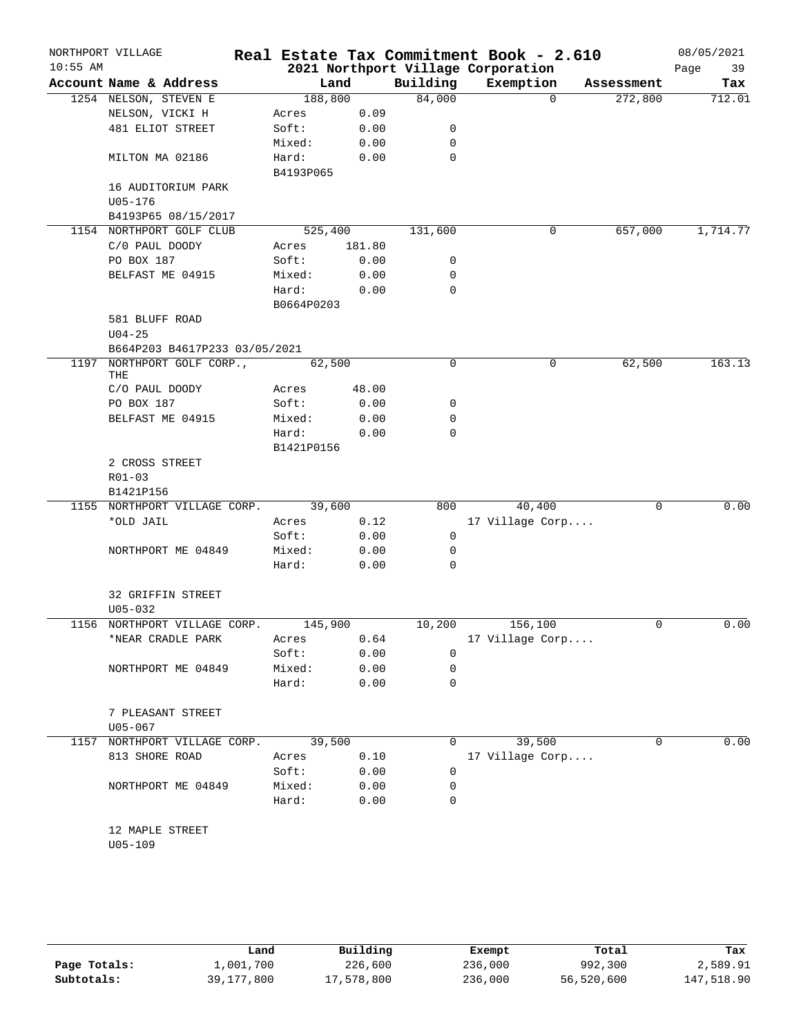|            | NORTHPORT VILLAGE                |                    |        |             | Real Estate Tax Commitment Book - 2.610 |            | 08/05/2021 |
|------------|----------------------------------|--------------------|--------|-------------|-----------------------------------------|------------|------------|
| $10:55$ AM |                                  |                    |        |             | 2021 Northport Village Corporation      |            | Page<br>39 |
|            | Account Name & Address           | Land               |        | Building    | Exemption                               | Assessment | Tax        |
|            | 1254 NELSON, STEVEN E            | 188,800            |        | 84,000      | $\Omega$                                | 272,800    | 712.01     |
|            | NELSON, VICKI H                  | Acres              | 0.09   |             |                                         |            |            |
|            | 481 ELIOT STREET                 | Soft:              | 0.00   | 0           |                                         |            |            |
|            |                                  | Mixed:             | 0.00   | 0           |                                         |            |            |
|            | MILTON MA 02186                  | Hard:<br>B4193P065 | 0.00   | 0           |                                         |            |            |
|            | 16 AUDITORIUM PARK               |                    |        |             |                                         |            |            |
|            | U05-176                          |                    |        |             |                                         |            |            |
|            | B4193P65 08/15/2017              |                    |        |             |                                         |            |            |
|            | 1154 NORTHPORT GOLF CLUB         | 525,400            |        | 131,600     | 0                                       | 657,000    | 1,714.77   |
|            | C/0 PAUL DOODY                   | Acres              | 181.80 |             |                                         |            |            |
|            | PO BOX 187                       | Soft:              | 0.00   | 0           |                                         |            |            |
|            | BELFAST ME 04915                 | Mixed:             | 0.00   | 0           |                                         |            |            |
|            |                                  | Hard:              | 0.00   | 0           |                                         |            |            |
|            |                                  | B0664P0203         |        |             |                                         |            |            |
|            | 581 BLUFF ROAD                   |                    |        |             |                                         |            |            |
|            | $U04 - 25$                       |                    |        |             |                                         |            |            |
|            | B664P203 B4617P233 03/05/2021    |                    |        |             |                                         |            |            |
| 1197       | NORTHPORT GOLF CORP.,            | 62,500             |        | $\mathbf 0$ | 0                                       | 62,500     | 163.13     |
|            | THE                              |                    |        |             |                                         |            |            |
|            | C/O PAUL DOODY                   | Acres              | 48.00  |             |                                         |            |            |
|            | PO BOX 187                       | Soft:              | 0.00   | 0           |                                         |            |            |
|            | BELFAST ME 04915                 | Mixed:             | 0.00   | 0           |                                         |            |            |
|            |                                  | Hard:              | 0.00   | 0           |                                         |            |            |
|            |                                  | B1421P0156         |        |             |                                         |            |            |
|            | 2 CROSS STREET                   |                    |        |             |                                         |            |            |
|            | $R01 - 03$                       |                    |        |             |                                         |            |            |
|            | B1421P156                        |                    |        |             |                                         |            |            |
|            | 1155 NORTHPORT VILLAGE CORP.     | 39,600             |        | 800         | 40,400                                  | 0          | 0.00       |
|            | *OLD JAIL                        | Acres              | 0.12   |             | 17 Village Corp                         |            |            |
|            |                                  | Soft:              | 0.00   | 0           |                                         |            |            |
|            | NORTHPORT ME 04849               | Mixed:             | 0.00   | 0           |                                         |            |            |
|            |                                  | Hard:              | 0.00   | 0           |                                         |            |            |
|            | 32 GRIFFIN STREET                |                    |        |             |                                         |            |            |
|            | $U05 - 032$                      |                    |        |             |                                         |            |            |
|            | 1156 NORTHPORT VILLAGE CORP.     | 145,900            |        | 10,200      | 156,100                                 | 0          | 0.00       |
|            | *NEAR CRADLE PARK                | Acres              | 0.64   |             | 17 Village Corp                         |            |            |
|            |                                  | Soft:              | 0.00   | 0           |                                         |            |            |
|            | NORTHPORT ME 04849               | Mixed:             | 0.00   | 0           |                                         |            |            |
|            |                                  | Hard:              | 0.00   | 0           |                                         |            |            |
|            |                                  |                    |        |             |                                         |            |            |
|            | 7 PLEASANT STREET<br>$U05 - 067$ |                    |        |             |                                         |            |            |
|            | 1157 NORTHPORT VILLAGE CORP.     | 39,500             |        | 0           | 39,500                                  | 0          | 0.00       |
|            | 813 SHORE ROAD                   | Acres              | 0.10   |             | 17 Village Corp                         |            |            |
|            |                                  | Soft:              | 0.00   | 0           |                                         |            |            |
|            | NORTHPORT ME 04849               | Mixed:             | 0.00   | 0           |                                         |            |            |
|            |                                  | Hard:              | 0.00   | 0           |                                         |            |            |
|            |                                  |                    |        |             |                                         |            |            |
|            | 12 MAPLE STREET                  |                    |        |             |                                         |            |            |
|            | $U05 - 109$                      |                    |        |             |                                         |            |            |
|            |                                  |                    |        |             |                                         |            |            |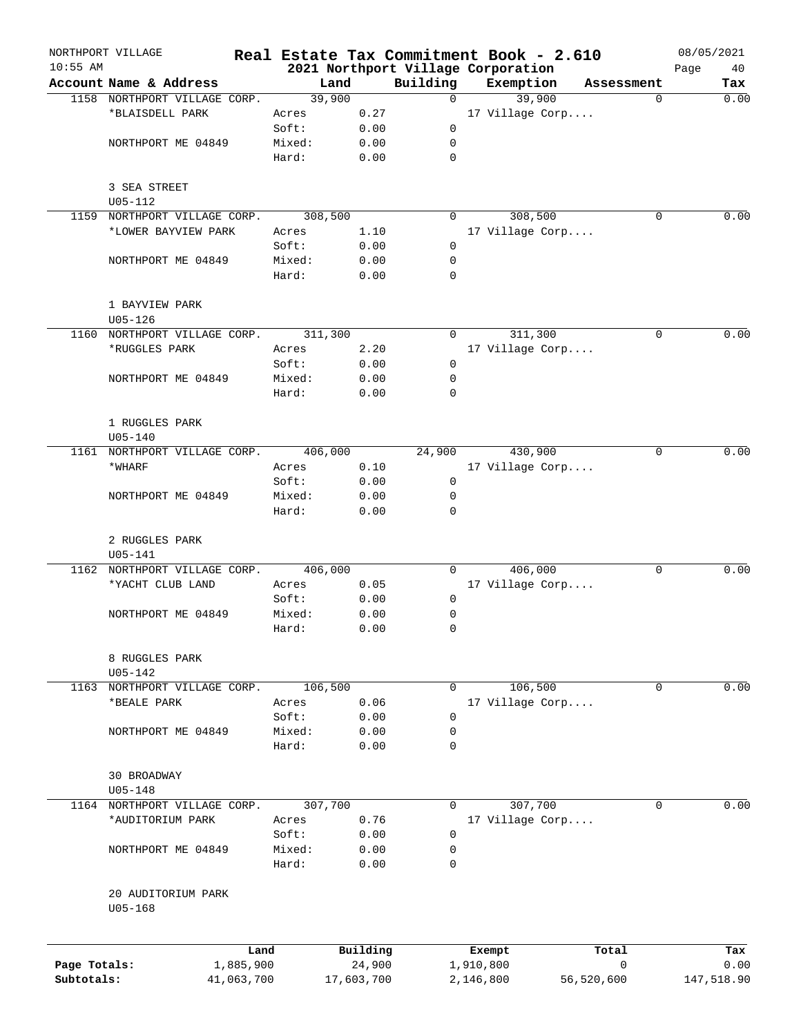|                            | NORTHPORT VILLAGE            |        |                      |                                    |                        | Real Estate Tax Commitment Book - 2.610 |                       | 08/05/2021 |             |
|----------------------------|------------------------------|--------|----------------------|------------------------------------|------------------------|-----------------------------------------|-----------------------|------------|-------------|
| $10:55$ AM                 |                              |        |                      | 2021 Northport Village Corporation |                        |                                         |                       | Page       | 40          |
|                            | Account Name & Address       |        | Land                 | Building                           |                        | Exemption                               | Assessment            |            | Tax         |
|                            | 1158 NORTHPORT VILLAGE CORP. |        | 39,900               | $\Omega$                           |                        | 39,900                                  |                       | $\Omega$   | 0.00        |
|                            | *BLAISDELL PARK              | Acres  | 0.27                 |                                    |                        | 17 Village Corp                         |                       |            |             |
|                            |                              | Soft:  | 0.00                 | $\mathbf 0$                        |                        |                                         |                       |            |             |
|                            | NORTHPORT ME 04849           | Mixed: | 0.00                 | 0                                  |                        |                                         |                       |            |             |
|                            |                              | Hard:  | 0.00                 | 0                                  |                        |                                         |                       |            |             |
|                            | 3 SEA STREET                 |        |                      |                                    |                        |                                         |                       |            |             |
|                            | $U05 - 112$                  |        |                      |                                    |                        |                                         |                       |            |             |
| 1159                       | NORTHPORT VILLAGE CORP.      |        | 308,500              | 0                                  |                        | 308,500                                 |                       | 0          | 0.00        |
|                            | *LOWER BAYVIEW PARK          | Acres  | 1.10                 |                                    |                        | 17 Village Corp                         |                       |            |             |
|                            |                              | Soft:  | 0.00                 | $\mathbf 0$                        |                        |                                         |                       |            |             |
|                            | NORTHPORT ME 04849           | Mixed: | 0.00                 | 0                                  |                        |                                         |                       |            |             |
|                            |                              | Hard:  | 0.00                 | 0                                  |                        |                                         |                       |            |             |
|                            | 1 BAYVIEW PARK               |        |                      |                                    |                        |                                         |                       |            |             |
|                            | $U05 - 126$                  |        |                      |                                    |                        |                                         |                       |            |             |
| 1160                       | NORTHPORT VILLAGE CORP.      |        | 311,300              | $\mathbf 0$                        |                        | 311,300                                 |                       | 0          | 0.00        |
|                            | *RUGGLES PARK                | Acres  | 2.20                 |                                    |                        | 17 Village Corp                         |                       |            |             |
|                            |                              | Soft:  | 0.00                 | 0                                  |                        |                                         |                       |            |             |
|                            | NORTHPORT ME 04849           | Mixed: | 0.00                 | 0                                  |                        |                                         |                       |            |             |
|                            |                              | Hard:  | 0.00                 | 0                                  |                        |                                         |                       |            |             |
|                            | 1 RUGGLES PARK               |        |                      |                                    |                        |                                         |                       |            |             |
|                            | $U05 - 140$                  |        |                      |                                    |                        |                                         |                       |            |             |
| 1161                       | NORTHPORT VILLAGE CORP.      |        | 406,000              | 24,900                             |                        | 430,900                                 |                       | 0          | 0.00        |
|                            | *WHARF                       | Acres  | 0.10                 |                                    |                        | 17 Village Corp                         |                       |            |             |
|                            |                              | Soft:  | 0.00                 | 0                                  |                        |                                         |                       |            |             |
|                            | NORTHPORT ME 04849           | Mixed: | 0.00                 | 0                                  |                        |                                         |                       |            |             |
|                            |                              | Hard:  | 0.00                 | 0                                  |                        |                                         |                       |            |             |
|                            | 2 RUGGLES PARK               |        |                      |                                    |                        |                                         |                       |            |             |
|                            | $U05 - 141$                  |        |                      |                                    |                        |                                         |                       |            |             |
|                            | 1162 NORTHPORT VILLAGE CORP. |        | 406,000              | $\Omega$                           |                        | 406,000                                 |                       | 0          | 0.00        |
|                            | *YACHT CLUB LAND             | Acres  | 0.05                 |                                    |                        | 17 Village Corp                         |                       |            |             |
|                            |                              | Soft:  | 0.00                 | 0                                  |                        |                                         |                       |            |             |
|                            | NORTHPORT ME 04849           | Mixed: | 0.00                 | 0                                  |                        |                                         |                       |            |             |
|                            |                              | Hard:  | 0.00                 | 0                                  |                        |                                         |                       |            |             |
|                            | 8 RUGGLES PARK               |        |                      |                                    |                        |                                         |                       |            |             |
|                            | $U05 - 142$                  |        |                      |                                    |                        |                                         |                       |            |             |
|                            | 1163 NORTHPORT VILLAGE CORP. |        | 106,500              | $\mathbf{0}$                       |                        | 106,500                                 |                       | $\Omega$   | 0.00        |
|                            | *BEALE PARK                  | Acres  | 0.06                 |                                    |                        | 17 Village Corp                         |                       |            |             |
|                            |                              | Soft:  | 0.00                 | 0                                  |                        |                                         |                       |            |             |
|                            | NORTHPORT ME 04849           | Mixed: | 0.00                 | 0                                  |                        |                                         |                       |            |             |
|                            |                              | Hard:  | 0.00                 | $\mathbf 0$                        |                        |                                         |                       |            |             |
|                            |                              |        |                      |                                    |                        |                                         |                       |            |             |
|                            | 30 BROADWAY<br>$U05 - 148$   |        |                      |                                    |                        |                                         |                       |            |             |
|                            | 1164 NORTHPORT VILLAGE CORP. |        | 307,700              | $\mathbf 0$                        |                        | 307,700                                 |                       | 0          | 0.00        |
|                            | *AUDITORIUM PARK             | Acres  | 0.76                 |                                    |                        | 17 Village Corp                         |                       |            |             |
|                            |                              | Soft:  | 0.00                 | 0                                  |                        |                                         |                       |            |             |
|                            |                              | Mixed: | 0.00                 | 0                                  |                        |                                         |                       |            |             |
|                            | NORTHPORT ME 04849           | Hard:  | 0.00                 | 0                                  |                        |                                         |                       |            |             |
|                            | 20 AUDITORIUM PARK           |        |                      |                                    |                        |                                         |                       |            |             |
|                            | $U05 - 168$                  |        |                      |                                    |                        |                                         |                       |            |             |
|                            |                              |        |                      |                                    |                        |                                         |                       |            |             |
|                            |                              | Land   | Building             |                                    | Exempt                 |                                         | Total<br>$\mathsf{O}$ |            | Tax<br>0.00 |
| Page Totals:<br>Subtotals: | 1,885,900<br>41,063,700      |        | 24,900<br>17,603,700 |                                    | 1,910,800<br>2,146,800 |                                         | 56,520,600            | 147,518.90 |             |
|                            |                              |        |                      |                                    |                        |                                         |                       |            |             |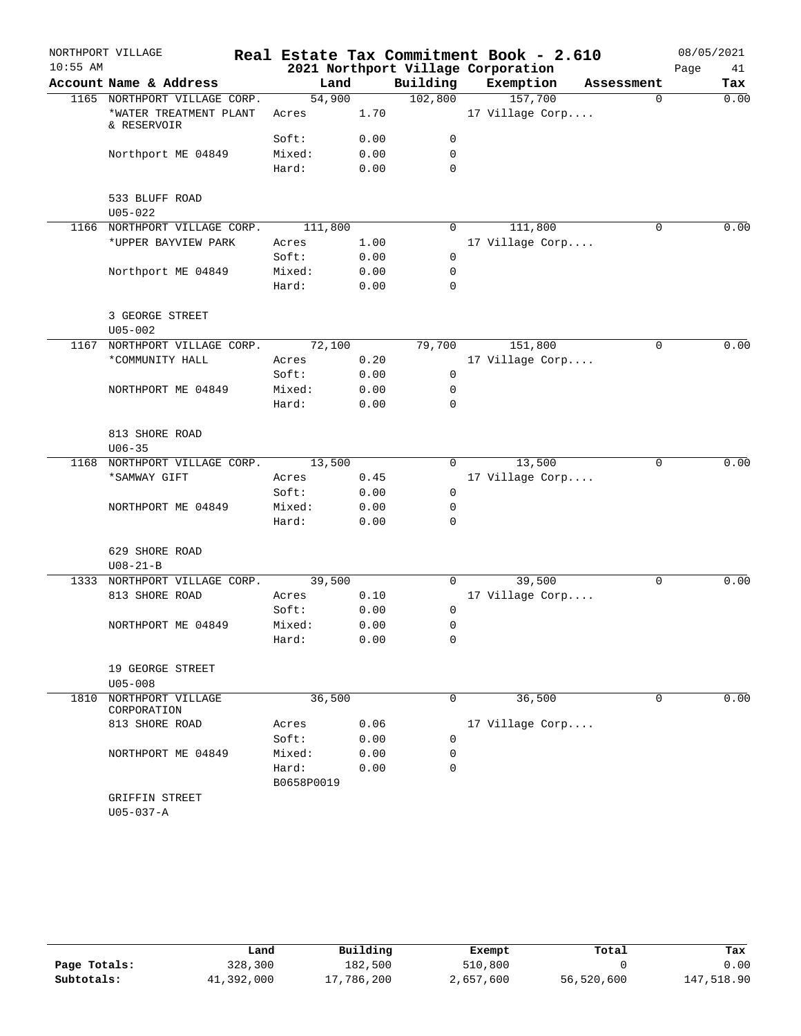|            | NORTHPORT VILLAGE                     |            |      |             | Real Estate Tax Commitment Book - 2.610 |            | 08/05/2021 |      |
|------------|---------------------------------------|------------|------|-------------|-----------------------------------------|------------|------------|------|
| $10:55$ AM |                                       |            |      |             | 2021 Northport Village Corporation      |            | Page       | 41   |
|            | Account Name & Address                | Land       |      | Building    | Exemption                               | Assessment | Tax        |      |
|            | 1165 NORTHPORT VILLAGE CORP.          | 54,900     |      | 102,800     | 157,700                                 | 0          |            | 0.00 |
|            | *WATER TREATMENT PLANT<br>& RESERVOIR | Acres      | 1.70 |             | 17 Village Corp                         |            |            |      |
|            |                                       | Soft:      | 0.00 | 0           |                                         |            |            |      |
|            | Northport ME 04849                    | Mixed:     | 0.00 | 0           |                                         |            |            |      |
|            |                                       | Hard:      | 0.00 | $\mathbf 0$ |                                         |            |            |      |
|            | 533 BLUFF ROAD<br>$U05 - 022$         |            |      |             |                                         |            |            |      |
|            | 1166 NORTHPORT VILLAGE CORP.          | 111,800    |      | $\Omega$    | 111,800                                 | 0          |            | 0.00 |
|            | *UPPER BAYVIEW PARK                   | Acres      | 1.00 |             | 17 Village Corp                         |            |            |      |
|            |                                       | Soft:      | 0.00 | 0           |                                         |            |            |      |
|            | Northport ME 04849                    | Mixed:     | 0.00 | $\mathbf 0$ |                                         |            |            |      |
|            |                                       | Hard:      | 0.00 | $\mathbf 0$ |                                         |            |            |      |
|            | 3 GEORGE STREET<br>$U05 - 002$        |            |      |             |                                         |            |            |      |
|            | 1167 NORTHPORT VILLAGE CORP.          | 72,100     |      | 79,700      | 151,800                                 | 0          |            | 0.00 |
|            | *COMMUNITY HALL                       | Acres      | 0.20 |             | 17 Village Corp                         |            |            |      |
|            |                                       | Soft:      | 0.00 | 0           |                                         |            |            |      |
|            | NORTHPORT ME 04849                    | Mixed:     | 0.00 | 0           |                                         |            |            |      |
|            |                                       | Hard:      | 0.00 | 0           |                                         |            |            |      |
|            | 813 SHORE ROAD<br>$U06 - 35$          |            |      |             |                                         |            |            |      |
|            | 1168 NORTHPORT VILLAGE CORP.          | 13,500     |      | $\Omega$    | 13,500                                  | $\Omega$   |            | 0.00 |
|            | *SAMWAY GIFT                          | Acres      | 0.45 |             | 17 Village Corp                         |            |            |      |
|            |                                       | Soft:      | 0.00 | 0           |                                         |            |            |      |
|            | NORTHPORT ME 04849                    | Mixed:     | 0.00 | 0           |                                         |            |            |      |
|            |                                       | Hard:      | 0.00 | $\mathbf 0$ |                                         |            |            |      |
|            | 629 SHORE ROAD<br>$U08 - 21 - B$      |            |      |             |                                         |            |            |      |
|            | 1333 NORTHPORT VILLAGE CORP.          | 39,500     |      | 0           | 39,500                                  | 0          |            | 0.00 |
|            | 813 SHORE ROAD                        | Acres      | 0.10 |             | 17 Village Corp                         |            |            |      |
|            |                                       | Soft:      | 0.00 | 0           |                                         |            |            |      |
|            | NORTHPORT ME 04849                    | Mixed:     | 0.00 | 0           |                                         |            |            |      |
|            |                                       | Hard:      | 0.00 | 0           |                                         |            |            |      |
|            | 19 GEORGE STREET<br>$U05 - 008$       |            |      |             |                                         |            |            |      |
| 1810       | NORTHPORT VILLAGE<br>CORPORATION      | 36,500     |      | 0           | 36,500                                  | 0          |            | 0.00 |
|            | 813 SHORE ROAD                        | Acres      | 0.06 |             | 17 Village Corp                         |            |            |      |
|            |                                       | Soft:      | 0.00 | 0           |                                         |            |            |      |
|            | NORTHPORT ME 04849                    | Mixed:     | 0.00 | 0           |                                         |            |            |      |
|            |                                       | Hard:      | 0.00 | $\mathbf 0$ |                                         |            |            |      |
|            |                                       | B0658P0019 |      |             |                                         |            |            |      |
|            | GRIFFIN STREET<br>$U05 - 037 - A$     |            |      |             |                                         |            |            |      |

|              | Land       | Building   | Exempt    | Total      | Tax        |
|--------------|------------|------------|-----------|------------|------------|
| Page Totals: | 328,300    | 182,500    | 510,800   |            | 0.00       |
| Subtotals:   | 41,392,000 | 17,786,200 | 2,657,600 | 56,520,600 | 147,518.90 |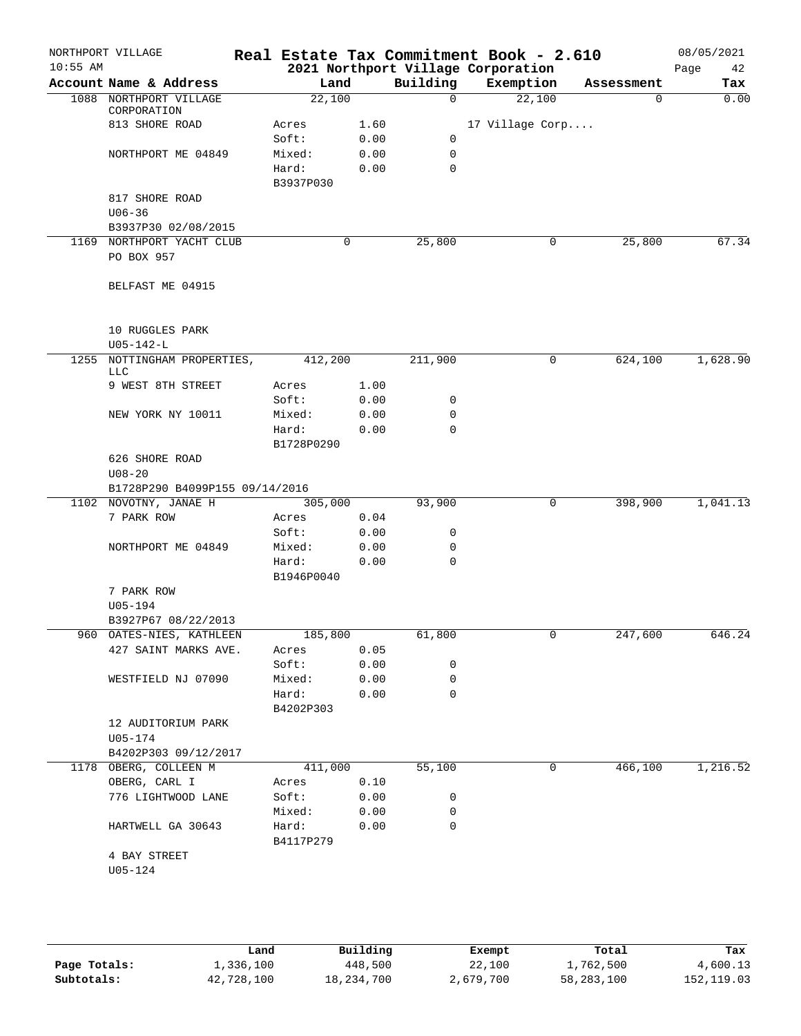| Account Name & Address<br>1088 NORTHPORT VILLAGE<br>CORPORATION<br>813 SHORE ROAD<br>NORTHPORT ME 04849<br>817 SHORE ROAD<br>$U06 - 36$<br>B3937P30 02/08/2015<br>1169 NORTHPORT YACHT CLUB<br>PO BOX 957 | Land<br>22,100<br>Acres<br>Soft:<br>Mixed:<br>Hard:<br>B3937P030                                                                                                                                             | 1.60<br>0.00<br>0.00<br>0.00                                                                                                                                       | Building<br>$\Omega$<br>0<br>$\mathbf 0$<br>$\mathbf 0$                                                  | 2021 Northport Village Corporation<br>Exemption<br>22,100<br>17 Village Corp                              | Assessment<br>0  | Page<br>42<br>Tax             |
|-----------------------------------------------------------------------------------------------------------------------------------------------------------------------------------------------------------|--------------------------------------------------------------------------------------------------------------------------------------------------------------------------------------------------------------|--------------------------------------------------------------------------------------------------------------------------------------------------------------------|----------------------------------------------------------------------------------------------------------|-----------------------------------------------------------------------------------------------------------|------------------|-------------------------------|
|                                                                                                                                                                                                           |                                                                                                                                                                                                              |                                                                                                                                                                    |                                                                                                          |                                                                                                           |                  | 0.00                          |
|                                                                                                                                                                                                           |                                                                                                                                                                                                              |                                                                                                                                                                    |                                                                                                          |                                                                                                           |                  |                               |
|                                                                                                                                                                                                           |                                                                                                                                                                                                              |                                                                                                                                                                    |                                                                                                          |                                                                                                           |                  |                               |
|                                                                                                                                                                                                           |                                                                                                                                                                                                              |                                                                                                                                                                    |                                                                                                          |                                                                                                           |                  |                               |
|                                                                                                                                                                                                           |                                                                                                                                                                                                              |                                                                                                                                                                    |                                                                                                          |                                                                                                           |                  |                               |
|                                                                                                                                                                                                           |                                                                                                                                                                                                              |                                                                                                                                                                    |                                                                                                          |                                                                                                           |                  |                               |
|                                                                                                                                                                                                           |                                                                                                                                                                                                              |                                                                                                                                                                    |                                                                                                          |                                                                                                           |                  |                               |
|                                                                                                                                                                                                           |                                                                                                                                                                                                              |                                                                                                                                                                    |                                                                                                          |                                                                                                           |                  |                               |
|                                                                                                                                                                                                           |                                                                                                                                                                                                              |                                                                                                                                                                    |                                                                                                          |                                                                                                           |                  |                               |
|                                                                                                                                                                                                           |                                                                                                                                                                                                              |                                                                                                                                                                    |                                                                                                          |                                                                                                           |                  |                               |
|                                                                                                                                                                                                           |                                                                                                                                                                                                              | 0                                                                                                                                                                  | 25,800                                                                                                   | 0                                                                                                         | 25,800           | 67.34                         |
|                                                                                                                                                                                                           |                                                                                                                                                                                                              |                                                                                                                                                                    |                                                                                                          |                                                                                                           |                  |                               |
|                                                                                                                                                                                                           |                                                                                                                                                                                                              |                                                                                                                                                                    |                                                                                                          |                                                                                                           |                  |                               |
| BELFAST ME 04915                                                                                                                                                                                          |                                                                                                                                                                                                              |                                                                                                                                                                    |                                                                                                          |                                                                                                           |                  |                               |
| 10 RUGGLES PARK                                                                                                                                                                                           |                                                                                                                                                                                                              |                                                                                                                                                                    |                                                                                                          |                                                                                                           |                  |                               |
|                                                                                                                                                                                                           |                                                                                                                                                                                                              |                                                                                                                                                                    |                                                                                                          |                                                                                                           |                  | 1,628.90                      |
| LLC                                                                                                                                                                                                       |                                                                                                                                                                                                              |                                                                                                                                                                    |                                                                                                          |                                                                                                           |                  |                               |
| 9 WEST 8TH STREET                                                                                                                                                                                         | Acres                                                                                                                                                                                                        | 1.00                                                                                                                                                               |                                                                                                          |                                                                                                           |                  |                               |
|                                                                                                                                                                                                           | Soft:                                                                                                                                                                                                        | 0.00                                                                                                                                                               | 0                                                                                                        |                                                                                                           |                  |                               |
| NEW YORK NY 10011                                                                                                                                                                                         | Mixed:                                                                                                                                                                                                       | 0.00                                                                                                                                                               | 0                                                                                                        |                                                                                                           |                  |                               |
|                                                                                                                                                                                                           |                                                                                                                                                                                                              |                                                                                                                                                                    |                                                                                                          |                                                                                                           |                  |                               |
|                                                                                                                                                                                                           |                                                                                                                                                                                                              |                                                                                                                                                                    |                                                                                                          |                                                                                                           |                  |                               |
|                                                                                                                                                                                                           |                                                                                                                                                                                                              |                                                                                                                                                                    |                                                                                                          |                                                                                                           |                  |                               |
|                                                                                                                                                                                                           |                                                                                                                                                                                                              |                                                                                                                                                                    |                                                                                                          |                                                                                                           |                  |                               |
|                                                                                                                                                                                                           |                                                                                                                                                                                                              |                                                                                                                                                                    |                                                                                                          |                                                                                                           |                  | 1,041.13                      |
|                                                                                                                                                                                                           |                                                                                                                                                                                                              |                                                                                                                                                                    |                                                                                                          |                                                                                                           |                  |                               |
|                                                                                                                                                                                                           | Soft:                                                                                                                                                                                                        | 0.00                                                                                                                                                               | 0                                                                                                        |                                                                                                           |                  |                               |
| NORTHPORT ME 04849                                                                                                                                                                                        | Mixed:                                                                                                                                                                                                       | 0.00                                                                                                                                                               | 0                                                                                                        |                                                                                                           |                  |                               |
|                                                                                                                                                                                                           | Hard:                                                                                                                                                                                                        | 0.00                                                                                                                                                               | $\mathbf 0$                                                                                              |                                                                                                           |                  |                               |
|                                                                                                                                                                                                           | B1946P0040                                                                                                                                                                                                   |                                                                                                                                                                    |                                                                                                          |                                                                                                           |                  |                               |
| 7 PARK ROW                                                                                                                                                                                                |                                                                                                                                                                                                              |                                                                                                                                                                    |                                                                                                          |                                                                                                           |                  |                               |
| U05-194                                                                                                                                                                                                   |                                                                                                                                                                                                              |                                                                                                                                                                    |                                                                                                          |                                                                                                           |                  |                               |
|                                                                                                                                                                                                           |                                                                                                                                                                                                              |                                                                                                                                                                    |                                                                                                          |                                                                                                           |                  |                               |
|                                                                                                                                                                                                           |                                                                                                                                                                                                              |                                                                                                                                                                    |                                                                                                          |                                                                                                           |                  | 646.24                        |
|                                                                                                                                                                                                           |                                                                                                                                                                                                              |                                                                                                                                                                    |                                                                                                          |                                                                                                           |                  |                               |
|                                                                                                                                                                                                           |                                                                                                                                                                                                              |                                                                                                                                                                    |                                                                                                          |                                                                                                           |                  |                               |
|                                                                                                                                                                                                           |                                                                                                                                                                                                              |                                                                                                                                                                    |                                                                                                          |                                                                                                           |                  |                               |
|                                                                                                                                                                                                           |                                                                                                                                                                                                              |                                                                                                                                                                    |                                                                                                          |                                                                                                           |                  |                               |
| 12 AUDITORIUM PARK                                                                                                                                                                                        |                                                                                                                                                                                                              |                                                                                                                                                                    |                                                                                                          |                                                                                                           |                  |                               |
| U05-174                                                                                                                                                                                                   |                                                                                                                                                                                                              |                                                                                                                                                                    |                                                                                                          |                                                                                                           |                  |                               |
| B4202P303 09/12/2017                                                                                                                                                                                      |                                                                                                                                                                                                              |                                                                                                                                                                    |                                                                                                          |                                                                                                           |                  |                               |
| 1178 OBERG, COLLEEN M                                                                                                                                                                                     |                                                                                                                                                                                                              |                                                                                                                                                                    | 55,100                                                                                                   | $\mathbf 0$                                                                                               | 466,100          | 1,216.52                      |
| OBERG, CARL I                                                                                                                                                                                             | Acres                                                                                                                                                                                                        | 0.10                                                                                                                                                               |                                                                                                          |                                                                                                           |                  |                               |
| 776 LIGHTWOOD LANE                                                                                                                                                                                        | Soft:                                                                                                                                                                                                        |                                                                                                                                                                    | 0                                                                                                        |                                                                                                           |                  |                               |
|                                                                                                                                                                                                           |                                                                                                                                                                                                              |                                                                                                                                                                    |                                                                                                          |                                                                                                           |                  |                               |
|                                                                                                                                                                                                           | B4117P279                                                                                                                                                                                                    |                                                                                                                                                                    |                                                                                                          |                                                                                                           |                  |                               |
| 4 BAY STREET                                                                                                                                                                                              |                                                                                                                                                                                                              |                                                                                                                                                                    |                                                                                                          |                                                                                                           |                  |                               |
| U05-124                                                                                                                                                                                                   |                                                                                                                                                                                                              |                                                                                                                                                                    |                                                                                                          |                                                                                                           |                  |                               |
|                                                                                                                                                                                                           | $U05 - 142 - L$<br>626 SHORE ROAD<br>$U08 - 20$<br>1102 NOVOTNY, JANAE H<br>7 PARK ROW<br>B3927P67 08/22/2013<br>960 OATES-NIES, KATHLEEN<br>427 SAINT MARKS AVE.<br>WESTFIELD NJ 07090<br>HARTWELL GA 30643 | 1255 NOTTINGHAM PROPERTIES,<br>Hard:<br>B1728P0290<br>B1728P290 B4099P155 09/14/2016<br>Acres<br>Acres<br>Soft:<br>Mixed:<br>Hard:<br>B4202P303<br>Mixed:<br>Hard: | 412,200<br>0.00<br>305,000<br>0.04<br>185,800<br>0.05<br>0.00<br>0.00<br>411,000<br>0.00<br>0.00<br>0.00 | 211,900<br>$\mathbf 0$<br>93,900<br>61,800<br>0<br>$\mathbf 0$<br>0.00<br>$\mathbf 0$<br>0<br>$\mathbf 0$ | 0<br>0<br>$\cup$ | 624,100<br>398,900<br>247,600 |

|              | Land       | Building   | Exempt    | Total      | Tax        |
|--------------|------------|------------|-----------|------------|------------|
| Page Totals: | 1,336,100  | 448,500    | 22,100    | 1,762,500  | 4,600.13   |
| Subtotals:   | 42,728,100 | 18,234,700 | 2,679,700 | 58,283,100 | 152,119.03 |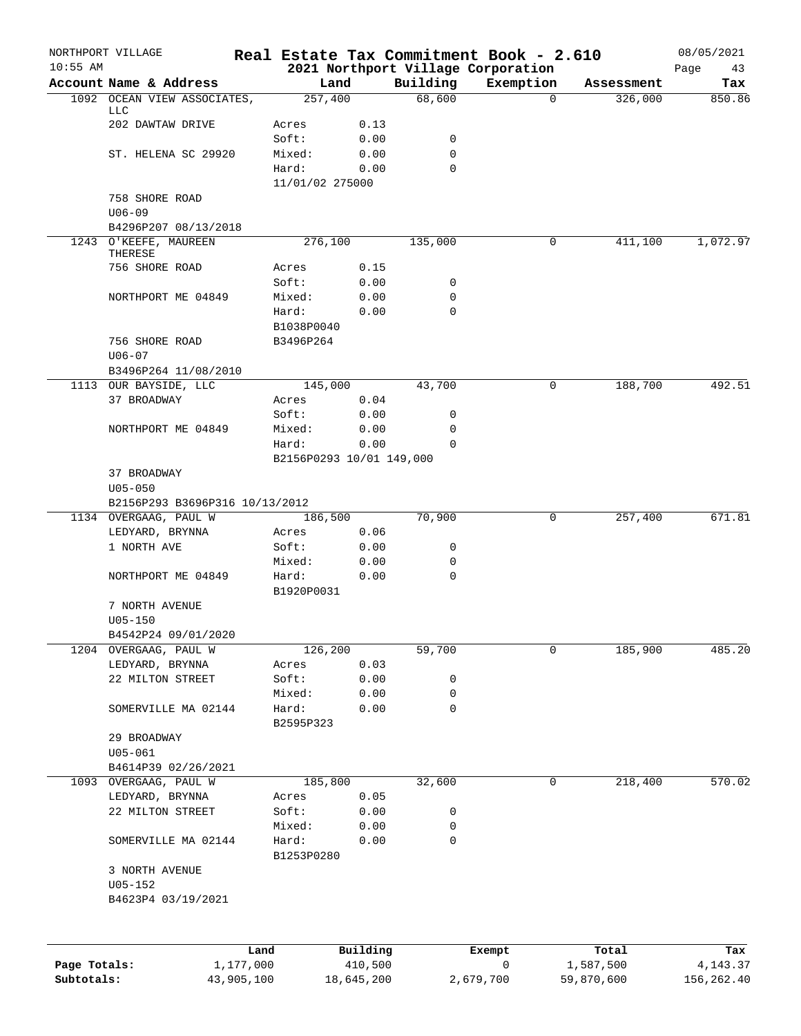|              | NORTHPORT VILLAGE                             |                   |                 |                          |             | Real Estate Tax Commitment Book - 2.610 |                    |            | 08/05/2021 |        |
|--------------|-----------------------------------------------|-------------------|-----------------|--------------------------|-------------|-----------------------------------------|--------------------|------------|------------|--------|
| $10:55$ AM   |                                               |                   |                 |                          |             | 2021 Northport Village Corporation      |                    |            | Page       | 43     |
|              | Account Name & Address                        |                   |                 | Land                     | Building    | Exemption                               |                    | Assessment |            | Tax    |
|              | 1092 OCEAN VIEW ASSOCIATES,<br>LLC            |                   | 257,400         |                          | 68,600      |                                         | $\Omega$           | 326,000    |            | 850.86 |
|              | 202 DAWTAW DRIVE                              |                   | Acres           | 0.13                     |             |                                         |                    |            |            |        |
|              |                                               |                   | Soft:           | 0.00                     | 0           |                                         |                    |            |            |        |
|              | ST. HELENA SC 29920                           |                   | Mixed:          | 0.00                     | 0           |                                         |                    |            |            |        |
|              |                                               |                   | Hard:           | 0.00                     | $\Omega$    |                                         |                    |            |            |        |
|              |                                               |                   | 11/01/02 275000 |                          |             |                                         |                    |            |            |        |
|              | 758 SHORE ROAD                                |                   |                 |                          |             |                                         |                    |            |            |        |
|              | $U06 - 09$                                    |                   |                 |                          |             |                                         |                    |            |            |        |
|              | B4296P207 08/13/2018                          |                   |                 |                          |             |                                         |                    |            |            |        |
|              | 1243 O'KEEFE, MAUREEN                         |                   | 276,100         |                          | 135,000     |                                         | 0                  | 411,100    | 1,072.97   |        |
|              | THERESE                                       |                   |                 |                          |             |                                         |                    |            |            |        |
|              | 756 SHORE ROAD                                |                   | Acres           | 0.15                     |             |                                         |                    |            |            |        |
|              |                                               |                   | Soft:           | 0.00                     | 0           |                                         |                    |            |            |        |
|              | NORTHPORT ME 04849                            |                   | Mixed:          | 0.00                     | 0           |                                         |                    |            |            |        |
|              |                                               |                   | Hard:           | 0.00                     | 0           |                                         |                    |            |            |        |
|              |                                               |                   | B1038P0040      |                          |             |                                         |                    |            |            |        |
|              | 756 SHORE ROAD                                |                   | B3496P264       |                          |             |                                         |                    |            |            |        |
|              | $U06 - 07$                                    |                   |                 |                          |             |                                         |                    |            |            |        |
|              | B3496P264 11/08/2010                          |                   |                 |                          |             |                                         |                    |            |            |        |
|              | 1113 OUR BAYSIDE, LLC                         |                   | 145,000         |                          | 43,700      |                                         | 0                  | 188,700    |            | 492.51 |
|              | 37 BROADWAY                                   |                   | Acres           | 0.04                     |             |                                         |                    |            |            |        |
|              |                                               |                   | Soft:           | 0.00                     | 0           |                                         |                    |            |            |        |
|              | NORTHPORT ME 04849                            |                   | Mixed:          | 0.00                     | 0           |                                         |                    |            |            |        |
|              |                                               |                   | Hard:           | 0.00                     | $\Omega$    |                                         |                    |            |            |        |
|              |                                               |                   |                 | B2156P0293 10/01 149,000 |             |                                         |                    |            |            |        |
|              | 37 BROADWAY                                   |                   |                 |                          |             |                                         |                    |            |            |        |
|              | $U05 - 050$<br>B2156P293 B3696P316 10/13/2012 |                   |                 |                          |             |                                         |                    |            |            |        |
|              | 1134 OVERGAAG, PAUL W                         |                   | 186,500         |                          | 70,900      |                                         | 0                  | 257,400    |            | 671.81 |
|              | LEDYARD, BRYNNA                               |                   | Acres           | 0.06                     |             |                                         |                    |            |            |        |
|              | 1 NORTH AVE                                   |                   | Soft:           | 0.00                     | 0           |                                         |                    |            |            |        |
|              |                                               |                   | Mixed:          | 0.00                     | 0           |                                         |                    |            |            |        |
|              | NORTHPORT ME 04849                            |                   | Hard:           | 0.00                     | $\mathbf 0$ |                                         |                    |            |            |        |
|              |                                               |                   | B1920P0031      |                          |             |                                         |                    |            |            |        |
|              | 7 NORTH AVENUE                                |                   |                 |                          |             |                                         |                    |            |            |        |
|              | $U05 - 150$                                   |                   |                 |                          |             |                                         |                    |            |            |        |
|              | B4542P24 09/01/2020                           |                   |                 |                          |             |                                         |                    |            |            |        |
|              | 1204 OVERGAAG, PAUL W                         |                   | 126, 200        |                          | 59,700      |                                         | 0                  | 185,900    |            | 485.20 |
|              | LEDYARD, BRYNNA                               |                   | Acres           | 0.03                     |             |                                         |                    |            |            |        |
|              | 22 MILTON STREET                              |                   | Soft:           | 0.00                     | 0           |                                         |                    |            |            |        |
|              |                                               |                   | Mixed:          | 0.00                     | 0           |                                         |                    |            |            |        |
|              | SOMERVILLE MA 02144                           |                   | Hard:           | 0.00                     | 0           |                                         |                    |            |            |        |
|              |                                               |                   | B2595P323       |                          |             |                                         |                    |            |            |        |
|              | 29 BROADWAY                                   |                   |                 |                          |             |                                         |                    |            |            |        |
|              | $U05 - 061$                                   |                   |                 |                          |             |                                         |                    |            |            |        |
|              | B4614P39 02/26/2021                           |                   |                 |                          |             |                                         |                    |            |            |        |
|              | 1093 OVERGAAG, PAUL W                         |                   | 185,800         |                          | 32,600      |                                         | 0                  | 218,400    |            | 570.02 |
|              | LEDYARD, BRYNNA                               |                   | Acres           | 0.05                     |             |                                         |                    |            |            |        |
|              | 22 MILTON STREET                              |                   | Soft:           | 0.00                     | 0           |                                         |                    |            |            |        |
|              |                                               |                   | Mixed:          | 0.00                     | 0           |                                         |                    |            |            |        |
|              | SOMERVILLE MA 02144                           |                   | Hard:           | 0.00                     | 0           |                                         |                    |            |            |        |
|              |                                               |                   | B1253P0280      |                          |             |                                         |                    |            |            |        |
|              | 3 NORTH AVENUE                                |                   |                 |                          |             |                                         |                    |            |            |        |
|              | $U05 - 152$                                   |                   |                 |                          |             |                                         |                    |            |            |        |
|              | B4623P4 03/19/2021                            |                   |                 |                          |             |                                         |                    |            |            |        |
|              |                                               |                   |                 |                          |             |                                         |                    |            |            |        |
|              |                                               |                   |                 |                          |             |                                         |                    |            |            |        |
| Page Totals: |                                               | Land<br>1,177,000 |                 | Building<br>410,500      |             | Exempt<br>0                             | Total<br>1,587,500 |            | 4,143.37   | Tax    |
| Subtotals:   |                                               | 43,905,100        |                 | 18,645,200               |             | 2,679,700                               | 59,870,600         |            | 156,262.40 |        |
|              |                                               |                   |                 |                          |             |                                         |                    |            |            |        |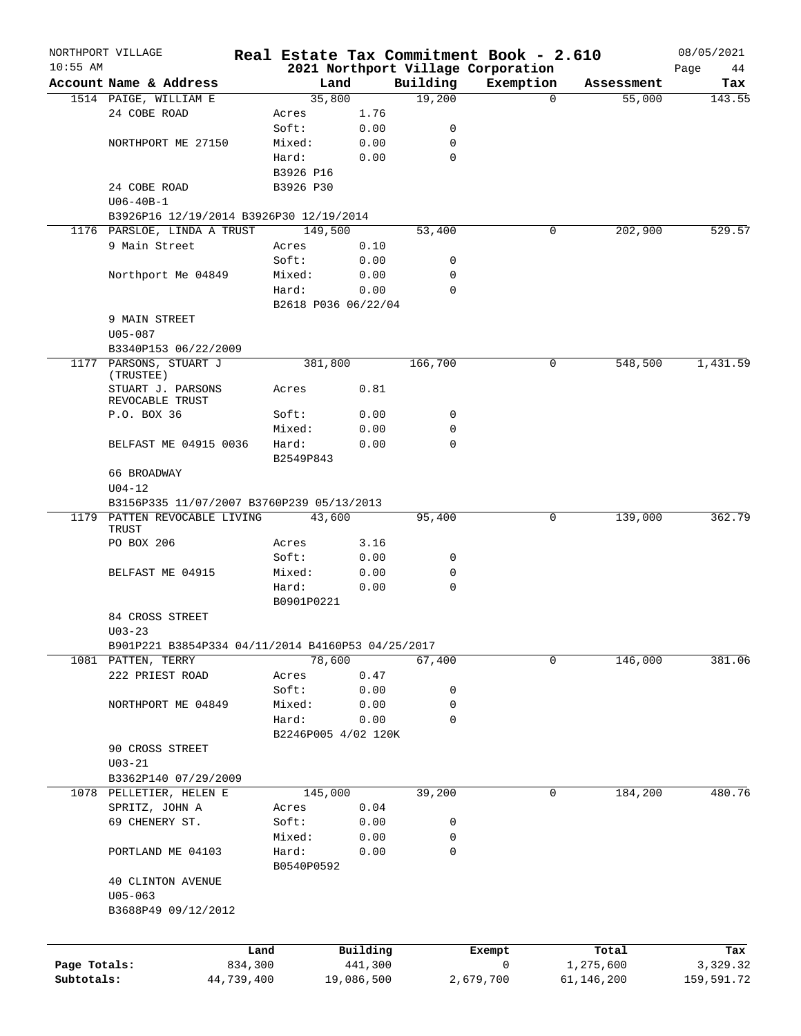|              | NORTHPORT VILLAGE                                 |                 |                     |                     |             | Real Estate Tax Commitment Book - 2.610 |          |                    | 08/05/2021      |
|--------------|---------------------------------------------------|-----------------|---------------------|---------------------|-------------|-----------------------------------------|----------|--------------------|-----------------|
| $10:55$ AM   |                                                   |                 |                     |                     |             | 2021 Northport Village Corporation      |          |                    | Page<br>44      |
|              | Account Name & Address                            |                 | Land                |                     | Building    | Exemption                               |          | Assessment         | Tax             |
|              | 1514 PAIGE, WILLIAM E<br>24 COBE ROAD             |                 | 35,800              | 1.76                | 19,200      |                                         | $\Omega$ | 55,000             | 143.55          |
|              |                                                   |                 | Acres<br>Soft:      | 0.00                | 0           |                                         |          |                    |                 |
|              | NORTHPORT ME 27150                                |                 | Mixed:              | 0.00                | 0           |                                         |          |                    |                 |
|              |                                                   |                 | Hard:               | 0.00                | $\mathbf 0$ |                                         |          |                    |                 |
|              |                                                   |                 | B3926 P16           |                     |             |                                         |          |                    |                 |
|              | 24 COBE ROAD                                      |                 | B3926 P30           |                     |             |                                         |          |                    |                 |
|              | $U06 - 40B - 1$                                   |                 |                     |                     |             |                                         |          |                    |                 |
|              | B3926P16 12/19/2014 B3926P30 12/19/2014           |                 |                     |                     |             |                                         |          |                    |                 |
|              | 1176 PARSLOE, LINDA A TRUST                       |                 | 149,500             |                     | 53,400      |                                         | 0        | 202,900            | 529.57          |
|              | 9 Main Street                                     |                 | Acres               | 0.10                |             |                                         |          |                    |                 |
|              |                                                   |                 | Soft:               | 0.00                | 0           |                                         |          |                    |                 |
|              | Northport Me 04849                                |                 | Mixed:              | 0.00                | 0           |                                         |          |                    |                 |
|              |                                                   |                 | Hard:               | 0.00                | $\mathbf 0$ |                                         |          |                    |                 |
|              |                                                   |                 | B2618 P036 06/22/04 |                     |             |                                         |          |                    |                 |
|              | 9 MAIN STREET                                     |                 |                     |                     |             |                                         |          |                    |                 |
|              | $U05 - 087$                                       |                 |                     |                     |             |                                         |          |                    |                 |
|              | B3340P153 06/22/2009                              |                 |                     |                     |             |                                         |          |                    |                 |
|              | 1177 PARSONS, STUART J<br>(TRUSTEE)               |                 | 381,800             |                     | 166,700     |                                         | 0        | 548,500            | 1,431.59        |
|              | STUART J. PARSONS<br>REVOCABLE TRUST              |                 | Acres               | 0.81                |             |                                         |          |                    |                 |
|              | P.O. BOX 36                                       |                 | Soft:               | 0.00                | 0           |                                         |          |                    |                 |
|              |                                                   |                 | Mixed:              | 0.00                | 0           |                                         |          |                    |                 |
|              | BELFAST ME 04915 0036                             |                 | Hard:<br>B2549P843  | 0.00                | $\mathbf 0$ |                                         |          |                    |                 |
|              | 66 BROADWAY                                       |                 |                     |                     |             |                                         |          |                    |                 |
|              | $U04 - 12$                                        |                 |                     |                     |             |                                         |          |                    |                 |
|              | B3156P335 11/07/2007 B3760P239 05/13/2013         |                 |                     |                     |             |                                         |          |                    |                 |
|              | 1179 PATTEN REVOCABLE LIVING<br>TRUST             |                 | 43,600              |                     | 95,400      |                                         | 0        | 139,000            | 362.79          |
|              | PO BOX 206                                        |                 | Acres               | 3.16                |             |                                         |          |                    |                 |
|              |                                                   |                 | Soft:               | 0.00                | 0           |                                         |          |                    |                 |
|              | BELFAST ME 04915                                  |                 | Mixed:              | 0.00                | 0           |                                         |          |                    |                 |
|              |                                                   |                 | Hard:<br>B0901P0221 | 0.00                | $\mathbf 0$ |                                         |          |                    |                 |
|              | 84 CROSS STREET                                   |                 |                     |                     |             |                                         |          |                    |                 |
|              | $U03 - 23$                                        |                 |                     |                     |             |                                         |          |                    |                 |
|              | B901P221 B3854P334 04/11/2014 B4160P53 04/25/2017 |                 |                     |                     |             |                                         |          |                    |                 |
|              | 1081 PATTEN, TERRY                                |                 | 78,600              |                     | 67,400      |                                         | 0        | 146,000            | 381.06          |
|              | 222 PRIEST ROAD                                   |                 | Acres               | 0.47                |             |                                         |          |                    |                 |
|              |                                                   |                 | Soft:               | 0.00                | 0           |                                         |          |                    |                 |
|              | NORTHPORT ME 04849                                |                 | Mixed:              | 0.00                | 0           |                                         |          |                    |                 |
|              |                                                   |                 | Hard:               | 0.00                | 0           |                                         |          |                    |                 |
|              |                                                   |                 | B2246P005 4/02 120K |                     |             |                                         |          |                    |                 |
|              | 90 CROSS STREET                                   |                 |                     |                     |             |                                         |          |                    |                 |
|              | $U03 - 21$                                        |                 |                     |                     |             |                                         |          |                    |                 |
|              | B3362P140 07/29/2009                              |                 |                     |                     |             |                                         |          |                    |                 |
|              | 1078 PELLETIER, HELEN E                           |                 | 145,000             |                     | 39,200      |                                         | 0        | 184,200            | 480.76          |
|              | SPRITZ, JOHN A                                    |                 | Acres               | 0.04                |             |                                         |          |                    |                 |
|              | 69 CHENERY ST.                                    |                 | Soft:               | 0.00                | 0           |                                         |          |                    |                 |
|              |                                                   |                 | Mixed:              | 0.00                | 0           |                                         |          |                    |                 |
|              | PORTLAND ME 04103                                 |                 | Hard:<br>B0540P0592 | 0.00                | $\mathbf 0$ |                                         |          |                    |                 |
|              | <b>40 CLINTON AVENUE</b>                          |                 |                     |                     |             |                                         |          |                    |                 |
|              | $U05 - 063$                                       |                 |                     |                     |             |                                         |          |                    |                 |
|              | B3688P49 09/12/2012                               |                 |                     |                     |             |                                         |          |                    |                 |
|              |                                                   |                 |                     |                     |             |                                         |          |                    |                 |
| Page Totals: |                                                   | Land<br>834,300 |                     | Building<br>441,300 |             | Exempt<br>0                             |          | Total<br>1,275,600 | Tax<br>3,329.32 |
| Subtotals:   |                                                   | 44,739,400      |                     | 19,086,500          |             | 2,679,700                               |          | 61, 146, 200       | 159,591.72      |
|              |                                                   |                 |                     |                     |             |                                         |          |                    |                 |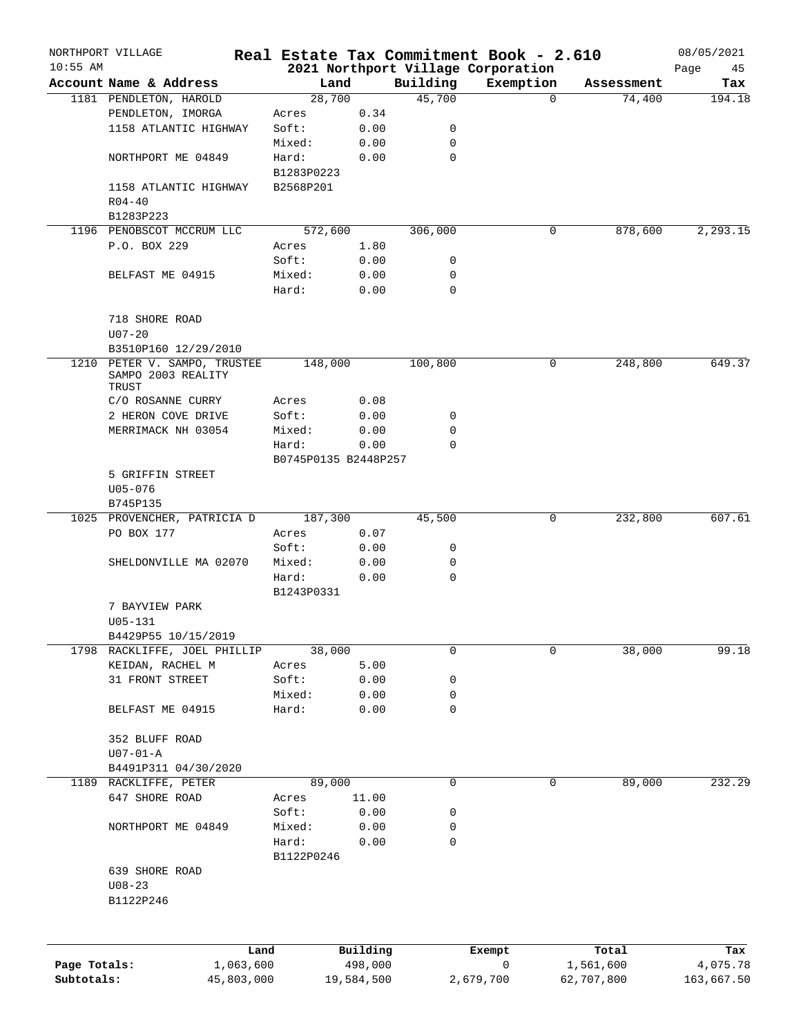|              | NORTHPORT VILLAGE            |                      |            |             | Real Estate Tax Commitment Book - 2.610 |            | 08/05/2021 |
|--------------|------------------------------|----------------------|------------|-------------|-----------------------------------------|------------|------------|
| $10:55$ AM   |                              |                      |            |             | 2021 Northport Village Corporation      |            | Page<br>45 |
|              | Account Name & Address       | Land                 |            | Building    | Exemption                               | Assessment | Tax        |
|              | 1181 PENDLETON, HAROLD       | 28,700               |            | 45,700      | $\Omega$                                | 74,400     | 194.18     |
|              | PENDLETON, IMORGA            | Acres                | 0.34       |             |                                         |            |            |
|              | 1158 ATLANTIC HIGHWAY        | Soft:                | 0.00       | 0           |                                         |            |            |
|              |                              | Mixed:               | 0.00       | 0           |                                         |            |            |
|              | NORTHPORT ME 04849           | Hard:                | 0.00       | 0           |                                         |            |            |
|              |                              | B1283P0223           |            |             |                                         |            |            |
|              | 1158 ATLANTIC HIGHWAY        | B2568P201            |            |             |                                         |            |            |
|              | $R04 - 40$                   |                      |            |             |                                         |            |            |
|              | B1283P223                    |                      |            |             |                                         |            |            |
|              | 1196 PENOBSCOT MCCRUM LLC    | 572,600              |            | 306,000     | 0                                       | 878,600    | 2,293.15   |
|              | P.O. BOX 229                 | Acres                | 1.80       |             |                                         |            |            |
|              |                              | Soft:                | 0.00       | 0           |                                         |            |            |
|              | BELFAST ME 04915             | Mixed:               | 0.00       | 0           |                                         |            |            |
|              |                              | Hard:                | 0.00       | 0           |                                         |            |            |
|              |                              |                      |            |             |                                         |            |            |
|              |                              |                      |            |             |                                         |            |            |
|              | 718 SHORE ROAD               |                      |            |             |                                         |            |            |
|              | $U07 - 20$                   |                      |            |             |                                         |            |            |
|              | B3510P160 12/29/2010         |                      |            |             |                                         |            |            |
|              | 1210 PETER V. SAMPO, TRUSTEE | 148,000              |            | 100,800     | 0                                       | 248,800    | 649.37     |
|              | SAMPO 2003 REALITY<br>TRUST  |                      |            |             |                                         |            |            |
|              | C/O ROSANNE CURRY            |                      |            |             |                                         |            |            |
|              |                              | Acres                | 0.08       |             |                                         |            |            |
|              | 2 HERON COVE DRIVE           | Soft:                | 0.00       | 0           |                                         |            |            |
|              | MERRIMACK NH 03054           | Mixed:               | 0.00       | 0           |                                         |            |            |
|              |                              | Hard:                | 0.00       | $\Omega$    |                                         |            |            |
|              |                              | B0745P0135 B2448P257 |            |             |                                         |            |            |
|              | 5 GRIFFIN STREET             |                      |            |             |                                         |            |            |
|              | $U05 - 076$                  |                      |            |             |                                         |            |            |
|              | B745P135                     |                      |            |             |                                         |            |            |
|              | 1025 PROVENCHER, PATRICIA D  | 187,300              |            | 45,500      | 0                                       | 232,800    | 607.61     |
|              | PO BOX 177                   | Acres                | 0.07       |             |                                         |            |            |
|              |                              | Soft:                | 0.00       | 0           |                                         |            |            |
|              | SHELDONVILLE MA 02070        | Mixed:               | 0.00       | 0           |                                         |            |            |
|              |                              | Hard:                | 0.00       | 0           |                                         |            |            |
|              |                              | B1243P0331           |            |             |                                         |            |            |
|              | 7 BAYVIEW PARK               |                      |            |             |                                         |            |            |
|              |                              |                      |            |             |                                         |            |            |
|              | U05-131                      |                      |            |             |                                         |            |            |
|              | B4429P55 10/15/2019          |                      |            |             |                                         |            |            |
|              | 1798 RACKLIFFE, JOEL PHILLIP | 38,000               |            | 0           | 0                                       | 38,000     | 99.18      |
|              | KEIDAN, RACHEL M             | Acres                | 5.00       |             |                                         |            |            |
|              | 31 FRONT STREET              | Soft:                | 0.00       | 0           |                                         |            |            |
|              |                              | Mixed:               | 0.00       | 0           |                                         |            |            |
|              | BELFAST ME 04915             | Hard:                | 0.00       | $\mathbf 0$ |                                         |            |            |
|              |                              |                      |            |             |                                         |            |            |
|              | 352 BLUFF ROAD               |                      |            |             |                                         |            |            |
|              | $U07-01-A$                   |                      |            |             |                                         |            |            |
|              | B4491P311 04/30/2020         |                      |            |             |                                         |            |            |
|              | 1189 RACKLIFFE, PETER        | 89,000               |            | $\mathbf 0$ | 0                                       | 89,000     | 232.29     |
|              | 647 SHORE ROAD               | Acres                | 11.00      |             |                                         |            |            |
|              |                              |                      |            |             |                                         |            |            |
|              |                              | Soft:                | 0.00       | 0           |                                         |            |            |
|              | NORTHPORT ME 04849           | Mixed:               | 0.00       | 0           |                                         |            |            |
|              |                              | Hard:                | 0.00       | 0           |                                         |            |            |
|              |                              | B1122P0246           |            |             |                                         |            |            |
|              | 639 SHORE ROAD               |                      |            |             |                                         |            |            |
|              | $U08 - 23$                   |                      |            |             |                                         |            |            |
|              | B1122P246                    |                      |            |             |                                         |            |            |
|              |                              |                      |            |             |                                         |            |            |
|              |                              |                      |            |             |                                         |            |            |
|              |                              |                      |            |             |                                         |            |            |
|              | Land                         |                      | Building   |             | Exempt                                  | Total      | Tax        |
| Page Totals: | 1,063,600                    |                      | 498,000    |             | 0                                       | 1,561,600  | 4,075.78   |
| Subtotals:   | 45,803,000                   |                      | 19,584,500 |             | 2,679,700                               | 62,707,800 | 163,667.50 |
|              |                              |                      |            |             |                                         |            |            |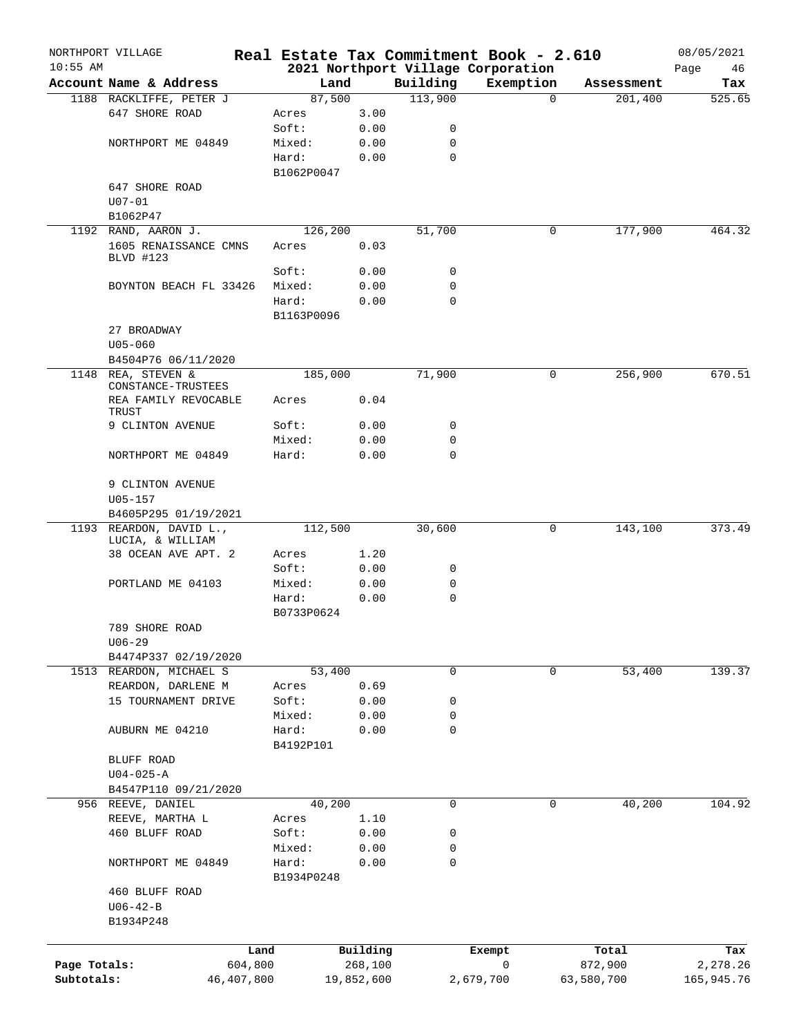|              | NORTHPORT VILLAGE             |                    |            |              | Real Estate Tax Commitment Book - 2.610 |            | 08/05/2021 |
|--------------|-------------------------------|--------------------|------------|--------------|-----------------------------------------|------------|------------|
| $10:55$ AM   |                               |                    |            |              | 2021 Northport Village Corporation      |            | 46<br>Page |
|              | Account Name & Address        | Land               |            | Building     | Exemption                               | Assessment | Tax        |
|              | 1188 RACKLIFFE, PETER J       | 87,500             |            | 113,900      | $\Omega$                                | 201,400    | 525.65     |
|              | 647 SHORE ROAD                | Acres              | 3.00       |              |                                         |            |            |
|              |                               | Soft:              | 0.00       | 0            |                                         |            |            |
|              | NORTHPORT ME 04849            | Mixed:             | 0.00       | 0            |                                         |            |            |
|              |                               | Hard:              | 0.00       | $\mathbf 0$  |                                         |            |            |
|              |                               | B1062P0047         |            |              |                                         |            |            |
|              | 647 SHORE ROAD                |                    |            |              |                                         |            |            |
|              | $U07 - 01$                    |                    |            |              |                                         |            |            |
|              | B1062P47                      |                    |            |              |                                         |            |            |
|              | 1192 RAND, AARON J.           | 126,200            |            | 51,700       | 0                                       | 177,900    | 464.32     |
|              | 1605 RENAISSANCE CMNS         | Acres              | 0.03       |              |                                         |            |            |
|              | BLVD #123                     | Soft:              | 0.00       | 0            |                                         |            |            |
|              | BOYNTON BEACH FL 33426        | Mixed:             | 0.00       | $\mathbf 0$  |                                         |            |            |
|              |                               |                    |            |              |                                         |            |            |
|              |                               | Hard:              | 0.00       | $\mathbf 0$  |                                         |            |            |
|              |                               | B1163P0096         |            |              |                                         |            |            |
|              | 27 BROADWAY                   |                    |            |              |                                         |            |            |
|              | $U05 - 060$                   |                    |            |              |                                         |            |            |
|              | B4504P76 06/11/2020           |                    |            |              |                                         |            |            |
| 1148         | REA, STEVEN &                 | 185,000            |            | 71,900       | 0                                       | 256,900    | 670.51     |
|              | CONSTANCE-TRUSTEES            |                    |            |              |                                         |            |            |
|              | REA FAMILY REVOCABLE<br>TRUST | Acres              | 0.04       |              |                                         |            |            |
|              | 9 CLINTON AVENUE              | Soft:              | 0.00       | 0            |                                         |            |            |
|              |                               | Mixed:             | 0.00       | $\mathbf 0$  |                                         |            |            |
|              | NORTHPORT ME 04849            | Hard:              | 0.00       | $\mathbf 0$  |                                         |            |            |
|              |                               |                    |            |              |                                         |            |            |
|              | 9 CLINTON AVENUE              |                    |            |              |                                         |            |            |
|              | $U05 - 157$                   |                    |            |              |                                         |            |            |
|              | B4605P295 01/19/2021          |                    |            |              |                                         |            |            |
|              | 1193 REARDON, DAVID L.,       | 112,500            |            | 30,600       | 0                                       | 143,100    | 373.49     |
|              | LUCIA, & WILLIAM              |                    |            |              |                                         |            |            |
|              | 38 OCEAN AVE APT. 2           | Acres              | 1.20       |              |                                         |            |            |
|              |                               | Soft:              | 0.00       | 0            |                                         |            |            |
|              | PORTLAND ME 04103             | Mixed:             | 0.00       | 0            |                                         |            |            |
|              |                               | Hard:              | 0.00       | $\mathbf 0$  |                                         |            |            |
|              |                               | B0733P0624         |            |              |                                         |            |            |
|              | 789 SHORE ROAD                |                    |            |              |                                         |            |            |
|              | $U06 - 29$                    |                    |            |              |                                         |            |            |
|              | B4474P337 02/19/2020          |                    |            |              |                                         |            |            |
|              | 1513 REARDON, MICHAEL S       | 53,400             |            | $\mathsf{O}$ | $\mathbf 0$                             | 53,400     | 139.37     |
|              | REARDON, DARLENE M            | Acres              | 0.69       |              |                                         |            |            |
|              | 15 TOURNAMENT DRIVE           | Soft:              | 0.00       | 0            |                                         |            |            |
|              |                               |                    |            | 0            |                                         |            |            |
|              |                               | Mixed:             | 0.00       | 0            |                                         |            |            |
|              | AUBURN ME 04210               | Hard:<br>B4192P101 | 0.00       |              |                                         |            |            |
|              |                               |                    |            |              |                                         |            |            |
|              | BLUFF ROAD                    |                    |            |              |                                         |            |            |
|              | $U04 - 025 - A$               |                    |            |              |                                         |            |            |
|              | B4547P110 09/21/2020          |                    |            |              |                                         |            |            |
|              | 956 REEVE, DANIEL             | 40,200             |            | $\mathbf 0$  | 0                                       | 40,200     | 104.92     |
|              | REEVE, MARTHA L               | Acres              | 1.10       |              |                                         |            |            |
|              | 460 BLUFF ROAD                | Soft:              | 0.00       | 0            |                                         |            |            |
|              |                               | Mixed:             | 0.00       | 0            |                                         |            |            |
|              | NORTHPORT ME 04849            | Hard:              | 0.00       | $\mathbf 0$  |                                         |            |            |
|              |                               | B1934P0248         |            |              |                                         |            |            |
|              | 460 BLUFF ROAD                |                    |            |              |                                         |            |            |
|              | $U06 - 42 - B$                |                    |            |              |                                         |            |            |
|              | B1934P248                     |                    |            |              |                                         |            |            |
|              |                               |                    |            |              |                                         |            |            |
|              |                               | Land               | Building   |              | Exempt                                  | Total      | Tax        |
| Page Totals: | 604,800                       |                    | 268,100    |              | 0                                       | 872,900    | 2,278.26   |
| Subtotals:   | 46,407,800                    |                    | 19,852,600 |              | 2,679,700                               | 63,580,700 | 165,945.76 |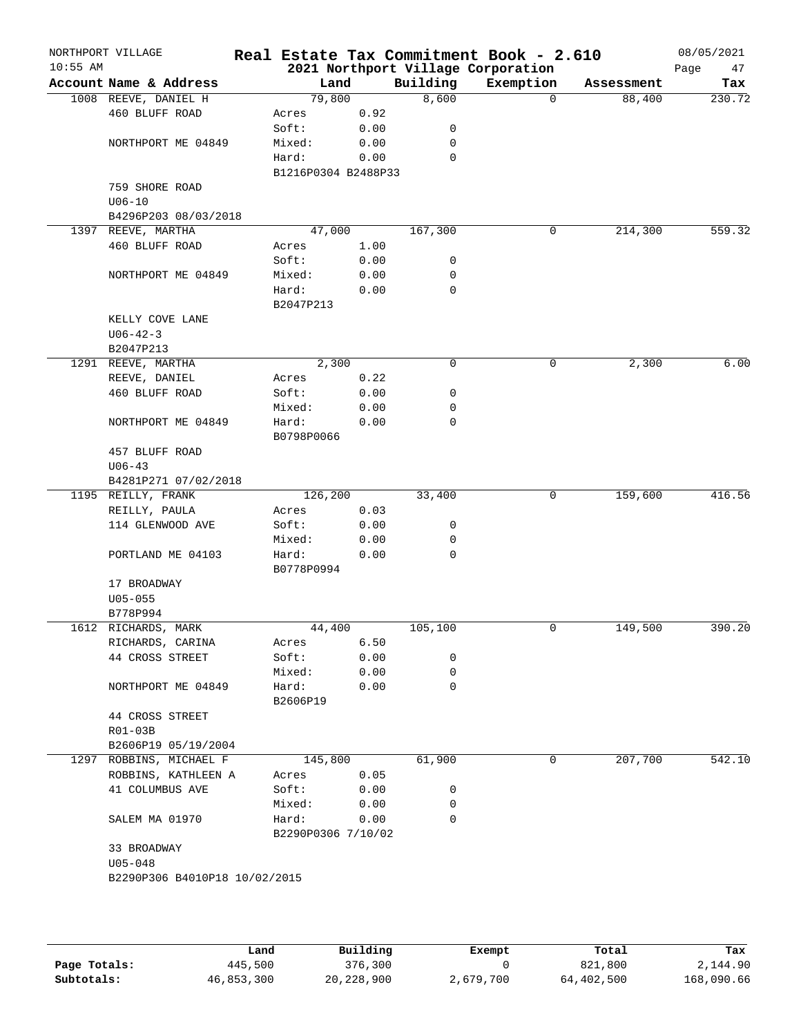| Account Name & Address<br>1008 REEVE, DANIEL H<br>460 BLUFF ROAD<br>NORTHPORT ME 04849<br>759 SHORE ROAD<br>$U06 - 10$<br>B4296P203 08/03/2018<br>1397 REEVE, MARTHA<br>460 BLUFF ROAD<br>NORTHPORT ME 04849<br>KELLY COVE LANE<br>$U06 - 42 - 3$<br>B2047P213<br>1291 REEVE, MARTHA | Acres<br>Soft:<br>Mixed:<br>Hard:<br>Acres<br>Soft:<br>Mixed:<br>Hard:<br>B2047P213 | Land<br>79,800<br>0.92<br>0.00<br>0.00<br>0.00<br>B1216P0304 B2488P33<br>47,000<br>1.00<br>0.00<br>0.00<br>0.00 | Building<br>8,600<br>0<br>0<br>$\mathbf 0$<br>167,300<br>0<br>0 | 2021 Northport Village Corporation<br>Exemption<br>$\Omega$<br>0 | Assessment<br>88,400<br>214,300 | Page<br>47<br>Tax |
|--------------------------------------------------------------------------------------------------------------------------------------------------------------------------------------------------------------------------------------------------------------------------------------|-------------------------------------------------------------------------------------|-----------------------------------------------------------------------------------------------------------------|-----------------------------------------------------------------|------------------------------------------------------------------|---------------------------------|-------------------|
|                                                                                                                                                                                                                                                                                      |                                                                                     |                                                                                                                 |                                                                 |                                                                  |                                 | 230.72            |
|                                                                                                                                                                                                                                                                                      |                                                                                     |                                                                                                                 |                                                                 |                                                                  |                                 |                   |
|                                                                                                                                                                                                                                                                                      |                                                                                     |                                                                                                                 |                                                                 |                                                                  |                                 |                   |
|                                                                                                                                                                                                                                                                                      |                                                                                     |                                                                                                                 |                                                                 |                                                                  |                                 | 559.32            |
|                                                                                                                                                                                                                                                                                      |                                                                                     |                                                                                                                 |                                                                 |                                                                  |                                 |                   |
|                                                                                                                                                                                                                                                                                      |                                                                                     |                                                                                                                 |                                                                 |                                                                  |                                 |                   |
|                                                                                                                                                                                                                                                                                      |                                                                                     |                                                                                                                 |                                                                 |                                                                  |                                 |                   |
|                                                                                                                                                                                                                                                                                      |                                                                                     |                                                                                                                 |                                                                 |                                                                  |                                 |                   |
|                                                                                                                                                                                                                                                                                      |                                                                                     |                                                                                                                 |                                                                 |                                                                  |                                 |                   |
|                                                                                                                                                                                                                                                                                      |                                                                                     |                                                                                                                 |                                                                 |                                                                  |                                 |                   |
|                                                                                                                                                                                                                                                                                      |                                                                                     |                                                                                                                 |                                                                 |                                                                  |                                 |                   |
|                                                                                                                                                                                                                                                                                      |                                                                                     |                                                                                                                 |                                                                 |                                                                  |                                 |                   |
|                                                                                                                                                                                                                                                                                      |                                                                                     |                                                                                                                 |                                                                 |                                                                  |                                 |                   |
|                                                                                                                                                                                                                                                                                      |                                                                                     |                                                                                                                 |                                                                 |                                                                  |                                 |                   |
|                                                                                                                                                                                                                                                                                      |                                                                                     |                                                                                                                 | 0                                                               |                                                                  |                                 |                   |
|                                                                                                                                                                                                                                                                                      |                                                                                     |                                                                                                                 |                                                                 |                                                                  |                                 |                   |
|                                                                                                                                                                                                                                                                                      |                                                                                     |                                                                                                                 |                                                                 |                                                                  |                                 |                   |
|                                                                                                                                                                                                                                                                                      |                                                                                     |                                                                                                                 |                                                                 |                                                                  |                                 |                   |
|                                                                                                                                                                                                                                                                                      |                                                                                     |                                                                                                                 |                                                                 |                                                                  |                                 |                   |
|                                                                                                                                                                                                                                                                                      |                                                                                     | 2,300                                                                                                           | 0                                                               | 0                                                                | 2,300                           | 6.00              |
| REEVE, DANIEL                                                                                                                                                                                                                                                                        | Acres                                                                               | 0.22                                                                                                            |                                                                 |                                                                  |                                 |                   |
| 460 BLUFF ROAD                                                                                                                                                                                                                                                                       | Soft:                                                                               | 0.00                                                                                                            | 0                                                               |                                                                  |                                 |                   |
|                                                                                                                                                                                                                                                                                      | Mixed:                                                                              | 0.00                                                                                                            | 0                                                               |                                                                  |                                 |                   |
| NORTHPORT ME 04849                                                                                                                                                                                                                                                                   |                                                                                     |                                                                                                                 | 0                                                               |                                                                  |                                 |                   |
|                                                                                                                                                                                                                                                                                      | Hard:                                                                               | 0.00                                                                                                            |                                                                 |                                                                  |                                 |                   |
|                                                                                                                                                                                                                                                                                      | B0798P0066                                                                          |                                                                                                                 |                                                                 |                                                                  |                                 |                   |
| 457 BLUFF ROAD                                                                                                                                                                                                                                                                       |                                                                                     |                                                                                                                 |                                                                 |                                                                  |                                 |                   |
| $U06 - 43$                                                                                                                                                                                                                                                                           |                                                                                     |                                                                                                                 |                                                                 |                                                                  |                                 |                   |
| B4281P271 07/02/2018                                                                                                                                                                                                                                                                 |                                                                                     |                                                                                                                 |                                                                 |                                                                  | 159,600                         | 416.56            |
| 1195 REILLY, FRANK                                                                                                                                                                                                                                                                   | 126,200                                                                             |                                                                                                                 | 33,400                                                          | 0                                                                |                                 |                   |
| REILLY, PAULA                                                                                                                                                                                                                                                                        | Acres                                                                               | 0.03                                                                                                            |                                                                 |                                                                  |                                 |                   |
| 114 GLENWOOD AVE                                                                                                                                                                                                                                                                     | Soft:                                                                               | 0.00                                                                                                            | 0                                                               |                                                                  |                                 |                   |
|                                                                                                                                                                                                                                                                                      | Mixed:                                                                              | 0.00                                                                                                            | 0                                                               |                                                                  |                                 |                   |
| PORTLAND ME 04103                                                                                                                                                                                                                                                                    | Hard:                                                                               | 0.00                                                                                                            | 0                                                               |                                                                  |                                 |                   |
|                                                                                                                                                                                                                                                                                      | B0778P0994                                                                          |                                                                                                                 |                                                                 |                                                                  |                                 |                   |
| 17 BROADWAY                                                                                                                                                                                                                                                                          |                                                                                     |                                                                                                                 |                                                                 |                                                                  |                                 |                   |
| $U05 - 055$                                                                                                                                                                                                                                                                          |                                                                                     |                                                                                                                 |                                                                 |                                                                  |                                 |                   |
| B778P994                                                                                                                                                                                                                                                                             |                                                                                     |                                                                                                                 |                                                                 |                                                                  |                                 |                   |
| 1612 RICHARDS, MARK                                                                                                                                                                                                                                                                  |                                                                                     | 44,400                                                                                                          | 105,100                                                         | 0                                                                | 149,500                         | 390.20            |
| RICHARDS, CARINA                                                                                                                                                                                                                                                                     | Acres                                                                               | 6.50                                                                                                            |                                                                 |                                                                  |                                 |                   |
| 44 CROSS STREET                                                                                                                                                                                                                                                                      | Soft:                                                                               | 0.00                                                                                                            | 0                                                               |                                                                  |                                 |                   |
|                                                                                                                                                                                                                                                                                      | Mixed:                                                                              | 0.00                                                                                                            | 0                                                               |                                                                  |                                 |                   |
| NORTHPORT ME 04849                                                                                                                                                                                                                                                                   | Hard:                                                                               | 0.00                                                                                                            | $\mathbf 0$                                                     |                                                                  |                                 |                   |
|                                                                                                                                                                                                                                                                                      | B2606P19                                                                            |                                                                                                                 |                                                                 |                                                                  |                                 |                   |
| 44 CROSS STREET                                                                                                                                                                                                                                                                      |                                                                                     |                                                                                                                 |                                                                 |                                                                  |                                 |                   |
| R01-03B                                                                                                                                                                                                                                                                              |                                                                                     |                                                                                                                 |                                                                 |                                                                  |                                 |                   |
| B2606P19 05/19/2004                                                                                                                                                                                                                                                                  |                                                                                     |                                                                                                                 |                                                                 |                                                                  |                                 |                   |
| 1297 ROBBINS, MICHAEL F                                                                                                                                                                                                                                                              | 145,800                                                                             |                                                                                                                 | 61,900                                                          | 0                                                                | 207,700                         | 542.10            |
| ROBBINS, KATHLEEN A                                                                                                                                                                                                                                                                  | Acres                                                                               | 0.05                                                                                                            |                                                                 |                                                                  |                                 |                   |
| 41 COLUMBUS AVE                                                                                                                                                                                                                                                                      | Soft:                                                                               | 0.00                                                                                                            | 0                                                               |                                                                  |                                 |                   |
|                                                                                                                                                                                                                                                                                      | Mixed:                                                                              | 0.00                                                                                                            | 0                                                               |                                                                  |                                 |                   |
| SALEM MA 01970                                                                                                                                                                                                                                                                       | Hard:                                                                               | 0.00                                                                                                            | $\Omega$                                                        |                                                                  |                                 |                   |
|                                                                                                                                                                                                                                                                                      |                                                                                     | B2290P0306 7/10/02                                                                                              |                                                                 |                                                                  |                                 |                   |
| 33 BROADWAY                                                                                                                                                                                                                                                                          |                                                                                     |                                                                                                                 |                                                                 |                                                                  |                                 |                   |
| $U05 - 048$                                                                                                                                                                                                                                                                          |                                                                                     |                                                                                                                 |                                                                 |                                                                  |                                 |                   |
| B2290P306 B4010P18 10/02/2015                                                                                                                                                                                                                                                        |                                                                                     |                                                                                                                 |                                                                 |                                                                  |                                 |                   |

|              | Land       | Building     | Exempt    | Total      | Tax        |
|--------------|------------|--------------|-----------|------------|------------|
| Page Totals: | 445,500    | 376,300      |           | 821,800    | 2,144.90   |
| Subtotals:   | 46,853,300 | 20, 228, 900 | 2,679,700 | 64,402,500 | 168,090.66 |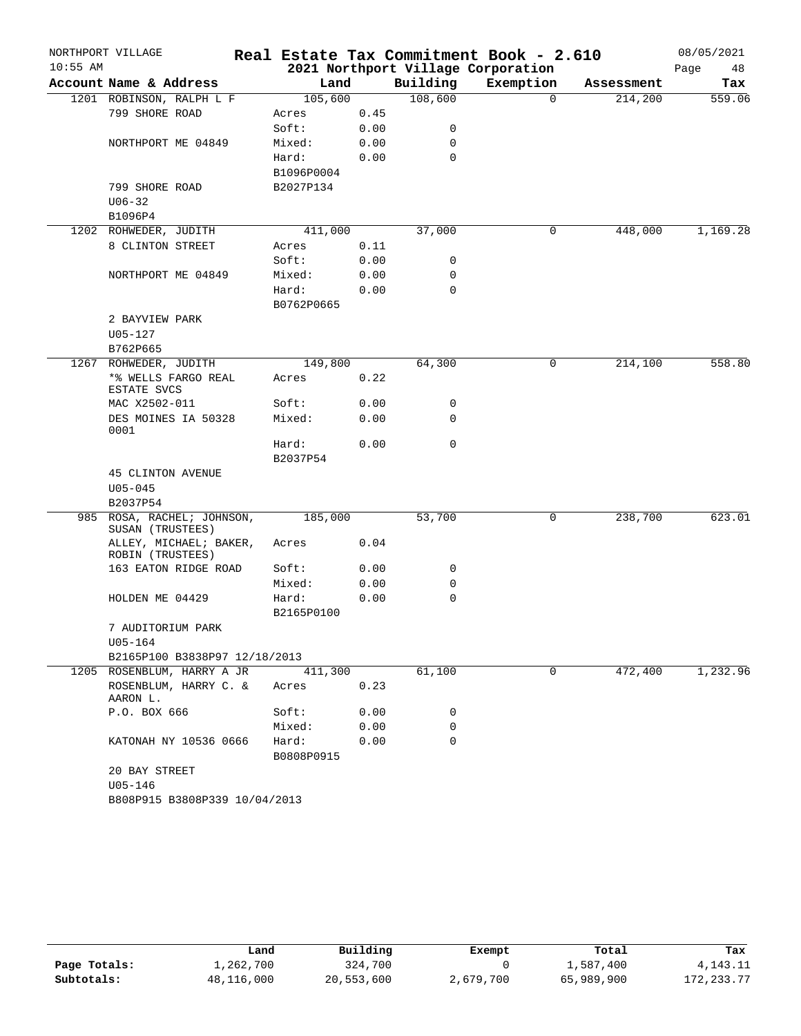|            | NORTHPORT VILLAGE                              |                     |      |          | Real Estate Tax Commitment Book - 2.610 |            | 08/05/2021 |
|------------|------------------------------------------------|---------------------|------|----------|-----------------------------------------|------------|------------|
| $10:55$ AM |                                                |                     |      |          | 2021 Northport Village Corporation      |            | Page<br>48 |
|            | Account Name & Address                         | Land                |      | Building | Exemption                               | Assessment | Tax        |
|            | 1201 ROBINSON, RALPH L F                       | 105,600             |      | 108,600  | $\Omega$                                | 214,200    | 559.06     |
|            | 799 SHORE ROAD                                 | Acres               | 0.45 |          |                                         |            |            |
|            |                                                | Soft:               | 0.00 | 0        |                                         |            |            |
|            | NORTHPORT ME 04849                             | Mixed:              | 0.00 | 0        |                                         |            |            |
|            |                                                | Hard:               | 0.00 | 0        |                                         |            |            |
|            |                                                | B1096P0004          |      |          |                                         |            |            |
|            | 799 SHORE ROAD                                 | B2027P134           |      |          |                                         |            |            |
|            | $U06 - 32$                                     |                     |      |          |                                         |            |            |
|            | B1096P4                                        |                     |      |          |                                         |            |            |
|            | 1202 ROHWEDER, JUDITH                          | 411,000             |      | 37,000   | 0                                       | 448,000    | 1,169.28   |
|            | 8 CLINTON STREET                               | Acres               | 0.11 |          |                                         |            |            |
|            |                                                | Soft:               | 0.00 | 0        |                                         |            |            |
|            | NORTHPORT ME 04849                             | Mixed:              | 0.00 | 0        |                                         |            |            |
|            |                                                | Hard:               | 0.00 | 0        |                                         |            |            |
|            |                                                | B0762P0665          |      |          |                                         |            |            |
|            | 2 BAYVIEW PARK<br>$U05 - 127$                  |                     |      |          |                                         |            |            |
|            | B762P665                                       |                     |      |          |                                         |            |            |
| 1267       | ROHWEDER, JUDITH                               | 149,800             |      | 64,300   | 0                                       | 214,100    | 558.80     |
|            | *% WELLS FARGO REAL                            | Acres               | 0.22 |          |                                         |            |            |
|            | ESTATE SVCS                                    |                     |      |          |                                         |            |            |
|            | MAC X2502-011                                  | Soft:               | 0.00 | 0        |                                         |            |            |
|            | DES MOINES IA 50328<br>0001                    | Mixed:              | 0.00 | 0        |                                         |            |            |
|            |                                                | Hard:<br>B2037P54   | 0.00 | 0        |                                         |            |            |
|            | <b>45 CLINTON AVENUE</b>                       |                     |      |          |                                         |            |            |
|            | $U05 - 045$                                    |                     |      |          |                                         |            |            |
|            | B2037P54                                       |                     |      |          |                                         |            |            |
|            | 985 ROSA, RACHEL; JOHNSON,<br>SUSAN (TRUSTEES) | 185,000             |      | 53,700   | 0                                       | 238,700    | 623.01     |
|            | ALLEY, MICHAEL; BAKER,<br>ROBIN (TRUSTEES)     | Acres               | 0.04 |          |                                         |            |            |
|            | 163 EATON RIDGE ROAD                           | Soft:               | 0.00 | 0        |                                         |            |            |
|            |                                                | Mixed:              | 0.00 | 0        |                                         |            |            |
|            | HOLDEN ME 04429                                | Hard:               | 0.00 | 0        |                                         |            |            |
|            |                                                | B2165P0100          |      |          |                                         |            |            |
|            | 7 AUDITORIUM PARK                              |                     |      |          |                                         |            |            |
|            | U05-164                                        |                     |      |          |                                         |            |            |
|            | B2165P100 B3838P97 12/18/2013                  |                     |      |          |                                         |            |            |
|            | 1205 ROSENBLUM, HARRY A JR                     | 411,300             |      | 61,100   | 0                                       | 472,400    | 1,232.96   |
|            | ROSENBLUM, HARRY C. &<br>AARON L.              | Acres               | 0.23 |          |                                         |            |            |
|            | P.O. BOX 666                                   | Soft:               | 0.00 | 0        |                                         |            |            |
|            |                                                | Mixed:              | 0.00 | 0        |                                         |            |            |
|            | KATONAH NY 10536 0666                          | Hard:<br>B0808P0915 | 0.00 | $\Omega$ |                                         |            |            |
|            | 20 BAY STREET<br>$U05 - 146$                   |                     |      |          |                                         |            |            |
|            | B808P915 B3808P339 10/04/2013                  |                     |      |          |                                         |            |            |

|              | Land       | Building   | Exempt    | Total      | Tax         |
|--------------|------------|------------|-----------|------------|-------------|
| Page Totals: | 1,262,700  | 324,700    |           | 1,587,400  | 4,143.11    |
| Subtotals:   | 48,116,000 | 20,553,600 | 2,679,700 | 65,989,900 | 172, 233.77 |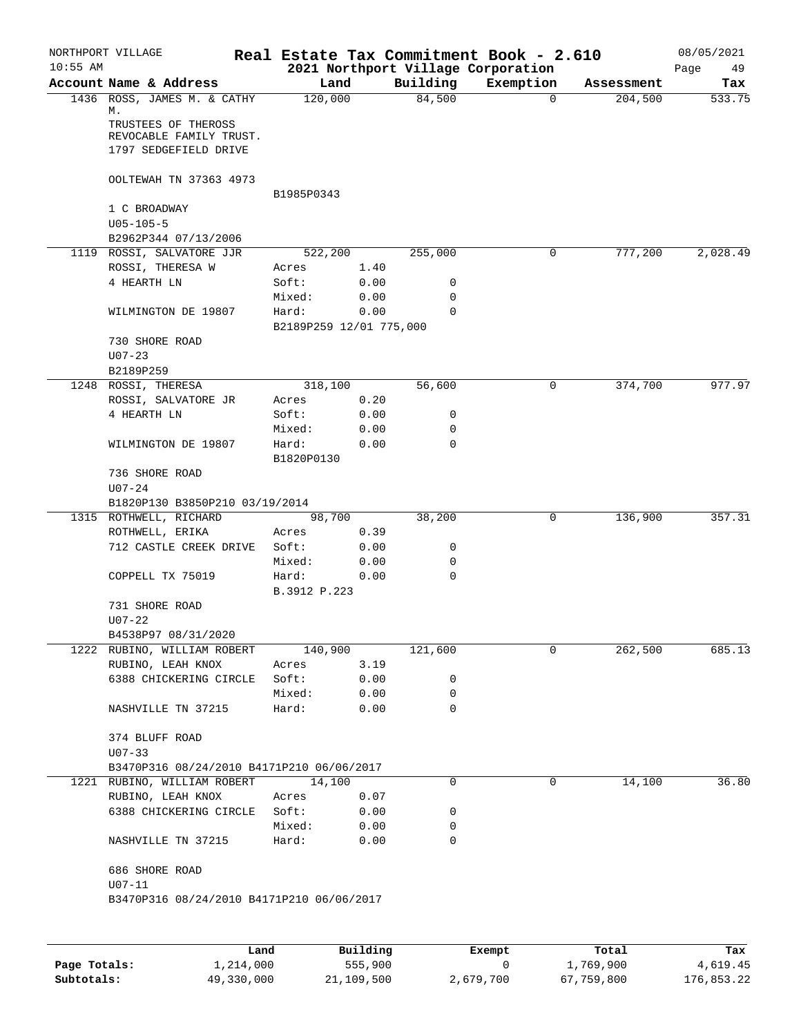| Account Name & Address<br>1436 ROSS, JAMES M. & CATHY<br>М.<br>TRUSTEES OF THEROSS<br>REVOCABLE FAMILY TRUST.<br>1797 SEDGEFIELD DRIVE<br>OOLTEWAH TN 37363 4973<br>1 C BROADWAY<br>$U05 - 105 - 5$<br>B2962P344 07/13/2006<br>1119 ROSSI, SALVATORE JJR<br>ROSSI, THERESA W<br>4 HEARTH LN<br>WILMINGTON DE 19807<br>730 SHORE ROAD<br>$U07 - 23$<br>B2189P259<br>1248 ROSSI, THERESA | Land<br>120,000<br>B1985P0343<br>522,200<br>Acres<br>Soft:<br>Mixed:<br>Hard:<br>B2189P259 12/01 775,000                                                                                                         | 1.40<br>0.00<br>0.00<br>0.00                                                                    | Building<br>84,500<br>255,000<br>0                                                                                                                                                            | Exemption<br>$\Omega$<br>0                     | Assessment<br>204,500<br>777,200 | Tax<br>533.75<br>2,028.49 |
|----------------------------------------------------------------------------------------------------------------------------------------------------------------------------------------------------------------------------------------------------------------------------------------------------------------------------------------------------------------------------------------|------------------------------------------------------------------------------------------------------------------------------------------------------------------------------------------------------------------|-------------------------------------------------------------------------------------------------|-----------------------------------------------------------------------------------------------------------------------------------------------------------------------------------------------|------------------------------------------------|----------------------------------|---------------------------|
|                                                                                                                                                                                                                                                                                                                                                                                        |                                                                                                                                                                                                                  |                                                                                                 |                                                                                                                                                                                               |                                                |                                  |                           |
|                                                                                                                                                                                                                                                                                                                                                                                        |                                                                                                                                                                                                                  |                                                                                                 |                                                                                                                                                                                               |                                                |                                  |                           |
|                                                                                                                                                                                                                                                                                                                                                                                        |                                                                                                                                                                                                                  |                                                                                                 |                                                                                                                                                                                               |                                                |                                  |                           |
|                                                                                                                                                                                                                                                                                                                                                                                        |                                                                                                                                                                                                                  |                                                                                                 |                                                                                                                                                                                               |                                                |                                  |                           |
|                                                                                                                                                                                                                                                                                                                                                                                        |                                                                                                                                                                                                                  |                                                                                                 |                                                                                                                                                                                               |                                                |                                  |                           |
|                                                                                                                                                                                                                                                                                                                                                                                        |                                                                                                                                                                                                                  |                                                                                                 |                                                                                                                                                                                               |                                                |                                  |                           |
|                                                                                                                                                                                                                                                                                                                                                                                        |                                                                                                                                                                                                                  |                                                                                                 |                                                                                                                                                                                               |                                                |                                  |                           |
|                                                                                                                                                                                                                                                                                                                                                                                        |                                                                                                                                                                                                                  |                                                                                                 |                                                                                                                                                                                               |                                                |                                  |                           |
|                                                                                                                                                                                                                                                                                                                                                                                        |                                                                                                                                                                                                                  |                                                                                                 |                                                                                                                                                                                               |                                                |                                  |                           |
|                                                                                                                                                                                                                                                                                                                                                                                        |                                                                                                                                                                                                                  |                                                                                                 | 0                                                                                                                                                                                             |                                                |                                  |                           |
|                                                                                                                                                                                                                                                                                                                                                                                        |                                                                                                                                                                                                                  |                                                                                                 | $\Omega$                                                                                                                                                                                      |                                                |                                  |                           |
|                                                                                                                                                                                                                                                                                                                                                                                        |                                                                                                                                                                                                                  |                                                                                                 |                                                                                                                                                                                               |                                                |                                  |                           |
|                                                                                                                                                                                                                                                                                                                                                                                        |                                                                                                                                                                                                                  |                                                                                                 |                                                                                                                                                                                               |                                                |                                  |                           |
|                                                                                                                                                                                                                                                                                                                                                                                        |                                                                                                                                                                                                                  |                                                                                                 |                                                                                                                                                                                               |                                                |                                  |                           |
|                                                                                                                                                                                                                                                                                                                                                                                        | 318,100                                                                                                                                                                                                          |                                                                                                 | 56,600                                                                                                                                                                                        | 0                                              | 374,700                          | 977.97                    |
| ROSSI, SALVATORE JR                                                                                                                                                                                                                                                                                                                                                                    | Acres                                                                                                                                                                                                            | 0.20                                                                                            |                                                                                                                                                                                               |                                                |                                  |                           |
| 4 HEARTH LN                                                                                                                                                                                                                                                                                                                                                                            | Soft:                                                                                                                                                                                                            | 0.00                                                                                            | 0                                                                                                                                                                                             |                                                |                                  |                           |
|                                                                                                                                                                                                                                                                                                                                                                                        | Mixed:                                                                                                                                                                                                           | 0.00                                                                                            | 0                                                                                                                                                                                             |                                                |                                  |                           |
| WILMINGTON DE 19807                                                                                                                                                                                                                                                                                                                                                                    | Hard:<br>B1820P0130                                                                                                                                                                                              | 0.00                                                                                            | 0                                                                                                                                                                                             |                                                |                                  |                           |
| 736 SHORE ROAD                                                                                                                                                                                                                                                                                                                                                                         |                                                                                                                                                                                                                  |                                                                                                 |                                                                                                                                                                                               |                                                |                                  |                           |
| $U07 - 24$                                                                                                                                                                                                                                                                                                                                                                             |                                                                                                                                                                                                                  |                                                                                                 |                                                                                                                                                                                               |                                                |                                  |                           |
|                                                                                                                                                                                                                                                                                                                                                                                        |                                                                                                                                                                                                                  |                                                                                                 |                                                                                                                                                                                               |                                                |                                  |                           |
| 1315 ROTHWELL, RICHARD                                                                                                                                                                                                                                                                                                                                                                 |                                                                                                                                                                                                                  |                                                                                                 |                                                                                                                                                                                               | 0                                              | 136,900                          | 357.31                    |
|                                                                                                                                                                                                                                                                                                                                                                                        |                                                                                                                                                                                                                  |                                                                                                 |                                                                                                                                                                                               |                                                |                                  |                           |
|                                                                                                                                                                                                                                                                                                                                                                                        |                                                                                                                                                                                                                  |                                                                                                 |                                                                                                                                                                                               |                                                |                                  |                           |
|                                                                                                                                                                                                                                                                                                                                                                                        |                                                                                                                                                                                                                  |                                                                                                 |                                                                                                                                                                                               |                                                |                                  |                           |
|                                                                                                                                                                                                                                                                                                                                                                                        |                                                                                                                                                                                                                  |                                                                                                 |                                                                                                                                                                                               |                                                |                                  |                           |
|                                                                                                                                                                                                                                                                                                                                                                                        |                                                                                                                                                                                                                  |                                                                                                 |                                                                                                                                                                                               |                                                |                                  |                           |
| $U07 - 22$                                                                                                                                                                                                                                                                                                                                                                             |                                                                                                                                                                                                                  |                                                                                                 |                                                                                                                                                                                               |                                                |                                  |                           |
|                                                                                                                                                                                                                                                                                                                                                                                        |                                                                                                                                                                                                                  |                                                                                                 |                                                                                                                                                                                               |                                                |                                  |                           |
| 1222 RUBINO, WILLIAM ROBERT                                                                                                                                                                                                                                                                                                                                                            |                                                                                                                                                                                                                  |                                                                                                 | 121,600                                                                                                                                                                                       | 0                                              | 262,500                          | 685.13                    |
| RUBINO, LEAH KNOX                                                                                                                                                                                                                                                                                                                                                                      | Acres                                                                                                                                                                                                            | 3.19                                                                                            |                                                                                                                                                                                               |                                                |                                  |                           |
| 6388 CHICKERING CIRCLE                                                                                                                                                                                                                                                                                                                                                                 | Soft:                                                                                                                                                                                                            | 0.00                                                                                            | 0                                                                                                                                                                                             |                                                |                                  |                           |
|                                                                                                                                                                                                                                                                                                                                                                                        | Mixed:                                                                                                                                                                                                           | 0.00                                                                                            | 0                                                                                                                                                                                             |                                                |                                  |                           |
| NASHVILLE TN 37215                                                                                                                                                                                                                                                                                                                                                                     | Hard:                                                                                                                                                                                                            | 0.00                                                                                            | 0                                                                                                                                                                                             |                                                |                                  |                           |
| 374 BLUFF ROAD                                                                                                                                                                                                                                                                                                                                                                         |                                                                                                                                                                                                                  |                                                                                                 |                                                                                                                                                                                               |                                                |                                  |                           |
|                                                                                                                                                                                                                                                                                                                                                                                        |                                                                                                                                                                                                                  |                                                                                                 |                                                                                                                                                                                               |                                                |                                  |                           |
|                                                                                                                                                                                                                                                                                                                                                                                        |                                                                                                                                                                                                                  |                                                                                                 |                                                                                                                                                                                               |                                                |                                  | 36.80                     |
|                                                                                                                                                                                                                                                                                                                                                                                        |                                                                                                                                                                                                                  |                                                                                                 |                                                                                                                                                                                               |                                                |                                  |                           |
|                                                                                                                                                                                                                                                                                                                                                                                        |                                                                                                                                                                                                                  |                                                                                                 |                                                                                                                                                                                               |                                                |                                  |                           |
|                                                                                                                                                                                                                                                                                                                                                                                        |                                                                                                                                                                                                                  |                                                                                                 |                                                                                                                                                                                               |                                                |                                  |                           |
| NASHVILLE TN 37215                                                                                                                                                                                                                                                                                                                                                                     | Hard:                                                                                                                                                                                                            | 0.00                                                                                            | 0                                                                                                                                                                                             |                                                |                                  |                           |
| 686 SHORE ROAD                                                                                                                                                                                                                                                                                                                                                                         |                                                                                                                                                                                                                  |                                                                                                 |                                                                                                                                                                                               |                                                |                                  |                           |
|                                                                                                                                                                                                                                                                                                                                                                                        |                                                                                                                                                                                                                  |                                                                                                 |                                                                                                                                                                                               |                                                |                                  |                           |
|                                                                                                                                                                                                                                                                                                                                                                                        | ROTHWELL, ERIKA<br>712 CASTLE CREEK DRIVE<br>COPPELL TX 75019<br>731 SHORE ROAD<br>B4538P97 08/31/2020<br>$U07 - 33$<br>1221 RUBINO, WILLIAM ROBERT<br>RUBINO, LEAH KNOX<br>6388 CHICKERING CIRCLE<br>$U07 - 11$ | B1820P130 B3850P210 03/19/2014<br>Acres<br>Soft:<br>Mixed:<br>Hard:<br>Acres<br>Soft:<br>Mixed: | 98,700<br>0.39<br>0.00<br>0.00<br>0.00<br>B.3912 P.223<br>140,900<br>B3470P316 08/24/2010 B4171P210 06/06/2017<br>14,100<br>0.07<br>0.00<br>0.00<br>B3470P316 08/24/2010 B4171P210 06/06/2017 | 38,200<br>0<br>0<br>$\mathbf 0$<br>0<br>0<br>0 | 0                                | 14,100                    |

|              | Land       | Building   | Exempt    | Total      | Tax        |
|--------------|------------|------------|-----------|------------|------------|
| Page Totals: | 1,214,000  | 555,900    |           | 1,769,900  | 4,619.45   |
| Subtotals:   | 49,330,000 | 21,109,500 | 2,679,700 | 67,759,800 | 176,853.22 |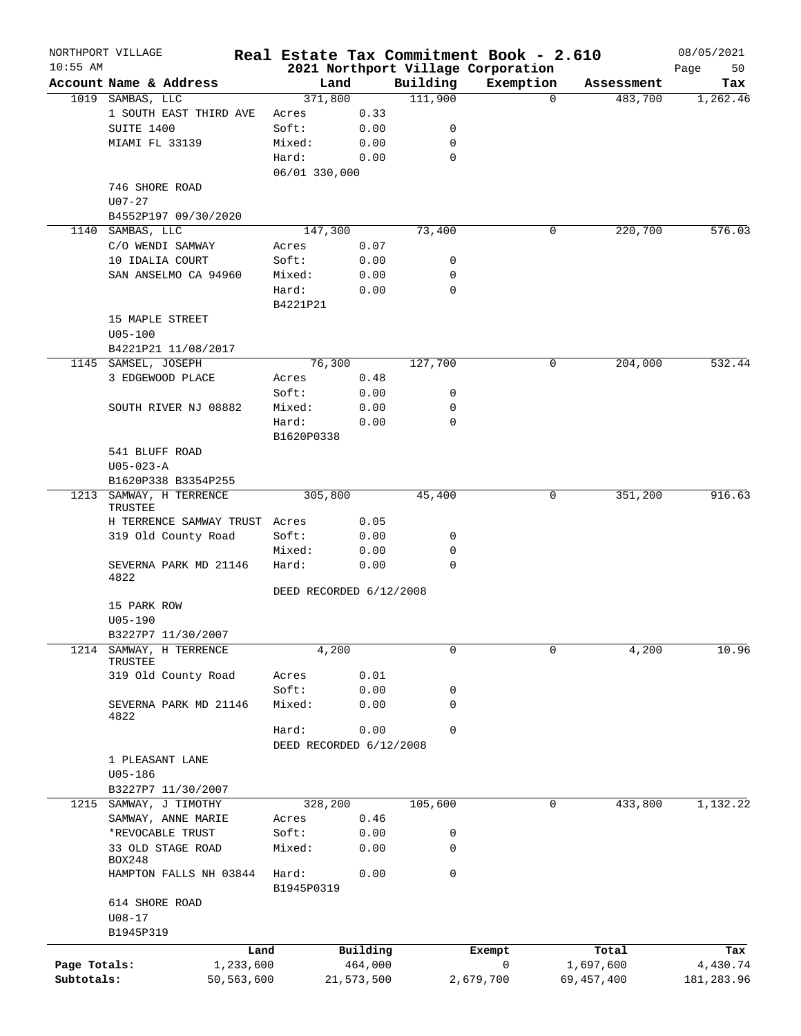|              | NORTHPORT VILLAGE                     |                         |            |                  | Real Estate Tax Commitment Book - 2.610 |              | 08/05/2021 |
|--------------|---------------------------------------|-------------------------|------------|------------------|-----------------------------------------|--------------|------------|
| $10:55$ AM   |                                       |                         |            |                  | 2021 Northport Village Corporation      |              | Page<br>50 |
|              | Account Name & Address                | Land                    |            | Building         | Exemption<br>$\mathbf 0$                | Assessment   | Tax        |
| 1019         | SAMBAS, LLC<br>1 SOUTH EAST THIRD AVE | 371,800                 | 0.33       | 111,900          |                                         | 483,700      | 1,262.46   |
|              | SUITE 1400                            | Acres<br>Soft:          | 0.00       | 0                |                                         |              |            |
|              | MIAMI FL 33139                        | Mixed:                  | 0.00       | 0                |                                         |              |            |
|              |                                       | Hard:                   | 0.00       | 0                |                                         |              |            |
|              |                                       | 06/01 330,000           |            |                  |                                         |              |            |
|              | 746 SHORE ROAD                        |                         |            |                  |                                         |              |            |
|              | $U07 - 27$                            |                         |            |                  |                                         |              |            |
|              | B4552P197 09/30/2020                  |                         |            |                  |                                         |              |            |
| 1140         | SAMBAS, LLC                           | 147,300                 |            | 73,400           | 0                                       | 220,700      | 576.03     |
|              | C/O WENDI SAMWAY                      | Acres                   | 0.07       |                  |                                         |              |            |
|              | 10 IDALIA COURT                       | Soft:                   | 0.00       | 0                |                                         |              |            |
|              | SAN ANSELMO CA 94960                  | Mixed:                  | 0.00       | 0                |                                         |              |            |
|              |                                       | Hard:                   | 0.00       | $\mathbf 0$      |                                         |              |            |
|              |                                       | B4221P21                |            |                  |                                         |              |            |
|              | 15 MAPLE STREET                       |                         |            |                  |                                         |              |            |
|              | $U05 - 100$                           |                         |            |                  |                                         |              |            |
|              | B4221P21 11/08/2017                   |                         |            |                  |                                         |              |            |
|              | 1145 SAMSEL, JOSEPH                   | 76,300                  |            | 127,700          | 0                                       | 204,000      | 532.44     |
|              | 3 EDGEWOOD PLACE                      | Acres                   | 0.48       |                  |                                         |              |            |
|              |                                       | Soft:                   | 0.00       | 0                |                                         |              |            |
|              | SOUTH RIVER NJ 08882                  | Mixed:                  | 0.00       | 0                |                                         |              |            |
|              |                                       | Hard:                   | 0.00       | 0                |                                         |              |            |
|              |                                       | B1620P0338              |            |                  |                                         |              |            |
|              | 541 BLUFF ROAD                        |                         |            |                  |                                         |              |            |
|              | $U05 - 023 - A$                       |                         |            |                  |                                         |              |            |
|              | B1620P338 B3354P255                   |                         |            |                  |                                         |              |            |
|              | 1213 SAMWAY, H TERRENCE               | 305,800                 |            | 45,400           |                                         | 351,200<br>0 | 916.63     |
|              | <b>TRUSTEE</b>                        |                         |            |                  |                                         |              |            |
|              | H TERRENCE SAMWAY TRUST               | Acres                   | 0.05       |                  |                                         |              |            |
|              | 319 Old County Road                   | Soft:                   | 0.00       | 0                |                                         |              |            |
|              |                                       | Mixed:                  | 0.00       | 0<br>$\mathbf 0$ |                                         |              |            |
|              | SEVERNA PARK MD 21146<br>4822         | Hard:                   | 0.00       |                  |                                         |              |            |
|              |                                       | DEED RECORDED 6/12/2008 |            |                  |                                         |              |            |
|              | 15 PARK ROW                           |                         |            |                  |                                         |              |            |
|              | $U05 - 190$                           |                         |            |                  |                                         |              |            |
|              | B3227P7 11/30/2007                    |                         |            |                  |                                         |              |            |
| 1214         | SAMWAY, H TERRENCE                    | 4,200                   |            | $\mathbf 0$      |                                         | 4,200<br>0   | 10.96      |
|              | TRUSTEE                               |                         |            |                  |                                         |              |            |
|              | 319 Old County Road                   | Acres                   | 0.01       |                  |                                         |              |            |
|              |                                       | Soft:                   | 0.00       | 0                |                                         |              |            |
|              | SEVERNA PARK MD 21146                 | Mixed:                  | 0.00       | $\mathbf 0$      |                                         |              |            |
|              | 4822                                  | Hard:                   | 0.00       | $\mathbf 0$      |                                         |              |            |
|              |                                       | DEED RECORDED 6/12/2008 |            |                  |                                         |              |            |
|              | 1 PLEASANT LANE                       |                         |            |                  |                                         |              |            |
|              | $U05 - 186$                           |                         |            |                  |                                         |              |            |
|              | B3227P7 11/30/2007                    |                         |            |                  |                                         |              |            |
| 1215         | SAMWAY, J TIMOTHY                     | 328,200                 |            | 105,600          | 0                                       | 433,800      | 1,132.22   |
|              | SAMWAY, ANNE MARIE                    | Acres                   | 0.46       |                  |                                         |              |            |
|              | *REVOCABLE TRUST                      | Soft:                   | 0.00       | 0                |                                         |              |            |
|              | 33 OLD STAGE ROAD                     | Mixed:                  | 0.00       | 0                |                                         |              |            |
|              | BOX248                                |                         |            |                  |                                         |              |            |
|              | HAMPTON FALLS NH 03844                | Hard:                   | 0.00       | 0                |                                         |              |            |
|              |                                       | B1945P0319              |            |                  |                                         |              |            |
|              | 614 SHORE ROAD                        |                         |            |                  |                                         |              |            |
|              | $U08 - 17$                            |                         |            |                  |                                         |              |            |
|              | B1945P319                             |                         |            |                  |                                         |              |            |
|              |                                       | Land                    | Building   |                  | Exempt                                  | Total        | Tax        |
| Page Totals: | 1,233,600                             |                         | 464,000    |                  | $\mathsf{O}$                            | 1,697,600    | 4,430.74   |
| Subtotals:   | 50,563,600                            |                         | 21,573,500 |                  | 2,679,700                               | 69, 457, 400 | 181,283.96 |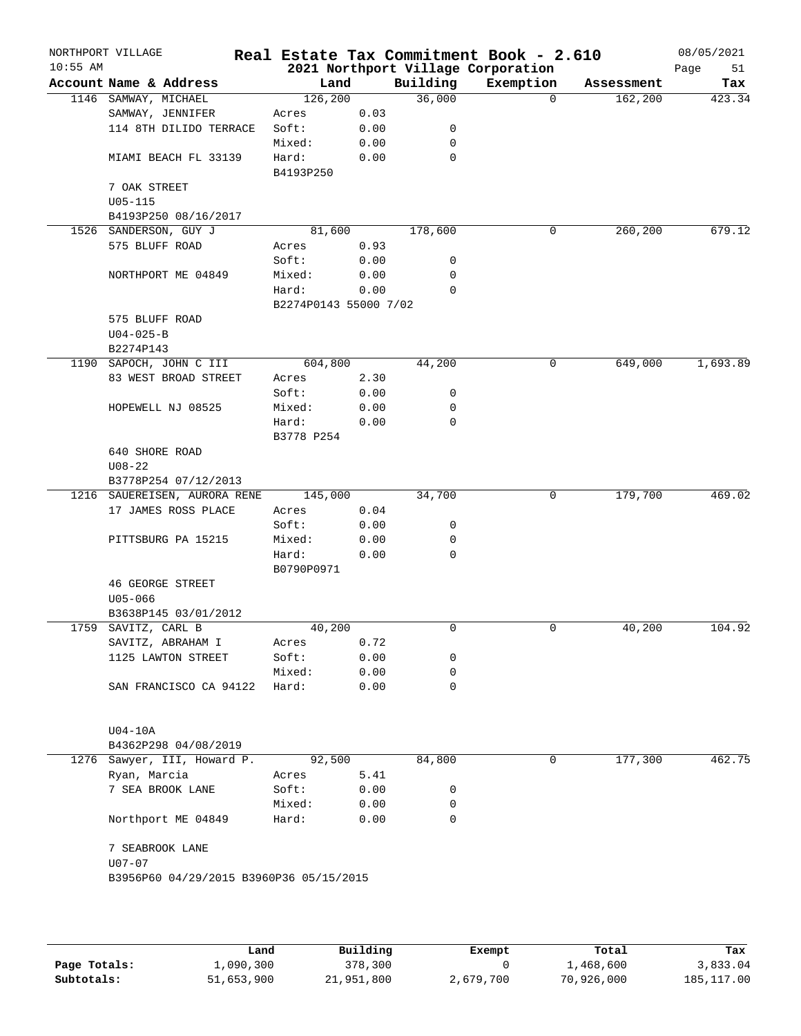| $10:55$ AM | NORTHPORT VILLAGE                       |                       |      |             | Real Estate Tax Commitment Book - 2.610<br>2021 Northport Village Corporation |            | 08/05/2021<br>Page<br>51 |
|------------|-----------------------------------------|-----------------------|------|-------------|-------------------------------------------------------------------------------|------------|--------------------------|
|            | Account Name & Address                  | Land                  |      | Building    | Exemption                                                                     | Assessment | Tax                      |
|            | 1146 SAMWAY, MICHAEL                    | 126, 200              |      | 36,000      | $\Omega$                                                                      | 162,200    | 423.34                   |
|            | SAMWAY, JENNIFER                        | Acres                 | 0.03 |             |                                                                               |            |                          |
|            | 114 8TH DILIDO TERRACE                  | Soft:                 | 0.00 | 0           |                                                                               |            |                          |
|            |                                         | Mixed:                | 0.00 | 0           |                                                                               |            |                          |
|            | MIAMI BEACH FL 33139                    | Hard:<br>B4193P250    | 0.00 | 0           |                                                                               |            |                          |
|            | 7 OAK STREET                            |                       |      |             |                                                                               |            |                          |
|            | $U05 - 115$                             |                       |      |             |                                                                               |            |                          |
|            | B4193P250 08/16/2017                    |                       |      |             |                                                                               |            |                          |
|            | 1526 SANDERSON, GUY J                   | 81,600                |      | 178,600     | 0                                                                             | 260,200    | 679.12                   |
|            | 575 BLUFF ROAD                          | Acres                 | 0.93 |             |                                                                               |            |                          |
|            |                                         | Soft:                 | 0.00 | 0           |                                                                               |            |                          |
|            | NORTHPORT ME 04849                      | Mixed:                | 0.00 | 0           |                                                                               |            |                          |
|            |                                         | Hard:                 | 0.00 | 0           |                                                                               |            |                          |
|            | 575 BLUFF ROAD                          | B2274P0143 55000 7/02 |      |             |                                                                               |            |                          |
|            | $U04 - 025 - B$                         |                       |      |             |                                                                               |            |                          |
|            | B2274P143                               |                       |      |             |                                                                               |            |                          |
|            | 1190 SAPOCH, JOHN C III                 | 604,800               |      | 44,200      | 0                                                                             | 649,000    | 1,693.89                 |
|            | 83 WEST BROAD STREET                    | Acres                 | 2.30 |             |                                                                               |            |                          |
|            |                                         | Soft:                 | 0.00 | 0           |                                                                               |            |                          |
|            | HOPEWELL NJ 08525                       | Mixed:                | 0.00 | 0           |                                                                               |            |                          |
|            |                                         | Hard:                 | 0.00 | $\mathbf 0$ |                                                                               |            |                          |
|            |                                         | B3778 P254            |      |             |                                                                               |            |                          |
|            | 640 SHORE ROAD<br>$U08 - 22$            |                       |      |             |                                                                               |            |                          |
|            | B3778P254 07/12/2013                    |                       |      |             |                                                                               |            |                          |
|            | 1216 SAUEREISEN, AURORA RENE            | 145,000               |      | 34,700      | 0                                                                             | 179,700    | 469.02                   |
|            | 17 JAMES ROSS PLACE                     | Acres                 | 0.04 |             |                                                                               |            |                          |
|            |                                         | Soft:                 | 0.00 | 0           |                                                                               |            |                          |
|            | PITTSBURG PA 15215                      | Mixed:                | 0.00 | 0           |                                                                               |            |                          |
|            |                                         | Hard:                 | 0.00 | 0           |                                                                               |            |                          |
|            |                                         | B0790P0971            |      |             |                                                                               |            |                          |
|            | <b>46 GEORGE STREET</b><br>$U05 - 066$  |                       |      |             |                                                                               |            |                          |
|            | B3638P145 03/01/2012                    |                       |      |             |                                                                               |            |                          |
| 1759       | SAVITZ, CARL B                          | 40,200                |      | $\mathbf 0$ | $\mathbf 0$                                                                   | 40,200     | 104.92                   |
|            | SAVITZ, ABRAHAM I                       | Acres                 | 0.72 |             |                                                                               |            |                          |
|            | 1125 LAWTON STREET                      | Soft:                 | 0.00 | 0           |                                                                               |            |                          |
|            |                                         | Mixed:                | 0.00 | 0           |                                                                               |            |                          |
|            | SAN FRANCISCO CA 94122                  | Hard:                 | 0.00 | $\mathbf 0$ |                                                                               |            |                          |
|            | $U04-10A$                               |                       |      |             |                                                                               |            |                          |
|            | B4362P298 04/08/2019                    |                       |      |             |                                                                               |            |                          |
|            | 1276 Sawyer, III, Howard P.             | 92,500                |      | 84,800      | 0                                                                             | 177,300    | 462.75                   |
|            | Ryan, Marcia                            | Acres                 | 5.41 |             |                                                                               |            |                          |
|            | 7 SEA BROOK LANE                        | Soft:                 | 0.00 | 0           |                                                                               |            |                          |
|            |                                         | Mixed:                | 0.00 | 0           |                                                                               |            |                          |
|            | Northport ME 04849                      | Hard:                 | 0.00 | 0           |                                                                               |            |                          |
|            | 7 SEABROOK LANE                         |                       |      |             |                                                                               |            |                          |
|            | $U07 - 07$                              |                       |      |             |                                                                               |            |                          |
|            | B3956P60 04/29/2015 B3960P36 05/15/2015 |                       |      |             |                                                                               |            |                          |
|            |                                         |                       |      |             |                                                                               |            |                          |
|            |                                         |                       |      |             |                                                                               |            |                          |
|            |                                         |                       |      |             |                                                                               |            |                          |

|              | Land       | Building   | Exempt    | Total      | Tax          |
|--------------|------------|------------|-----------|------------|--------------|
| Page Totals: | 1,090,300  | 378,300    |           | 1,468,600  | 3,833.04     |
| Subtotals:   | 51,653,900 | 21,951,800 | 2,679,700 | 70,926,000 | 185, 117, 00 |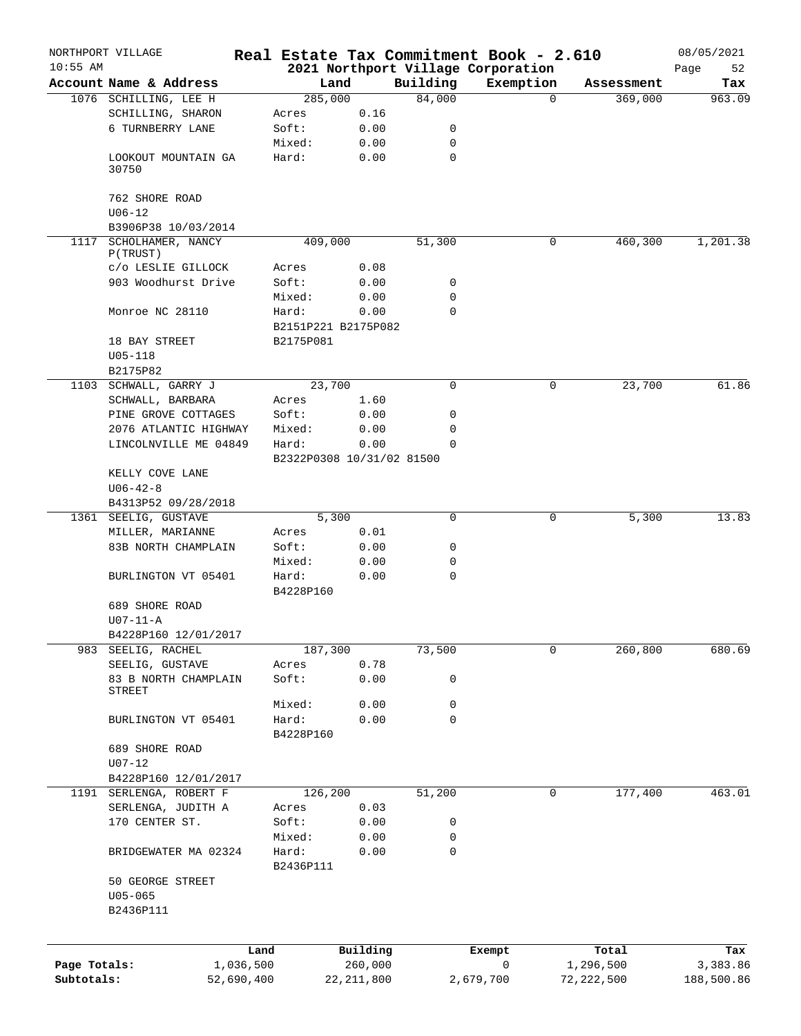|              | NORTHPORT VILLAGE                  |                   |                           |                     |             | Real Estate Tax Commitment Book - 2.610 |                     | 08/05/2021      |
|--------------|------------------------------------|-------------------|---------------------------|---------------------|-------------|-----------------------------------------|---------------------|-----------------|
| $10:55$ AM   |                                    |                   |                           |                     |             | 2021 Northport Village Corporation      |                     | 52<br>Page      |
|              | Account Name & Address             |                   | Land                      |                     | Building    | Exemption                               | Assessment          | Tax             |
|              | 1076 SCHILLING, LEE H              |                   | 285,000                   |                     | 84,000      |                                         | 369,000<br>$\Omega$ | 963.09          |
|              | SCHILLING, SHARON                  |                   | Acres                     | 0.16                |             |                                         |                     |                 |
|              | 6 TURNBERRY LANE                   |                   | Soft:                     | 0.00                | 0           |                                         |                     |                 |
|              |                                    |                   | Mixed:                    | 0.00                | $\mathbf 0$ |                                         |                     |                 |
|              | LOOKOUT MOUNTAIN GA<br>30750       |                   | Hard:                     | 0.00                | $\mathbf 0$ |                                         |                     |                 |
|              | 762 SHORE ROAD                     |                   |                           |                     |             |                                         |                     |                 |
|              | $U06 - 12$<br>B3906P38 10/03/2014  |                   |                           |                     |             |                                         |                     |                 |
|              | 1117 SCHOLHAMER, NANCY<br>P(TRUST) |                   | 409,000                   |                     | 51,300      |                                         | 460,300<br>0        | 1,201.38        |
|              | c/o LESLIE GILLOCK                 |                   | Acres                     | 0.08                |             |                                         |                     |                 |
|              | 903 Woodhurst Drive                |                   | Soft:                     | 0.00                | 0           |                                         |                     |                 |
|              |                                    |                   | Mixed:                    | 0.00                | 0           |                                         |                     |                 |
|              | Monroe NC 28110                    |                   | Hard:                     | 0.00                | $\Omega$    |                                         |                     |                 |
|              |                                    |                   | B2151P221 B2175P082       |                     |             |                                         |                     |                 |
|              | 18 BAY STREET                      |                   | B2175P081                 |                     |             |                                         |                     |                 |
|              | $U05 - 118$                        |                   |                           |                     |             |                                         |                     |                 |
|              | B2175P82                           |                   |                           |                     |             |                                         |                     |                 |
|              | 1103 SCHWALL, GARRY J              |                   | 23,700                    |                     | $\Omega$    |                                         | 23,700<br>0         | 61.86           |
|              |                                    |                   | Acres                     |                     |             |                                         |                     |                 |
|              | SCHWALL, BARBARA                   |                   |                           | 1.60                |             |                                         |                     |                 |
|              | PINE GROVE COTTAGES                |                   | Soft:                     | 0.00                | 0           |                                         |                     |                 |
|              | 2076 ATLANTIC HIGHWAY              |                   | Mixed:                    | 0.00                | 0           |                                         |                     |                 |
|              | LINCOLNVILLE ME 04849              |                   | Hard:                     | 0.00                | $\Omega$    |                                         |                     |                 |
|              |                                    |                   | B2322P0308 10/31/02 81500 |                     |             |                                         |                     |                 |
|              | KELLY COVE LANE                    |                   |                           |                     |             |                                         |                     |                 |
|              | $U06 - 42 - 8$                     |                   |                           |                     |             |                                         |                     |                 |
|              | B4313P52 09/28/2018                |                   |                           |                     |             |                                         |                     |                 |
|              | 1361 SEELIG, GUSTAVE               |                   | 5,300                     |                     | 0           |                                         | 0<br>5,300          | 13.83           |
|              | MILLER, MARIANNE                   |                   | Acres                     | 0.01                |             |                                         |                     |                 |
|              | 83B NORTH CHAMPLAIN                |                   | Soft:                     | 0.00                | 0           |                                         |                     |                 |
|              |                                    |                   | Mixed:                    | 0.00                | 0           |                                         |                     |                 |
|              | BURLINGTON VT 05401                |                   | Hard:                     | 0.00                | $\mathbf 0$ |                                         |                     |                 |
|              |                                    |                   | B4228P160                 |                     |             |                                         |                     |                 |
|              | 689 SHORE ROAD                     |                   |                           |                     |             |                                         |                     |                 |
|              | $U07-11-A$                         |                   |                           |                     |             |                                         |                     |                 |
|              | B4228P160 12/01/2017               |                   |                           |                     |             |                                         |                     |                 |
|              | 983 SEELIG, RACHEL                 |                   | 187,300                   |                     | 73,500      |                                         | 260,800<br>0        | 680.69          |
|              | SEELIG, GUSTAVE                    |                   | Acres                     | 0.78                |             |                                         |                     |                 |
|              | 83 B NORTH CHAMPLAIN               |                   | Soft:                     | 0.00                | 0           |                                         |                     |                 |
|              | STREET                             |                   |                           |                     |             |                                         |                     |                 |
|              |                                    |                   | Mixed:                    | 0.00                | 0           |                                         |                     |                 |
|              | BURLINGTON VT 05401                |                   | Hard:                     | 0.00                | $\mathbf 0$ |                                         |                     |                 |
|              |                                    |                   | B4228P160                 |                     |             |                                         |                     |                 |
|              | 689 SHORE ROAD                     |                   |                           |                     |             |                                         |                     |                 |
|              | $U07 - 12$                         |                   |                           |                     |             |                                         |                     |                 |
|              | B4228P160 12/01/2017               |                   |                           |                     |             |                                         |                     |                 |
|              | 1191 SERLENGA, ROBERT F            |                   | 126,200                   |                     | 51,200      |                                         | 177,400<br>0        | 463.01          |
|              | SERLENGA, JUDITH A                 |                   | Acres                     | 0.03                |             |                                         |                     |                 |
|              | 170 CENTER ST.                     |                   | Soft:                     | 0.00                | 0           |                                         |                     |                 |
|              |                                    |                   | Mixed:                    | 0.00                | 0           |                                         |                     |                 |
|              | BRIDGEWATER MA 02324               |                   | Hard:                     | 0.00                | 0           |                                         |                     |                 |
|              |                                    |                   |                           |                     |             |                                         |                     |                 |
|              |                                    |                   | B2436P111                 |                     |             |                                         |                     |                 |
|              | 50 GEORGE STREET                   |                   |                           |                     |             |                                         |                     |                 |
|              | $U05 - 065$                        |                   |                           |                     |             |                                         |                     |                 |
|              | B2436P111                          |                   |                           |                     |             |                                         |                     |                 |
|              |                                    |                   |                           |                     |             |                                         |                     |                 |
| Page Totals: |                                    | Land<br>1,036,500 |                           | Building<br>260,000 |             | Exempt<br>0                             | Total<br>1,296,500  | Tax<br>3,383.86 |
| Subtotals:   |                                    | 52,690,400        |                           | 22, 211, 800        |             | 2,679,700                               | 72, 222, 500        | 188,500.86      |
|              |                                    |                   |                           |                     |             |                                         |                     |                 |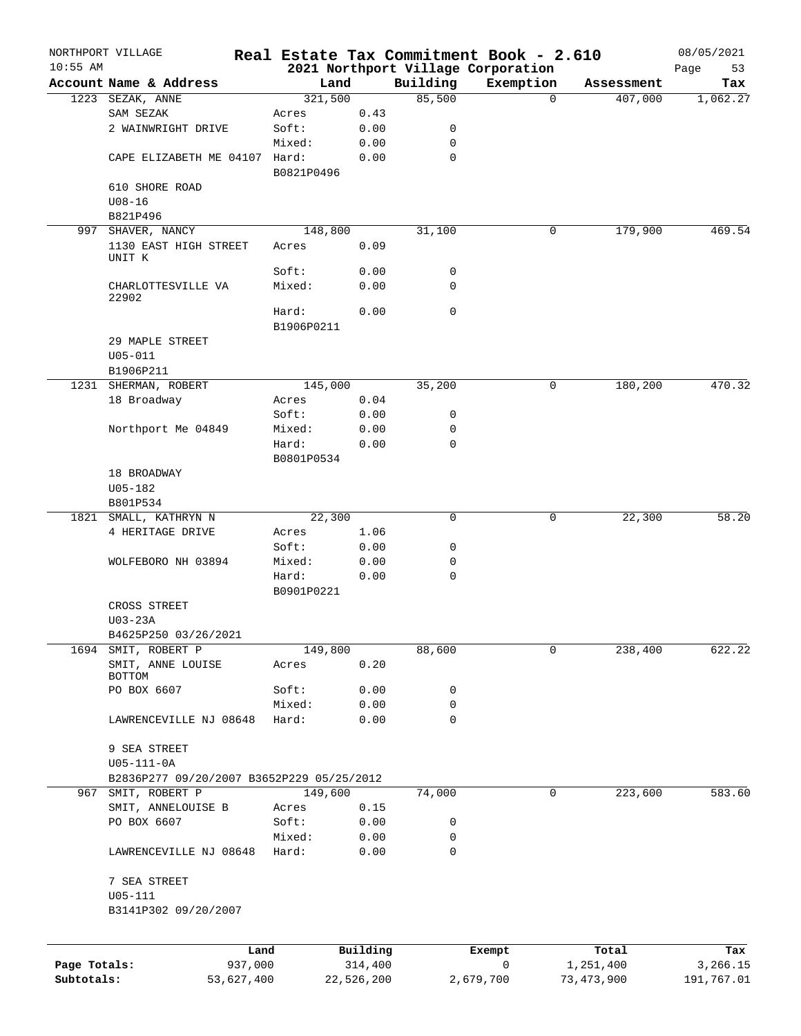|              | NORTHPORT VILLAGE                         |            |                     |             | Real Estate Tax Commitment Book - 2.610 |                    | 08/05/2021      |
|--------------|-------------------------------------------|------------|---------------------|-------------|-----------------------------------------|--------------------|-----------------|
| $10:55$ AM   |                                           |            |                     |             | 2021 Northport Village Corporation      |                    | 53<br>Page      |
|              | Account Name & Address                    | Land       |                     | Building    | Exemption                               | Assessment         | Tax             |
|              | 1223 SEZAK, ANNE                          | 321,500    |                     | 85,500      | $\Omega$                                | 407,000            | 1,062.27        |
|              | SAM SEZAK                                 | Acres      | 0.43                |             |                                         |                    |                 |
|              | 2 WAINWRIGHT DRIVE                        | Soft:      | 0.00                | 0           |                                         |                    |                 |
|              |                                           | Mixed:     | 0.00                | 0           |                                         |                    |                 |
|              | CAPE ELIZABETH ME 04107 Hard:             | B0821P0496 | 0.00                | $\mathbf 0$ |                                         |                    |                 |
|              | 610 SHORE ROAD                            |            |                     |             |                                         |                    |                 |
|              | $U08 - 16$                                |            |                     |             |                                         |                    |                 |
|              | B821P496                                  |            |                     |             |                                         |                    |                 |
|              | 997 SHAVER, NANCY                         | 148,800    |                     | 31,100      | 0                                       | 179,900            | 469.54          |
|              | 1130 EAST HIGH STREET<br>UNIT K           | Acres      | 0.09                |             |                                         |                    |                 |
|              |                                           | Soft:      | 0.00                | 0           |                                         |                    |                 |
|              | CHARLOTTESVILLE VA<br>22902               | Mixed:     | 0.00                | $\mathbf 0$ |                                         |                    |                 |
|              |                                           | Hard:      | 0.00                | $\mathbf 0$ |                                         |                    |                 |
|              |                                           | B1906P0211 |                     |             |                                         |                    |                 |
|              | 29 MAPLE STREET                           |            |                     |             |                                         |                    |                 |
|              | $U05 - 011$                               |            |                     |             |                                         |                    |                 |
|              | B1906P211                                 |            |                     |             |                                         |                    |                 |
|              | 1231 SHERMAN, ROBERT                      | 145,000    |                     | 35,200      | 0                                       | 180,200            | 470.32          |
|              | 18 Broadway                               | Acres      | 0.04                |             |                                         |                    |                 |
|              |                                           |            |                     |             |                                         |                    |                 |
|              |                                           | Soft:      | 0.00                | 0           |                                         |                    |                 |
|              | Northport Me 04849                        | Mixed:     | 0.00                | 0           |                                         |                    |                 |
|              |                                           | Hard:      | 0.00                | $\mathbf 0$ |                                         |                    |                 |
|              |                                           | B0801P0534 |                     |             |                                         |                    |                 |
|              | 18 BROADWAY                               |            |                     |             |                                         |                    |                 |
|              | $U05 - 182$                               |            |                     |             |                                         |                    |                 |
|              | B801P534                                  |            |                     |             |                                         |                    |                 |
|              | 1821 SMALL, KATHRYN N                     | 22,300     |                     | 0           | 0                                       | 22,300             | 58.20           |
|              | 4 HERITAGE DRIVE                          | Acres      | 1.06                |             |                                         |                    |                 |
|              |                                           | Soft:      | 0.00                | 0           |                                         |                    |                 |
|              | WOLFEBORO NH 03894                        | Mixed:     | 0.00                | 0           |                                         |                    |                 |
|              |                                           | Hard:      | 0.00                | $\mathbf 0$ |                                         |                    |                 |
|              |                                           | B0901P0221 |                     |             |                                         |                    |                 |
|              | CROSS STREET                              |            |                     |             |                                         |                    |                 |
|              | $U03-23A$                                 |            |                     |             |                                         |                    |                 |
|              | B4625P250 03/26/2021                      |            |                     |             |                                         |                    |                 |
|              | 1694 SMIT, ROBERT P                       | 149,800    |                     | 88,600      | 0                                       | 238,400            | 622.22          |
|              |                                           |            |                     |             |                                         |                    |                 |
|              | SMIT, ANNE LOUISE<br>BOTTOM               | Acres      | 0.20                |             |                                         |                    |                 |
|              | PO BOX 6607                               | Soft:      | 0.00                | 0           |                                         |                    |                 |
|              |                                           | Mixed:     | 0.00                | 0           |                                         |                    |                 |
|              | LAWRENCEVILLE NJ 08648                    |            | 0.00                | $\mathbf 0$ |                                         |                    |                 |
|              |                                           | Hard:      |                     |             |                                         |                    |                 |
|              |                                           |            |                     |             |                                         |                    |                 |
|              | 9 SEA STREET                              |            |                     |             |                                         |                    |                 |
|              | $U05 - 111 - 0A$                          |            |                     |             |                                         |                    |                 |
|              | B2836P277 09/20/2007 B3652P229 05/25/2012 |            |                     |             |                                         |                    |                 |
|              | 967 SMIT, ROBERT P                        | 149,600    |                     | 74,000      | 0                                       | 223,600            | 583.60          |
|              | SMIT, ANNELOUISE B                        | Acres      | 0.15                |             |                                         |                    |                 |
|              | PO BOX 6607                               | Soft:      | 0.00                | 0           |                                         |                    |                 |
|              |                                           | Mixed:     | 0.00                | 0           |                                         |                    |                 |
|              | LAWRENCEVILLE NJ 08648                    | Hard:      | 0.00                | $\mathbf 0$ |                                         |                    |                 |
|              | 7 SEA STREET                              |            |                     |             |                                         |                    |                 |
|              |                                           |            |                     |             |                                         |                    |                 |
|              | U05-111                                   |            |                     |             |                                         |                    |                 |
|              | B3141P302 09/20/2007                      |            |                     |             |                                         |                    |                 |
|              |                                           |            |                     |             |                                         |                    |                 |
| Page Totals: | Land<br>937,000                           |            | Building<br>314,400 |             | Exempt<br>0                             | Total<br>1,251,400 | Tax<br>3,266.15 |
| Subtotals:   | 53,627,400                                |            | 22,526,200          |             | 2,679,700                               | 73,473,900         | 191,767.01      |
|              |                                           |            |                     |             |                                         |                    |                 |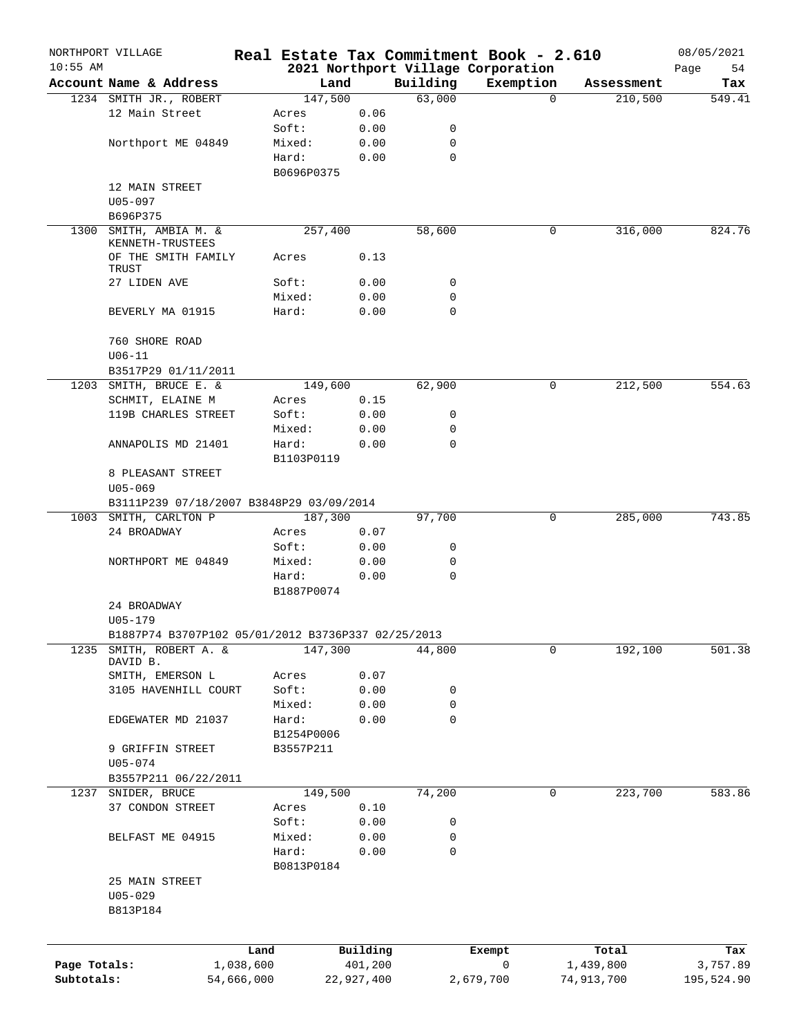|              | NORTHPORT VILLAGE                                  |            |                     |            |             | Real Estate Tax Commitment Book - 2.610         |          |            | 08/05/2021        |
|--------------|----------------------------------------------------|------------|---------------------|------------|-------------|-------------------------------------------------|----------|------------|-------------------|
| $10:55$ AM   | Account Name & Address                             |            | Land                |            | Building    | 2021 Northport Village Corporation<br>Exemption |          | Assessment | Page<br>54<br>Tax |
|              | 1234 SMITH JR., ROBERT                             |            | 147,500             |            | 63,000      |                                                 | $\Omega$ | 210,500    | 549.41            |
|              | 12 Main Street                                     |            | Acres               | 0.06       |             |                                                 |          |            |                   |
|              |                                                    |            | Soft:               | 0.00       | 0           |                                                 |          |            |                   |
|              | Northport ME 04849                                 |            | Mixed:              | 0.00       | $\mathbf 0$ |                                                 |          |            |                   |
|              |                                                    |            | Hard:               | 0.00       | $\mathbf 0$ |                                                 |          |            |                   |
|              |                                                    |            | B0696P0375          |            |             |                                                 |          |            |                   |
|              | 12 MAIN STREET                                     |            |                     |            |             |                                                 |          |            |                   |
|              | U05-097                                            |            |                     |            |             |                                                 |          |            |                   |
|              | B696P375                                           |            |                     |            |             |                                                 |          |            |                   |
| 1300         | SMITH, AMBIA M. &<br>KENNETH-TRUSTEES              |            | 257,400             |            | 58,600      |                                                 | 0        | 316,000    | 824.76            |
|              | OF THE SMITH FAMILY                                |            | Acres               | 0.13       |             |                                                 |          |            |                   |
|              | TRUST                                              |            |                     |            |             |                                                 |          |            |                   |
|              | 27 LIDEN AVE                                       |            | Soft:               | 0.00       | 0           |                                                 |          |            |                   |
|              |                                                    |            | Mixed:              | 0.00       | 0           |                                                 |          |            |                   |
|              | BEVERLY MA 01915                                   |            | Hard:               | 0.00       | $\mathbf 0$ |                                                 |          |            |                   |
|              | 760 SHORE ROAD                                     |            |                     |            |             |                                                 |          |            |                   |
|              | $U06 - 11$                                         |            |                     |            |             |                                                 |          |            |                   |
|              | B3517P29 01/11/2011                                |            |                     |            |             |                                                 |          |            |                   |
|              | 1203 SMITH, BRUCE E. &                             |            | 149,600             |            | 62,900      |                                                 | 0        | 212,500    | 554.63            |
|              | SCHMIT, ELAINE M                                   |            | Acres               | 0.15       |             |                                                 |          |            |                   |
|              | 119B CHARLES STREET                                |            | Soft:               | 0.00       | 0           |                                                 |          |            |                   |
|              |                                                    |            | Mixed:              | 0.00       | 0           |                                                 |          |            |                   |
|              | ANNAPOLIS MD 21401                                 |            | Hard:<br>B1103P0119 | 0.00       | $\mathbf 0$ |                                                 |          |            |                   |
|              | 8 PLEASANT STREET                                  |            |                     |            |             |                                                 |          |            |                   |
|              | $U05 - 069$                                        |            |                     |            |             |                                                 |          |            |                   |
|              | B3111P239 07/18/2007 B3848P29 03/09/2014           |            |                     |            |             |                                                 |          |            |                   |
|              | 1003 SMITH, CARLTON P                              |            | 187,300             |            | 97,700      |                                                 | 0        | 285,000    | 743.85            |
|              | 24 BROADWAY                                        |            | Acres               | 0.07       |             |                                                 |          |            |                   |
|              |                                                    |            | Soft:               | 0.00       | 0           |                                                 |          |            |                   |
|              | NORTHPORT ME 04849                                 |            | Mixed:              | 0.00       | $\mathbf 0$ |                                                 |          |            |                   |
|              |                                                    |            | Hard:               | 0.00       | $\mathbf 0$ |                                                 |          |            |                   |
|              |                                                    |            | B1887P0074          |            |             |                                                 |          |            |                   |
|              | 24 BROADWAY                                        |            |                     |            |             |                                                 |          |            |                   |
|              | U05-179                                            |            |                     |            |             |                                                 |          |            |                   |
|              | B1887P74 B3707P102 05/01/2012 B3736P337 02/25/2013 |            |                     |            |             |                                                 | 0        |            | 501.38            |
| 1235         | SMITH, ROBERT A. &<br>DAVID B.                     |            | 147,300             |            | 44,800      |                                                 |          | 192,100    |                   |
|              | SMITH, EMERSON L                                   |            | Acres               | 0.07       |             |                                                 |          |            |                   |
|              | 3105 HAVENHILL COURT                               |            | Soft:               | 0.00       | 0           |                                                 |          |            |                   |
|              |                                                    |            | Mixed:              | 0.00       | 0           |                                                 |          |            |                   |
|              | EDGEWATER MD 21037                                 |            | Hard:               | 0.00       | $\mathbf 0$ |                                                 |          |            |                   |
|              |                                                    |            | B1254P0006          |            |             |                                                 |          |            |                   |
|              | 9 GRIFFIN STREET                                   |            | B3557P211           |            |             |                                                 |          |            |                   |
|              | U05-074                                            |            |                     |            |             |                                                 |          |            |                   |
|              | B3557P211 06/22/2011                               |            |                     |            |             |                                                 |          |            |                   |
| 1237         | SNIDER, BRUCE                                      |            | 149,500             |            | 74,200      |                                                 | 0        | 223,700    | 583.86            |
|              | 37 CONDON STREET                                   |            | Acres               | 0.10       |             |                                                 |          |            |                   |
|              |                                                    |            | Soft:               | 0.00       | 0           |                                                 |          |            |                   |
|              | BELFAST ME 04915                                   |            | Mixed:              | 0.00       | 0<br>0      |                                                 |          |            |                   |
|              |                                                    |            | Hard:<br>B0813P0184 | 0.00       |             |                                                 |          |            |                   |
|              | 25 MAIN STREET                                     |            |                     |            |             |                                                 |          |            |                   |
|              | $U05 - 029$                                        |            |                     |            |             |                                                 |          |            |                   |
|              | B813P184                                           |            |                     |            |             |                                                 |          |            |                   |
|              |                                                    |            |                     |            |             |                                                 |          |            |                   |
|              |                                                    | Land       |                     | Building   |             | Exempt                                          |          | Total      | Tax               |
| Page Totals: |                                                    | 1,038,600  |                     | 401,200    |             | 0                                               |          | 1,439,800  | 3,757.89          |
| Subtotals:   |                                                    | 54,666,000 |                     | 22,927,400 |             | 2,679,700                                       |          | 74,913,700 | 195,524.90        |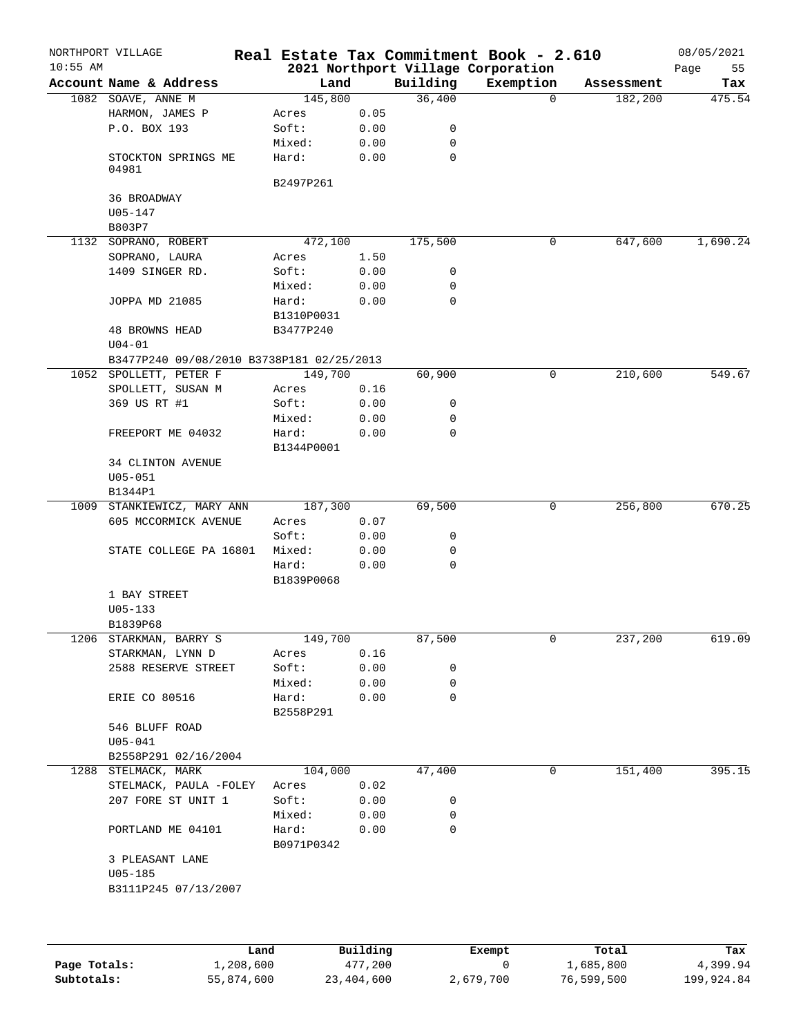|            | NORTHPORT VILLAGE                         |            |                 |             | Real Estate Tax Commitment Book - 2.610 |            | 08/05/2021 |
|------------|-------------------------------------------|------------|-----------------|-------------|-----------------------------------------|------------|------------|
| $10:55$ AM |                                           |            |                 |             | 2021 Northport Village Corporation      |            | 55<br>Page |
|            | Account Name & Address                    |            | Land            | Building    | Exemption                               | Assessment | Tax        |
|            | 1082 SOAVE, ANNE M                        | 145,800    |                 | 36,400      | $\Omega$                                | 182,200    | 475.54     |
|            | HARMON, JAMES P                           | Acres      | 0.05            |             |                                         |            |            |
|            | P.O. BOX 193                              | Soft:      | 0.00            | 0           |                                         |            |            |
|            |                                           | Mixed:     | 0.00            | 0           |                                         |            |            |
|            | STOCKTON SPRINGS ME<br>04981              | Hard:      | 0.00            | $\mathbf 0$ |                                         |            |            |
|            |                                           | B2497P261  |                 |             |                                         |            |            |
|            | 36 BROADWAY                               |            |                 |             |                                         |            |            |
|            | $U05 - 147$                               |            |                 |             |                                         |            |            |
|            | B803P7                                    |            |                 |             |                                         |            |            |
|            | 1132 SOPRANO, ROBERT                      | 472,100    |                 | 175,500     | 0                                       | 647,600    | 1,690.24   |
|            | SOPRANO, LAURA                            | Acres      | 1.50            |             |                                         |            |            |
|            | 1409 SINGER RD.                           | Soft:      | 0.00            | 0           |                                         |            |            |
|            |                                           | Mixed:     | 0.00            | 0           |                                         |            |            |
|            | JOPPA MD 21085                            | Hard:      | 0.00            | $\mathbf 0$ |                                         |            |            |
|            |                                           | B1310P0031 |                 |             |                                         |            |            |
|            | <b>48 BROWNS HEAD</b>                     | B3477P240  |                 |             |                                         |            |            |
|            | $U04 - 01$                                |            |                 |             |                                         |            |            |
|            | B3477P240 09/08/2010 B3738P181 02/25/2013 |            |                 |             |                                         |            |            |
|            | 1052 SPOLLETT, PETER F                    | 149,700    |                 | 60,900      | 0                                       | 210,600    | 549.67     |
|            | SPOLLETT, SUSAN M                         | Acres      | 0.16            |             |                                         |            |            |
|            | 369 US RT #1                              | Soft:      | 0.00            | 0           |                                         |            |            |
|            |                                           | Mixed:     | 0.00            | 0           |                                         |            |            |
|            | FREEPORT ME 04032                         | Hard:      | 0.00            | $\mathbf 0$ |                                         |            |            |
|            |                                           | B1344P0001 |                 |             |                                         |            |            |
|            | <b>34 CLINTON AVENUE</b>                  |            |                 |             |                                         |            |            |
|            | $U05 - 051$                               |            |                 |             |                                         |            |            |
|            |                                           |            |                 |             |                                         |            |            |
|            | B1344P1<br>1009 STANKIEWICZ, MARY ANN     | 187,300    |                 | 69,500      | 0                                       | 256,800    | 670.25     |
|            | 605 MCCORMICK AVENUE                      |            |                 |             |                                         |            |            |
|            |                                           | Acres      | 0.07            |             |                                         |            |            |
|            |                                           | Soft:      | 0.00            | 0           |                                         |            |            |
|            | STATE COLLEGE PA 16801                    | Mixed:     | 0.00            | 0           |                                         |            |            |
|            |                                           | Hard:      | 0.00            | $\mathbf 0$ |                                         |            |            |
|            |                                           | B1839P0068 |                 |             |                                         |            |            |
|            | 1 BAY STREET                              |            |                 |             |                                         |            |            |
|            | $U05 - 133$                               |            |                 |             |                                         |            |            |
|            | B1839P68                                  |            |                 |             |                                         |            |            |
|            | 1206 STARKMAN, BARRY S                    | 149,700    |                 | 87, 500     | 0                                       | 237,200    | 619.09     |
|            | STARKMAN, LYNN D                          | Acres      | 0.16            |             |                                         |            |            |
|            | 2588 RESERVE STREET                       | Soft:      | 0.00            | 0           |                                         |            |            |
|            |                                           | Mixed:     | 0.00            | 0           |                                         |            |            |
|            | <b>ERIE CO 80516</b>                      | Hard:      | 0.00            | $\mathbf 0$ |                                         |            |            |
|            |                                           | B2558P291  |                 |             |                                         |            |            |
|            | 546 BLUFF ROAD                            |            |                 |             |                                         |            |            |
|            | $U05 - 041$                               |            |                 |             |                                         |            |            |
|            | B2558P291 02/16/2004                      |            |                 |             |                                         |            |            |
|            | 1288 STELMACK, MARK                       | 104,000    |                 | 47,400      | 0                                       | 151,400    | 395.15     |
|            | STELMACK, PAULA -FOLEY                    | Acres      | 0.02            |             |                                         |            |            |
|            | 207 FORE ST UNIT 1                        | Soft:      | 0.00            | 0           |                                         |            |            |
|            |                                           | Mixed:     | 0.00            | 0           |                                         |            |            |
|            | PORTLAND ME 04101                         | Hard:      | 0.00            | $\mathbf 0$ |                                         |            |            |
|            |                                           | B0971P0342 |                 |             |                                         |            |            |
|            | 3 PLEASANT LANE                           |            |                 |             |                                         |            |            |
|            | $U05 - 185$                               |            |                 |             |                                         |            |            |
|            | B3111P245 07/13/2007                      |            |                 |             |                                         |            |            |
|            |                                           |            |                 |             |                                         |            |            |
|            |                                           |            |                 |             |                                         |            |            |
|            |                                           |            |                 |             |                                         |            |            |
|            |                                           |            | <b>Duilding</b> |             |                                         |            |            |

|              | Land       | Building   | Exempt    | Total      | Tax        |
|--------------|------------|------------|-----------|------------|------------|
| Page Totals: | 1,208,600  | 477,200    |           | 1,685,800  | 4,399.94   |
| Subtotals:   | 55,874,600 | 23,404,600 | 2,679,700 | 76,599,500 | 199,924.84 |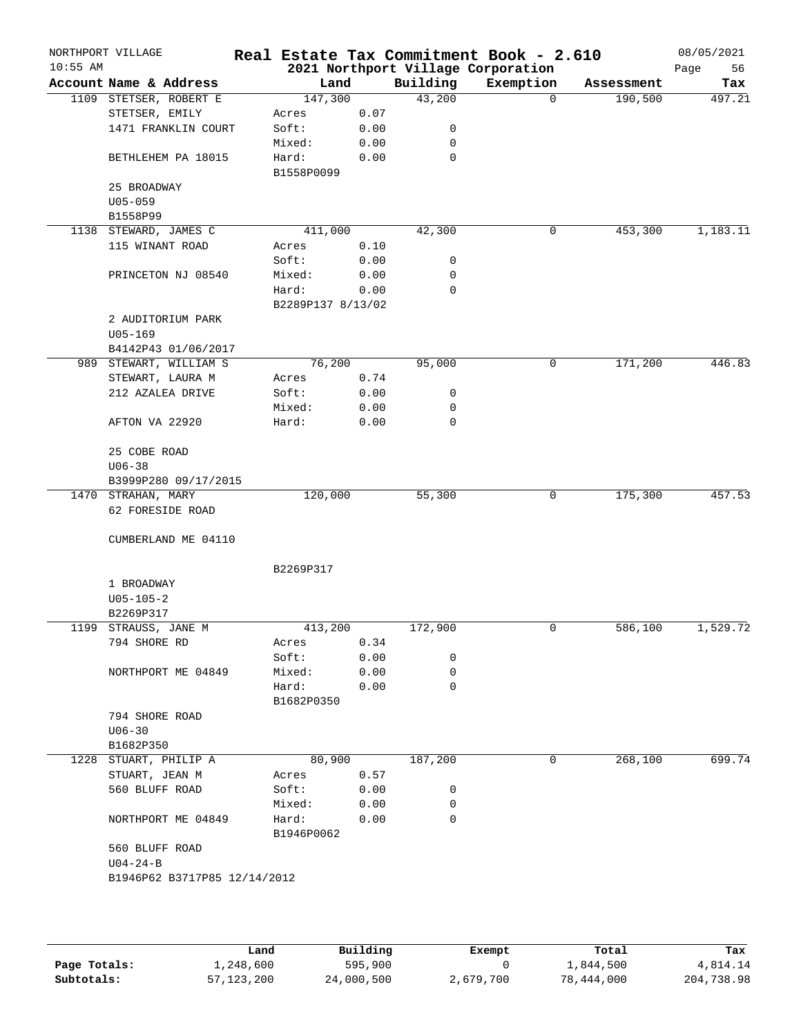| Account Name & Address<br>1109 STETSER, ROBERT E<br>STETSER, EMILY<br>1471 FRANKLIN COURT<br>BETHLEHEM PA 18015<br>25 BROADWAY<br>$U05 - 059$<br>B1558P99<br>1138 STEWARD, JAMES C<br>115 WINANT ROAD<br>PRINCETON NJ 08540<br>2 AUDITORIUM PARK<br>$U05 - 169$<br>B4142P43 01/06/2017<br>989 STEWART, WILLIAM S<br>STEWART, LAURA M<br>212 AZALEA DRIVE | Land<br>147,300<br>Acres<br>Soft:<br>Mixed:<br>Hard:<br>B1558P0099<br>411,000<br>Acres<br>Soft:<br>Mixed:<br>Hard:<br>B2289P137 8/13/02<br>76,200                     | 0.07<br>0.00<br>0.00<br>0.00<br>0.10<br>0.00<br>0.00<br>0.00               | Building<br>43,200<br>0<br>0<br>0<br>42,300<br>0<br>0<br>0                                       | 2021 Northport Village Corporation<br>Exemption<br>$\Omega$<br>0 | Assessment<br>190,500<br>453,300 | Page<br>56<br>Tax<br>497.21<br>1,183.11 |
|----------------------------------------------------------------------------------------------------------------------------------------------------------------------------------------------------------------------------------------------------------------------------------------------------------------------------------------------------------|-----------------------------------------------------------------------------------------------------------------------------------------------------------------------|----------------------------------------------------------------------------|--------------------------------------------------------------------------------------------------|------------------------------------------------------------------|----------------------------------|-----------------------------------------|
|                                                                                                                                                                                                                                                                                                                                                          |                                                                                                                                                                       |                                                                            |                                                                                                  |                                                                  |                                  |                                         |
|                                                                                                                                                                                                                                                                                                                                                          |                                                                                                                                                                       |                                                                            |                                                                                                  |                                                                  |                                  |                                         |
|                                                                                                                                                                                                                                                                                                                                                          |                                                                                                                                                                       |                                                                            |                                                                                                  |                                                                  |                                  |                                         |
|                                                                                                                                                                                                                                                                                                                                                          |                                                                                                                                                                       |                                                                            |                                                                                                  |                                                                  |                                  |                                         |
|                                                                                                                                                                                                                                                                                                                                                          |                                                                                                                                                                       |                                                                            |                                                                                                  |                                                                  |                                  |                                         |
|                                                                                                                                                                                                                                                                                                                                                          |                                                                                                                                                                       |                                                                            |                                                                                                  |                                                                  |                                  |                                         |
|                                                                                                                                                                                                                                                                                                                                                          |                                                                                                                                                                       |                                                                            |                                                                                                  |                                                                  |                                  |                                         |
|                                                                                                                                                                                                                                                                                                                                                          |                                                                                                                                                                       |                                                                            |                                                                                                  |                                                                  |                                  |                                         |
|                                                                                                                                                                                                                                                                                                                                                          |                                                                                                                                                                       |                                                                            |                                                                                                  |                                                                  |                                  |                                         |
|                                                                                                                                                                                                                                                                                                                                                          |                                                                                                                                                                       |                                                                            |                                                                                                  |                                                                  |                                  |                                         |
|                                                                                                                                                                                                                                                                                                                                                          |                                                                                                                                                                       |                                                                            |                                                                                                  |                                                                  |                                  |                                         |
|                                                                                                                                                                                                                                                                                                                                                          |                                                                                                                                                                       |                                                                            |                                                                                                  |                                                                  |                                  |                                         |
|                                                                                                                                                                                                                                                                                                                                                          |                                                                                                                                                                       |                                                                            |                                                                                                  |                                                                  |                                  |                                         |
|                                                                                                                                                                                                                                                                                                                                                          |                                                                                                                                                                       |                                                                            |                                                                                                  |                                                                  |                                  |                                         |
|                                                                                                                                                                                                                                                                                                                                                          |                                                                                                                                                                       |                                                                            |                                                                                                  |                                                                  |                                  |                                         |
|                                                                                                                                                                                                                                                                                                                                                          |                                                                                                                                                                       |                                                                            |                                                                                                  |                                                                  |                                  |                                         |
|                                                                                                                                                                                                                                                                                                                                                          |                                                                                                                                                                       |                                                                            |                                                                                                  |                                                                  |                                  |                                         |
|                                                                                                                                                                                                                                                                                                                                                          |                                                                                                                                                                       |                                                                            |                                                                                                  |                                                                  |                                  |                                         |
|                                                                                                                                                                                                                                                                                                                                                          |                                                                                                                                                                       |                                                                            | 95,000                                                                                           | 0                                                                | 171,200                          | 446.83                                  |
|                                                                                                                                                                                                                                                                                                                                                          | Acres                                                                                                                                                                 | 0.74                                                                       |                                                                                                  |                                                                  |                                  |                                         |
|                                                                                                                                                                                                                                                                                                                                                          | Soft:                                                                                                                                                                 | 0.00                                                                       | 0                                                                                                |                                                                  |                                  |                                         |
|                                                                                                                                                                                                                                                                                                                                                          | Mixed:                                                                                                                                                                | 0.00                                                                       | 0                                                                                                |                                                                  |                                  |                                         |
|                                                                                                                                                                                                                                                                                                                                                          |                                                                                                                                                                       |                                                                            |                                                                                                  |                                                                  |                                  |                                         |
|                                                                                                                                                                                                                                                                                                                                                          |                                                                                                                                                                       |                                                                            |                                                                                                  |                                                                  |                                  |                                         |
| 25 COBE ROAD                                                                                                                                                                                                                                                                                                                                             |                                                                                                                                                                       |                                                                            |                                                                                                  |                                                                  |                                  |                                         |
| $U06 - 38$                                                                                                                                                                                                                                                                                                                                               |                                                                                                                                                                       |                                                                            |                                                                                                  |                                                                  |                                  |                                         |
| B3999P280 09/17/2015                                                                                                                                                                                                                                                                                                                                     |                                                                                                                                                                       |                                                                            |                                                                                                  |                                                                  |                                  |                                         |
| 1470 STRAHAN, MARY                                                                                                                                                                                                                                                                                                                                       |                                                                                                                                                                       |                                                                            | 55,300                                                                                           | 0                                                                | 175,300                          | 457.53                                  |
| 62 FORESIDE ROAD                                                                                                                                                                                                                                                                                                                                         |                                                                                                                                                                       |                                                                            |                                                                                                  |                                                                  |                                  |                                         |
|                                                                                                                                                                                                                                                                                                                                                          |                                                                                                                                                                       |                                                                            |                                                                                                  |                                                                  |                                  |                                         |
|                                                                                                                                                                                                                                                                                                                                                          |                                                                                                                                                                       |                                                                            |                                                                                                  |                                                                  |                                  |                                         |
|                                                                                                                                                                                                                                                                                                                                                          | B2269P317                                                                                                                                                             |                                                                            |                                                                                                  |                                                                  |                                  |                                         |
| 1 BROADWAY                                                                                                                                                                                                                                                                                                                                               |                                                                                                                                                                       |                                                                            |                                                                                                  |                                                                  |                                  |                                         |
| $U05 - 105 - 2$                                                                                                                                                                                                                                                                                                                                          |                                                                                                                                                                       |                                                                            |                                                                                                  |                                                                  |                                  |                                         |
| B2269P317                                                                                                                                                                                                                                                                                                                                                |                                                                                                                                                                       |                                                                            |                                                                                                  |                                                                  |                                  |                                         |
| STRAUSS, JANE M                                                                                                                                                                                                                                                                                                                                          |                                                                                                                                                                       |                                                                            | 172,900                                                                                          | 0                                                                | 586,100                          | 1,529.72                                |
| 794 SHORE RD                                                                                                                                                                                                                                                                                                                                             | Acres                                                                                                                                                                 | 0.34                                                                       |                                                                                                  |                                                                  |                                  |                                         |
|                                                                                                                                                                                                                                                                                                                                                          | Soft:                                                                                                                                                                 | 0.00                                                                       | 0                                                                                                |                                                                  |                                  |                                         |
| NORTHPORT ME 04849                                                                                                                                                                                                                                                                                                                                       | Mixed:                                                                                                                                                                | 0.00                                                                       | 0                                                                                                |                                                                  |                                  |                                         |
|                                                                                                                                                                                                                                                                                                                                                          | Hard:                                                                                                                                                                 | 0.00                                                                       | $\mathbf 0$                                                                                      |                                                                  |                                  |                                         |
|                                                                                                                                                                                                                                                                                                                                                          |                                                                                                                                                                       |                                                                            |                                                                                                  |                                                                  |                                  |                                         |
|                                                                                                                                                                                                                                                                                                                                                          |                                                                                                                                                                       |                                                                            |                                                                                                  |                                                                  |                                  |                                         |
|                                                                                                                                                                                                                                                                                                                                                          |                                                                                                                                                                       |                                                                            |                                                                                                  |                                                                  |                                  |                                         |
|                                                                                                                                                                                                                                                                                                                                                          |                                                                                                                                                                       |                                                                            |                                                                                                  |                                                                  |                                  | 699.74                                  |
|                                                                                                                                                                                                                                                                                                                                                          |                                                                                                                                                                       |                                                                            |                                                                                                  |                                                                  |                                  |                                         |
|                                                                                                                                                                                                                                                                                                                                                          |                                                                                                                                                                       |                                                                            |                                                                                                  |                                                                  |                                  |                                         |
|                                                                                                                                                                                                                                                                                                                                                          |                                                                                                                                                                       |                                                                            |                                                                                                  |                                                                  |                                  |                                         |
|                                                                                                                                                                                                                                                                                                                                                          |                                                                                                                                                                       |                                                                            | 0                                                                                                |                                                                  |                                  |                                         |
|                                                                                                                                                                                                                                                                                                                                                          |                                                                                                                                                                       |                                                                            |                                                                                                  |                                                                  |                                  |                                         |
| 560 BLUFF ROAD                                                                                                                                                                                                                                                                                                                                           |                                                                                                                                                                       |                                                                            |                                                                                                  |                                                                  |                                  |                                         |
| $U04-24-B$                                                                                                                                                                                                                                                                                                                                               |                                                                                                                                                                       |                                                                            |                                                                                                  |                                                                  |                                  |                                         |
|                                                                                                                                                                                                                                                                                                                                                          |                                                                                                                                                                       |                                                                            |                                                                                                  |                                                                  |                                  |                                         |
|                                                                                                                                                                                                                                                                                                                                                          | AFTON VA 22920<br>CUMBERLAND ME 04110<br>794 SHORE ROAD<br>$U06 - 30$<br>B1682P350<br>1228 STUART, PHILIP A<br>STUART, JEAN M<br>560 BLUFF ROAD<br>NORTHPORT ME 04849 | Hard:<br>Acres<br>Soft:<br>Mixed:<br>Hard:<br>B1946P62 B3717P85 12/14/2012 | 0.00<br>120,000<br>413,200<br>B1682P0350<br>80,900<br>0.57<br>0.00<br>0.00<br>0.00<br>B1946P0062 | $\mathbf 0$<br>187,200<br>0<br>0                                 | 0                                | 268,100                                 |

|              | Land         | Building   | Exempt    | Total      | Tax        |
|--------------|--------------|------------|-----------|------------|------------|
| Page Totals: | ⊥,248,600    | 595,900    |           | 1,844,500  | 4,814.14   |
| Subtotals:   | 57, 123, 200 | 24,000,500 | 2,679,700 | 78,444,000 | 204,738.98 |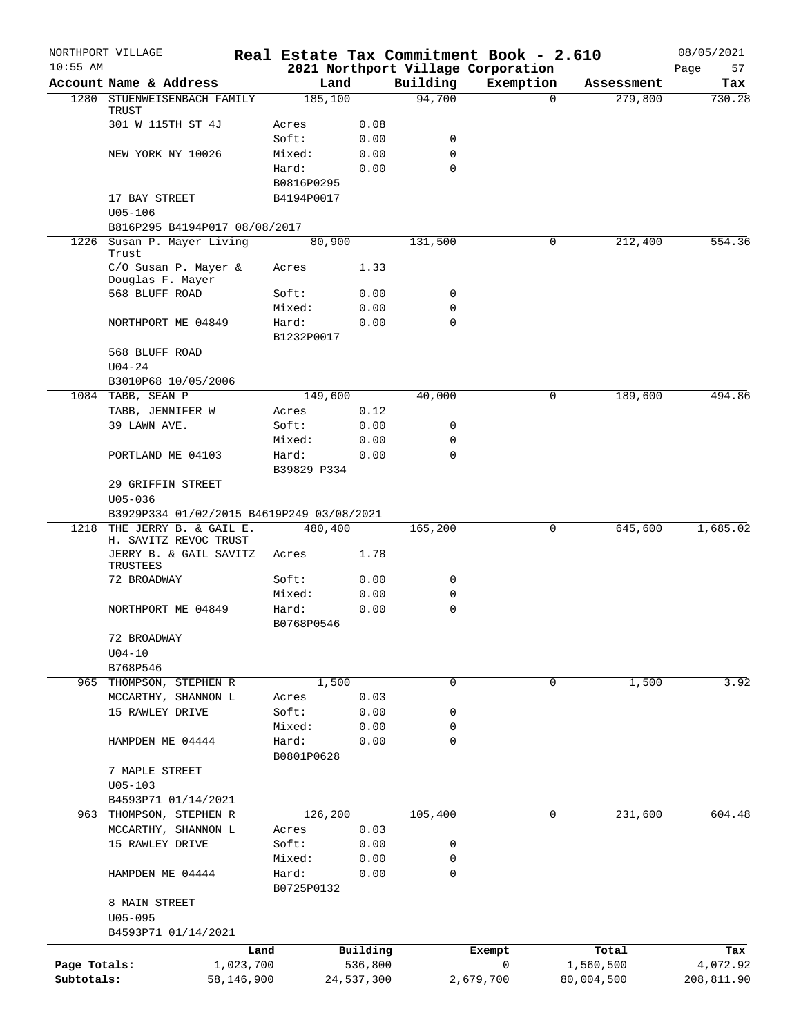|              | NORTHPORT VILLAGE                                           |             |            |             | Real Estate Tax Commitment Book - 2.610 |                     | 08/05/2021 |
|--------------|-------------------------------------------------------------|-------------|------------|-------------|-----------------------------------------|---------------------|------------|
| $10:55$ AM   |                                                             |             |            |             | 2021 Northport Village Corporation      |                     | 57<br>Page |
|              | Account Name & Address                                      |             | Land       | Building    | Exemption                               | Assessment          | Tax        |
|              | 1280 STUENWEISENBACH FAMILY<br>TRUST                        |             | 185,100    | 94,700      |                                         | $\Omega$<br>279,800 | 730.28     |
|              | 301 W 115TH ST 4J                                           | Acres       | 0.08       |             |                                         |                     |            |
|              |                                                             | Soft:       | 0.00       | 0           |                                         |                     |            |
|              | NEW YORK NY 10026                                           | Mixed:      | 0.00       | $\mathbf 0$ |                                         |                     |            |
|              |                                                             | Hard:       | 0.00       | $\Omega$    |                                         |                     |            |
|              |                                                             | B0816P0295  |            |             |                                         |                     |            |
|              | 17 BAY STREET                                               | B4194P0017  |            |             |                                         |                     |            |
|              | $U05 - 106$                                                 |             |            |             |                                         |                     |            |
|              | B816P295 B4194P017 08/08/2017                               |             |            |             |                                         |                     |            |
|              | 1226 Susan P. Mayer Living<br>Trust                         |             | 80,900     | 131,500     |                                         | 0<br>212,400        | 554.36     |
|              | C/O Susan P. Mayer &<br>Douglas F. Mayer                    | Acres       | 1.33       |             |                                         |                     |            |
|              | 568 BLUFF ROAD                                              | Soft:       | 0.00       | 0           |                                         |                     |            |
|              |                                                             | Mixed:      | 0.00       | 0           |                                         |                     |            |
|              | NORTHPORT ME 04849                                          | Hard:       | 0.00       | 0           |                                         |                     |            |
|              |                                                             | B1232P0017  |            |             |                                         |                     |            |
|              | 568 BLUFF ROAD                                              |             |            |             |                                         |                     |            |
|              | $U04 - 24$                                                  |             |            |             |                                         |                     |            |
|              | B3010P68 10/05/2006                                         |             |            |             |                                         |                     |            |
|              | 1084 TABB, SEAN P                                           |             | 149,600    | 40,000      |                                         | 189,600<br>0        | 494.86     |
|              | TABB, JENNIFER W                                            | Acres       | 0.12       |             |                                         |                     |            |
|              | 39 LAWN AVE.                                                | Soft:       | 0.00       | 0           |                                         |                     |            |
|              |                                                             | Mixed:      | 0.00       | 0           |                                         |                     |            |
|              | PORTLAND ME 04103                                           | Hard:       | 0.00       | $\mathbf 0$ |                                         |                     |            |
|              |                                                             | B39829 P334 |            |             |                                         |                     |            |
|              | 29 GRIFFIN STREET                                           |             |            |             |                                         |                     |            |
|              | $U05 - 036$                                                 |             |            |             |                                         |                     |            |
|              | B3929P334 01/02/2015 B4619P249 03/08/2021                   |             |            |             |                                         |                     |            |
| 1218         | THE JERRY B. & GAIL E.                                      |             | 480,400    | 165,200     |                                         | 0<br>645,600        | 1,685.02   |
|              | H. SAVITZ REVOC TRUST<br>JERRY B. & GAIL SAVITZ<br>TRUSTEES | Acres       | 1.78       |             |                                         |                     |            |
|              | 72 BROADWAY                                                 | Soft:       | 0.00       | 0           |                                         |                     |            |
|              |                                                             | Mixed:      | 0.00       | 0           |                                         |                     |            |
|              | NORTHPORT ME 04849                                          | Hard:       | 0.00       | $\mathbf 0$ |                                         |                     |            |
|              |                                                             | B0768P0546  |            |             |                                         |                     |            |
|              | 72 BROADWAY                                                 |             |            |             |                                         |                     |            |
|              | $U04 - 10$                                                  |             |            |             |                                         |                     |            |
|              | B768P546                                                    |             |            |             |                                         |                     |            |
|              | 965 THOMPSON, STEPHEN R                                     |             | 1,500      | 0           | 0                                       | 1,500               | 3.92       |
|              | MCCARTHY, SHANNON L                                         | Acres       | 0.03       |             |                                         |                     |            |
|              | 15 RAWLEY DRIVE                                             | Soft:       | 0.00       | 0           |                                         |                     |            |
|              |                                                             | Mixed:      | 0.00       | 0           |                                         |                     |            |
|              | HAMPDEN ME 04444                                            | Hard:       | 0.00       | $\mathbf 0$ |                                         |                     |            |
|              |                                                             | B0801P0628  |            |             |                                         |                     |            |
|              | 7 MAPLE STREET                                              |             |            |             |                                         |                     |            |
|              | $U05 - 103$<br>B4593P71 01/14/2021                          |             |            |             |                                         |                     |            |
|              | 963 THOMPSON, STEPHEN R                                     |             | 126,200    | 105,400     |                                         | 0<br>231,600        | 604.48     |
|              | MCCARTHY, SHANNON L                                         | Acres       | 0.03       |             |                                         |                     |            |
|              | 15 RAWLEY DRIVE                                             | Soft:       | 0.00       | 0           |                                         |                     |            |
|              |                                                             | Mixed:      | 0.00       | 0           |                                         |                     |            |
|              | HAMPDEN ME 04444                                            | Hard:       | 0.00       | $\mathbf 0$ |                                         |                     |            |
|              |                                                             | B0725P0132  |            |             |                                         |                     |            |
|              | 8 MAIN STREET                                               |             |            |             |                                         |                     |            |
|              | $U05 - 095$                                                 |             |            |             |                                         |                     |            |
|              | B4593P71 01/14/2021                                         |             |            |             |                                         |                     |            |
|              |                                                             | Land        | Building   |             | Exempt                                  | Total               | Tax        |
| Page Totals: |                                                             | 1,023,700   | 536,800    |             | 0                                       | 1,560,500           | 4,072.92   |
| Subtotals:   | 58,146,900                                                  |             | 24,537,300 |             | 2,679,700                               | 80,004,500          | 208,811.90 |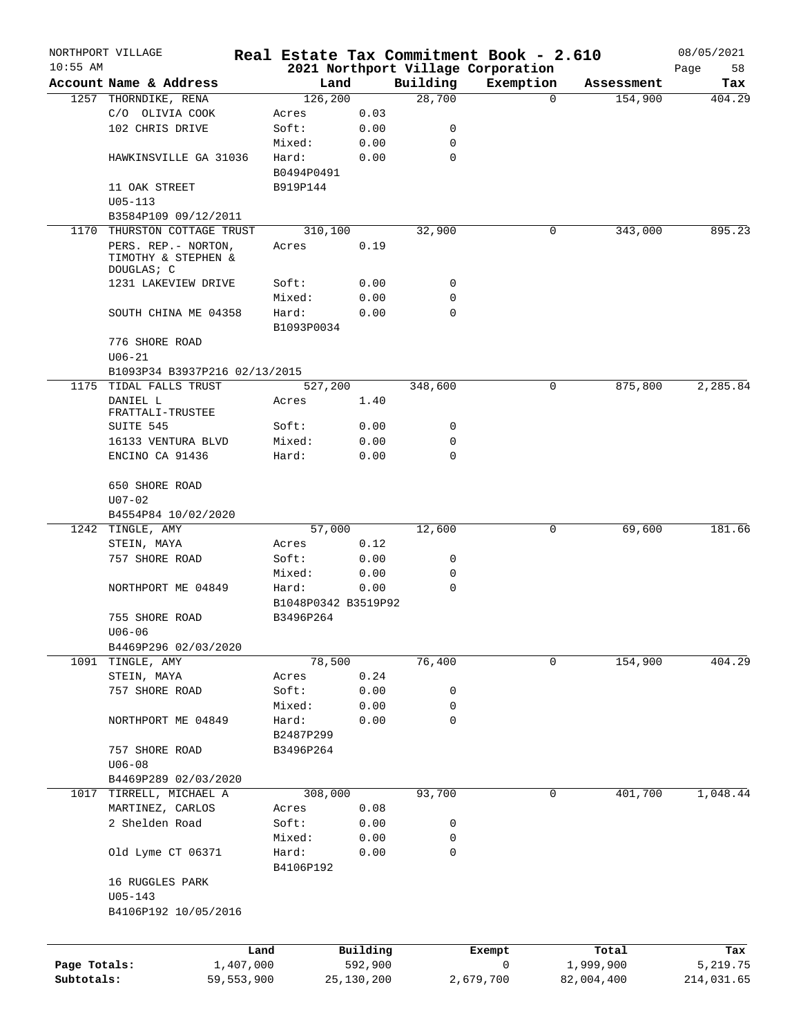|              | NORTHPORT VILLAGE             |            |            |                     |          | Real Estate Tax Commitment Book - 2.610 |          |            | 08/05/2021 |
|--------------|-------------------------------|------------|------------|---------------------|----------|-----------------------------------------|----------|------------|------------|
| $10:55$ AM   |                               |            |            |                     |          | 2021 Northport Village Corporation      |          |            | 58<br>Page |
|              | Account Name & Address        |            | Land       |                     | Building | Exemption                               |          | Assessment | Tax        |
|              | 1257 THORNDIKE, RENA          |            | 126, 200   |                     | 28,700   |                                         | $\Omega$ | 154,900    | 404.29     |
|              | C/O OLIVIA COOK               | Acres      |            | 0.03                |          |                                         |          |            |            |
|              | 102 CHRIS DRIVE               | Soft:      |            | 0.00                | 0        |                                         |          |            |            |
|              |                               |            | Mixed:     | 0.00                | 0        |                                         |          |            |            |
|              | HAWKINSVILLE GA 31036         | Hard:      |            | 0.00                | 0        |                                         |          |            |            |
|              |                               |            | B0494P0491 |                     |          |                                         |          |            |            |
|              | 11 OAK STREET                 |            | B919P144   |                     |          |                                         |          |            |            |
|              | $U05 - 113$                   |            |            |                     |          |                                         |          |            |            |
|              | B3584P109 09/12/2011          |            |            |                     |          |                                         |          |            |            |
| 1170         | THURSTON COTTAGE TRUST        |            | 310,100    |                     | 32,900   |                                         | 0        | 343,000    | 895.23     |
|              | PERS. REP. - NORTON,          | Acres      |            | 0.19                |          |                                         |          |            |            |
|              | TIMOTHY & STEPHEN &           |            |            |                     |          |                                         |          |            |            |
|              | DOUGLAS; C                    |            |            |                     |          |                                         |          |            |            |
|              | 1231 LAKEVIEW DRIVE           | Soft:      |            | 0.00                | 0        |                                         |          |            |            |
|              |                               |            | Mixed:     | 0.00                | 0        |                                         |          |            |            |
|              | SOUTH CHINA ME 04358          | Hard:      |            | 0.00                | 0        |                                         |          |            |            |
|              |                               |            | B1093P0034 |                     |          |                                         |          |            |            |
|              | 776 SHORE ROAD                |            |            |                     |          |                                         |          |            |            |
|              | $U06 - 21$                    |            |            |                     |          |                                         |          |            |            |
|              | B1093P34 B3937P216 02/13/2015 |            |            |                     |          |                                         |          |            |            |
| 1175         | TIDAL FALLS TRUST             |            | 527,200    |                     | 348,600  |                                         | 0        | 875,800    | 2,285.84   |
|              | DANIEL L                      | Acres      |            | 1.40                |          |                                         |          |            |            |
|              | FRATTALI-TRUSTEE              |            |            |                     |          |                                         |          |            |            |
|              | SUITE 545                     | Soft:      |            | 0.00                | 0        |                                         |          |            |            |
|              | 16133 VENTURA BLVD            |            | Mixed:     | 0.00                | 0        |                                         |          |            |            |
|              | ENCINO CA 91436               | Hard:      |            | 0.00                | 0        |                                         |          |            |            |
|              |                               |            |            |                     |          |                                         |          |            |            |
|              | 650 SHORE ROAD                |            |            |                     |          |                                         |          |            |            |
|              | $U07 - 02$                    |            |            |                     |          |                                         |          |            |            |
|              | B4554P84 10/02/2020           |            |            |                     |          |                                         |          |            |            |
| 1242         | TINGLE, AMY                   |            | 57,000     |                     | 12,600   |                                         | 0        | 69,600     | 181.66     |
|              | STEIN, MAYA                   | Acres      |            | 0.12                |          |                                         |          |            |            |
|              | 757 SHORE ROAD                | Soft:      |            | 0.00                | 0        |                                         |          |            |            |
|              |                               |            |            |                     |          |                                         |          |            |            |
|              |                               |            | Mixed:     | 0.00                | 0        |                                         |          |            |            |
|              | NORTHPORT ME 04849            | Hard:      |            | 0.00                | 0        |                                         |          |            |            |
|              |                               |            |            | B1048P0342 B3519P92 |          |                                         |          |            |            |
|              | 755 SHORE ROAD                |            | B3496P264  |                     |          |                                         |          |            |            |
|              | U06-06                        |            |            |                     |          |                                         |          |            |            |
|              | B4469P296 02/03/2020          |            |            |                     |          |                                         |          |            |            |
| 1091         | TINGLE, AMY                   |            | 78,500     |                     | 76,400   |                                         | 0        | 154,900    | 404.29     |
|              | STEIN, MAYA                   | Acres      |            | 0.24                |          |                                         |          |            |            |
|              | 757 SHORE ROAD                | Soft:      |            | 0.00                | 0        |                                         |          |            |            |
|              |                               |            | Mixed:     | 0.00                | 0        |                                         |          |            |            |
|              | NORTHPORT ME 04849            | Hard:      |            | 0.00                | 0        |                                         |          |            |            |
|              |                               |            | B2487P299  |                     |          |                                         |          |            |            |
|              | 757 SHORE ROAD                |            | B3496P264  |                     |          |                                         |          |            |            |
|              | $U06 - 08$                    |            |            |                     |          |                                         |          |            |            |
|              | B4469P289 02/03/2020          |            |            |                     |          |                                         |          |            |            |
| 1017         | TIRRELL, MICHAEL A            |            | 308,000    |                     | 93,700   |                                         | 0        | 401,700    | 1,048.44   |
|              | MARTINEZ, CARLOS              | Acres      |            | 0.08                |          |                                         |          |            |            |
|              | 2 Shelden Road                | Soft:      |            | 0.00                | 0        |                                         |          |            |            |
|              |                               |            | Mixed:     | 0.00                | 0        |                                         |          |            |            |
|              | Old Lyme CT 06371             | Hard:      |            |                     | 0        |                                         |          |            |            |
|              |                               |            |            | 0.00                |          |                                         |          |            |            |
|              |                               |            | B4106P192  |                     |          |                                         |          |            |            |
|              | 16 RUGGLES PARK               |            |            |                     |          |                                         |          |            |            |
|              | $U05 - 143$                   |            |            |                     |          |                                         |          |            |            |
|              | B4106P192 10/05/2016          |            |            |                     |          |                                         |          |            |            |
|              |                               |            |            |                     |          |                                         |          |            |            |
|              |                               | Land       |            | Building            |          | Exempt                                  |          | Total      | Tax        |
| Page Totals: |                               | 1,407,000  |            | 592,900             |          | 0                                       |          | 1,999,900  | 5,219.75   |
|              |                               |            |            |                     |          |                                         |          |            |            |
| Subtotals:   |                               | 59,553,900 |            | 25,130,200          |          | 2,679,700                               |          | 82,004,400 | 214,031.65 |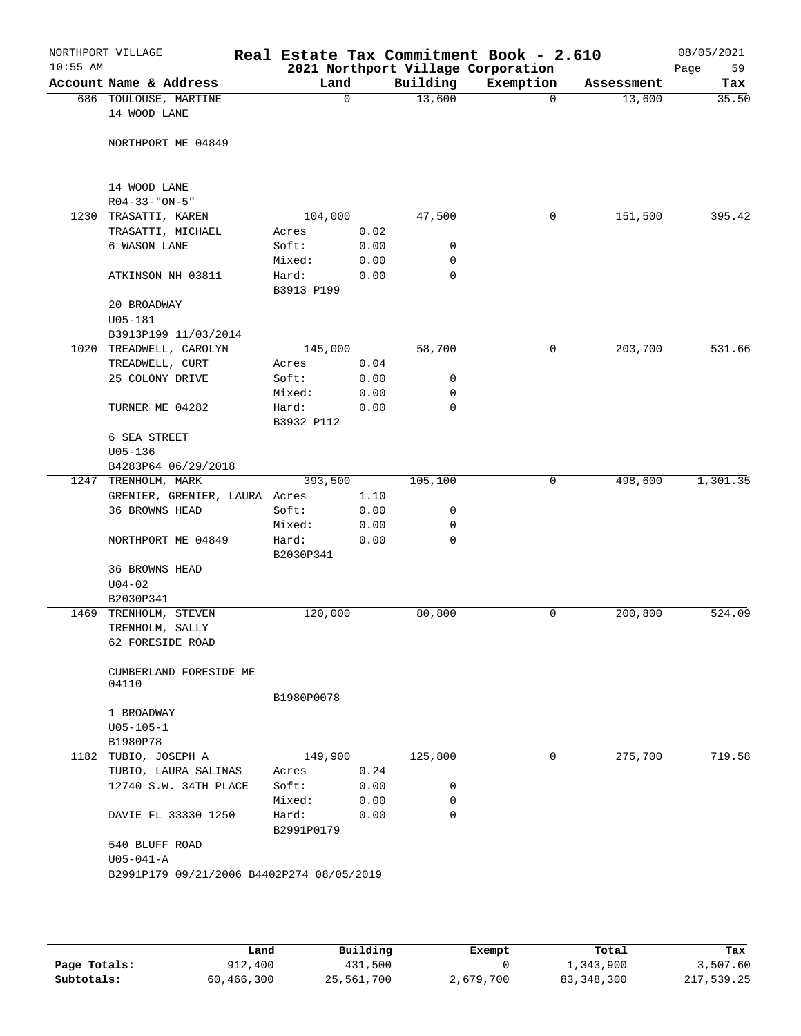| Building<br>Account Name & Address<br>Land<br>Exemption<br>Assessment<br>13,600<br>686 TOULOUSE, MARTINE<br>0<br>13,600<br>$\Omega$<br>14 WOOD LANE<br>NORTHPORT ME 04849<br>14 WOOD LANE<br>$R04 - 33 - "ON - 5"$<br>1230 TRASATTI, KAREN<br>104,000<br>47,500<br>151,500<br>0<br>TRASATTI, MICHAEL<br>0.02<br>Acres<br>6 WASON LANE<br>Soft:<br>0.00<br>0<br>Mixed:<br>0.00<br>0<br>Hard:<br>0.00<br>0<br>ATKINSON NH 03811<br>B3913 P199<br>20 BROADWAY<br>U05-181<br>B3913P199 11/03/2014<br>58,700<br>0<br>203,700<br>1020 TREADWELL, CAROLYN<br>145,000<br>TREADWELL, CURT<br>0.04<br>Acres<br>25 COLONY DRIVE<br>Soft:<br>0.00<br>0<br>Mixed:<br>0.00<br>0<br>$\mathbf 0$<br>TURNER ME 04282<br>Hard:<br>0.00<br>B3932 P112<br>6 SEA STREET<br>$U05 - 136$<br>B4283P64 06/29/2018<br>393,500<br>105,100<br>498,600<br>1247 TRENHOLM, MARK<br>0<br>1.10<br>GRENIER, GRENIER, LAURA Acres<br>36 BROWNS HEAD<br>Soft:<br>0.00<br>0<br>Mixed:<br>0.00<br>0<br>$\mathbf 0$<br>NORTHPORT ME 04849<br>Hard:<br>0.00<br>B2030P341<br>36 BROWNS HEAD<br>$U04 - 02$<br>B2030P341<br>120,000<br>200,800<br>1469<br>TRENHOLM, STEVEN<br>80,800<br>0<br>TRENHOLM, SALLY<br>62 FORESIDE ROAD<br>CUMBERLAND FORESIDE ME<br>04110<br>B1980P0078<br>1 BROADWAY<br>$U05 - 105 - 1$<br>B1980P78<br>125,800<br>275,700<br>1182 TUBIO, JOSEPH A<br>149,900<br>0<br>TUBIO, LAURA SALINAS<br>0.24<br>Acres<br>Soft:<br>12740 S.W. 34TH PLACE<br>0.00<br>0<br>Mixed:<br>0.00<br>0<br>$\Omega$<br>Hard:<br>0.00<br>DAVIE FL 33330 1250<br>B2991P0179<br>540 BLUFF ROAD<br>$U05 - 041 - A$<br>B2991P179 09/21/2006 B4402P274 08/05/2019 | $10:55$ AM | NORTHPORT VILLAGE | Real Estate Tax Commitment Book - 2.610 |  | 2021 Northport Village Corporation | 08/05/2021<br>59<br>Page |
|----------------------------------------------------------------------------------------------------------------------------------------------------------------------------------------------------------------------------------------------------------------------------------------------------------------------------------------------------------------------------------------------------------------------------------------------------------------------------------------------------------------------------------------------------------------------------------------------------------------------------------------------------------------------------------------------------------------------------------------------------------------------------------------------------------------------------------------------------------------------------------------------------------------------------------------------------------------------------------------------------------------------------------------------------------------------------------------------------------------------------------------------------------------------------------------------------------------------------------------------------------------------------------------------------------------------------------------------------------------------------------------------------------------------------------------------------------------------------------------------------------------------------------------------------------------------------------------------------------------------|------------|-------------------|-----------------------------------------|--|------------------------------------|--------------------------|
|                                                                                                                                                                                                                                                                                                                                                                                                                                                                                                                                                                                                                                                                                                                                                                                                                                                                                                                                                                                                                                                                                                                                                                                                                                                                                                                                                                                                                                                                                                                                                                                                                      |            |                   |                                         |  |                                    | Tax                      |
|                                                                                                                                                                                                                                                                                                                                                                                                                                                                                                                                                                                                                                                                                                                                                                                                                                                                                                                                                                                                                                                                                                                                                                                                                                                                                                                                                                                                                                                                                                                                                                                                                      |            |                   |                                         |  |                                    | 35.50                    |
|                                                                                                                                                                                                                                                                                                                                                                                                                                                                                                                                                                                                                                                                                                                                                                                                                                                                                                                                                                                                                                                                                                                                                                                                                                                                                                                                                                                                                                                                                                                                                                                                                      |            |                   |                                         |  |                                    |                          |
|                                                                                                                                                                                                                                                                                                                                                                                                                                                                                                                                                                                                                                                                                                                                                                                                                                                                                                                                                                                                                                                                                                                                                                                                                                                                                                                                                                                                                                                                                                                                                                                                                      |            |                   |                                         |  |                                    |                          |
|                                                                                                                                                                                                                                                                                                                                                                                                                                                                                                                                                                                                                                                                                                                                                                                                                                                                                                                                                                                                                                                                                                                                                                                                                                                                                                                                                                                                                                                                                                                                                                                                                      |            |                   |                                         |  |                                    |                          |
|                                                                                                                                                                                                                                                                                                                                                                                                                                                                                                                                                                                                                                                                                                                                                                                                                                                                                                                                                                                                                                                                                                                                                                                                                                                                                                                                                                                                                                                                                                                                                                                                                      |            |                   |                                         |  |                                    |                          |
|                                                                                                                                                                                                                                                                                                                                                                                                                                                                                                                                                                                                                                                                                                                                                                                                                                                                                                                                                                                                                                                                                                                                                                                                                                                                                                                                                                                                                                                                                                                                                                                                                      |            |                   |                                         |  |                                    |                          |
|                                                                                                                                                                                                                                                                                                                                                                                                                                                                                                                                                                                                                                                                                                                                                                                                                                                                                                                                                                                                                                                                                                                                                                                                                                                                                                                                                                                                                                                                                                                                                                                                                      |            |                   |                                         |  |                                    | 395.42                   |
|                                                                                                                                                                                                                                                                                                                                                                                                                                                                                                                                                                                                                                                                                                                                                                                                                                                                                                                                                                                                                                                                                                                                                                                                                                                                                                                                                                                                                                                                                                                                                                                                                      |            |                   |                                         |  |                                    |                          |
|                                                                                                                                                                                                                                                                                                                                                                                                                                                                                                                                                                                                                                                                                                                                                                                                                                                                                                                                                                                                                                                                                                                                                                                                                                                                                                                                                                                                                                                                                                                                                                                                                      |            |                   |                                         |  |                                    |                          |
|                                                                                                                                                                                                                                                                                                                                                                                                                                                                                                                                                                                                                                                                                                                                                                                                                                                                                                                                                                                                                                                                                                                                                                                                                                                                                                                                                                                                                                                                                                                                                                                                                      |            |                   |                                         |  |                                    |                          |
|                                                                                                                                                                                                                                                                                                                                                                                                                                                                                                                                                                                                                                                                                                                                                                                                                                                                                                                                                                                                                                                                                                                                                                                                                                                                                                                                                                                                                                                                                                                                                                                                                      |            |                   |                                         |  |                                    |                          |
|                                                                                                                                                                                                                                                                                                                                                                                                                                                                                                                                                                                                                                                                                                                                                                                                                                                                                                                                                                                                                                                                                                                                                                                                                                                                                                                                                                                                                                                                                                                                                                                                                      |            |                   |                                         |  |                                    |                          |
|                                                                                                                                                                                                                                                                                                                                                                                                                                                                                                                                                                                                                                                                                                                                                                                                                                                                                                                                                                                                                                                                                                                                                                                                                                                                                                                                                                                                                                                                                                                                                                                                                      |            |                   |                                         |  |                                    |                          |
|                                                                                                                                                                                                                                                                                                                                                                                                                                                                                                                                                                                                                                                                                                                                                                                                                                                                                                                                                                                                                                                                                                                                                                                                                                                                                                                                                                                                                                                                                                                                                                                                                      |            |                   |                                         |  |                                    |                          |
|                                                                                                                                                                                                                                                                                                                                                                                                                                                                                                                                                                                                                                                                                                                                                                                                                                                                                                                                                                                                                                                                                                                                                                                                                                                                                                                                                                                                                                                                                                                                                                                                                      |            |                   |                                         |  |                                    |                          |
|                                                                                                                                                                                                                                                                                                                                                                                                                                                                                                                                                                                                                                                                                                                                                                                                                                                                                                                                                                                                                                                                                                                                                                                                                                                                                                                                                                                                                                                                                                                                                                                                                      |            |                   |                                         |  |                                    | 531.66                   |
|                                                                                                                                                                                                                                                                                                                                                                                                                                                                                                                                                                                                                                                                                                                                                                                                                                                                                                                                                                                                                                                                                                                                                                                                                                                                                                                                                                                                                                                                                                                                                                                                                      |            |                   |                                         |  |                                    |                          |
|                                                                                                                                                                                                                                                                                                                                                                                                                                                                                                                                                                                                                                                                                                                                                                                                                                                                                                                                                                                                                                                                                                                                                                                                                                                                                                                                                                                                                                                                                                                                                                                                                      |            |                   |                                         |  |                                    |                          |
|                                                                                                                                                                                                                                                                                                                                                                                                                                                                                                                                                                                                                                                                                                                                                                                                                                                                                                                                                                                                                                                                                                                                                                                                                                                                                                                                                                                                                                                                                                                                                                                                                      |            |                   |                                         |  |                                    |                          |
|                                                                                                                                                                                                                                                                                                                                                                                                                                                                                                                                                                                                                                                                                                                                                                                                                                                                                                                                                                                                                                                                                                                                                                                                                                                                                                                                                                                                                                                                                                                                                                                                                      |            |                   |                                         |  |                                    |                          |
|                                                                                                                                                                                                                                                                                                                                                                                                                                                                                                                                                                                                                                                                                                                                                                                                                                                                                                                                                                                                                                                                                                                                                                                                                                                                                                                                                                                                                                                                                                                                                                                                                      |            |                   |                                         |  |                                    |                          |
|                                                                                                                                                                                                                                                                                                                                                                                                                                                                                                                                                                                                                                                                                                                                                                                                                                                                                                                                                                                                                                                                                                                                                                                                                                                                                                                                                                                                                                                                                                                                                                                                                      |            |                   |                                         |  |                                    |                          |
|                                                                                                                                                                                                                                                                                                                                                                                                                                                                                                                                                                                                                                                                                                                                                                                                                                                                                                                                                                                                                                                                                                                                                                                                                                                                                                                                                                                                                                                                                                                                                                                                                      |            |                   |                                         |  |                                    |                          |
|                                                                                                                                                                                                                                                                                                                                                                                                                                                                                                                                                                                                                                                                                                                                                                                                                                                                                                                                                                                                                                                                                                                                                                                                                                                                                                                                                                                                                                                                                                                                                                                                                      |            |                   |                                         |  |                                    |                          |
|                                                                                                                                                                                                                                                                                                                                                                                                                                                                                                                                                                                                                                                                                                                                                                                                                                                                                                                                                                                                                                                                                                                                                                                                                                                                                                                                                                                                                                                                                                                                                                                                                      |            |                   |                                         |  |                                    | 1,301.35                 |
|                                                                                                                                                                                                                                                                                                                                                                                                                                                                                                                                                                                                                                                                                                                                                                                                                                                                                                                                                                                                                                                                                                                                                                                                                                                                                                                                                                                                                                                                                                                                                                                                                      |            |                   |                                         |  |                                    |                          |
|                                                                                                                                                                                                                                                                                                                                                                                                                                                                                                                                                                                                                                                                                                                                                                                                                                                                                                                                                                                                                                                                                                                                                                                                                                                                                                                                                                                                                                                                                                                                                                                                                      |            |                   |                                         |  |                                    |                          |
|                                                                                                                                                                                                                                                                                                                                                                                                                                                                                                                                                                                                                                                                                                                                                                                                                                                                                                                                                                                                                                                                                                                                                                                                                                                                                                                                                                                                                                                                                                                                                                                                                      |            |                   |                                         |  |                                    |                          |
|                                                                                                                                                                                                                                                                                                                                                                                                                                                                                                                                                                                                                                                                                                                                                                                                                                                                                                                                                                                                                                                                                                                                                                                                                                                                                                                                                                                                                                                                                                                                                                                                                      |            |                   |                                         |  |                                    |                          |
|                                                                                                                                                                                                                                                                                                                                                                                                                                                                                                                                                                                                                                                                                                                                                                                                                                                                                                                                                                                                                                                                                                                                                                                                                                                                                                                                                                                                                                                                                                                                                                                                                      |            |                   |                                         |  |                                    |                          |
|                                                                                                                                                                                                                                                                                                                                                                                                                                                                                                                                                                                                                                                                                                                                                                                                                                                                                                                                                                                                                                                                                                                                                                                                                                                                                                                                                                                                                                                                                                                                                                                                                      |            |                   |                                         |  |                                    |                          |
|                                                                                                                                                                                                                                                                                                                                                                                                                                                                                                                                                                                                                                                                                                                                                                                                                                                                                                                                                                                                                                                                                                                                                                                                                                                                                                                                                                                                                                                                                                                                                                                                                      |            |                   |                                         |  |                                    |                          |
|                                                                                                                                                                                                                                                                                                                                                                                                                                                                                                                                                                                                                                                                                                                                                                                                                                                                                                                                                                                                                                                                                                                                                                                                                                                                                                                                                                                                                                                                                                                                                                                                                      |            |                   |                                         |  |                                    | 524.09                   |
|                                                                                                                                                                                                                                                                                                                                                                                                                                                                                                                                                                                                                                                                                                                                                                                                                                                                                                                                                                                                                                                                                                                                                                                                                                                                                                                                                                                                                                                                                                                                                                                                                      |            |                   |                                         |  |                                    |                          |
|                                                                                                                                                                                                                                                                                                                                                                                                                                                                                                                                                                                                                                                                                                                                                                                                                                                                                                                                                                                                                                                                                                                                                                                                                                                                                                                                                                                                                                                                                                                                                                                                                      |            |                   |                                         |  |                                    |                          |
|                                                                                                                                                                                                                                                                                                                                                                                                                                                                                                                                                                                                                                                                                                                                                                                                                                                                                                                                                                                                                                                                                                                                                                                                                                                                                                                                                                                                                                                                                                                                                                                                                      |            |                   |                                         |  |                                    |                          |
|                                                                                                                                                                                                                                                                                                                                                                                                                                                                                                                                                                                                                                                                                                                                                                                                                                                                                                                                                                                                                                                                                                                                                                                                                                                                                                                                                                                                                                                                                                                                                                                                                      |            |                   |                                         |  |                                    |                          |
|                                                                                                                                                                                                                                                                                                                                                                                                                                                                                                                                                                                                                                                                                                                                                                                                                                                                                                                                                                                                                                                                                                                                                                                                                                                                                                                                                                                                                                                                                                                                                                                                                      |            |                   |                                         |  |                                    |                          |
|                                                                                                                                                                                                                                                                                                                                                                                                                                                                                                                                                                                                                                                                                                                                                                                                                                                                                                                                                                                                                                                                                                                                                                                                                                                                                                                                                                                                                                                                                                                                                                                                                      |            |                   |                                         |  |                                    |                          |
|                                                                                                                                                                                                                                                                                                                                                                                                                                                                                                                                                                                                                                                                                                                                                                                                                                                                                                                                                                                                                                                                                                                                                                                                                                                                                                                                                                                                                                                                                                                                                                                                                      |            |                   |                                         |  |                                    |                          |
|                                                                                                                                                                                                                                                                                                                                                                                                                                                                                                                                                                                                                                                                                                                                                                                                                                                                                                                                                                                                                                                                                                                                                                                                                                                                                                                                                                                                                                                                                                                                                                                                                      |            |                   |                                         |  |                                    | 719.58                   |
|                                                                                                                                                                                                                                                                                                                                                                                                                                                                                                                                                                                                                                                                                                                                                                                                                                                                                                                                                                                                                                                                                                                                                                                                                                                                                                                                                                                                                                                                                                                                                                                                                      |            |                   |                                         |  |                                    |                          |
|                                                                                                                                                                                                                                                                                                                                                                                                                                                                                                                                                                                                                                                                                                                                                                                                                                                                                                                                                                                                                                                                                                                                                                                                                                                                                                                                                                                                                                                                                                                                                                                                                      |            |                   |                                         |  |                                    |                          |
|                                                                                                                                                                                                                                                                                                                                                                                                                                                                                                                                                                                                                                                                                                                                                                                                                                                                                                                                                                                                                                                                                                                                                                                                                                                                                                                                                                                                                                                                                                                                                                                                                      |            |                   |                                         |  |                                    |                          |
|                                                                                                                                                                                                                                                                                                                                                                                                                                                                                                                                                                                                                                                                                                                                                                                                                                                                                                                                                                                                                                                                                                                                                                                                                                                                                                                                                                                                                                                                                                                                                                                                                      |            |                   |                                         |  |                                    |                          |
|                                                                                                                                                                                                                                                                                                                                                                                                                                                                                                                                                                                                                                                                                                                                                                                                                                                                                                                                                                                                                                                                                                                                                                                                                                                                                                                                                                                                                                                                                                                                                                                                                      |            |                   |                                         |  |                                    |                          |
|                                                                                                                                                                                                                                                                                                                                                                                                                                                                                                                                                                                                                                                                                                                                                                                                                                                                                                                                                                                                                                                                                                                                                                                                                                                                                                                                                                                                                                                                                                                                                                                                                      |            |                   |                                         |  |                                    |                          |
|                                                                                                                                                                                                                                                                                                                                                                                                                                                                                                                                                                                                                                                                                                                                                                                                                                                                                                                                                                                                                                                                                                                                                                                                                                                                                                                                                                                                                                                                                                                                                                                                                      |            |                   |                                         |  |                                    |                          |
|                                                                                                                                                                                                                                                                                                                                                                                                                                                                                                                                                                                                                                                                                                                                                                                                                                                                                                                                                                                                                                                                                                                                                                                                                                                                                                                                                                                                                                                                                                                                                                                                                      |            |                   |                                         |  |                                    |                          |
|                                                                                                                                                                                                                                                                                                                                                                                                                                                                                                                                                                                                                                                                                                                                                                                                                                                                                                                                                                                                                                                                                                                                                                                                                                                                                                                                                                                                                                                                                                                                                                                                                      |            |                   |                                         |  |                                    |                          |
|                                                                                                                                                                                                                                                                                                                                                                                                                                                                                                                                                                                                                                                                                                                                                                                                                                                                                                                                                                                                                                                                                                                                                                                                                                                                                                                                                                                                                                                                                                                                                                                                                      |            |                   |                                         |  |                                    |                          |
|                                                                                                                                                                                                                                                                                                                                                                                                                                                                                                                                                                                                                                                                                                                                                                                                                                                                                                                                                                                                                                                                                                                                                                                                                                                                                                                                                                                                                                                                                                                                                                                                                      |            |                   |                                         |  |                                    |                          |

|              | Land       | Building   | Exempt    | Total        | Tax        |
|--------------|------------|------------|-----------|--------------|------------|
| Page Totals: | 912,400    | 431,500    |           | 1,343,900    | 3,507.60   |
| Subtotals:   | 60,466,300 | 25,561,700 | 2,679,700 | 83, 348, 300 | 217,539.25 |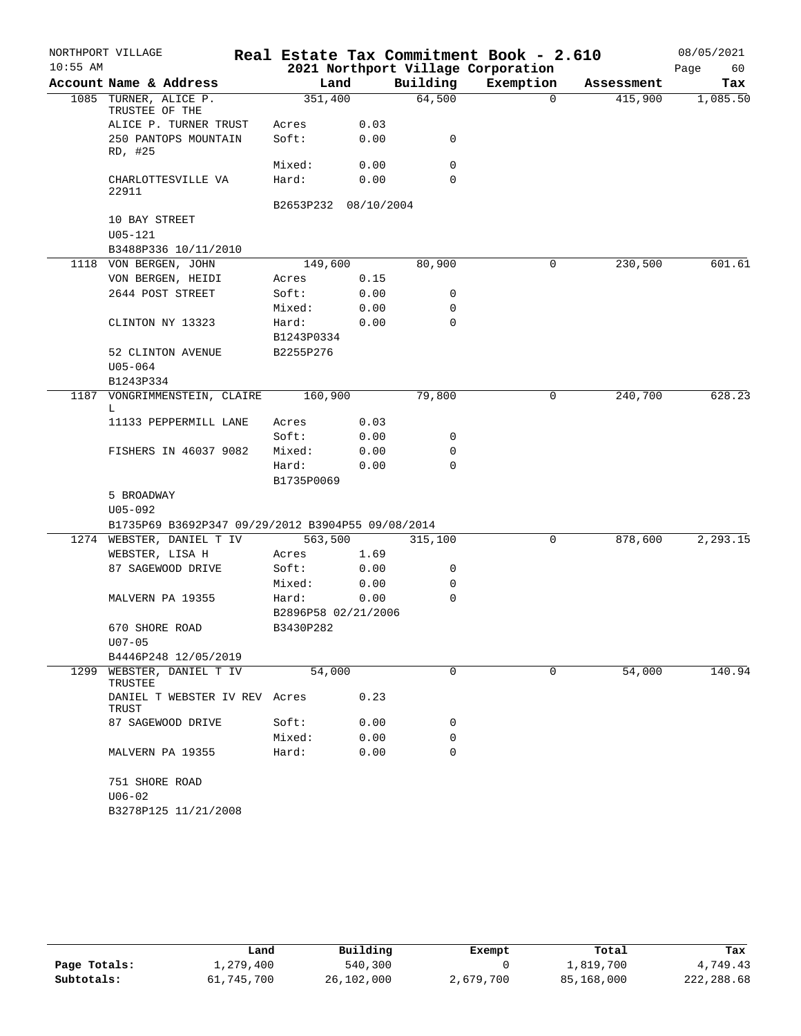|            | NORTHPORT VILLAGE                                 |                                  |              |             | Real Estate Tax Commitment Book - 2.610 |            | 08/05/2021 |
|------------|---------------------------------------------------|----------------------------------|--------------|-------------|-----------------------------------------|------------|------------|
| $10:55$ AM |                                                   |                                  |              |             | 2021 Northport Village Corporation      |            | Page<br>60 |
|            | Account Name & Address                            | Land                             |              | Building    | Exemption                               | Assessment | Tax        |
|            | 1085 TURNER, ALICE P.<br>TRUSTEE OF THE           | 351,400                          |              | 64,500      | $\Omega$                                | 415,900    | 1,085.50   |
|            | ALICE P. TURNER TRUST                             | Acres                            | 0.03         |             |                                         |            |            |
|            | 250 PANTOPS MOUNTAIN<br>RD, #25                   | Soft:                            | 0.00         | 0           |                                         |            |            |
|            |                                                   | Mixed:                           | 0.00         | $\mathbf 0$ |                                         |            |            |
|            | CHARLOTTESVILLE VA<br>22911                       | Hard:                            | 0.00         | $\Omega$    |                                         |            |            |
|            |                                                   | B2653P232 08/10/2004             |              |             |                                         |            |            |
|            | 10 BAY STREET<br>$U05 - 121$                      |                                  |              |             |                                         |            |            |
|            | B3488P336 10/11/2010                              |                                  |              |             |                                         |            |            |
|            | 1118 VON BERGEN, JOHN                             | 149,600                          |              | 80,900      | $\mathbf 0$                             | 230,500    | 601.61     |
|            | VON BERGEN, HEIDI                                 | Acres                            | 0.15         |             |                                         |            |            |
|            | 2644 POST STREET                                  | Soft:                            | 0.00         | 0           |                                         |            |            |
|            |                                                   | Mixed:                           | 0.00         | 0           |                                         |            |            |
|            | CLINTON NY 13323                                  | Hard:<br>B1243P0334              | 0.00         | $\Omega$    |                                         |            |            |
|            | 52 CLINTON AVENUE                                 | B2255P276                        |              |             |                                         |            |            |
|            | $U05 - 064$                                       |                                  |              |             |                                         |            |            |
|            | B1243P334                                         |                                  |              |             |                                         |            |            |
|            | 1187 VONGRIMMENSTEIN, CLAIRE<br>L                 | 160,900                          |              | 79,800      | 0                                       | 240,700    | 628.23     |
|            | 11133 PEPPERMILL LANE                             | Acres                            | 0.03         |             |                                         |            |            |
|            |                                                   | Soft:                            | 0.00         | 0           |                                         |            |            |
|            | FISHERS IN 46037 9082                             | Mixed:                           | 0.00         | 0           |                                         |            |            |
|            |                                                   | Hard:<br>B1735P0069              | 0.00         | $\Omega$    |                                         |            |            |
|            | 5 BROADWAY                                        |                                  |              |             |                                         |            |            |
|            | $U05 - 092$                                       |                                  |              |             |                                         |            |            |
|            | B1735P69 B3692P347 09/29/2012 B3904P55 09/08/2014 |                                  |              |             |                                         |            |            |
|            | 1274 WEBSTER, DANIEL T IV                         | 563,500                          |              | 315,100     | 0                                       | 878,600    | 2,293.15   |
|            | WEBSTER, LISA H                                   | Acres                            | 1.69         |             |                                         |            |            |
|            | 87 SAGEWOOD DRIVE                                 | Soft:                            | 0.00         | 0           |                                         |            |            |
|            |                                                   | Mixed:                           | 0.00         | 0           |                                         |            |            |
|            | MALVERN PA 19355                                  | Hard:                            | 0.00         | 0           |                                         |            |            |
|            | 670 SHORE ROAD                                    | B2896P58 02/21/2006<br>B3430P282 |              |             |                                         |            |            |
|            | $U07 - 05$                                        |                                  |              |             |                                         |            |            |
| 1299       | B4446P248 12/05/2019<br>WEBSTER, DANIEL T IV      | 54,000                           |              | $\Omega$    | $\Omega$                                | 54,000     | 140.94     |
|            | TRUSTEE<br>DANIEL T WEBSTER IV REV Acres          |                                  | 0.23         |             |                                         |            |            |
|            | TRUST                                             |                                  |              |             |                                         |            |            |
|            | 87 SAGEWOOD DRIVE                                 | Soft:<br>Mixed:                  | 0.00<br>0.00 | 0<br>0      |                                         |            |            |
|            | MALVERN PA 19355                                  | Hard:                            | 0.00         | $\Omega$    |                                         |            |            |
|            |                                                   |                                  |              |             |                                         |            |            |
|            | 751 SHORE ROAD<br>$U06 - 02$                      |                                  |              |             |                                         |            |            |
|            | B3278P125 11/21/2008                              |                                  |              |             |                                         |            |            |

|              | Land       | Building   | Exempt    | Total      | Tax        |
|--------------|------------|------------|-----------|------------|------------|
| Page Totals: | 1,279,400  | 540,300    |           | 1,819,700  | 4,749.43   |
| Subtotals:   | 61,745,700 | 26,102,000 | 2,679,700 | 85,168,000 | 222,288.68 |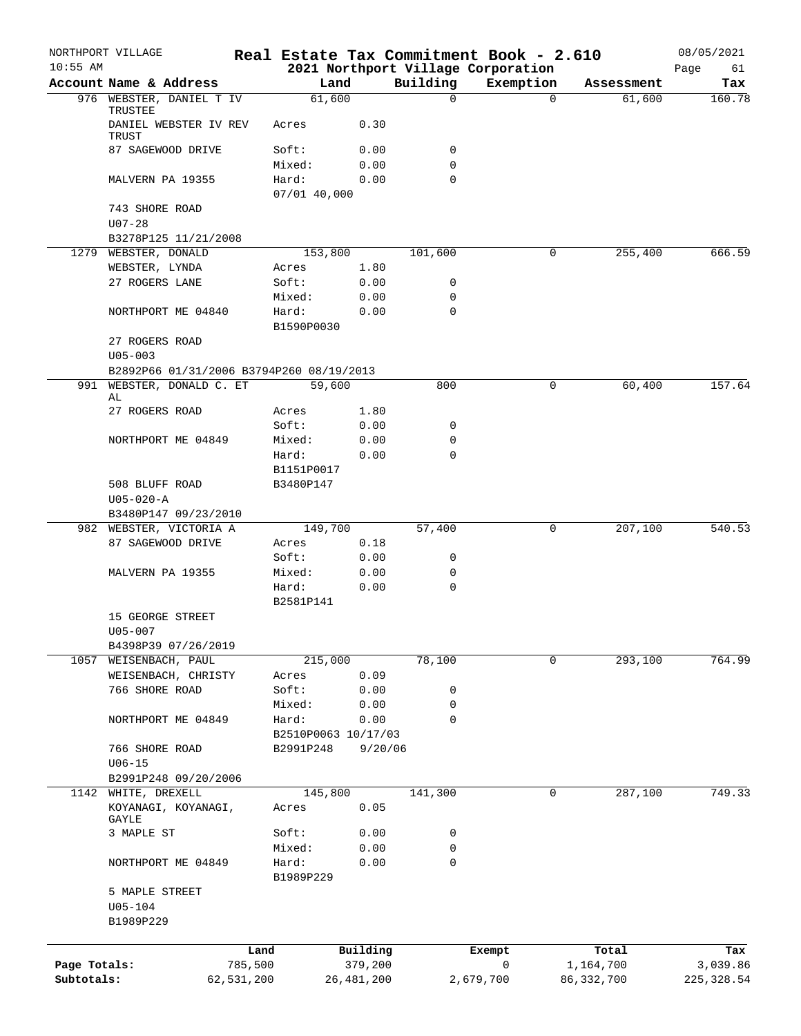| $10:55$ AM   | NORTHPORT VILLAGE                        |            |                     |              |                  | Real Estate Tax Commitment Book - 2.610         |              | 08/05/2021    |
|--------------|------------------------------------------|------------|---------------------|--------------|------------------|-------------------------------------------------|--------------|---------------|
|              | Account Name & Address                   |            |                     | Land         | Building         | 2021 Northport Village Corporation<br>Exemption | Assessment   | Page<br>61    |
|              | 976 WEBSTER, DANIEL T IV                 |            | 61,600              |              | $\Omega$         | $\Omega$                                        | 61,600       | Tax<br>160.78 |
|              | TRUSTEE                                  |            |                     |              |                  |                                                 |              |               |
|              | DANIEL WEBSTER IV REV<br>TRUST           |            | Acres               | 0.30         |                  |                                                 |              |               |
|              | 87 SAGEWOOD DRIVE                        |            | Soft:               | 0.00         | 0                |                                                 |              |               |
|              |                                          |            | Mixed:              | 0.00         | $\mathbf 0$      |                                                 |              |               |
|              | MALVERN PA 19355                         |            | Hard:               | 0.00         | $\mathbf 0$      |                                                 |              |               |
|              |                                          |            | $07/01$ 40,000      |              |                  |                                                 |              |               |
|              | 743 SHORE ROAD                           |            |                     |              |                  |                                                 |              |               |
|              | $U07 - 28$                               |            |                     |              |                  |                                                 |              |               |
|              | B3278P125 11/21/2008                     |            |                     |              |                  |                                                 |              |               |
|              | 1279 WEBSTER, DONALD                     |            | 153,800             |              | 101,600          | 0                                               | 255,400      | 666.59        |
|              | WEBSTER, LYNDA                           |            | Acres               | 1.80         |                  |                                                 |              |               |
|              | 27 ROGERS LANE                           |            | Soft:               | 0.00         | 0<br>$\mathbf 0$ |                                                 |              |               |
|              | NORTHPORT ME 04840                       |            | Mixed:<br>Hard:     | 0.00<br>0.00 | $\mathbf 0$      |                                                 |              |               |
|              |                                          |            | B1590P0030          |              |                  |                                                 |              |               |
|              | 27 ROGERS ROAD                           |            |                     |              |                  |                                                 |              |               |
|              | $U05 - 003$                              |            |                     |              |                  |                                                 |              |               |
|              | B2892P66 01/31/2006 B3794P260 08/19/2013 |            |                     |              |                  |                                                 |              |               |
| 991          | WEBSTER, DONALD C. ET                    |            | 59,600              |              | 800              | 0                                               | 60,400       | 157.64        |
|              | AL                                       |            |                     |              |                  |                                                 |              |               |
|              | 27 ROGERS ROAD                           |            | Acres               | 1.80         |                  |                                                 |              |               |
|              |                                          |            | Soft:               | 0.00         | 0                |                                                 |              |               |
|              | NORTHPORT ME 04849                       |            | Mixed:              | 0.00         | 0                |                                                 |              |               |
|              |                                          |            | Hard:               | 0.00         | $\mathbf 0$      |                                                 |              |               |
|              |                                          |            | B1151P0017          |              |                  |                                                 |              |               |
|              | 508 BLUFF ROAD<br>$U05 - 020 - A$        |            | B3480P147           |              |                  |                                                 |              |               |
|              | B3480P147 09/23/2010                     |            |                     |              |                  |                                                 |              |               |
|              | 982 WEBSTER, VICTORIA A                  |            | 149,700             |              | 57,400           | 0                                               | 207,100      | 540.53        |
|              | 87 SAGEWOOD DRIVE                        |            | Acres               | 0.18         |                  |                                                 |              |               |
|              |                                          |            | Soft:               | 0.00         | 0                |                                                 |              |               |
|              | MALVERN PA 19355                         |            | Mixed:              | 0.00         | 0                |                                                 |              |               |
|              |                                          |            | Hard:               | 0.00         | $\mathbf 0$      |                                                 |              |               |
|              |                                          |            | B2581P141           |              |                  |                                                 |              |               |
|              | 15 GEORGE STREET                         |            |                     |              |                  |                                                 |              |               |
|              | $U05 - 007$                              |            |                     |              |                  |                                                 |              |               |
|              | B4398P39 07/26/2019                      |            |                     |              |                  |                                                 |              |               |
|              | 1057 WEISENBACH, PAUL                    |            | 215,000             |              | 78,100           | 0                                               | 293,100      | 764.99        |
|              | WEISENBACH, CHRISTY                      |            | Acres               | 0.09         |                  |                                                 |              |               |
|              | 766 SHORE ROAD                           |            | Soft:               | 0.00         | 0                |                                                 |              |               |
|              |                                          |            | Mixed:              | 0.00         | $\mathbf 0$      |                                                 |              |               |
|              | NORTHPORT ME 04849                       |            | Hard:               | 0.00         | $\mathbf 0$      |                                                 |              |               |
|              |                                          |            | B2510P0063 10/17/03 |              |                  |                                                 |              |               |
|              | 766 SHORE ROAD<br>$U06 - 15$             |            | B2991P248           | 9/20/06      |                  |                                                 |              |               |
|              | B2991P248 09/20/2006                     |            |                     |              |                  |                                                 |              |               |
|              | 1142 WHITE, DREXELL                      |            | 145,800             |              | 141,300          | 0                                               | 287,100      | 749.33        |
|              | KOYANAGI, KOYANAGI,                      |            | Acres               | 0.05         |                  |                                                 |              |               |
|              | GAYLE                                    |            |                     |              |                  |                                                 |              |               |
|              | 3 MAPLE ST                               |            | Soft:               | 0.00         | 0                |                                                 |              |               |
|              |                                          |            | Mixed:              | 0.00         | 0                |                                                 |              |               |
|              | NORTHPORT ME 04849                       |            | Hard:               | 0.00         | 0                |                                                 |              |               |
|              |                                          |            | B1989P229           |              |                  |                                                 |              |               |
|              | 5 MAPLE STREET                           |            |                     |              |                  |                                                 |              |               |
|              | $U05 - 104$                              |            |                     |              |                  |                                                 |              |               |
|              | B1989P229                                |            |                     |              |                  |                                                 |              |               |
|              |                                          | Land       |                     | Building     |                  | Exempt                                          | Total        | Tax           |
| Page Totals: |                                          | 785,500    |                     | 379,200      |                  | 0                                               | 1,164,700    | 3,039.86      |
| Subtotals:   |                                          | 62,531,200 |                     | 26, 481, 200 |                  | 2,679,700                                       | 86, 332, 700 | 225, 328.54   |
|              |                                          |            |                     |              |                  |                                                 |              |               |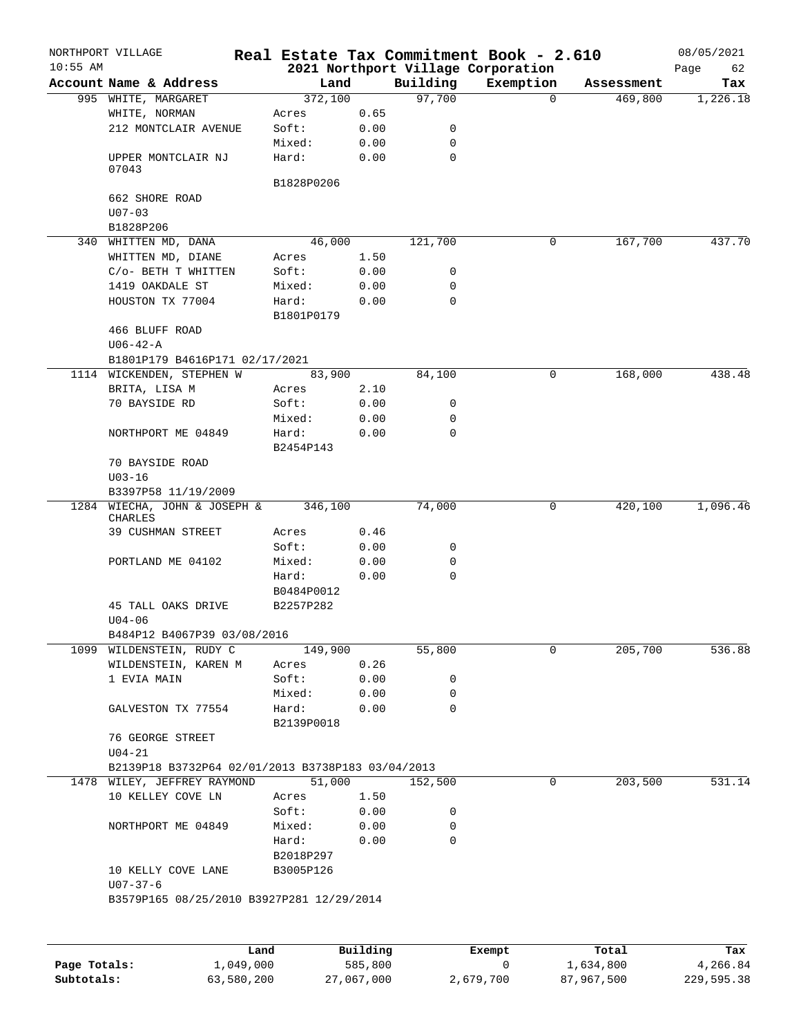|              | NORTHPORT VILLAGE                                 |            |          |             | Real Estate Tax Commitment Book - 2.610         |            | 08/05/2021        |
|--------------|---------------------------------------------------|------------|----------|-------------|-------------------------------------------------|------------|-------------------|
| $10:55$ AM   | Account Name & Address                            | Land       |          | Building    | 2021 Northport Village Corporation<br>Exemption | Assessment | Page<br>62<br>Tax |
|              | 995 WHITE, MARGARET                               | 372,100    |          | 97,700      | $\Omega$                                        | 469,800    | 1,226.18          |
|              | WHITE, NORMAN                                     | Acres      | 0.65     |             |                                                 |            |                   |
|              | 212 MONTCLAIR AVENUE                              | Soft:      | 0.00     | 0           |                                                 |            |                   |
|              |                                                   | Mixed:     | 0.00     | $\mathbf 0$ |                                                 |            |                   |
|              | UPPER MONTCLAIR NJ<br>07043                       | Hard:      | 0.00     | $\mathbf 0$ |                                                 |            |                   |
|              |                                                   | B1828P0206 |          |             |                                                 |            |                   |
|              | 662 SHORE ROAD<br>$U07 - 03$                      |            |          |             |                                                 |            |                   |
|              | B1828P206                                         |            |          |             |                                                 |            |                   |
|              | 340 WHITTEN MD, DANA                              | 46,000     |          | 121,700     | 0                                               | 167,700    | 437.70            |
|              | WHITTEN MD, DIANE                                 | Acres      | 1.50     |             |                                                 |            |                   |
|              | C/o- BETH T WHITTEN                               | Soft:      | 0.00     | 0           |                                                 |            |                   |
|              | 1419 OAKDALE ST                                   | Mixed:     | 0.00     | 0           |                                                 |            |                   |
|              | HOUSTON TX 77004                                  | Hard:      | 0.00     | $\mathbf 0$ |                                                 |            |                   |
|              |                                                   | B1801P0179 |          |             |                                                 |            |                   |
|              | 466 BLUFF ROAD                                    |            |          |             |                                                 |            |                   |
|              | U06-42-A                                          |            |          |             |                                                 |            |                   |
|              | B1801P179 B4616P171 02/17/2021                    |            |          |             |                                                 |            |                   |
|              | 1114 WICKENDEN, STEPHEN W                         | 83,900     |          | 84,100      | $\mathbf 0$                                     | 168,000    | 438.48            |
|              | BRITA, LISA M                                     | Acres      | 2.10     |             |                                                 |            |                   |
|              | 70 BAYSIDE RD                                     | Soft:      | 0.00     | 0           |                                                 |            |                   |
|              |                                                   | Mixed:     | 0.00     | $\mathbf 0$ |                                                 |            |                   |
|              | NORTHPORT ME 04849                                | Hard:      | 0.00     | $\Omega$    |                                                 |            |                   |
|              |                                                   | B2454P143  |          |             |                                                 |            |                   |
|              | 70 BAYSIDE ROAD                                   |            |          |             |                                                 |            |                   |
|              | $U03 - 16$                                        |            |          |             |                                                 |            |                   |
|              | B3397P58 11/19/2009                               |            |          |             |                                                 |            |                   |
|              | 1284 WIECHA, JOHN & JOSEPH &                      | 346,100    |          | 74,000      | 0                                               | 420,100    | 1,096.46          |
|              | CHARLES                                           |            |          |             |                                                 |            |                   |
|              | 39 CUSHMAN STREET                                 | Acres      | 0.46     |             |                                                 |            |                   |
|              |                                                   | Soft:      | 0.00     | 0           |                                                 |            |                   |
|              | PORTLAND ME 04102                                 | Mixed:     | 0.00     | 0           |                                                 |            |                   |
|              |                                                   | Hard:      | 0.00     | $\mathbf 0$ |                                                 |            |                   |
|              |                                                   | B0484P0012 |          |             |                                                 |            |                   |
|              | 45 TALL OAKS DRIVE                                | B2257P282  |          |             |                                                 |            |                   |
|              | $U04 - 06$                                        |            |          |             |                                                 |            |                   |
|              | B484P12 B4067P39 03/08/2016                       |            |          |             |                                                 |            |                   |
|              | 1099 WILDENSTEIN, RUDY C                          | 149,900    |          | 55,800      | 0                                               | 205,700    | 536.88            |
|              | WILDENSTEIN, KAREN M                              | Acres      | 0.26     |             |                                                 |            |                   |
|              | 1 EVIA MAIN                                       | Soft:      | 0.00     | 0           |                                                 |            |                   |
|              |                                                   | Mixed:     | 0.00     | 0           |                                                 |            |                   |
|              | GALVESTON TX 77554                                | Hard:      | 0.00     | $\mathbf 0$ |                                                 |            |                   |
|              |                                                   | B2139P0018 |          |             |                                                 |            |                   |
|              | 76 GEORGE STREET                                  |            |          |             |                                                 |            |                   |
|              | $U04 - 21$                                        |            |          |             |                                                 |            |                   |
|              | B2139P18 B3732P64 02/01/2013 B3738P183 03/04/2013 |            |          |             |                                                 |            |                   |
|              | 1478 WILEY, JEFFREY RAYMOND                       | 51,000     |          | 152,500     | 0                                               | 203,500    | 531.14            |
|              | 10 KELLEY COVE LN                                 | Acres      | 1.50     |             |                                                 |            |                   |
|              |                                                   | Soft:      | 0.00     | 0           |                                                 |            |                   |
|              | NORTHPORT ME 04849                                | Mixed:     | 0.00     | 0           |                                                 |            |                   |
|              |                                                   | Hard:      | 0.00     | 0           |                                                 |            |                   |
|              |                                                   | B2018P297  |          |             |                                                 |            |                   |
|              | 10 KELLY COVE LANE                                | B3005P126  |          |             |                                                 |            |                   |
|              | $U07 - 37 - 6$                                    |            |          |             |                                                 |            |                   |
|              | B3579P165 08/25/2010 B3927P281 12/29/2014         |            |          |             |                                                 |            |                   |
|              |                                                   |            |          |             |                                                 |            |                   |
|              |                                                   |            |          |             |                                                 |            |                   |
|              |                                                   | Land       | Building |             | Exempt                                          | Total      | Tax               |
| Page Totals: | 1,049,000                                         |            | 585,800  |             | 0                                               | 1,634,800  | 4,266.84          |

**Subtotals:** 63,580,200 27,067,000 2,679,700 87,967,500 229,595.38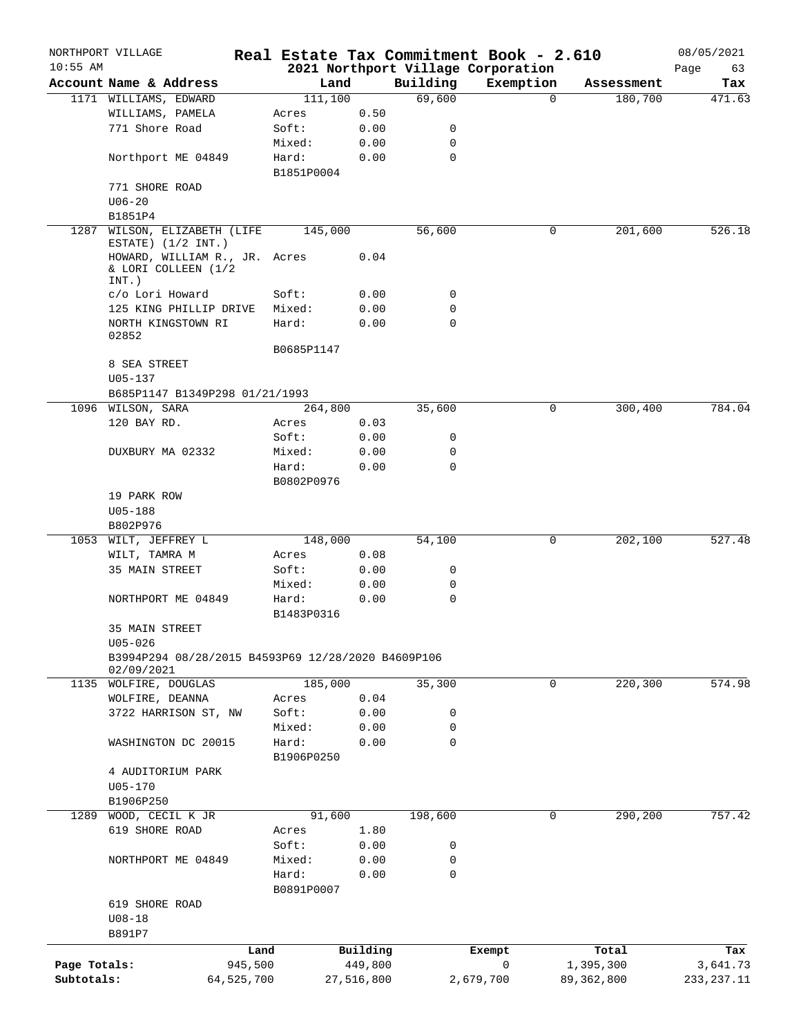|              | NORTHPORT VILLAGE                                  |                 |            |                    | Real Estate Tax Commitment Book - 2.610 |                       | 08/05/2021    |
|--------------|----------------------------------------------------|-----------------|------------|--------------------|-----------------------------------------|-----------------------|---------------|
| $10:55$ AM   |                                                    |                 |            |                    | 2021 Northport Village Corporation      |                       | Page<br>63    |
|              | Account Name & Address<br>1171 WILLIAMS, EDWARD    | Land<br>111,100 |            | Building<br>69,600 | Exemption<br>$\Omega$                   | Assessment<br>180,700 | Tax<br>471.63 |
|              | WILLIAMS, PAMELA                                   | Acres           | 0.50       |                    |                                         |                       |               |
|              | 771 Shore Road                                     | Soft:           | 0.00       | 0                  |                                         |                       |               |
|              |                                                    | Mixed:          | 0.00       | 0                  |                                         |                       |               |
|              | Northport ME 04849                                 | Hard:           | 0.00       | 0                  |                                         |                       |               |
|              |                                                    | B1851P0004      |            |                    |                                         |                       |               |
|              | 771 SHORE ROAD                                     |                 |            |                    |                                         |                       |               |
|              | $U06 - 20$                                         |                 |            |                    |                                         |                       |               |
|              | B1851P4                                            |                 |            |                    |                                         |                       |               |
| 1287         | WILSON, ELIZABETH (LIFE                            | 145,000         |            | 56,600             | 0                                       | 201,600               | 526.18        |
|              | ESTATE) $(1/2$ INT.)                               |                 |            |                    |                                         |                       |               |
|              | HOWARD, WILLIAM R., JR. Acres                      |                 | 0.04       |                    |                                         |                       |               |
|              | & LORI COLLEEN (1/2                                |                 |            |                    |                                         |                       |               |
|              | INT.)<br>c/o Lori Howard                           | Soft:           | 0.00       | 0                  |                                         |                       |               |
|              | 125 KING PHILLIP DRIVE                             | Mixed:          | 0.00       | 0                  |                                         |                       |               |
|              | NORTH KINGSTOWN RI                                 | Hard:           | 0.00       | $\mathbf 0$        |                                         |                       |               |
|              | 02852                                              |                 |            |                    |                                         |                       |               |
|              |                                                    | B0685P1147      |            |                    |                                         |                       |               |
|              | 8 SEA STREET                                       |                 |            |                    |                                         |                       |               |
|              | $U05 - 137$                                        |                 |            |                    |                                         |                       |               |
|              | B685P1147 B1349P298 01/21/1993                     |                 |            |                    |                                         |                       |               |
|              | 1096 WILSON, SARA                                  | 264,800         |            | 35,600             | 0                                       | 300,400               | 784.04        |
|              | 120 BAY RD.                                        | Acres           | 0.03       |                    |                                         |                       |               |
|              |                                                    | Soft:           | 0.00       | 0                  |                                         |                       |               |
|              | DUXBURY MA 02332                                   | Mixed:          | 0.00       | 0                  |                                         |                       |               |
|              |                                                    | Hard:           | 0.00       | $\mathbf 0$        |                                         |                       |               |
|              |                                                    | B0802P0976      |            |                    |                                         |                       |               |
|              | 19 PARK ROW                                        |                 |            |                    |                                         |                       |               |
|              | $U05 - 188$                                        |                 |            |                    |                                         |                       |               |
|              | B802P976                                           |                 |            |                    |                                         |                       |               |
|              | 1053 WILT, JEFFREY L                               | 148,000         |            | 54,100             | 0                                       | 202,100               | 527.48        |
|              | WILT, TAMRA M                                      | Acres           | 0.08       |                    |                                         |                       |               |
|              | 35 MAIN STREET                                     | Soft:           | 0.00       | 0                  |                                         |                       |               |
|              |                                                    | Mixed:          | 0.00       | 0                  |                                         |                       |               |
|              | NORTHPORT ME 04849                                 | Hard:           | 0.00       | 0                  |                                         |                       |               |
|              |                                                    | B1483P0316      |            |                    |                                         |                       |               |
|              | 35 MAIN STREET                                     |                 |            |                    |                                         |                       |               |
|              | $U05 - 026$                                        |                 |            |                    |                                         |                       |               |
|              | B3994P294 08/28/2015 B4593P69 12/28/2020 B4609P106 |                 |            |                    |                                         |                       |               |
| 1135         | 02/09/2021<br>WOLFIRE, DOUGLAS                     | 185,000         |            | 35,300             | 0                                       | 220,300               | 574.98        |
|              | WOLFIRE, DEANNA                                    | Acres           | 0.04       |                    |                                         |                       |               |
|              | 3722 HARRISON ST, NW                               | Soft:           | 0.00       | 0                  |                                         |                       |               |
|              |                                                    | Mixed:          | 0.00       | 0                  |                                         |                       |               |
|              | WASHINGTON DC 20015                                | Hard:           | 0.00       | 0                  |                                         |                       |               |
|              |                                                    | B1906P0250      |            |                    |                                         |                       |               |
|              | 4 AUDITORIUM PARK                                  |                 |            |                    |                                         |                       |               |
|              | $U05 - 170$                                        |                 |            |                    |                                         |                       |               |
|              | B1906P250                                          |                 |            |                    |                                         |                       |               |
| 1289         | WOOD, CECIL K JR                                   | 91,600          |            | 198,600            | 0                                       | 290,200               | 757.42        |
|              | 619 SHORE ROAD                                     | Acres           | 1.80       |                    |                                         |                       |               |
|              |                                                    | Soft:           | 0.00       | 0                  |                                         |                       |               |
|              | NORTHPORT ME 04849                                 | Mixed:          | 0.00       | 0                  |                                         |                       |               |
|              |                                                    | Hard:           | 0.00       | $\mathbf 0$        |                                         |                       |               |
|              |                                                    | B0891P0007      |            |                    |                                         |                       |               |
|              | 619 SHORE ROAD                                     |                 |            |                    |                                         |                       |               |
|              | $U08 - 18$                                         |                 |            |                    |                                         |                       |               |
|              | B891P7                                             |                 |            |                    |                                         |                       |               |
|              |                                                    | Land            | Building   |                    | Exempt                                  | Total                 | Tax           |
| Page Totals: | 945,500                                            |                 | 449,800    |                    | 0                                       | 1,395,300             | 3,641.73      |
| Subtotals:   | 64,525,700                                         |                 | 27,516,800 |                    | 2,679,700                               | 89,362,800            | 233, 237. 11  |
|              |                                                    |                 |            |                    |                                         |                       |               |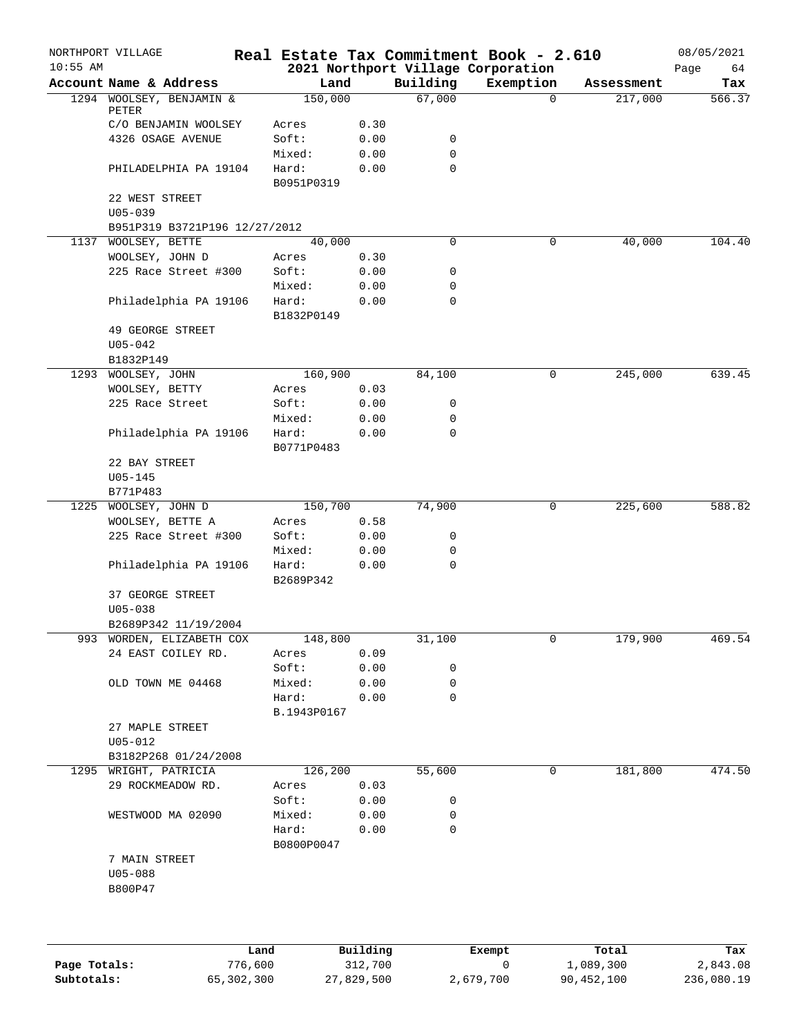| $10:55$ AM | NORTHPORT VILLAGE             |      |                     |          |             | Real Estate Tax Commitment Book - 2.610<br>2021 Northport Village Corporation |            | 08/05/2021        |
|------------|-------------------------------|------|---------------------|----------|-------------|-------------------------------------------------------------------------------|------------|-------------------|
|            | Account Name & Address        |      | Land                |          | Building    | Exemption                                                                     | Assessment | Page<br>64<br>Tax |
|            | 1294 WOOLSEY, BENJAMIN &      |      | 150,000             |          | 67,000      | $\Omega$                                                                      | 217,000    | 566.37            |
|            | PETER                         |      |                     |          |             |                                                                               |            |                   |
|            | C/O BENJAMIN WOOLSEY          |      | Acres               | 0.30     |             |                                                                               |            |                   |
|            | 4326 OSAGE AVENUE             |      | Soft:               | 0.00     | 0           |                                                                               |            |                   |
|            |                               |      | Mixed:              | 0.00     | 0           |                                                                               |            |                   |
|            | PHILADELPHIA PA 19104         |      | Hard:<br>B0951P0319 | 0.00     | $\mathbf 0$ |                                                                               |            |                   |
|            | 22 WEST STREET                |      |                     |          |             |                                                                               |            |                   |
|            | $U05 - 039$                   |      |                     |          |             |                                                                               |            |                   |
|            | B951P319 B3721P196 12/27/2012 |      |                     |          |             |                                                                               |            |                   |
|            | 1137 WOOLSEY, BETTE           |      | 40,000              |          | 0           | 0                                                                             | 40,000     | 104.40            |
|            | WOOLSEY, JOHN D               |      | Acres               | 0.30     |             |                                                                               |            |                   |
|            | 225 Race Street #300          |      | Soft:               | 0.00     | 0           |                                                                               |            |                   |
|            |                               |      | Mixed:              | 0.00     | $\mathbf 0$ |                                                                               |            |                   |
|            | Philadelphia PA 19106         |      | Hard:<br>B1832P0149 | 0.00     | $\mathbf 0$ |                                                                               |            |                   |
|            | 49 GEORGE STREET              |      |                     |          |             |                                                                               |            |                   |
|            | $U05 - 042$                   |      |                     |          |             |                                                                               |            |                   |
|            | B1832P149                     |      |                     |          |             |                                                                               |            |                   |
| 1293       | WOOLSEY, JOHN                 |      | 160,900             |          | 84,100      | 0                                                                             | 245,000    | 639.45            |
|            | WOOLSEY, BETTY                |      | Acres               | 0.03     |             |                                                                               |            |                   |
|            | 225 Race Street               |      | Soft:               | 0.00     | 0           |                                                                               |            |                   |
|            |                               |      | Mixed:              | 0.00     | 0           |                                                                               |            |                   |
|            | Philadelphia PA 19106         |      | Hard:               | 0.00     | 0           |                                                                               |            |                   |
|            |                               |      | B0771P0483          |          |             |                                                                               |            |                   |
|            | 22 BAY STREET<br>$U05 - 145$  |      |                     |          |             |                                                                               |            |                   |
|            | B771P483                      |      |                     |          |             |                                                                               |            |                   |
| 1225       | WOOLSEY, JOHN D               |      | 150,700             |          | 74,900      | 0                                                                             | 225,600    | 588.82            |
|            | WOOLSEY, BETTE A              |      | Acres               | 0.58     |             |                                                                               |            |                   |
|            | 225 Race Street #300          |      | Soft:               | 0.00     | 0           |                                                                               |            |                   |
|            |                               |      | Mixed:              | 0.00     | 0           |                                                                               |            |                   |
|            | Philadelphia PA 19106         |      | Hard:<br>B2689P342  | 0.00     | 0           |                                                                               |            |                   |
|            | 37 GEORGE STREET              |      |                     |          |             |                                                                               |            |                   |
|            | $U05 - 038$                   |      |                     |          |             |                                                                               |            |                   |
|            | B2689P342 11/19/2004          |      |                     |          |             |                                                                               |            |                   |
|            | 993 WORDEN, ELIZABETH COX     |      | 148,800             |          | 31,100      | 0                                                                             | 179,900    | 469.54            |
|            | 24 EAST COILEY RD.            |      | Acres               | 0.09     |             |                                                                               |            |                   |
|            |                               |      | Soft:               | 0.00     | 0           |                                                                               |            |                   |
|            | OLD TOWN ME 04468             |      | Mixed:              | 0.00     | 0           |                                                                               |            |                   |
|            |                               |      | Hard:               | 0.00     | $\mathbf 0$ |                                                                               |            |                   |
|            |                               |      | B.1943P0167         |          |             |                                                                               |            |                   |
|            | 27 MAPLE STREET               |      |                     |          |             |                                                                               |            |                   |
|            | $U05 - 012$                   |      |                     |          |             |                                                                               |            |                   |
|            | B3182P268 01/24/2008          |      |                     |          |             |                                                                               |            |                   |
| 1295       | WRIGHT, PATRICIA              |      | 126,200             |          | 55,600      | 0                                                                             | 181,800    | 474.50            |
|            | 29 ROCKMEADOW RD.             |      | Acres               | 0.03     |             |                                                                               |            |                   |
|            |                               |      | Soft:               | 0.00     | 0           |                                                                               |            |                   |
|            | WESTWOOD MA 02090             |      | Mixed:              | 0.00     | 0           |                                                                               |            |                   |
|            |                               |      | Hard:               | 0.00     | 0           |                                                                               |            |                   |
|            | 7 MAIN STREET                 |      | B0800P0047          |          |             |                                                                               |            |                   |
|            | $U05 - 088$                   |      |                     |          |             |                                                                               |            |                   |
|            | B800P47                       |      |                     |          |             |                                                                               |            |                   |
|            |                               |      |                     |          |             |                                                                               |            |                   |
|            |                               |      |                     |          |             |                                                                               |            |                   |
|            |                               |      |                     |          |             |                                                                               |            |                   |
|            |                               | Land |                     | Building |             | Exempt                                                                        | Total      | Tax               |

|              | Land       | Building   | Exempt    | Total      | Tax        |
|--------------|------------|------------|-----------|------------|------------|
| Page Totals: | 776,600    | 312,700    |           | 1,089,300  | 2,843.08   |
| Subtotals:   | 65,302,300 | 27,829,500 | 2,679,700 | 90,452,100 | 236,080.19 |